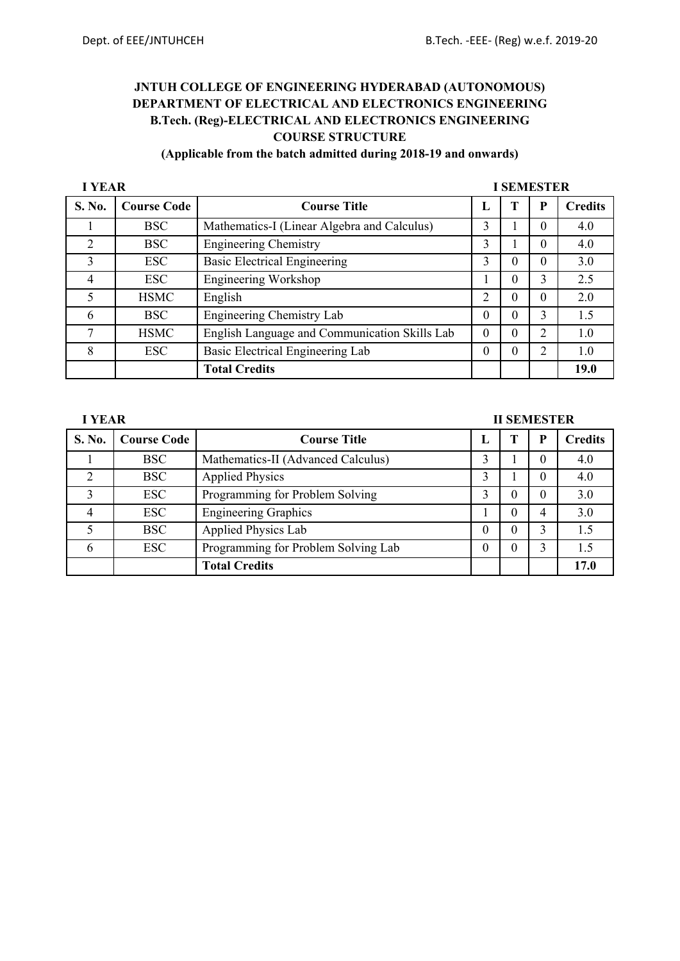### **(Applicable from the batch admitted during 2018-19 and onwards)**

| <b>I YEAR</b>  |                    |                                               |          |          | <b>I SEMESTER</b> |                |
|----------------|--------------------|-----------------------------------------------|----------|----------|-------------------|----------------|
| S. No.         | <b>Course Code</b> | <b>Course Title</b>                           | L        |          | D                 | <b>Credits</b> |
|                | <b>BSC</b>         | Mathematics-I (Linear Algebra and Calculus)   | 3        |          | $\Omega$          | 4.0            |
| $\overline{2}$ | <b>BSC</b>         | <b>Engineering Chemistry</b>                  | 3        |          | $\Omega$          | 4.0            |
| 3              | <b>ESC</b>         | <b>Basic Electrical Engineering</b>           | 3        |          | $\Omega$          | 3.0            |
| 4              | <b>ESC</b>         | Engineering Workshop                          |          | 0        | 3                 | 2.5            |
| 5              | <b>HSMC</b>        | English                                       | 2        | $\Omega$ | $\Omega$          | 2.0            |
| 6              | <b>BSC</b>         | Engineering Chemistry Lab                     | $\Omega$ |          | 3                 | 1.5            |
| 7              | <b>HSMC</b>        | English Language and Communication Skills Lab | $\theta$ | $\Omega$ | 2                 | 1.0            |
| 8              | <b>ESC</b>         | Basic Electrical Engineering Lab              | $\theta$ | 0        | 2                 | 1.0            |
|                |                    | <b>Total Credits</b>                          |          |          |                   | 19.0           |

### **I** YEAR **II SEMESTER**

| S. No. | <b>Course Code</b> | <b>Course Title</b>                 |                  |   | <b>Credits</b> |
|--------|--------------------|-------------------------------------|------------------|---|----------------|
|        | <b>BSC</b>         | Mathematics-II (Advanced Calculus)  | 3                |   | 4.0            |
|        | <b>BSC</b>         | <b>Applied Physics</b>              |                  |   | 4.0            |
| 3      | ESC                | Programming for Problem Solving     |                  | 0 | 3.0            |
|        | ESC                | <b>Engineering Graphics</b>         |                  |   | 3.0            |
|        | <b>BSC</b>         | <b>Applied Physics Lab</b>          | $\Omega$         | 0 | 1.5            |
|        | ESC                | Programming for Problem Solving Lab | $\left( \right)$ |   | 1.5            |
|        |                    | <b>Total Credits</b>                |                  |   | 17.0           |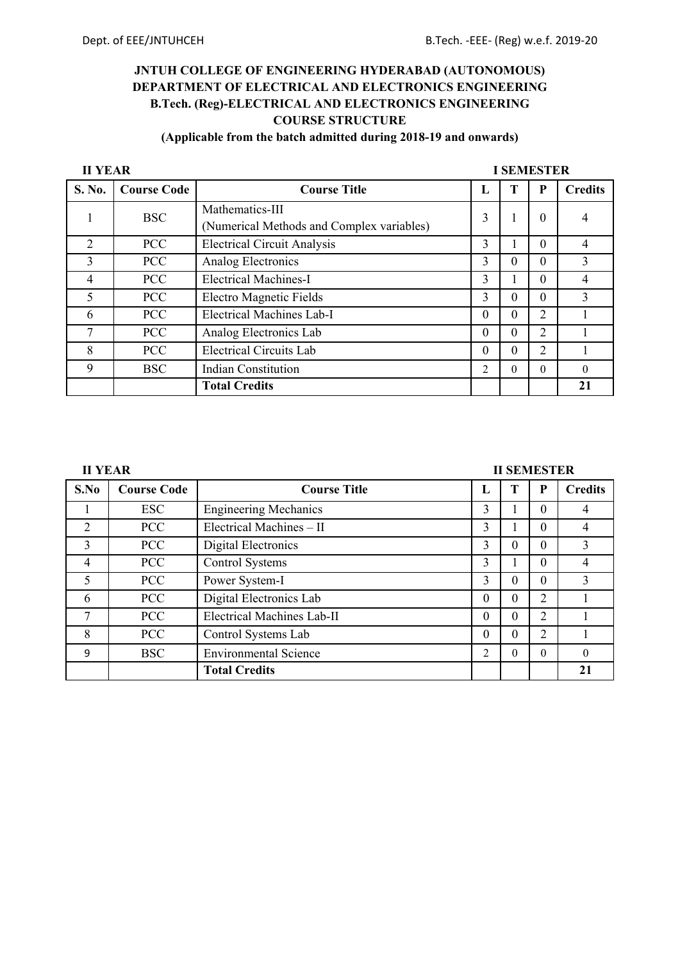## **(Applicable from the batch admitted during 2018-19 and onwards)**

| <b>II YEAR</b> |                    |                                                              | <b>I SEMESTER</b> |          |                |                |  |  |
|----------------|--------------------|--------------------------------------------------------------|-------------------|----------|----------------|----------------|--|--|
| S. No.         | <b>Course Code</b> | <b>Course Title</b>                                          | L                 |          | P              | <b>Credits</b> |  |  |
|                | <b>BSC</b>         | Mathematics-III<br>(Numerical Methods and Complex variables) | 3                 |          | $\theta$       |                |  |  |
| $\overline{2}$ | <b>PCC</b>         | <b>Electrical Circuit Analysis</b>                           | 3                 |          | 0              | 4              |  |  |
| 3              | <b>PCC</b>         | Analog Electronics                                           | 3                 | 0        | 0              | 3              |  |  |
| 4              | <b>PCC</b>         | <b>Electrical Machines-I</b>                                 | 3                 |          | 0              | 4              |  |  |
| 5              | <b>PCC</b>         | Electro Magnetic Fields                                      | 3                 | 0        | 0              | 3              |  |  |
| 6              | <b>PCC</b>         | <b>Electrical Machines Lab-I</b>                             | $\Omega$          | $\Omega$ | $\overline{2}$ |                |  |  |
| 7              | <b>PCC</b>         | Analog Electronics Lab                                       | $\Omega$          | $\Omega$ | $\overline{2}$ |                |  |  |
| 8              | <b>PCC</b>         | <b>Electrical Circuits Lab</b>                               | $\Omega$          | $\Omega$ | 2              |                |  |  |
| 9              | <b>BSC</b>         | <b>Indian Constitution</b>                                   | 2                 | $\Omega$ | 0              | $\Omega$       |  |  |
|                |                    | <b>Total Credits</b>                                         |                   |          |                | 21             |  |  |

### **II YEAR III SEMESTER**

| S.No           | <b>Course Code</b> | <b>Course Title</b>               | п,             | T        | P              | <b>Credits</b> |
|----------------|--------------------|-----------------------------------|----------------|----------|----------------|----------------|
|                | ESC                | <b>Engineering Mechanics</b>      | 3              |          | 0              |                |
| 2              | <b>PCC</b>         | Electrical Machines - II          | 3              |          | 0              | 4              |
| 3              | <b>PCC</b>         | Digital Electronics               | 3              | $\theta$ | 0              | 3              |
| $\overline{4}$ | <b>PCC</b>         | Control Systems                   | 3              |          | 0              | 4              |
| 5              | <b>PCC</b>         | Power System-I                    | 3              | 0        | 0              | 3              |
| 6              | <b>PCC</b>         | Digital Electronics Lab           | $\theta$       | $\Omega$ | 2              |                |
|                | <b>PCC</b>         | <b>Electrical Machines Lab-II</b> | $\Omega$       | 0        | $\overline{2}$ |                |
| 8              | <b>PCC</b>         | Control Systems Lab               | $\Omega$       | $\theta$ | 2              |                |
| 9              | <b>BSC</b>         | <b>Environmental Science</b>      | $\overline{c}$ | $\theta$ | 0              |                |
|                |                    | <b>Total Credits</b>              |                |          |                | 21             |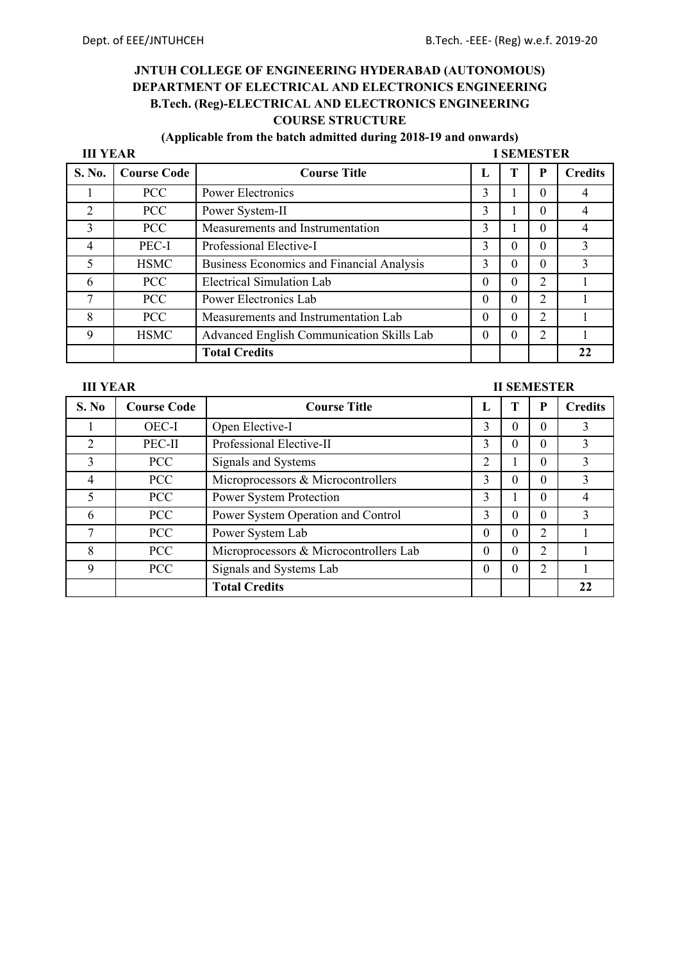## **(Applicable from the batch admitted during 2018-19 and onwards)**

| <b>III YEAR</b> |                    |                                                  | <b>I SEMESTER</b> |   |                |                |  |
|-----------------|--------------------|--------------------------------------------------|-------------------|---|----------------|----------------|--|
| S. No.          | <b>Course Code</b> | <b>Course Title</b>                              | Ι.                |   | P              | <b>Credits</b> |  |
|                 | <b>PCC</b>         | <b>Power Electronics</b>                         | 3                 |   | 0              |                |  |
| $\overline{2}$  | <b>PCC</b>         | Power System-II                                  | 3                 |   | 0              |                |  |
| 3               | <b>PCC</b>         | Measurements and Instrumentation                 | 3                 |   | 0              |                |  |
| 4               | PEC-I              | Professional Elective-I                          | 3                 | 0 | 0              | 3              |  |
| 5               | <b>HSMC</b>        | <b>Business Economics and Financial Analysis</b> | 3                 | 0 | 0              | 3              |  |
| 6               | <b>PCC</b>         | <b>Electrical Simulation Lab</b>                 | 0                 | 0 | $\overline{2}$ |                |  |
| 7               | <b>PCC</b>         | Power Electronics Lab                            | $\Omega$          | 0 | $\overline{2}$ |                |  |
| 8               | <b>PCC</b>         | Measurements and Instrumentation Lab             | $\theta$          | 0 | 2              |                |  |
| $\mathbf Q$     | <b>HSMC</b>        | Advanced English Communication Skills Lab        | 0                 |   | $\overline{2}$ |                |  |
|                 |                    | <b>Total Credits</b>                             |                   |   |                | 22             |  |

**III YEAR** III SEMESTER

|                |                    |                                        |          | н эргэрэн ох |                |                |
|----------------|--------------------|----------------------------------------|----------|--------------|----------------|----------------|
| S. No          | <b>Course Code</b> | <b>Course Title</b>                    | п.       |              | P              | <b>Credits</b> |
|                | OEC-I              | Open Elective-I                        | 3        | 0            | 0              | 3              |
| $\overline{2}$ | PEC-II             | Professional Elective-II               | 3        | 0            | 0              | 3              |
| 3              | <b>PCC</b>         | Signals and Systems                    | 2        |              | $\Omega$       | 3              |
| 4              | <b>PCC</b>         | Microprocessors & Microcontrollers     | 3        | 0            | 0              | 3              |
| 5              | <b>PCC</b>         | Power System Protection                | 3        |              | 0              |                |
| 6              | <b>PCC</b>         | Power System Operation and Control     | 3        | 0            | 0              | 3              |
| 7              | <b>PCC</b>         | Power System Lab                       | $\theta$ | 0            | $\overline{2}$ |                |
| 8              | <b>PCC</b>         | Microprocessors & Microcontrollers Lab | $\theta$ | 0            | $\overline{2}$ |                |
| 9              | <b>PCC</b>         | Signals and Systems Lab                | $\theta$ | $\theta$     | $\overline{2}$ |                |
|                |                    | <b>Total Credits</b>                   |          |              |                | 22             |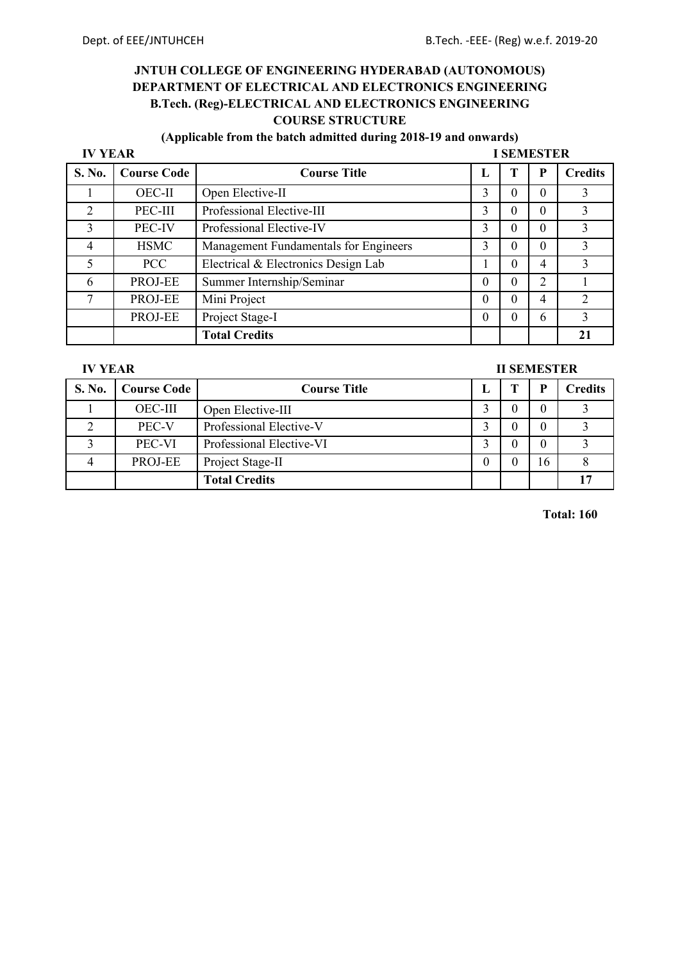## **(Applicable from the batch admitted during 2018-19 and onwards)**

| <b>IV YEAR</b> |                    |                                       | <b>I SEMESTER</b> |   |                |                |  |  |  |
|----------------|--------------------|---------------------------------------|-------------------|---|----------------|----------------|--|--|--|
| S. No.         | <b>Course Code</b> | <b>Course Title</b>                   |                   |   | P              | <b>Credits</b> |  |  |  |
|                | <b>OEC-II</b>      | Open Elective-II                      | 3                 | 0 | $\Omega$       | 3              |  |  |  |
| 2              | PEC-III            | Professional Elective-III             | 3                 | 0 | 0              |                |  |  |  |
| 3              | PEC-IV             | Professional Elective-IV              | 3                 | 0 | 0              | 3              |  |  |  |
| 4              | <b>HSMC</b>        | Management Fundamentals for Engineers | 3                 | 0 | $\Omega$       | 3              |  |  |  |
|                | PCC.               | Electrical & Electronics Design Lab   |                   |   | 4              | 3              |  |  |  |
| 6              | PROJ-EE            | Summer Internship/Seminar             | 0                 | 0 | $\overline{2}$ |                |  |  |  |
| 7              | PROJ-EE            | Mini Project                          | $\theta$          |   | 4              | 2              |  |  |  |
|                | PROJ-EE            | Project Stage-I                       | 0                 |   | 6              | 3              |  |  |  |
|                |                    | <b>Total Credits</b>                  |                   |   |                |                |  |  |  |

**IV YEAR II SEMESTER** 

| <b>S. No.</b> | <b>Course Code</b> | <b>Course Title</b>      |  |    | Credits |
|---------------|--------------------|--------------------------|--|----|---------|
|               | <b>OEC-III</b>     | Open Elective-III        |  |    |         |
|               | PEC-V              | Professional Elective-V  |  |    |         |
|               | PEC-VI             | Professional Elective-VI |  |    |         |
|               | PROJ-EE            | Project Stage-II         |  | 16 |         |
|               |                    | <b>Total Credits</b>     |  |    |         |

**Total: 160**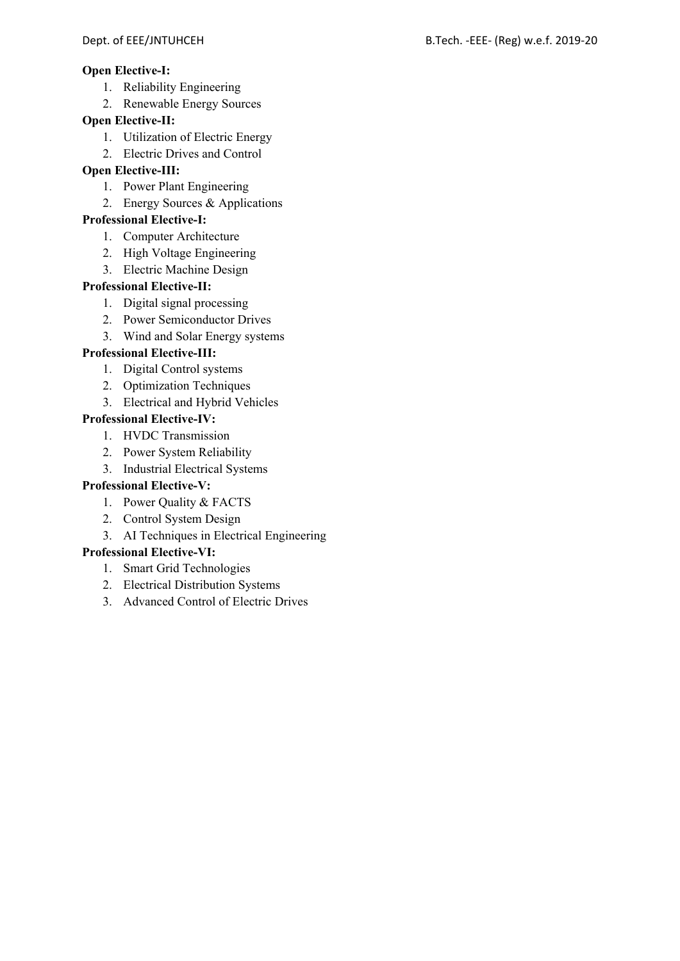### **Open Elective-I:**

- 1. Reliability Engineering
- 2. Renewable Energy Sources

### **Open Elective-II:**

- 1. Utilization of Electric Energy
- 2. Electric Drives and Control

### **Open Elective-III:**

- 1. Power Plant Engineering
- 2. Energy Sources & Applications

### **Professional Elective-I:**

- 1. Computer Architecture
- 2. High Voltage Engineering
- 3. Electric Machine Design

### **Professional Elective-II:**

- 1. Digital signal processing
- 2. Power Semiconductor Drives
- 3. Wind and Solar Energy systems

## **Professional Elective-III:**

- 1. Digital Control systems
- 2. Optimization Techniques
- 3. Electrical and Hybrid Vehicles

### **Professional Elective-IV:**

- 1. HVDC Transmission
- 2. Power System Reliability
- 3. Industrial Electrical Systems

## **Professional Elective-V:**

1. Power Quality & FACTS

# 2. Control System Design

3. AI Techniques in Electrical Engineering

# **Professional Elective-VI:**

- 1. Smart Grid Technologies
- 2. Electrical Distribution Systems
- 3. Advanced Control of Electric Drives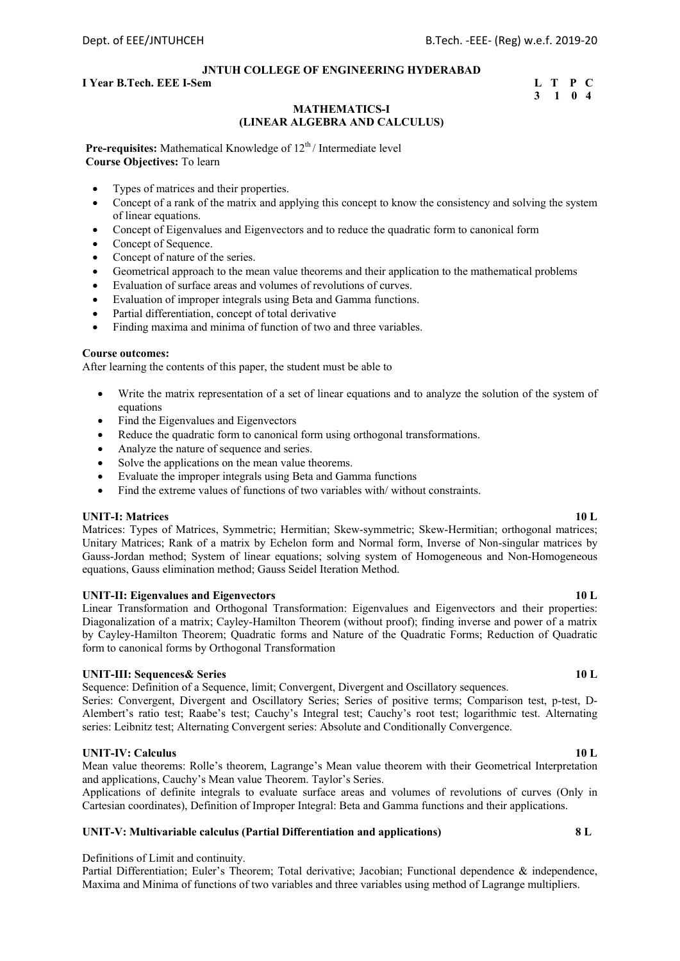#### **I** Year B.Tech. EEE I-Sem L T P C

# **3 1 0 4**

### **MATHEMATICS-I (LINEAR ALGEBRA AND CALCULUS)**

**Pre-requisites:** Mathematical Knowledge of 12<sup>th</sup>/ Intermediate level **Course Objectives:** To learn

- Types of matrices and their properties.
- Concept of a rank of the matrix and applying this concept to know the consistency and solving the system of linear equations.
- Concept of Eigenvalues and Eigenvectors and to reduce the quadratic form to canonical form
- Concept of Sequence.
- Concept of nature of the series.
- Geometrical approach to the mean value theorems and their application to the mathematical problems
- Evaluation of surface areas and volumes of revolutions of curves.
- Evaluation of improper integrals using Beta and Gamma functions.
- Partial differentiation, concept of total derivative
- Finding maxima and minima of function of two and three variables.

#### **Course outcomes:**

After learning the contents of this paper, the student must be able to

- Write the matrix representation of a set of linear equations and to analyze the solution of the system of equations
- Find the Eigenvalues and Eigenvectors
- Reduce the quadratic form to canonical form using orthogonal transformations.
- Analyze the nature of sequence and series.
- Solve the applications on the mean value theorems.
- Evaluate the improper integrals using Beta and Gamma functions
- Find the extreme values of functions of two variables with/ without constraints.

#### **UNIT-I: Matrices 10 L**

Matrices: Types of Matrices, Symmetric; Hermitian; Skew-symmetric; Skew-Hermitian; orthogonal matrices; Unitary Matrices; Rank of a matrix by Echelon form and Normal form, Inverse of Non-singular matrices by Gauss-Jordan method; System of linear equations; solving system of Homogeneous and Non-Homogeneous equations, Gauss elimination method; Gauss Seidel Iteration Method.

#### **UNIT-II: Eigenvalues and Eigenvectors 10 L**

Linear Transformation and Orthogonal Transformation: Eigenvalues and Eigenvectors and their properties: Diagonalization of a matrix; Cayley-Hamilton Theorem (without proof); finding inverse and power of a matrix by Cayley-Hamilton Theorem; Quadratic forms and Nature of the Quadratic Forms; Reduction of Quadratic form to canonical forms by Orthogonal Transformation

#### **UNIT-III:** Sequences & Series 10 L

Sequence: Definition of a Sequence, limit; Convergent, Divergent and Oscillatory sequences.

Series: Convergent, Divergent and Oscillatory Series; Series of positive terms; Comparison test, p-test, D-Alembert's ratio test; Raabe's test; Cauchy's Integral test; Cauchy's root test; logarithmic test. Alternating series: Leibnitz test; Alternating Convergent series: Absolute and Conditionally Convergence.

#### **UNIT-IV:** Calculus 10 L

Mean value theorems: Rolle's theorem, Lagrange's Mean value theorem with their Geometrical Interpretation and applications, Cauchy's Mean value Theorem. Taylor's Series.

Applications of definite integrals to evaluate surface areas and volumes of revolutions of curves (Only in Cartesian coordinates), Definition of Improper Integral: Beta and Gamma functions and their applications.

#### **UNIT-V: Multivariable calculus (Partial Differentiation and applications) 8 L**

#### Definitions of Limit and continuity.

Partial Differentiation; Euler's Theorem; Total derivative; Jacobian; Functional dependence & independence, Maxima and Minima of functions of two variables and three variables using method of Lagrange multipliers.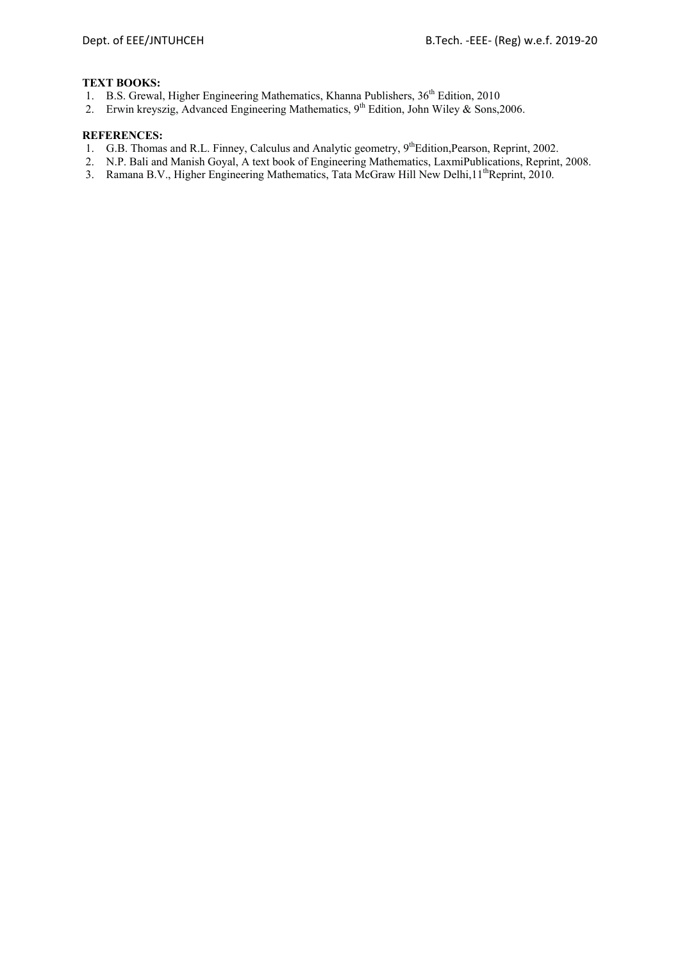#### **TEXT BOOKS:**

- 1. B.S. Grewal, Higher Engineering Mathematics, Khanna Publishers, 36<sup>th</sup> Edition, 2010
- 2. Erwin kreyszig, Advanced Engineering Mathematics, 9<sup>th</sup> Edition, John Wiley & Sons, 2006.

- 1. G.B. Thomas and R.L. Finney, Calculus and Analytic geometry, 9<sup>th</sup>Edition,Pearson, Reprint, 2002.
- 2. N.P. Bali and Manish Goyal, A text book of Engineering Mathematics, LaxmiPublications, Reprint, 2008.
- 3. Ramana B.V., Higher Engineering Mathematics, Tata McGraw Hill New Delhi, 11<sup>th</sup>Reprint, 2010.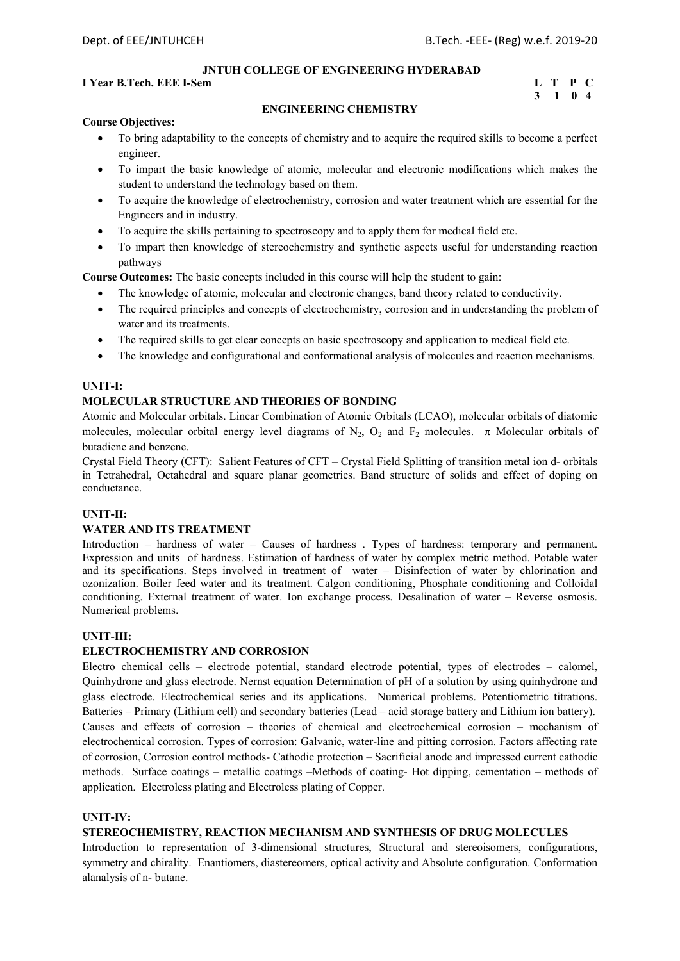#### **I** Year B.Tech. EEE I-Sem **L** T P C

# **3 1 0 4**

#### **ENGINEERING CHEMISTRY**

#### **Course Objectives:**

- To bring adaptability to the concepts of chemistry and to acquire the required skills to become a perfect engineer.
- To impart the basic knowledge of atomic, molecular and electronic modifications which makes the student to understand the technology based on them.
- To acquire the knowledge of electrochemistry, corrosion and water treatment which are essential for the Engineers and in industry.
- To acquire the skills pertaining to spectroscopy and to apply them for medical field etc.
- To impart then knowledge of stereochemistry and synthetic aspects useful for understanding reaction pathways

**Course Outcomes:** The basic concepts included in this course will help the student to gain:

- The knowledge of atomic, molecular and electronic changes, band theory related to conductivity.
- The required principles and concepts of electrochemistry, corrosion and in understanding the problem of water and its treatments.
- The required skills to get clear concepts on basic spectroscopy and application to medical field etc.
- The knowledge and configurational and conformational analysis of molecules and reaction mechanisms.

#### **UNIT-I:**

#### **MOLECULAR STRUCTURE AND THEORIES OF BONDING**

Atomic and Molecular orbitals. Linear Combination of Atomic Orbitals (LCAO), molecular orbitals of diatomic molecules, molecular orbital energy level diagrams of N<sub>2</sub>, O<sub>2</sub> and F<sub>2</sub> molecules.  $\pi$  Molecular orbitals of butadiene and benzene.

Crystal Field Theory (CFT): Salient Features of CFT – Crystal Field Splitting of transition metal ion d- orbitals in Tetrahedral, Octahedral and square planar geometries. Band structure of solids and effect of doping on conductance.

#### **UNIT-II:**

#### **WATER AND ITS TREATMENT**

Introduction – hardness of water – Causes of hardness . Types of hardness: temporary and permanent. Expression and units of hardness. Estimation of hardness of water by complex metric method. Potable water and its specifications. Steps involved in treatment of water – Disinfection of water by chlorination and ozonization. Boiler feed water and its treatment. Calgon conditioning, Phosphate conditioning and Colloidal conditioning. External treatment of water. Ion exchange process. Desalination of water – Reverse osmosis. Numerical problems.

#### **UNIT-III:**

#### **ELECTROCHEMISTRY AND CORROSION**

Electro chemical cells – electrode potential, standard electrode potential, types of electrodes – calomel, Quinhydrone and glass electrode. Nernst equation Determination of pH of a solution by using quinhydrone and glass electrode. Electrochemical series and its applications. Numerical problems. Potentiometric titrations. Batteries – Primary (Lithium cell) and secondary batteries (Lead – acid storage battery and Lithium ion battery). Causes and effects of corrosion – theories of chemical and electrochemical corrosion – mechanism of electrochemical corrosion. Types of corrosion: Galvanic, water-line and pitting corrosion. Factors affecting rate of corrosion, Corrosion control methods- Cathodic protection – Sacrificial anode and impressed current cathodic methods. Surface coatings – metallic coatings –Methods of coating- Hot dipping, cementation – methods of application. Electroless plating and Electroless plating of Copper.

#### **UNIT-IV:**

#### **STEREOCHEMISTRY, REACTION MECHANISM AND SYNTHESIS OF DRUG MOLECULES**

Introduction to representation of 3-dimensional structures, Structural and stereoisomers, configurations, symmetry and chirality. Enantiomers, diastereomers, optical activity and Absolute configuration. Conformation alanalysis of n- butane.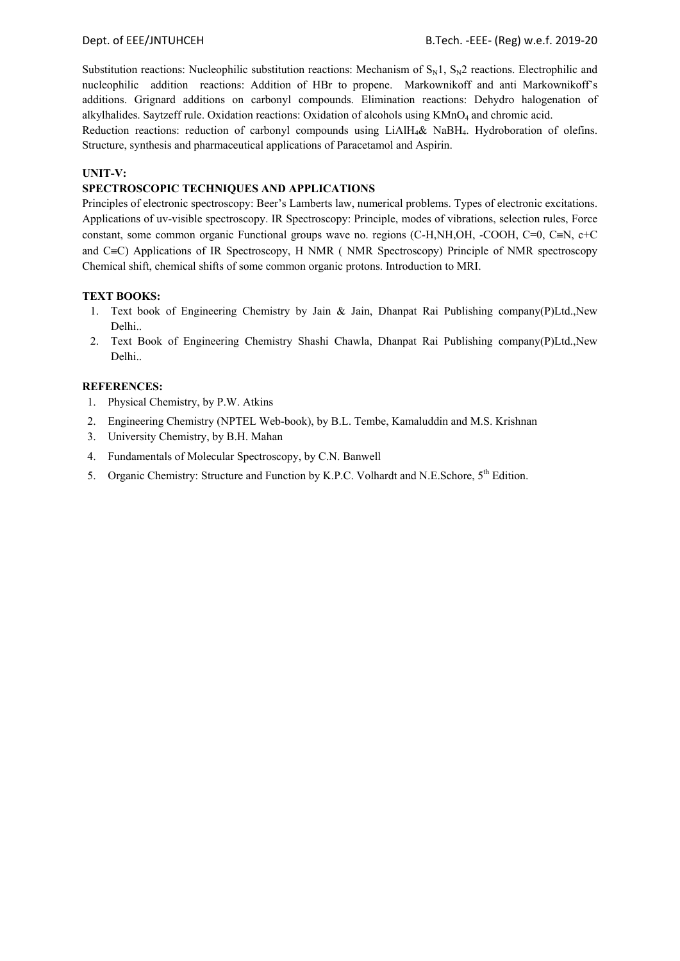Substitution reactions: Nucleophilic substitution reactions: Mechanism of  $S_N1$ ,  $S_N2$  reactions. Electrophilic and nucleophilic addition reactions: Addition of HBr to propene. Markownikoff and anti Markownikoff's additions. Grignard additions on carbonyl compounds. Elimination reactions: Dehydro halogenation of alkylhalides. Saytzeff rule. Oxidation reactions: Oxidation of alcohols using KMnO<sub>4</sub> and chromic acid.

Reduction reactions: reduction of carbonyl compounds using LiAlH<sub>4</sub>& NaBH<sub>4</sub>. Hydroboration of olefins. Structure, synthesis and pharmaceutical applications of Paracetamol and Aspirin.

#### **UNIT-V:**

#### **SPECTROSCOPIC TECHNIQUES AND APPLICATIONS**

Principles of electronic spectroscopy: Beer's Lamberts law, numerical problems. Types of electronic excitations. Applications of uv-visible spectroscopy. IR Spectroscopy: Principle, modes of vibrations, selection rules, Force constant, some common organic Functional groups wave no. regions (C-H,NH,OH, -COOH, C=0, C=N, c+C and  $C\equiv C$ ) Applications of IR Spectroscopy, H NMR ( NMR Spectroscopy) Principle of NMR spectroscopy Chemical shift, chemical shifts of some common organic protons. Introduction to MRI.

#### **TEXT BOOKS:**

- 1. Text book of Engineering Chemistry by Jain & Jain, Dhanpat Rai Publishing company(P)Ltd.,New Delhi..
- 2. Text Book of Engineering Chemistry Shashi Chawla, Dhanpat Rai Publishing company(P)Ltd.,New Delhi..

- 1. Physical Chemistry, by P.W. Atkins
- 2. Engineering Chemistry (NPTEL Web-book), by B.L. Tembe, Kamaluddin and M.S. Krishnan
- 3. University Chemistry, by B.H. Mahan
- 4. Fundamentals of Molecular Spectroscopy, by C.N. Banwell
- 5. Organic Chemistry: Structure and Function by K.P.C. Volhardt and N.E.Schore, 5<sup>th</sup> Edition.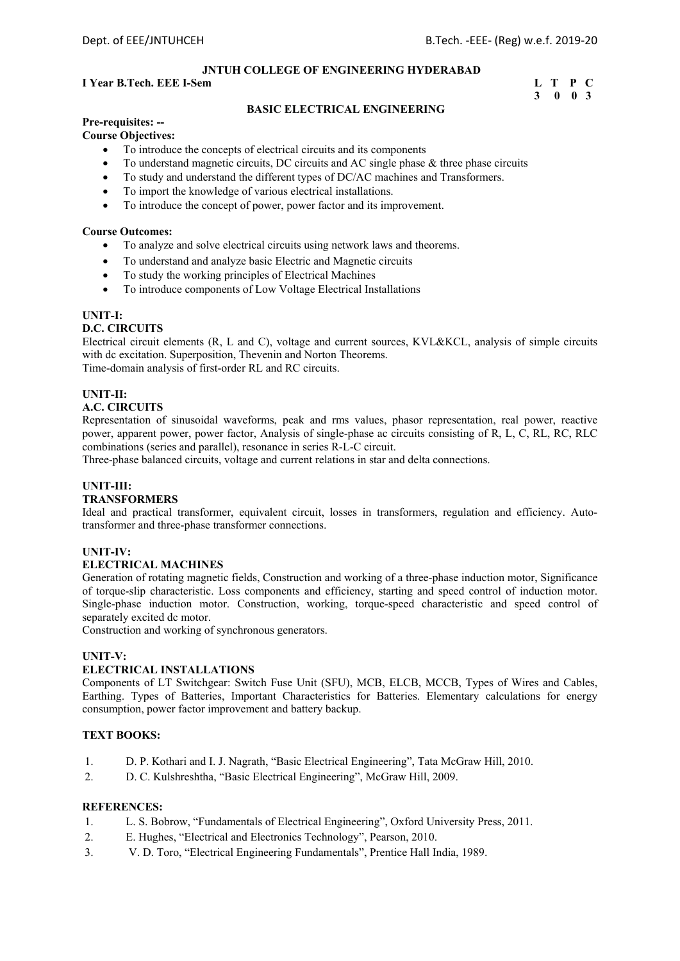#### **I** Year B.Tech. EEE I-Sem **L** T P C

# **3 0 0 3**

#### **BASIC ELECTRICAL ENGINEERING**

# **Pre-requisites: --**

**Course Objectives:** 

- To introduce the concepts of electrical circuits and its components
- To understand magnetic circuits, DC circuits and AC single phase & three phase circuits
- To study and understand the different types of DC/AC machines and Transformers.
- To import the knowledge of various electrical installations.
- To introduce the concept of power, power factor and its improvement.

#### **Course Outcomes:**

- To analyze and solve electrical circuits using network laws and theorems.
- To understand and analyze basic Electric and Magnetic circuits
- To study the working principles of Electrical Machines
- To introduce components of Low Voltage Electrical Installations

#### **UNIT-I:**

#### **D.C. CIRCUITS**

Electrical circuit elements (R, L and C), voltage and current sources, KVL&KCL, analysis of simple circuits with dc excitation. Superposition, Thevenin and Norton Theorems. Time-domain analysis of first-order RL and RC circuits.

#### **UNIT-II:**

#### **A.C. CIRCUITS**

Representation of sinusoidal waveforms, peak and rms values, phasor representation, real power, reactive power, apparent power, power factor, Analysis of single-phase ac circuits consisting of R, L, C, RL, RC, RLC combinations (series and parallel), resonance in series R-L-C circuit.

Three-phase balanced circuits, voltage and current relations in star and delta connections.

#### **UNIT-III:**

#### **TRANSFORMERS**

Ideal and practical transformer, equivalent circuit, losses in transformers, regulation and efficiency. Autotransformer and three-phase transformer connections.

#### **UNIT-IV:**

#### **ELECTRICAL MACHINES**

Generation of rotating magnetic fields, Construction and working of a three-phase induction motor, Significance of torque-slip characteristic. Loss components and efficiency, starting and speed control of induction motor. Single-phase induction motor. Construction, working, torque-speed characteristic and speed control of separately excited dc motor.

Construction and working of synchronous generators.

#### **UNIT-V:**

#### **ELECTRICAL INSTALLATIONS**

Components of LT Switchgear: Switch Fuse Unit (SFU), MCB, ELCB, MCCB, Types of Wires and Cables, Earthing. Types of Batteries, Important Characteristics for Batteries. Elementary calculations for energy consumption, power factor improvement and battery backup.

#### **TEXT BOOKS:**

- 1. D. P. Kothari and I. J. Nagrath, "Basic Electrical Engineering", Tata McGraw Hill, 2010.
- 2. D. C. Kulshreshtha, "Basic Electrical Engineering", McGraw Hill, 2009.

- 1. L. S. Bobrow, "Fundamentals of Electrical Engineering", Oxford University Press, 2011.
- 2. E. Hughes, "Electrical and Electronics Technology", Pearson, 2010.
- 3. V. D. Toro, "Electrical Engineering Fundamentals", Prentice Hall India, 1989.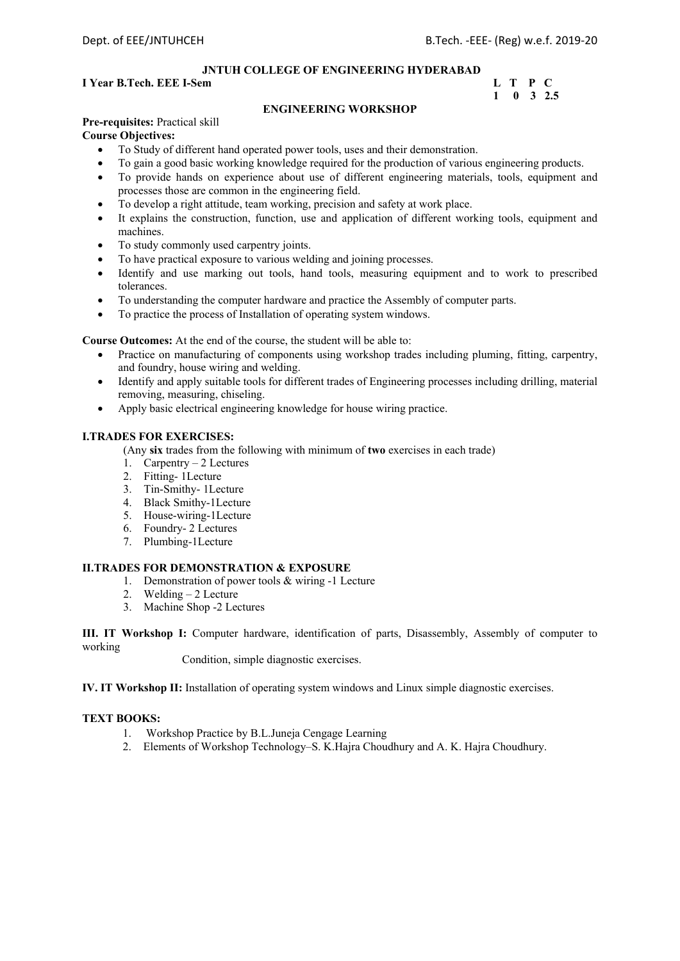#### **I** Year B.Tech. EEE I-Sem L T P C

# **1 0 3 2.5**

#### **ENGINEERING WORKSHOP**

#### **Pre-requisites:** Practical skill

#### **Course Objectives:**

- To Study of different hand operated power tools, uses and their demonstration.
- To gain a good basic working knowledge required for the production of various engineering products.
- To provide hands on experience about use of different engineering materials, tools, equipment and processes those are common in the engineering field.
- To develop a right attitude, team working, precision and safety at work place.
- It explains the construction, function, use and application of different working tools, equipment and machines.
- To study commonly used carpentry joints.
- To have practical exposure to various welding and joining processes.
- Identify and use marking out tools, hand tools, measuring equipment and to work to prescribed tolerances.
- To understanding the computer hardware and practice the Assembly of computer parts.
- To practice the process of Installation of operating system windows.

#### **Course Outcomes:** At the end of the course, the student will be able to:

- Practice on manufacturing of components using workshop trades including pluming, fitting, carpentry, and foundry, house wiring and welding.
- Identify and apply suitable tools for different trades of Engineering processes including drilling, material removing, measuring, chiseling.
- Apply basic electrical engineering knowledge for house wiring practice.

#### **I.TRADES FOR EXERCISES:**

(Any **six** trades from the following with minimum of **two** exercises in each trade)

- 1. Carpentry 2 Lectures
- 2. Fitting- 1Lecture
- 3. Tin-Smithy- 1Lecture
- 4. Black Smithy-1Lecture
- 5. House-wiring-1Lecture
- 6. Foundry- 2 Lectures
- 7. Plumbing-1Lecture

#### **II.TRADES FOR DEMONSTRATION & EXPOSURE**

- 1. Demonstration of power tools & wiring -1 Lecture
- 2. Welding 2 Lecture
- 3. Machine Shop -2 Lectures

**III. IT Workshop I:** Computer hardware, identification of parts, Disassembly, Assembly of computer to working

Condition, simple diagnostic exercises.

**IV. IT Workshop II:** Installation of operating system windows and Linux simple diagnostic exercises.

#### **TEXT BOOKS:**

- 1. Workshop Practice by B.L.Juneja Cengage Learning
- 2. Elements of Workshop Technology–S. K.Hajra Choudhury and A. K. Hajra Choudhury.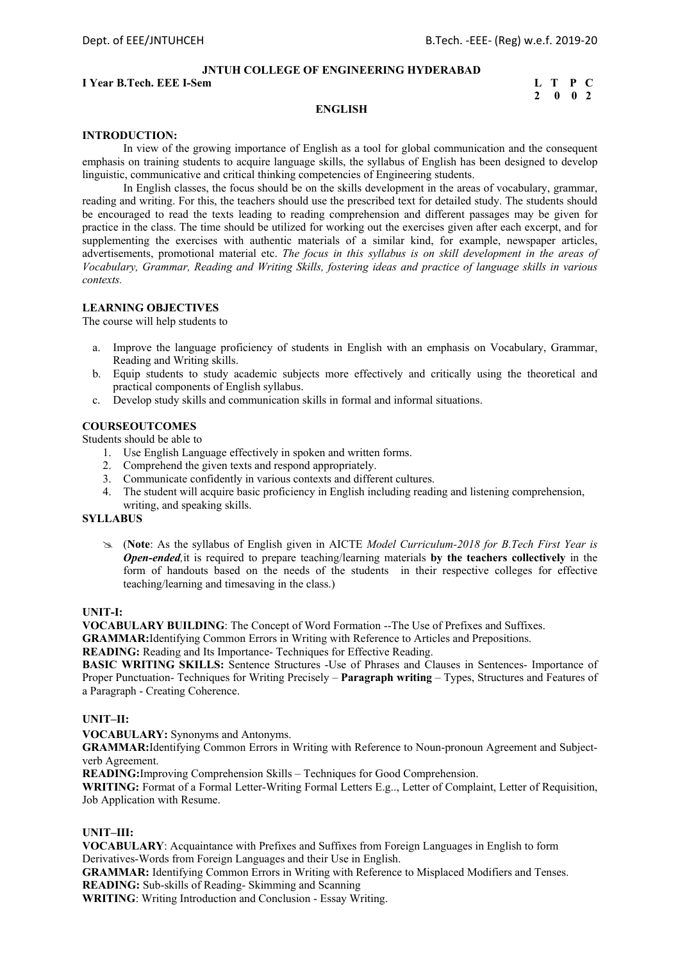**I** Year B.Tech. EEE I-Sem L T P C

 **2 0 0 2** 

#### **ENGLISH**

#### **INTRODUCTION:**

In view of the growing importance of English as a tool for global communication and the consequent emphasis on training students to acquire language skills, the syllabus of English has been designed to develop linguistic, communicative and critical thinking competencies of Engineering students.

In English classes, the focus should be on the skills development in the areas of vocabulary, grammar, reading and writing. For this, the teachers should use the prescribed text for detailed study. The students should be encouraged to read the texts leading to reading comprehension and different passages may be given for practice in the class. The time should be utilized for working out the exercises given after each excerpt, and for supplementing the exercises with authentic materials of a similar kind, for example, newspaper articles, advertisements, promotional material etc. *The focus in this syllabus is on skill development in the areas of Vocabulary, Grammar, Reading and Writing Skills, fostering ideas and practice of language skills in various contexts.* 

#### **LEARNING OBJECTIVES**

The course will help students to

- a. Improve the language proficiency of students in English with an emphasis on Vocabulary, Grammar, Reading and Writing skills.
- b. Equip students to study academic subjects more effectively and critically using the theoretical and practical components of English syllabus.
- c. Develop study skills and communication skills in formal and informal situations.

#### **COURSEOUTCOMES**

Students should be able to

- 1. Use English Language effectively in spoken and written forms.
- 2. Comprehend the given texts and respond appropriately.
- 3. Communicate confidently in various contexts and different cultures.
- 4. The student will acquire basic proficiency in English including reading and listening comprehension, writing, and speaking skills.

#### **SYLLABUS**

 (**Note**: As the syllabus of English given in AICTE *Model Curriculum-2018 for B.Tech First Year is Open-ended,*it is required to prepare teaching/learning materials **by the teachers collectively** in the form of handouts based on the needs of the students in their respective colleges for effective teaching/learning and timesaving in the class.)

#### **UNIT-I:**

**VOCABULARY BUILDING**: The Concept of Word Formation --The Use of Prefixes and Suffixes.

**GRAMMAR:**Identifying Common Errors in Writing with Reference to Articles and Prepositions.

**READING:** Reading and Its Importance- Techniques for Effective Reading.

**BASIC WRITING SKILLS:** Sentence Structures -Use of Phrases and Clauses in Sentences- Importance of Proper Punctuation- Techniques for Writing Precisely – **Paragraph writing** – Types, Structures and Features of a Paragraph - Creating Coherence.

#### **UNIT–II:**

**VOCABULARY:** Synonyms and Antonyms.

**GRAMMAR:**Identifying Common Errors in Writing with Reference to Noun-pronoun Agreement and Subjectverb Agreement.

**READING:**Improving Comprehension Skills – Techniques for Good Comprehension.

**WRITING:** Format of a Formal Letter-Writing Formal Letters E.g.., Letter of Complaint, Letter of Requisition, Job Application with Resume.

#### **UNIT–III:**

**VOCABULARY**: Acquaintance with Prefixes and Suffixes from Foreign Languages in English to form Derivatives-Words from Foreign Languages and their Use in English.

**GRAMMAR:** Identifying Common Errors in Writing with Reference to Misplaced Modifiers and Tenses. **READING:** Sub-skills of Reading- Skimming and Scanning

**WRITING**: Writing Introduction and Conclusion - Essay Writing.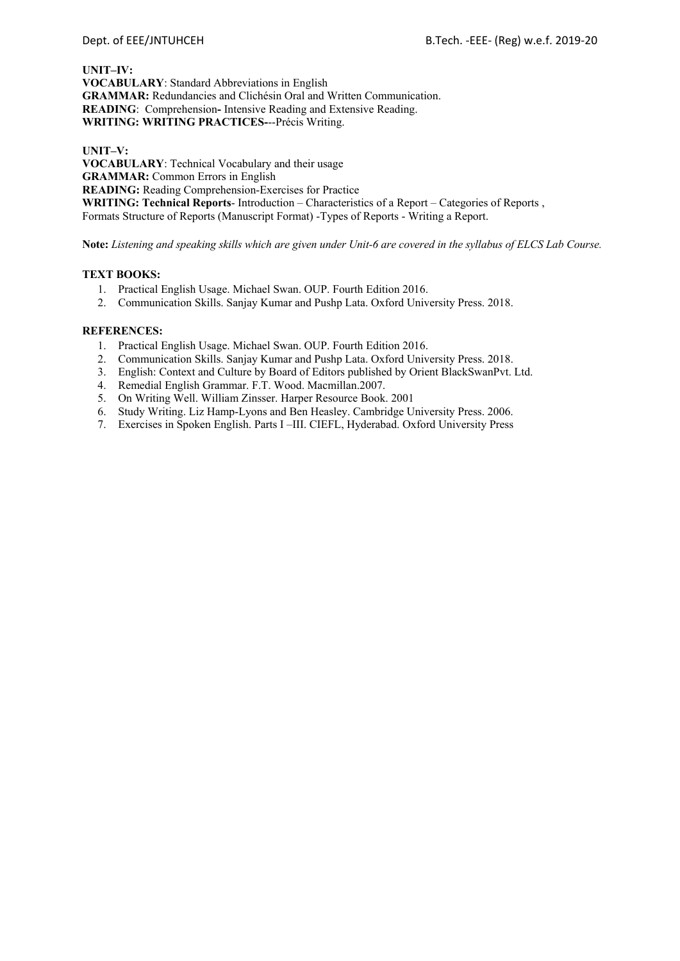**UNIT–IV: VOCABULARY**: Standard Abbreviations in English **GRAMMAR:** Redundancies and Clichésin Oral and Written Communication. **READING**: Comprehension**-** Intensive Reading and Extensive Reading. **WRITING: WRITING PRACTICES-**--Précis Writing.

**UNIT–V: VOCABULARY**: Technical Vocabulary and their usage **GRAMMAR:** Common Errors in English **READING:** Reading Comprehension-Exercises for Practice **WRITING: Technical Reports**- Introduction – Characteristics of a Report – Categories of Reports , Formats Structure of Reports (Manuscript Format) -Types of Reports - Writing a Report.

**Note:** *Listening and speaking skills which are given under Unit-6 are covered in the syllabus of ELCS Lab Course.*

#### **TEXT BOOKS:**

- 1. Practical English Usage. Michael Swan. OUP. Fourth Edition 2016.
- 2. Communication Skills. Sanjay Kumar and Pushp Lata. Oxford University Press. 2018.

- 1. Practical English Usage. Michael Swan. OUP. Fourth Edition 2016.
- 2. Communication Skills. Sanjay Kumar and Pushp Lata. Oxford University Press. 2018.
- 3. English: Context and Culture by Board of Editors published by Orient BlackSwanPvt. Ltd.
- 4. Remedial English Grammar. F.T. Wood. Macmillan.2007.
- 5. On Writing Well. William Zinsser. Harper Resource Book. 2001
- 6. Study Writing. Liz Hamp-Lyons and Ben Heasley. Cambridge University Press. 2006.
- 7. Exercises in Spoken English. Parts I –III. CIEFL, Hyderabad. Oxford University Press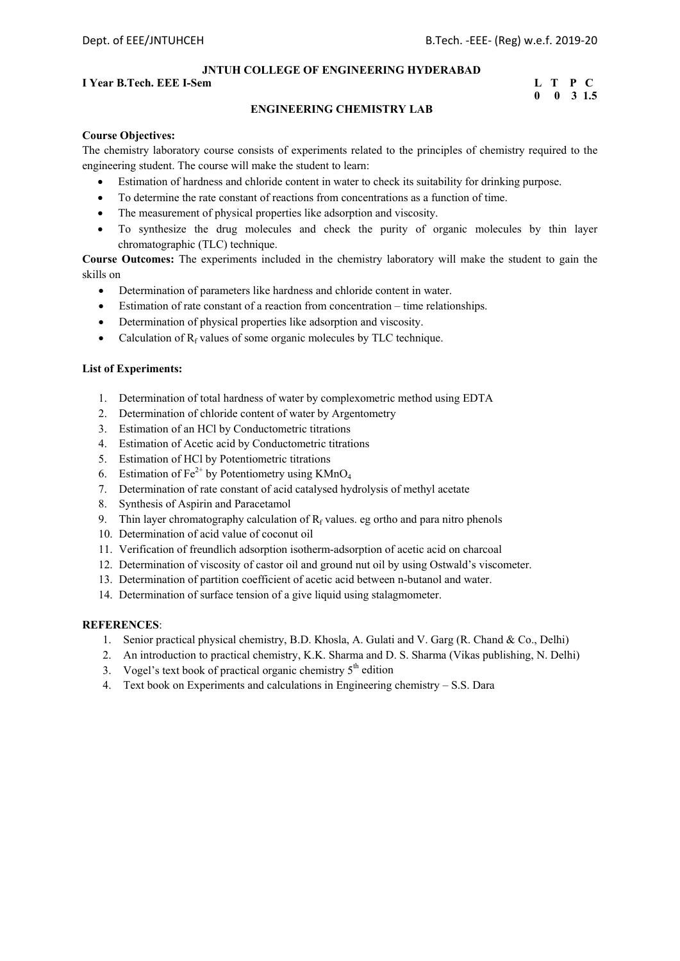#### **I** Year B.Tech. EEE I-Sem L T P C

# **0 0 3 1.5**

#### **ENGINEERING CHEMISTRY LAB**

#### **Course Objectives:**

The chemistry laboratory course consists of experiments related to the principles of chemistry required to the engineering student. The course will make the student to learn:

- Estimation of hardness and chloride content in water to check its suitability for drinking purpose.
- To determine the rate constant of reactions from concentrations as a function of time.
- The measurement of physical properties like adsorption and viscosity.
- To synthesize the drug molecules and check the purity of organic molecules by thin layer chromatographic (TLC) technique.

**Course Outcomes:** The experiments included in the chemistry laboratory will make the student to gain the skills on

- Determination of parameters like hardness and chloride content in water.
- Estimation of rate constant of a reaction from concentration time relationships.
- Determination of physical properties like adsorption and viscosity.
- Calculation of  $R_f$  values of some organic molecules by TLC technique.

#### **List of Experiments:**

- 1. Determination of total hardness of water by complexometric method using EDTA
- 2. Determination of chloride content of water by Argentometry
- 3. Estimation of an HCl by Conductometric titrations
- 4. Estimation of Acetic acid by Conductometric titrations
- 5. Estimation of HCl by Potentiometric titrations
- 6. Estimation of  $Fe^{2+}$  by Potentiometry using KMnO<sub>4</sub>
- 7. Determination of rate constant of acid catalysed hydrolysis of methyl acetate
- 8. Synthesis of Aspirin and Paracetamol
- 9. Thin layer chromatography calculation of  $R_f$  values. eg ortho and para nitro phenols
- 10. Determination of acid value of coconut oil
- 11. Verification of freundlich adsorption isotherm-adsorption of acetic acid on charcoal
- 12. Determination of viscosity of castor oil and ground nut oil by using Ostwald's viscometer.
- 13. Determination of partition coefficient of acetic acid between n-butanol and water.
- 14. Determination of surface tension of a give liquid using stalagmometer.

- 1. Senior practical physical chemistry, B.D. Khosla, A. Gulati and V. Garg (R. Chand & Co., Delhi)
- 2. An introduction to practical chemistry, K.K. Sharma and D. S. Sharma (Vikas publishing, N. Delhi)
- 3. Vogel's text book of practical organic chemistry  $5<sup>th</sup>$  edition
- 4. Text book on Experiments and calculations in Engineering chemistry S.S. Dara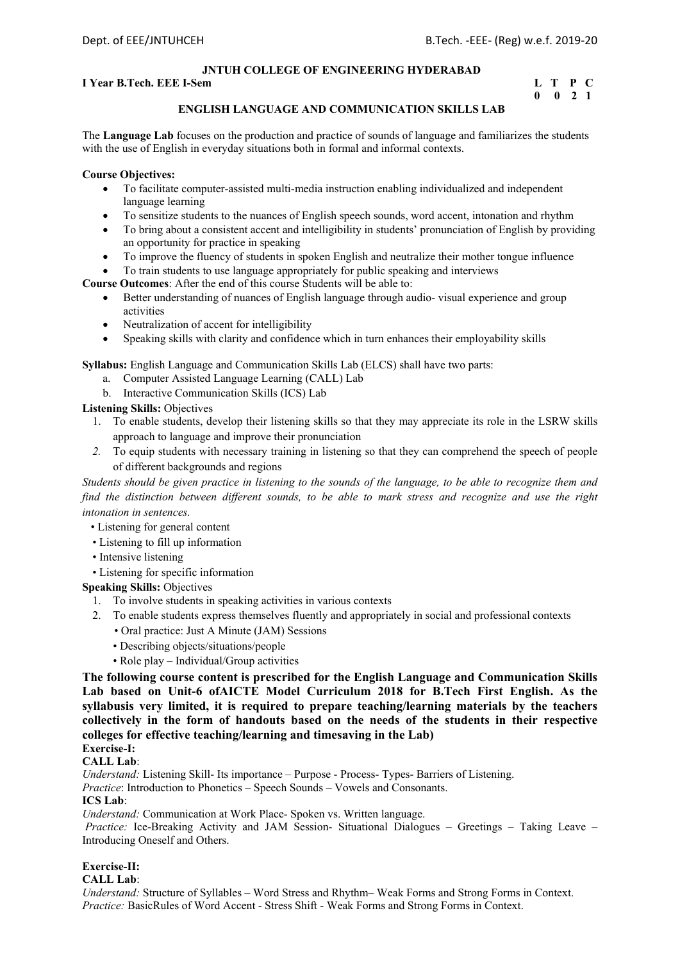### **I** Year B.Tech. EEE I-Sem L T P C

# **0 0 2 1**

#### **ENGLISH LANGUAGE AND COMMUNICATION SKILLS LAB**

The **Language Lab** focuses on the production and practice of sounds of language and familiarizes the students with the use of English in everyday situations both in formal and informal contexts.

#### **Course Objectives:**

- To facilitate computer-assisted multi-media instruction enabling individualized and independent language learning
- To sensitize students to the nuances of English speech sounds, word accent, intonation and rhythm
- To bring about a consistent accent and intelligibility in students' pronunciation of English by providing an opportunity for practice in speaking
- To improve the fluency of students in spoken English and neutralize their mother tongue influence
- To train students to use language appropriately for public speaking and interviews

**Course Outcomes**: After the end of this course Students will be able to:

- Better understanding of nuances of English language through audio- visual experience and group activities
- Neutralization of accent for intelligibility
- Speaking skills with clarity and confidence which in turn enhances their employability skills

**Syllabus:** English Language and Communication Skills Lab (ELCS) shall have two parts:

- a. Computer Assisted Language Learning (CALL) Lab
- b. Interactive Communication Skills (ICS) Lab

**Listening Skills:** Objectives

- 1. To enable students, develop their listening skills so that they may appreciate its role in the LSRW skills approach to language and improve their pronunciation
- *2.* To equip students with necessary training in listening so that they can comprehend the speech of people of different backgrounds and regions

*Students should be given practice in listening to the sounds of the language, to be able to recognize them and find the distinction between different sounds, to be able to mark stress and recognize and use the right intonation in sentences.* 

- Listening for general content
- Listening to fill up information
- Intensive listening
- Listening for specific information

**Speaking Skills:** Objectives

- 1. To involve students in speaking activities in various contexts
- 2. To enable students express themselves fluently and appropriately in social and professional contexts
	- Oral practice: Just A Minute (JAM) Sessions
	- Describing objects/situations/people
	- Role play Individual/Group activities

**The following course content is prescribed for the English Language and Communication Skills Lab based on Unit-6 ofAICTE Model Curriculum 2018 for B.Tech First English. As the syllabusis very limited, it is required to prepare teaching/learning materials by the teachers collectively in the form of handouts based on the needs of the students in their respective colleges for effective teaching/learning and timesaving in the Lab)** 

## **Exercise-I:**

#### **CALL Lab**:

*Understand:* Listening Skill- Its importance – Purpose - Process- Types- Barriers of Listening. *Practice*: Introduction to Phonetics – Speech Sounds – Vowels and Consonants.

#### **ICS Lab**:

*Understand:* Communication at Work Place*-* Spoken vs. Written language.

 *Practice:* Ice-Breaking Activity and JAM Session- Situational Dialogues – Greetings – Taking Leave – Introducing Oneself and Others.

### **Exercise-II:**

#### **CALL Lab**:

*Understand:* Structure of Syllables – Word Stress and Rhythm– Weak Forms and Strong Forms in Context. *Practice:* BasicRules of Word Accent - Stress Shift - Weak Forms and Strong Forms in Context.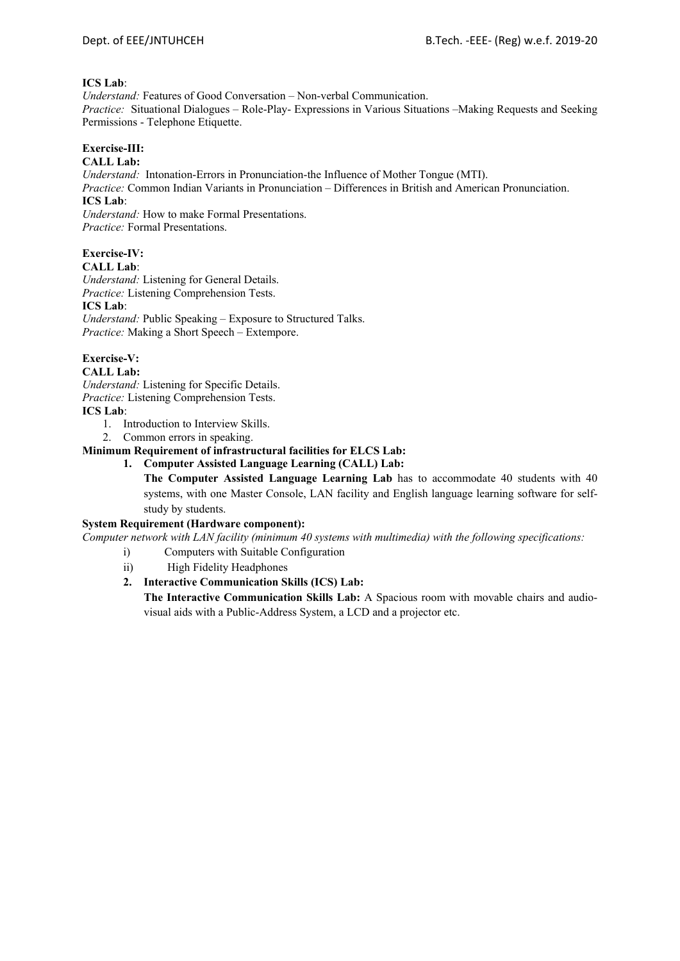#### **ICS Lab**:

*Understand:* Features of Good Conversation – Non-verbal Communication. *Practice:* Situational Dialogues – Role-Play- Expressions in Various Situations –Making Requests and Seeking Permissions - Telephone Etiquette.

### **Exercise-III:**

### **CALL Lab:**

*Understand:* Intonation-Errors in Pronunciation-the Influence of Mother Tongue (MTI).

*Practice:* Common Indian Variants in Pronunciation *–* Differences in British and American Pronunciation. **ICS Lab**:

*Understand:* How to make Formal Presentations. *Practice:* Formal Presentations.

### **Exercise-IV:**

**CALL Lab**: *Understand:* Listening for General Details. *Practice:* Listening Comprehension Tests. **ICS Lab**: *Understand:* Public Speaking – Exposure to Structured Talks. *Practice:* Making a Short Speech – Extempore.

### **Exercise-V:**

#### **CALL Lab:**

*Understand:* Listening for Specific Details. *Practice:* Listening Comprehension Tests.

### **ICS Lab**:

- 1. Introduction to Interview Skills.
- 2. Common errors in speaking.

### **Minimum Requirement of infrastructural facilities for ELCS Lab:**

**1. Computer Assisted Language Learning (CALL) Lab:** 

**The Computer Assisted Language Learning Lab** has to accommodate 40 students with 40 systems, with one Master Console, LAN facility and English language learning software for selfstudy by students.

#### **System Requirement (Hardware component):**

*Computer network with LAN facility (minimum 40 systems with multimedia) with the following specifications:* 

- i) Computers with Suitable Configuration
	- ii) High Fidelity Headphones

### **2. Interactive Communication Skills (ICS) Lab:**

**The Interactive Communication Skills Lab:** A Spacious room with movable chairs and audiovisual aids with a Public-Address System, a LCD and a projector etc.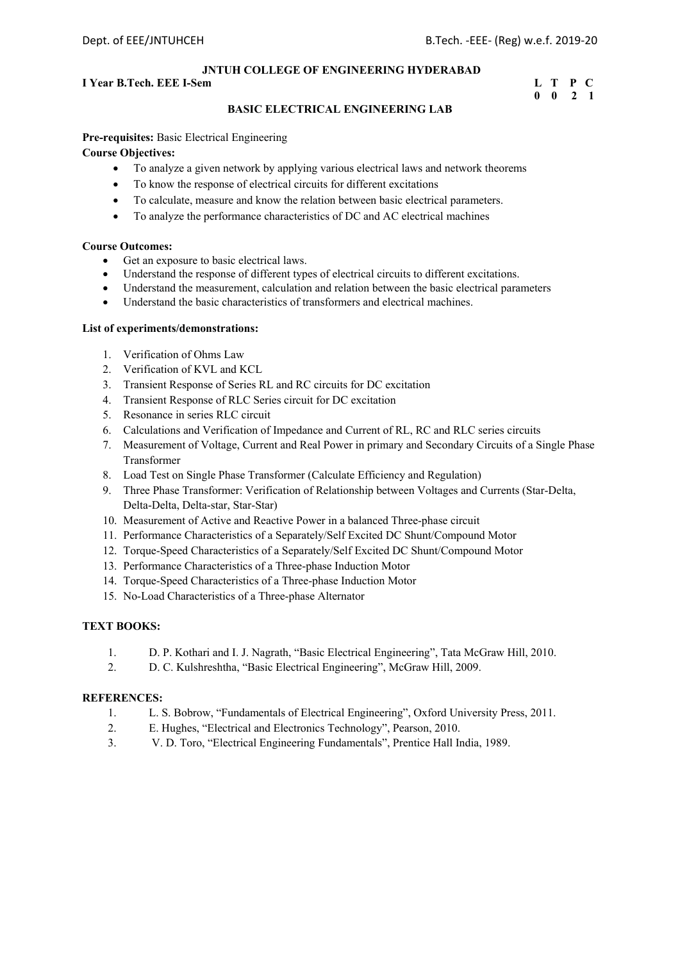#### **I** Year B.Tech. EEE I-Sem **L** T P C

# **0 0 2 1**

#### **BASIC ELECTRICAL ENGINEERING LAB**

**Pre-requisites:** Basic Electrical Engineering

#### **Course Objectives:**

- To analyze a given network by applying various electrical laws and network theorems
- To know the response of electrical circuits for different excitations
- To calculate, measure and know the relation between basic electrical parameters.
- To analyze the performance characteristics of DC and AC electrical machines

#### **Course Outcomes:**

- Get an exposure to basic electrical laws.
- Understand the response of different types of electrical circuits to different excitations.
- Understand the measurement, calculation and relation between the basic electrical parameters
- Understand the basic characteristics of transformers and electrical machines.

#### **List of experiments/demonstrations:**

- 1. Verification of Ohms Law
- 2. Verification of KVL and KCL
- 3. Transient Response of Series RL and RC circuits for DC excitation
- 4. Transient Response of RLC Series circuit for DC excitation
- 5. Resonance in series RLC circuit
- 6. Calculations and Verification of Impedance and Current of RL, RC and RLC series circuits
- 7. Measurement of Voltage, Current and Real Power in primary and Secondary Circuits of a Single Phase Transformer
- 8. Load Test on Single Phase Transformer (Calculate Efficiency and Regulation)
- 9. Three Phase Transformer: Verification of Relationship between Voltages and Currents (Star-Delta, Delta-Delta, Delta-star, Star-Star)
- 10. Measurement of Active and Reactive Power in a balanced Three-phase circuit
- 11. Performance Characteristics of a Separately/Self Excited DC Shunt/Compound Motor
- 12. Torque-Speed Characteristics of a Separately/Self Excited DC Shunt/Compound Motor
- 13. Performance Characteristics of a Three-phase Induction Motor
- 14. Torque-Speed Characteristics of a Three-phase Induction Motor
- 15. No-Load Characteristics of a Three-phase Alternator

#### **TEXT BOOKS:**

- 1. D. P. Kothari and I. J. Nagrath, "Basic Electrical Engineering", Tata McGraw Hill, 2010.
- 2. D. C. Kulshreshtha, "Basic Electrical Engineering", McGraw Hill, 2009.

- 1. L. S. Bobrow, "Fundamentals of Electrical Engineering", Oxford University Press, 2011.
- 2. E. Hughes, "Electrical and Electronics Technology", Pearson, 2010.
- 3. V. D. Toro, "Electrical Engineering Fundamentals", Prentice Hall India, 1989.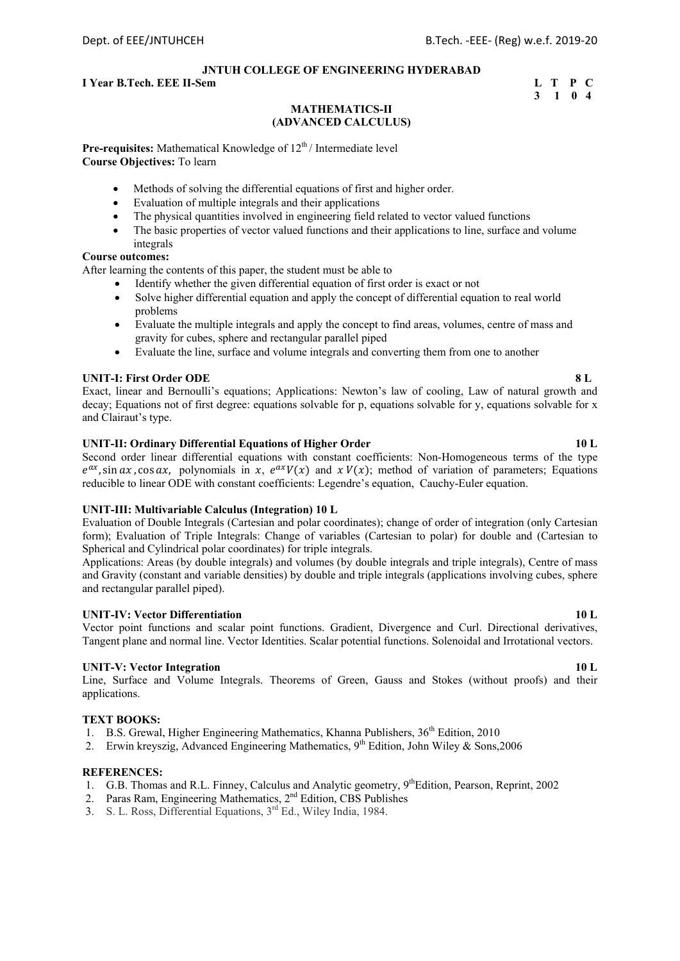#### **I** Year B.Tech. EEE II-Sem **L** T P C

#### **3 1 0 4 MATHEMATICS-II (ADVANCED CALCULUS)**

**Pre-requisites:** Mathematical Knowledge of 12<sup>th</sup>/Intermediate level **Course Objectives:** To learn

- Methods of solving the differential equations of first and higher order.
- Evaluation of multiple integrals and their applications
- The physical quantities involved in engineering field related to vector valued functions
- The basic properties of vector valued functions and their applications to line, surface and volume integrals

#### **Course outcomes:**

After learning the contents of this paper, the student must be able to

- Identify whether the given differential equation of first order is exact or not
- Solve higher differential equation and apply the concept of differential equation to real world problems
- Evaluate the multiple integrals and apply the concept to find areas, volumes, centre of mass and gravity for cubes, sphere and rectangular parallel piped
- Evaluate the line, surface and volume integrals and converting them from one to another

#### **UNIT-I: First Order ODE** 8 L

Exact, linear and Bernoulli's equations; Applications: Newton's law of cooling, Law of natural growth and decay; Equations not of first degree: equations solvable for p, equations solvable for y, equations solvable for x and Clairaut's type.

#### **UNIT-II: Ordinary Differential Equations of Higher Order 10 L**

Second order linear differential equations with constant coefficients: Non-Homogeneous terms of the type  $e^{ax}$ , sin  $ax$ , cos  $ax$ , polynomials in x,  $e^{ax}V(x)$  and  $x V(x)$ ; method of variation of parameters; Equations reducible to linear ODE with constant coefficients: Legendre's equation, Cauchy-Euler equation.

#### **UNIT-III: Multivariable Calculus (Integration) 10 L**

Evaluation of Double Integrals (Cartesian and polar coordinates); change of order of integration (only Cartesian form); Evaluation of Triple Integrals: Change of variables (Cartesian to polar) for double and (Cartesian to Spherical and Cylindrical polar coordinates) for triple integrals.

Applications: Areas (by double integrals) and volumes (by double integrals and triple integrals), Centre of mass and Gravity (constant and variable densities) by double and triple integrals (applications involving cubes, sphere and rectangular parallel piped).

#### **UNIT-IV: Vector Differentiation 10 L**

Vector point functions and scalar point functions. Gradient, Divergence and Curl. Directional derivatives, Tangent plane and normal line. Vector Identities. Scalar potential functions. Solenoidal and Irrotational vectors.

#### **UNIT-V: Vector Integration 10 L**

Line, Surface and Volume Integrals. Theorems of Green, Gauss and Stokes (without proofs) and their applications.

#### **TEXT BOOKS:**

- 1. B.S. Grewal, Higher Engineering Mathematics, Khanna Publishers,  $36<sup>th</sup>$  Edition, 2010
- 2. Erwin kreyszig, Advanced Engineering Mathematics,  $9<sup>th</sup>$  Edition, John Wiley & Sons, 2006

- 1. G.B. Thomas and R.L. Finney, Calculus and Analytic geometry, 9<sup>th</sup>Edition, Pearson, Reprint, 2002
- 2. Paras Ram, Engineering Mathematics, 2<sup>nd</sup> Edition, CBS Publishes
- 3. S. L. Ross, Differential Equations, 3rd Ed., Wiley India, 1984.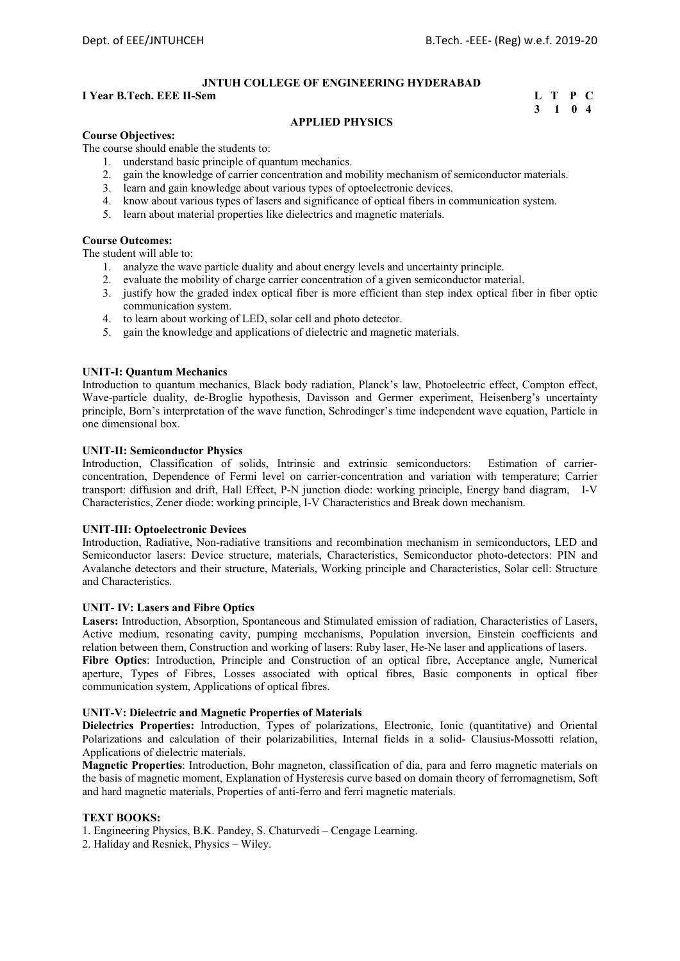#### **I Year B.Tech. EEE II-Sem**

| I Year B.Tech. EEE II-Sem | L T P C |  |
|---------------------------|---------|--|
|                           | 3 1 0 4 |  |

#### **APPLIED PHYSICS**

#### **Course Objectives:**

The course should enable the students to:

- 1. understand basic principle of quantum mechanics.
- 2. gain the knowledge of carrier concentration and mobility mechanism of semiconductor materials.
- 3. learn and gain knowledge about various types of optoelectronic devices.
- 4. know about various types of lasers and significance of optical fibers in communication system.
- 5. learn about material properties like dielectrics and magnetic materials.

#### **Course Outcomes:**

The student will able to:

- 1. analyze the wave particle duality and about energy levels and uncertainty principle.
- 2. evaluate the mobility of charge carrier concentration of a given semiconductor material.
- 3. justify how the graded index optical fiber is more efficient than step index optical fiber in fiber optic communication system.
- 4. to learn about working of LED, solar cell and photo detector.
- 5. gain the knowledge and applications of dielectric and magnetic materials.

#### **UNIT-I: Quantum Mechanics**

Introduction to quantum mechanics, Black body radiation, Planck's law, Photoelectric effect, Compton effect, Wave-particle duality, de-Broglie hypothesis, Davisson and Germer experiment, Heisenberg's uncertainty principle, Born's interpretation of the wave function, Schrodinger's time independent wave equation, Particle in one dimensional box.

#### **UNIT-II: Semiconductor Physics**

Introduction, Classification of solids, Intrinsic and extrinsic semiconductors: Estimation of carrierconcentration, Dependence of Fermi level on carrier-concentration and variation with temperature; Carrier transport: diffusion and drift, Hall Effect, P-N junction diode: working principle, Energy band diagram, I-V Characteristics, Zener diode: working principle, I-V Characteristics and Break down mechanism.

#### **UNIT-III: Optoelectronic Devices**

Introduction, Radiative, Non-radiative transitions and recombination mechanism in semiconductors, LED and Semiconductor lasers: Device structure, materials, Characteristics, Semiconductor photo-detectors: PIN and Avalanche detectors and their structure, Materials, Working principle and Characteristics, Solar cell: Structure and Characteristics.

#### **UNIT- IV: Lasers and Fibre Optics**

**Lasers:** Introduction, Absorption, Spontaneous and Stimulated emission of radiation, Characteristics of Lasers, Active medium, resonating cavity, pumping mechanisms, Population inversion, Einstein coefficients and relation between them, Construction and working of lasers: Ruby laser, He-Ne laser and applications of lasers. **Fibre Optics**: Introduction, Principle and Construction of an optical fibre, Acceptance angle, Numerical aperture, Types of Fibres, Losses associated with optical fibres, Basic components in optical fiber

#### **UNIT-V: Dielectric and Magnetic Properties of Materials**

communication system, Applications of optical fibres.

**Dielectrics Properties:** Introduction, Types of polarizations, Electronic, Ionic (quantitative) and Oriental Polarizations and calculation of their polarizabilities, Internal fields in a solid- Clausius-Mossotti relation, Applications of dielectric materials.

**Magnetic Properties**: Introduction, Bohr magneton, classification of dia, para and ferro magnetic materials on the basis of magnetic moment, Explanation of Hysteresis curve based on domain theory of ferromagnetism, Soft and hard magnetic materials, Properties of anti-ferro and ferri magnetic materials.

#### **TEXT BOOKS:**

1. Engineering Physics, B.K. Pandey, S. Chaturvedi – Cengage Learning.

2. Haliday and Resnick, Physics – Wiley.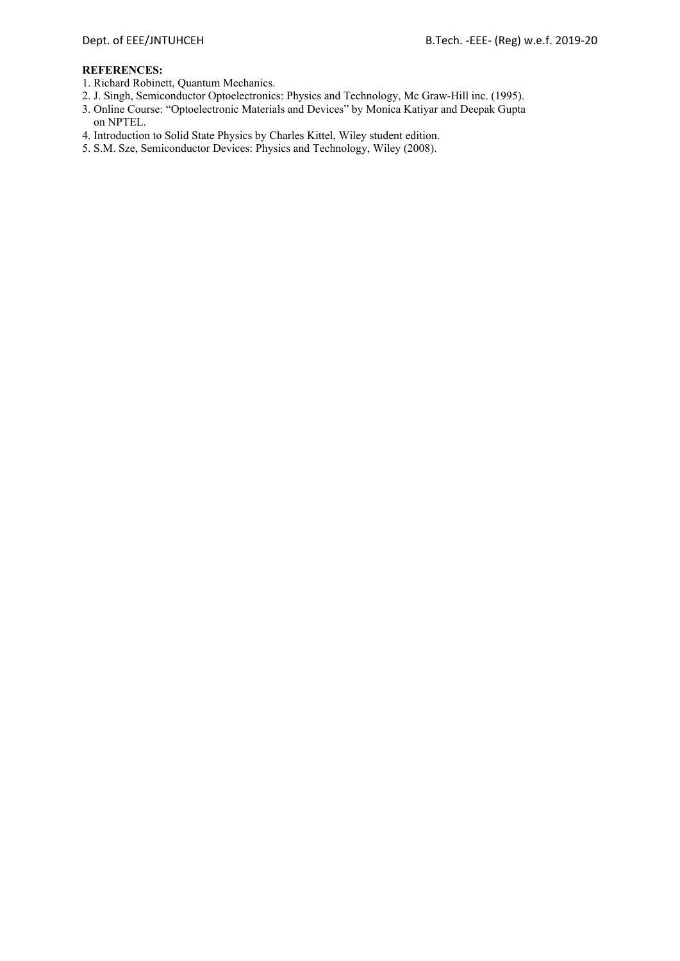- 1. Richard Robinett, Quantum Mechanics.
- 2. J. Singh, Semiconductor Optoelectronics: Physics and Technology, Mc Graw-Hill inc. (1995).
- 3. Online Course: "Optoelectronic Materials and Devices" by Monica Katiyar and Deepak Gupta on NPTEL.
- 4. Introduction to Solid State Physics by Charles Kittel, Wiley student edition.
- 5. S.M. Sze, Semiconductor Devices: Physics and Technology, Wiley (2008).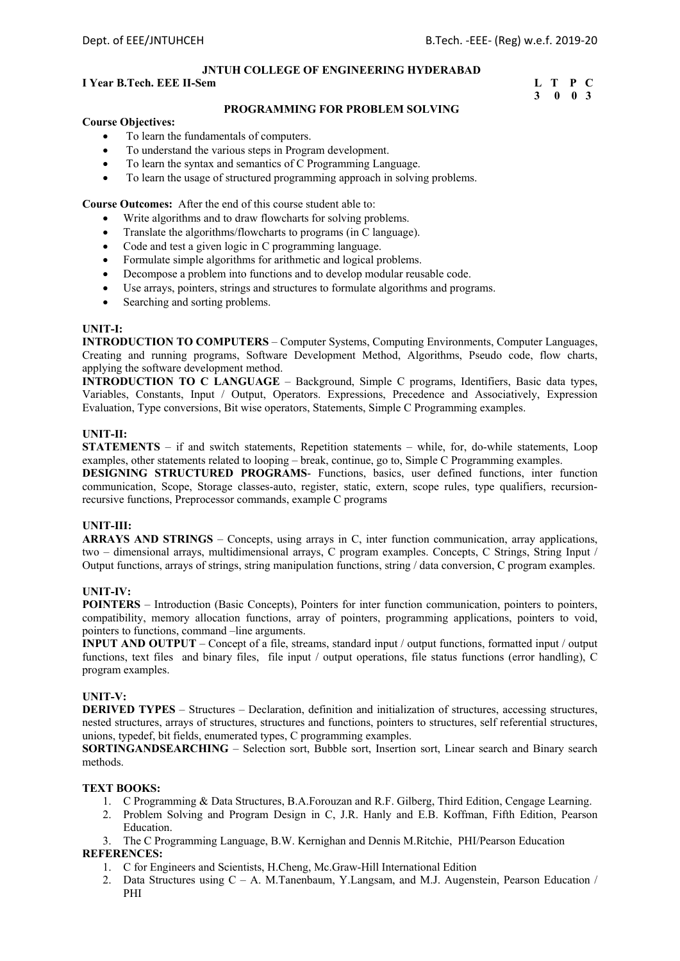#### **I** Year B.Tech. EEE II-Sem L T P C

# **3 0 0 3**

#### **PROGRAMMING FOR PROBLEM SOLVING**

#### **Course Objectives:**

- To learn the fundamentals of computers.
- To understand the various steps in Program development.
- To learn the syntax and semantics of C Programming Language.
- To learn the usage of structured programming approach in solving problems.

**Course Outcomes:** After the end of this course student able to:

- Write algorithms and to draw flowcharts for solving problems.
- Translate the algorithms/flowcharts to programs (in C language).
- Code and test a given logic in C programming language.
- Formulate simple algorithms for arithmetic and logical problems.
- Decompose a problem into functions and to develop modular reusable code.
- Use arrays, pointers, strings and structures to formulate algorithms and programs.
- Searching and sorting problems.

#### **UNIT-I:**

**INTRODUCTION TO COMPUTERS** – Computer Systems, Computing Environments, Computer Languages, Creating and running programs, Software Development Method, Algorithms, Pseudo code, flow charts, applying the software development method.

**INTRODUCTION TO C LANGUAGE** – Background, Simple C programs, Identifiers, Basic data types, Variables, Constants, Input / Output, Operators. Expressions, Precedence and Associatively, Expression Evaluation, Type conversions, Bit wise operators, Statements, Simple C Programming examples.

#### **UNIT-II:**

**STATEMENTS** – if and switch statements, Repetition statements – while, for, do-while statements, Loop examples, other statements related to looping – break, continue, go to, Simple C Programming examples.

**DESIGNING STRUCTURED PROGRAMS**- Functions, basics, user defined functions, inter function communication, Scope, Storage classes-auto, register, static, extern, scope rules, type qualifiers, recursionrecursive functions, Preprocessor commands, example C programs

#### **UNIT-III:**

**ARRAYS AND STRINGS** – Concepts, using arrays in C, inter function communication, array applications, two – dimensional arrays, multidimensional arrays, C program examples. Concepts, C Strings, String Input / Output functions, arrays of strings, string manipulation functions, string / data conversion, C program examples.

#### **UNIT-IV:**

**POINTERS** – Introduction (Basic Concepts), Pointers for inter function communication, pointers to pointers, compatibility, memory allocation functions, array of pointers, programming applications, pointers to void, pointers to functions, command –line arguments.

**INPUT AND OUTPUT** – Concept of a file, streams, standard input / output functions, formatted input / output functions, text files and binary files, file input / output operations, file status functions (error handling), C program examples.

#### **UNIT-V:**

**DERIVED TYPES** – Structures – Declaration, definition and initialization of structures, accessing structures, nested structures, arrays of structures, structures and functions, pointers to structures, self referential structures, unions, typedef, bit fields, enumerated types, C programming examples.

**SORTINGANDSEARCHING** – Selection sort, Bubble sort, Insertion sort, Linear search and Binary search methods.

#### **TEXT BOOKS:**

- 1. C Programming & Data Structures, B.A.Forouzan and R.F. Gilberg, Third Edition, Cengage Learning.
- 2. Problem Solving and Program Design in C, J.R. Hanly and E.B. Koffman, Fifth Edition, Pearson Education.
- 3. The C Programming Language, B.W. Kernighan and Dennis M.Ritchie, PHI/Pearson Education

- 1. C for Engineers and Scientists, H.Cheng, Mc.Graw-Hill International Edition
- 2. Data Structures using C A. M.Tanenbaum, Y.Langsam, and M.J. Augenstein, Pearson Education / PHI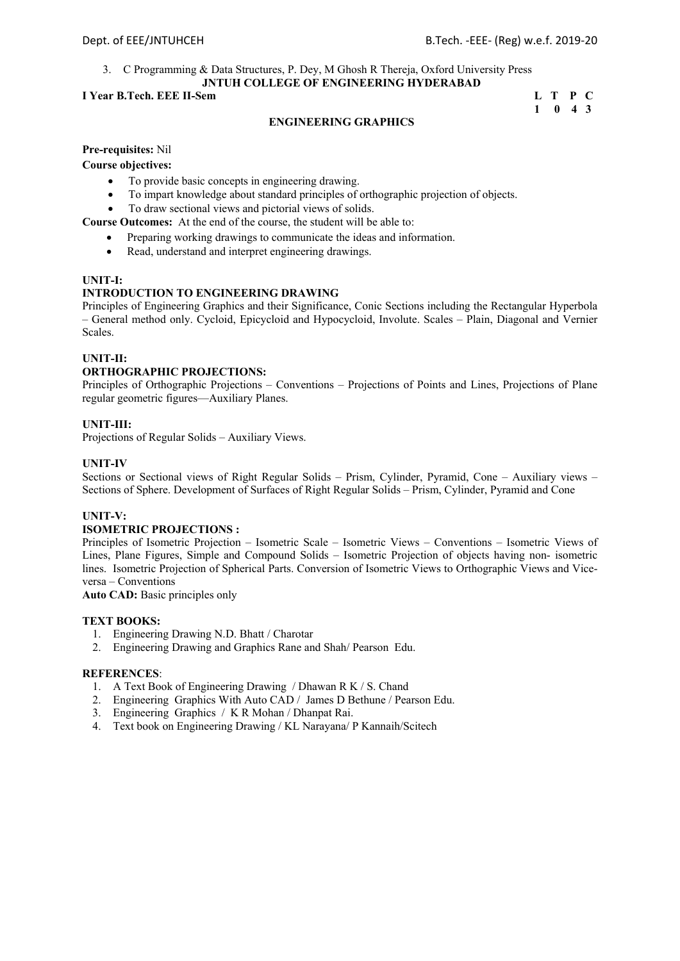#### 3. C Programming & Data Structures, P. Dey, M Ghosh R Thereja, Oxford University Press **JNTUH COLLEGE OF ENGINEERING HYDERABAD**

#### **I Year B.Tech. EEE II-Sem**

| I Year B.Tech. EEE II-Sem |                             | L T P C |  |
|---------------------------|-----------------------------|---------|--|
|                           | $1 \quad 0 \quad 4 \quad 3$ |         |  |

#### **ENGINEERING GRAPHICS**

#### **Pre-requisites:** Nil

**Course objectives:** 

- To provide basic concepts in engineering drawing.
- To impart knowledge about standard principles of orthographic projection of objects.
- To draw sectional views and pictorial views of solids.

**Course Outcomes:** At the end of the course, the student will be able to:

- Preparing working drawings to communicate the ideas and information.
- Read, understand and interpret engineering drawings.

#### **UNIT-I:**

#### **INTRODUCTION TO ENGINEERING DRAWING**

Principles of Engineering Graphics and their Significance, Conic Sections including the Rectangular Hyperbola – General method only. Cycloid, Epicycloid and Hypocycloid, Involute. Scales – Plain, Diagonal and Vernier Scales.

#### **UNIT-II:**

#### **ORTHOGRAPHIC PROJECTIONS:**

Principles of Orthographic Projections – Conventions – Projections of Points and Lines, Projections of Plane regular geometric figures—Auxiliary Planes.

#### **UNIT-III:**

Projections of Regular Solids – Auxiliary Views.

#### **UNIT-IV**

Sections or Sectional views of Right Regular Solids – Prism, Cylinder, Pyramid, Cone – Auxiliary views – Sections of Sphere. Development of Surfaces of Right Regular Solids – Prism, Cylinder, Pyramid and Cone

#### **UNIT-V:**

#### **ISOMETRIC PROJECTIONS :**

Principles of Isometric Projection – Isometric Scale – Isometric Views – Conventions – Isometric Views of Lines, Plane Figures, Simple and Compound Solids – Isometric Projection of objects having non- isometric lines. Isometric Projection of Spherical Parts. Conversion of Isometric Views to Orthographic Views and Viceversa – Conventions

**Auto CAD:** Basic principles only

#### **TEXT BOOKS:**

- 1. Engineering Drawing N.D. Bhatt / Charotar
- 2. Engineering Drawing and Graphics Rane and Shah/ Pearson Edu.

- 1. A Text Book of Engineering Drawing / Dhawan R K / S. Chand
- 2. Engineering Graphics With Auto CAD / James D Bethune / Pearson Edu.
- 3. Engineering Graphics / K R Mohan / Dhanpat Rai.
- 4. Text book on Engineering Drawing / KL Narayana/ P Kannaih/Scitech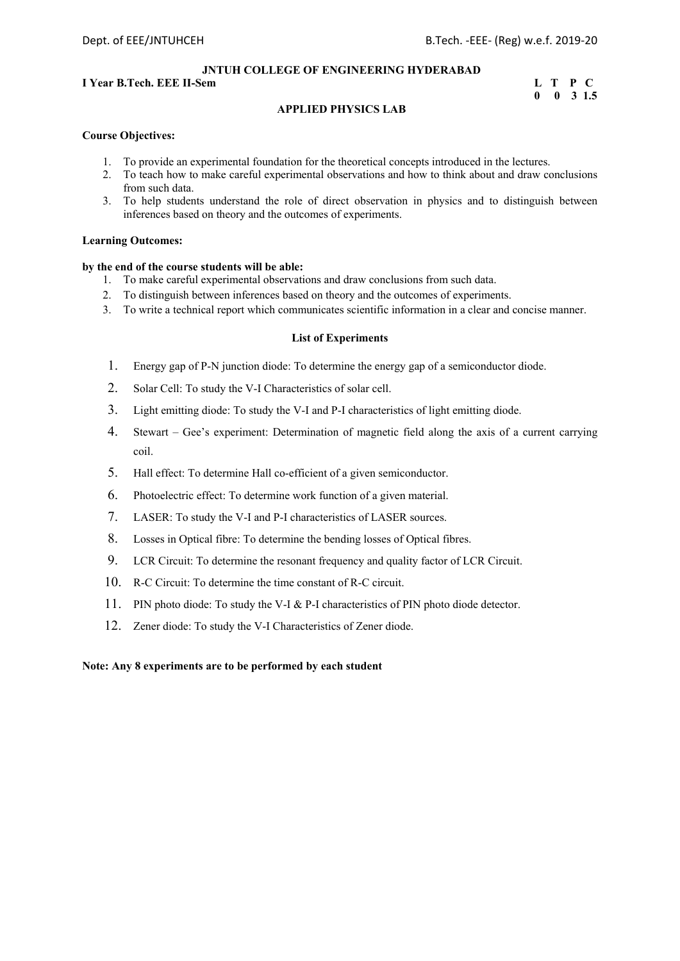#### **I** Year B.Tech. EEE II-Sem **Learner Exercise EXECUTE:** T P C

# **0 0 3 1.5**

#### **APPLIED PHYSICS LAB**

#### **Course Objectives:**

- 1. To provide an experimental foundation for the theoretical concepts introduced in the lectures.
- 2. To teach how to make careful experimental observations and how to think about and draw conclusions from such data.
- 3. To help students understand the role of direct observation in physics and to distinguish between inferences based on theory and the outcomes of experiments.

#### **Learning Outcomes:**

#### **by the end of the course students will be able:**

- 1. To make careful experimental observations and draw conclusions from such data.
- 2. To distinguish between inferences based on theory and the outcomes of experiments.
- 3. To write a technical report which communicates scientific information in a clear and concise manner.

#### **List of Experiments**

- 1. Energy gap of P-N junction diode: To determine the energy gap of a semiconductor diode.
- 2. Solar Cell: To study the V-I Characteristics of solar cell.
- 3. Light emitting diode: To study the V-I and P-I characteristics of light emitting diode.
- 4. Stewart Gee's experiment: Determination of magnetic field along the axis of a current carrying coil.
- 5. Hall effect: To determine Hall co-efficient of a given semiconductor.
- 6. Photoelectric effect: To determine work function of a given material.
- 7. LASER: To study the V-I and P-I characteristics of LASER sources.
- 8. Losses in Optical fibre: To determine the bending losses of Optical fibres.
- 9. LCR Circuit: To determine the resonant frequency and quality factor of LCR Circuit.
- 10. R-C Circuit: To determine the time constant of R-C circuit.
- 11. PIN photo diode: To study the V-I & P-I characteristics of PIN photo diode detector.
- 12. Zener diode: To study the V-I Characteristics of Zener diode.

#### **Note: Any 8 experiments are to be performed by each student**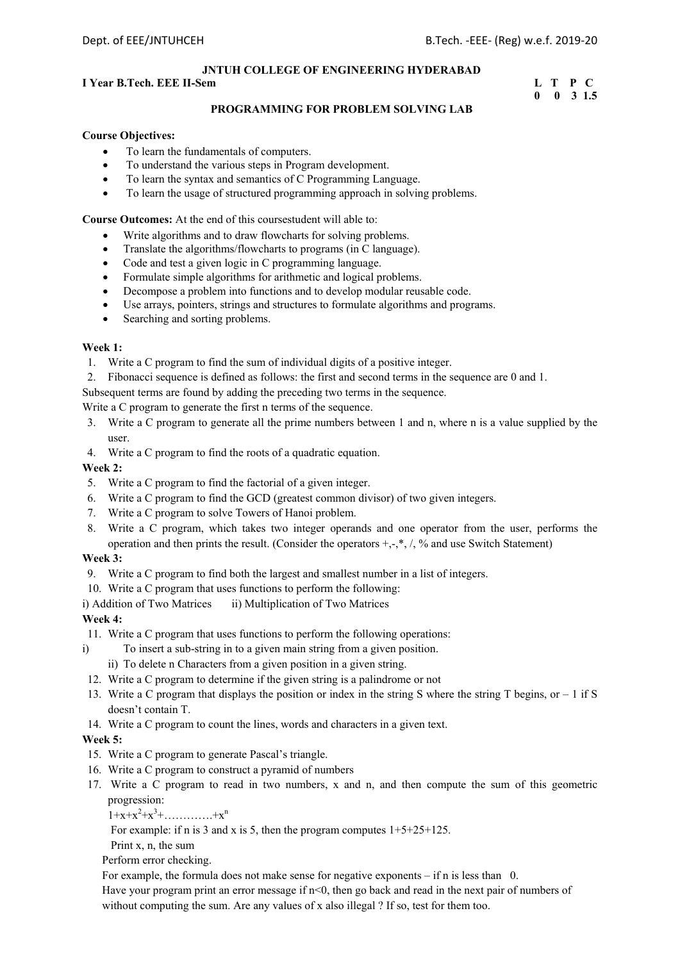#### **I** Year B.Tech. EEE II-Sem **Learner Exercise E** T P C

# **0 0 3 1.5**

#### **PROGRAMMING FOR PROBLEM SOLVING LAB**

#### **Course Objectives:**

- To learn the fundamentals of computers.
- To understand the various steps in Program development.
- To learn the syntax and semantics of C Programming Language.
- To learn the usage of structured programming approach in solving problems.

**Course Outcomes:** At the end of this coursestudent will able to:

- Write algorithms and to draw flowcharts for solving problems.
- Translate the algorithms/flowcharts to programs (in C language).
- Code and test a given logic in C programming language.
- Formulate simple algorithms for arithmetic and logical problems.
- Decompose a problem into functions and to develop modular reusable code.
- Use arrays, pointers, strings and structures to formulate algorithms and programs.
- Searching and sorting problems.

#### **Week 1:**

- 1. Write a C program to find the sum of individual digits of a positive integer.
- 2. Fibonacci sequence is defined as follows: the first and second terms in the sequence are 0 and 1.

Subsequent terms are found by adding the preceding two terms in the sequence.

Write a C program to generate the first n terms of the sequence.

- 3. Write a C program to generate all the prime numbers between 1 and n, where n is a value supplied by the user.
- 4. Write a C program to find the roots of a quadratic equation.

#### **Week 2:**

- 5. Write a C program to find the factorial of a given integer.
- 6. Write a C program to find the GCD (greatest common divisor) of two given integers.
- 7. Write a C program to solve Towers of Hanoi problem.
- 8. Write a C program, which takes two integer operands and one operator from the user, performs the operation and then prints the result. (Consider the operators  $+,-,*,',\gamma$  and use Switch Statement)

#### **Week 3:**

- 9. Write a C program to find both the largest and smallest number in a list of integers.
- 10. Write a C program that uses functions to perform the following:
- i) Addition of Two Matrices ii) Multiplication of Two Matrices

#### **Week 4:**

- 11. Write a C program that uses functions to perform the following operations:
- i) To insert a sub-string in to a given main string from a given position.
	- ii) To delete n Characters from a given position in a given string.
- 12. Write a C program to determine if the given string is a palindrome or not
- 13. Write a C program that displays the position or index in the string S where the string T begins, or  $-1$  if S doesn't contain T.
- 14. Write a C program to count the lines, words and characters in a given text.

#### **Week 5:**

- 15. Write a C program to generate Pascal's triangle.
- 16. Write a C program to construct a pyramid of numbers
- 17. Write a C program to read in two numbers, x and n, and then compute the sum of this geometric progression:

 $1+x+x^2+x^3+\ldots+x^n$ 

For example: if n is 3 and x is 5, then the program computes  $1+5+25+125$ .

Print x, n, the sum

Perform error checking.

For example, the formula does not make sense for negative exponents – if n is less than 0.

Have your program print an error message if  $n<0$ , then go back and read in the next pair of numbers of without computing the sum. Are any values of x also illegal ? If so, test for them too.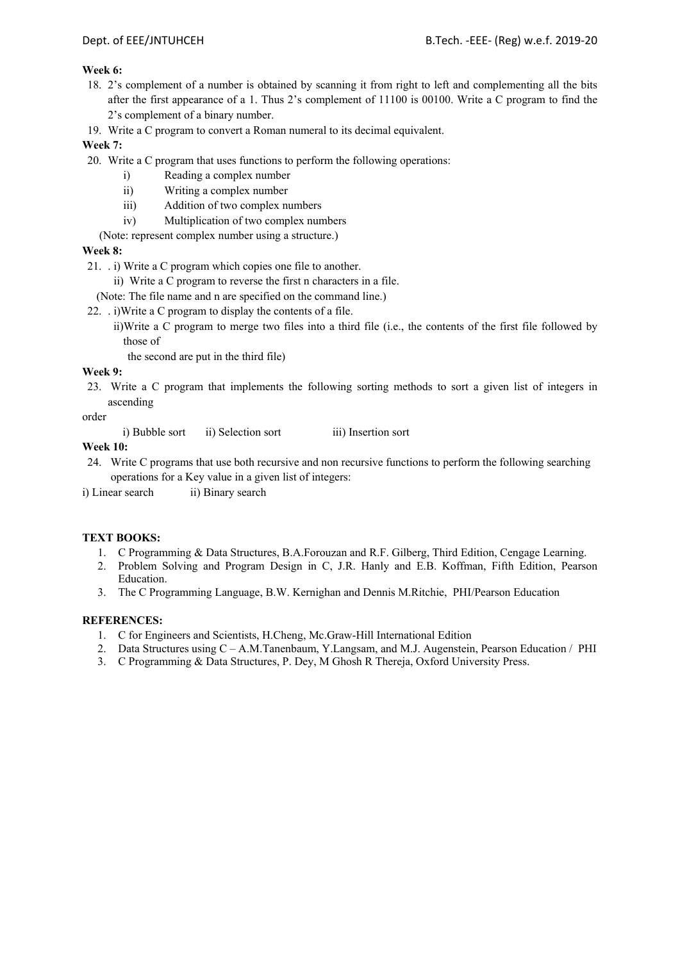#### **Week 6:**

- 18. 2's complement of a number is obtained by scanning it from right to left and complementing all the bits after the first appearance of a 1. Thus 2's complement of 11100 is 00100. Write a C program to find the 2's complement of a binary number.
- 19. Write a C program to convert a Roman numeral to its decimal equivalent.

#### **Week 7:**

- 20. Write a C program that uses functions to perform the following operations:
	- i) Reading a complex number
	- ii) Writing a complex number
	- iii) Addition of two complex numbers
	- iv) Multiplication of two complex numbers
	- (Note: represent complex number using a structure.)

#### **Week 8:**

21. . i) Write a C program which copies one file to another.

- ii) Write a C program to reverse the first n characters in a file.
- (Note: The file name and n are specified on the command line.)
- 22. . i)Write a C program to display the contents of a file.
	- ii)Write a C program to merge two files into a third file (i.e., the contents of the first file followed by those of
		- the second are put in the third file)

#### **Week 9:**

23. Write a C program that implements the following sorting methods to sort a given list of integers in ascending

order

i) Bubble sort ii) Selection sort iii) Insertion sort

#### **Week 10:**

24. Write C programs that use both recursive and non recursive functions to perform the following searching operations for a Key value in a given list of integers:

i) Linear search ii) Binary search

#### **TEXT BOOKS:**

- 1. C Programming & Data Structures, B.A.Forouzan and R.F. Gilberg, Third Edition, Cengage Learning.
- 2. Problem Solving and Program Design in C, J.R. Hanly and E.B. Koffman, Fifth Edition, Pearson Education.
- 3. The C Programming Language, B.W. Kernighan and Dennis M.Ritchie, PHI/Pearson Education

- 1. C for Engineers and Scientists, H.Cheng, Mc.Graw-Hill International Edition
- 2. Data Structures using C A.M.Tanenbaum, Y.Langsam, and M.J. Augenstein, Pearson Education / PHI
- 3. C Programming & Data Structures, P. Dey, M Ghosh R Thereja, Oxford University Press.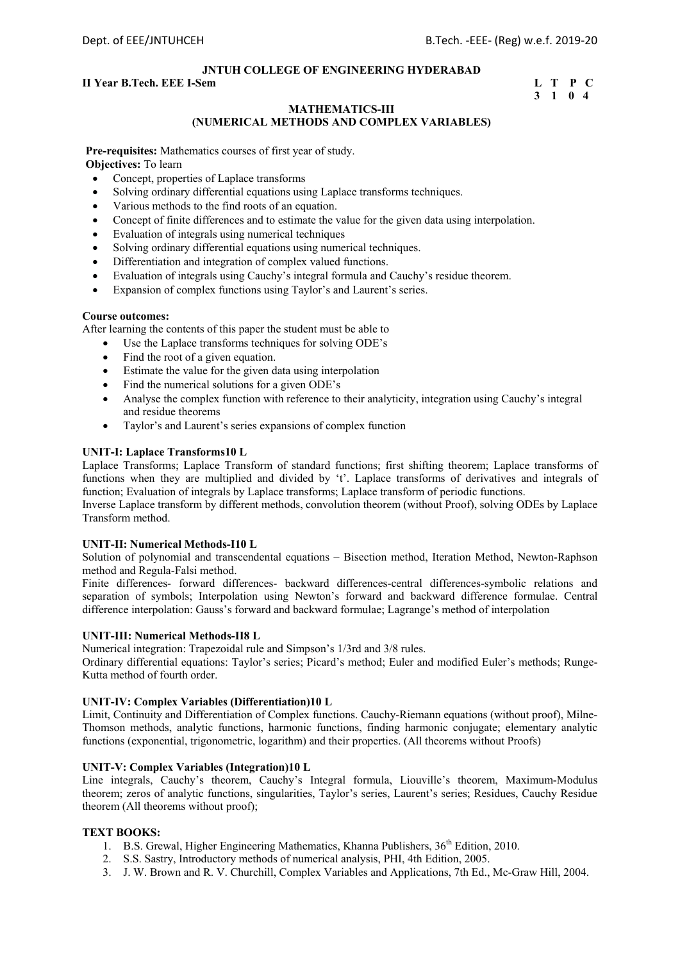#### **II Year B.Tech. EEE I-Sem L** T P C

# **3 1 0 4**

#### **MATHEMATICS-III (NUMERICAL METHODS AND COMPLEX VARIABLES)**

**Pre-requisites:** Mathematics courses of first year of study. **Objectives:** To learn

- Concept, properties of Laplace transforms
- Solving ordinary differential equations using Laplace transforms techniques.
- Various methods to the find roots of an equation.
- Concept of finite differences and to estimate the value for the given data using interpolation.
- Evaluation of integrals using numerical techniques
- Solving ordinary differential equations using numerical techniques.
- Differentiation and integration of complex valued functions.
- Evaluation of integrals using Cauchy's integral formula and Cauchy's residue theorem.
- Expansion of complex functions using Taylor's and Laurent's series.

#### **Course outcomes:**

After learning the contents of this paper the student must be able to

- Use the Laplace transforms techniques for solving ODE's
- Find the root of a given equation.
- Estimate the value for the given data using interpolation
- Find the numerical solutions for a given ODE's
- Analyse the complex function with reference to their analyticity, integration using Cauchy's integral and residue theorems
- Taylor's and Laurent's series expansions of complex function

#### **UNIT-I: Laplace Transforms10 L**

Laplace Transforms; Laplace Transform of standard functions; first shifting theorem; Laplace transforms of functions when they are multiplied and divided by 't'. Laplace transforms of derivatives and integrals of function; Evaluation of integrals by Laplace transforms; Laplace transform of periodic functions.

Inverse Laplace transform by different methods, convolution theorem (without Proof), solving ODEs by Laplace Transform method.

#### **UNIT-II: Numerical Methods-I10 L**

Solution of polynomial and transcendental equations – Bisection method, Iteration Method, Newton-Raphson method and Regula-Falsi method.

Finite differences- forward differences- backward differences-central differences-symbolic relations and separation of symbols; Interpolation using Newton's forward and backward difference formulae. Central difference interpolation: Gauss's forward and backward formulae; Lagrange's method of interpolation

#### **UNIT-III: Numerical Methods-II8 L**

Numerical integration: Trapezoidal rule and Simpson's 1/3rd and 3/8 rules.

Ordinary differential equations: Taylor's series; Picard's method; Euler and modified Euler's methods; Runge-Kutta method of fourth order.

#### **UNIT-IV: Complex Variables (Differentiation)10 L**

Limit, Continuity and Differentiation of Complex functions. Cauchy-Riemann equations (without proof), Milne-Thomson methods, analytic functions, harmonic functions, finding harmonic conjugate; elementary analytic functions (exponential, trigonometric, logarithm) and their properties. (All theorems without Proofs)

#### **UNIT-V: Complex Variables (Integration)10 L**

Line integrals, Cauchy's theorem, Cauchy's Integral formula, Liouville's theorem, Maximum-Modulus theorem; zeros of analytic functions, singularities, Taylor's series, Laurent's series; Residues, Cauchy Residue theorem (All theorems without proof);

#### **TEXT BOOKS:**

- 1. B.S. Grewal, Higher Engineering Mathematics, Khanna Publishers,  $36<sup>th</sup>$  Edition, 2010.
- 2. S.S. Sastry, Introductory methods of numerical analysis, PHI, 4th Edition, 2005.
- 3. J. W. Brown and R. V. Churchill, Complex Variables and Applications, 7th Ed., Mc-Graw Hill, 2004.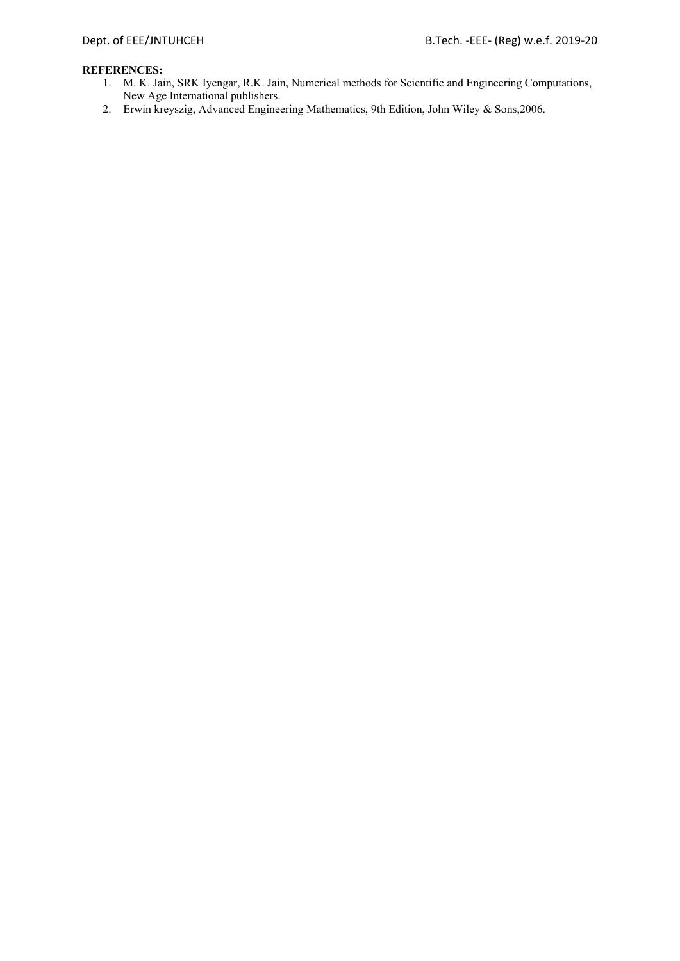- 1. M. K. Jain, SRK Iyengar, R.K. Jain, Numerical methods for Scientific and Engineering Computations, New Age International publishers.
- 2. Erwin kreyszig, Advanced Engineering Mathematics, 9th Edition, John Wiley & Sons,2006.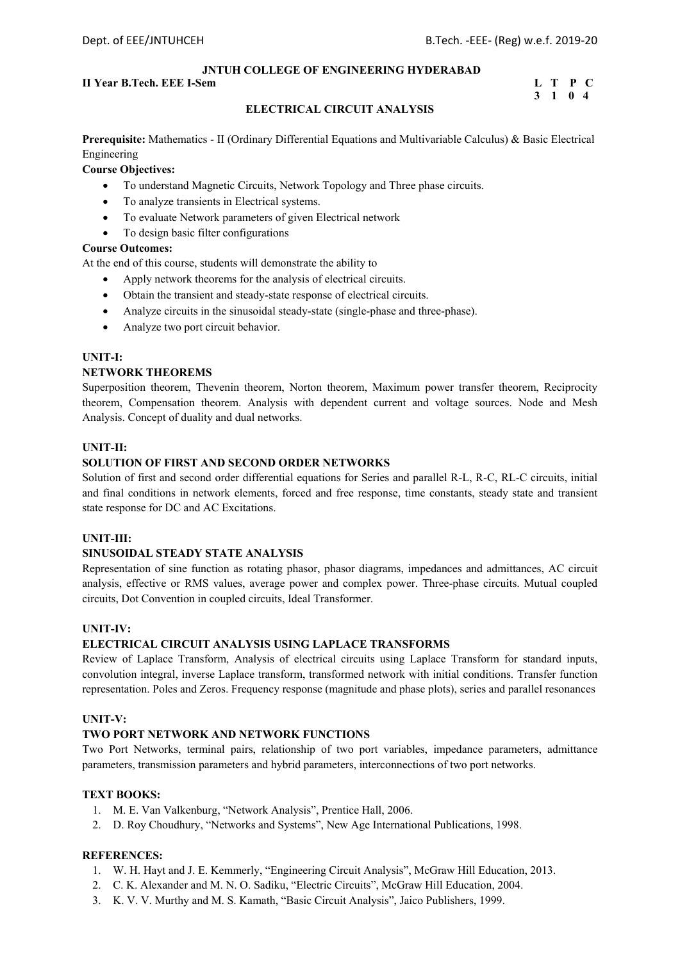#### **II Year B.Tech. EEE I-Sem L** T P C

# **3 1 0 4**

#### **ELECTRICAL CIRCUIT ANALYSIS**

**Prerequisite:** Mathematics - II (Ordinary Differential Equations and Multivariable Calculus) & Basic Electrical Engineering

#### **Course Objectives:**

- To understand Magnetic Circuits, Network Topology and Three phase circuits.
- To analyze transients in Electrical systems.
- To evaluate Network parameters of given Electrical network
- To design basic filter configurations

#### **Course Outcomes:**

At the end of this course, students will demonstrate the ability to

- Apply network theorems for the analysis of electrical circuits.
- Obtain the transient and steady-state response of electrical circuits.
- Analyze circuits in the sinusoidal steady-state (single-phase and three-phase).
- Analyze two port circuit behavior.

#### **UNIT-I:**

#### **NETWORK THEOREMS**

Superposition theorem, Thevenin theorem, Norton theorem, Maximum power transfer theorem, Reciprocity theorem, Compensation theorem. Analysis with dependent current and voltage sources. Node and Mesh Analysis. Concept of duality and dual networks.

#### **UNIT-II:**

#### **SOLUTION OF FIRST AND SECOND ORDER NETWORKS**

Solution of first and second order differential equations for Series and parallel R-L, R-C, RL-C circuits, initial and final conditions in network elements, forced and free response, time constants, steady state and transient state response for DC and AC Excitations.

#### **UNIT-III:**

#### **SINUSOIDAL STEADY STATE ANALYSIS**

Representation of sine function as rotating phasor, phasor diagrams, impedances and admittances, AC circuit analysis, effective or RMS values, average power and complex power. Three-phase circuits. Mutual coupled circuits, Dot Convention in coupled circuits, Ideal Transformer.

#### **UNIT-IV:**

#### **ELECTRICAL CIRCUIT ANALYSIS USING LAPLACE TRANSFORMS**

Review of Laplace Transform, Analysis of electrical circuits using Laplace Transform for standard inputs, convolution integral, inverse Laplace transform, transformed network with initial conditions. Transfer function representation. Poles and Zeros. Frequency response (magnitude and phase plots), series and parallel resonances

#### **UNIT-V:**

#### **TWO PORT NETWORK AND NETWORK FUNCTIONS**

Two Port Networks, terminal pairs, relationship of two port variables, impedance parameters, admittance parameters, transmission parameters and hybrid parameters, interconnections of two port networks.

#### **TEXT BOOKS:**

- 1. M. E. Van Valkenburg, "Network Analysis", Prentice Hall, 2006.
- 2. D. Roy Choudhury, "Networks and Systems", New Age International Publications, 1998.

- 1. W. H. Hayt and J. E. Kemmerly, "Engineering Circuit Analysis", McGraw Hill Education, 2013.
- 2. C. K. Alexander and M. N. O. Sadiku, "Electric Circuits", McGraw Hill Education, 2004.
- 3. K. V. V. Murthy and M. S. Kamath, "Basic Circuit Analysis", Jaico Publishers, 1999.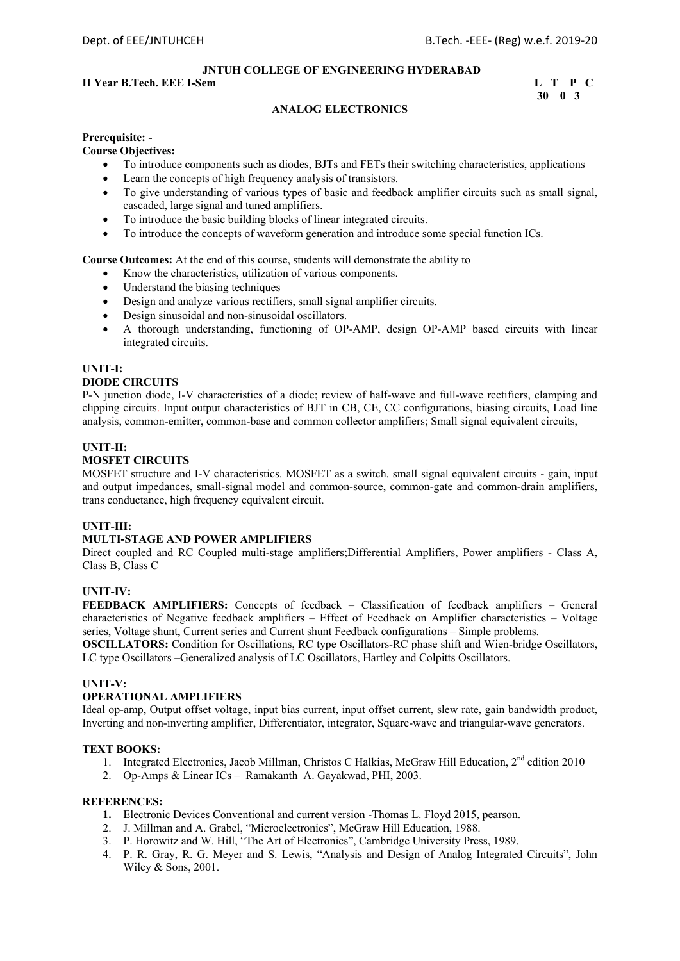#### **II Year B.Tech. EEE I-Sem L** T P C

```
 30 0 3
```
#### **ANALOG ELECTRONICS**

#### **Prerequisite: -**

#### **Course Objectives:**

- To introduce components such as diodes, BJTs and FETs their switching characteristics, applications
- Learn the concepts of high frequency analysis of transistors.
- To give understanding of various types of basic and feedback amplifier circuits such as small signal, cascaded, large signal and tuned amplifiers.
- To introduce the basic building blocks of linear integrated circuits.
- To introduce the concepts of waveform generation and introduce some special function ICs.

**Course Outcomes:** At the end of this course, students will demonstrate the ability to

- Know the characteristics, utilization of various components.
- Understand the biasing techniques
- Design and analyze various rectifiers, small signal amplifier circuits.
- Design sinusoidal and non-sinusoidal oscillators.
- A thorough understanding, functioning of OP-AMP, design OP-AMP based circuits with linear integrated circuits.

#### **UNIT-I:**

#### **DIODE CIRCUITS**

P-N junction diode, I-V characteristics of a diode; review of half-wave and full-wave rectifiers, clamping and clipping circuits. Input output characteristics of BJT in CB, CE, CC configurations, biasing circuits, Load line analysis, common-emitter, common-base and common collector amplifiers; Small signal equivalent circuits,

#### **UNIT-II:**

#### **MOSFET CIRCUITS**

MOSFET structure and I-V characteristics. MOSFET as a switch. small signal equivalent circuits - gain, input and output impedances, small-signal model and common-source, common-gate and common-drain amplifiers, trans conductance, high frequency equivalent circuit.

#### **UNIT-III:**

#### **MULTI-STAGE AND POWER AMPLIFIERS**

Direct coupled and RC Coupled multi-stage amplifiers;Differential Amplifiers, Power amplifiers - Class A, Class B, Class C

#### **UNIT-IV:**

**FEEDBACK AMPLIFIERS:** Concepts of feedback – Classification of feedback amplifiers – General characteristics of Negative feedback amplifiers – Effect of Feedback on Amplifier characteristics – Voltage series, Voltage shunt, Current series and Current shunt Feedback configurations – Simple problems.

**OSCILLATORS:** Condition for Oscillations, RC type Oscillators-RC phase shift and Wien-bridge Oscillators, LC type Oscillators –Generalized analysis of LC Oscillators, Hartley and Colpitts Oscillators.

#### **UNIT-V:**

#### **OPERATIONAL AMPLIFIERS**

Ideal op-amp, Output offset voltage, input bias current, input offset current, slew rate, gain bandwidth product, Inverting and non-inverting amplifier, Differentiator, integrator, Square-wave and triangular-wave generators.

#### **TEXT BOOKS:**

- 1. Integrated Electronics, Jacob Millman, Christos C Halkias, McGraw Hill Education, 2nd edition 2010
- 2. Op-Amps & Linear ICs Ramakanth A. Gayakwad, PHI, 2003.

- **1.** Electronic Devices Conventional and current version -Thomas L. Floyd 2015, pearson.
- 2. J. Millman and A. Grabel, "Microelectronics", McGraw Hill Education, 1988.
- 3. P. Horowitz and W. Hill, "The Art of Electronics", Cambridge University Press, 1989.
- 4. P. R. Gray, R. G. Meyer and S. Lewis, "Analysis and Design of Analog Integrated Circuits", John Wiley & Sons, 2001.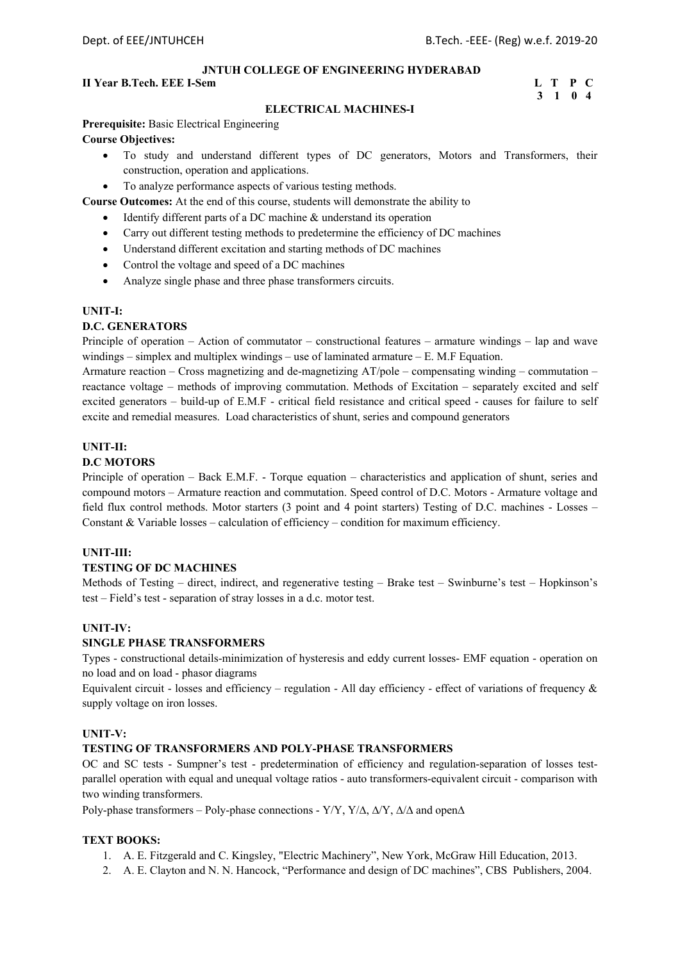### **II Year B.Tech. EEE I-Sem L** T P C

# **3 1 0 4**

#### **ELECTRICAL MACHINES-I**

**Prerequisite:** Basic Electrical Engineering **Course Objectives:**

- To study and understand different types of DC generators, Motors and Transformers, their construction, operation and applications.
- To analyze performance aspects of various testing methods.

**Course Outcomes:** At the end of this course, students will demonstrate the ability to

- Identify different parts of a DC machine & understand its operation
- Carry out different testing methods to predetermine the efficiency of DC machines
- Understand different excitation and starting methods of DC machines
- Control the voltage and speed of a DC machines
- Analyze single phase and three phase transformers circuits.

#### **UNIT-I:**

#### **D.C. GENERATORS**

Principle of operation – Action of commutator – constructional features – armature windings – lap and wave windings  $-$  simplex and multiplex windings  $-$  use of laminated armature  $-$  E. M.F Equation.

Armature reaction – Cross magnetizing and de-magnetizing AT/pole – compensating winding – commutation – reactance voltage – methods of improving commutation. Methods of Excitation – separately excited and self excited generators – build-up of E.M.F - critical field resistance and critical speed - causes for failure to self excite and remedial measures. Load characteristics of shunt, series and compound generators

#### **UNIT-II:**

#### **D.C MOTORS**

Principle of operation – Back E.M.F. - Torque equation – characteristics and application of shunt, series and compound motors – Armature reaction and commutation. Speed control of D.C. Motors - Armature voltage and field flux control methods. Motor starters (3 point and 4 point starters) Testing of D.C. machines - Losses – Constant & Variable losses – calculation of efficiency – condition for maximum efficiency.

#### **UNIT-III:**

#### **TESTING OF DC MACHINES**

Methods of Testing – direct, indirect, and regenerative testing – Brake test – Swinburne's test – Hopkinson's test – Field's test - separation of stray losses in a d.c. motor test.

#### **UNIT-IV:**

#### **SINGLE PHASE TRANSFORMERS**

Types - constructional details-minimization of hysteresis and eddy current losses- EMF equation - operation on no load and on load - phasor diagrams

Equivalent circuit - losses and efficiency – regulation - All day efficiency - effect of variations of frequency  $\&$ supply voltage on iron losses.

#### **UNIT-V:**

#### **TESTING OF TRANSFORMERS AND POLY-PHASE TRANSFORMERS**

OC and SC tests - Sumpner's test - predetermination of efficiency and regulation-separation of losses testparallel operation with equal and unequal voltage ratios - auto transformers-equivalent circuit - comparison with two winding transformers.

Poly-phase transformers – Poly-phase connections - Y/Y, Y/ $\Delta$ ,  $\Delta$ /Y,  $\Delta$ / $\Delta$  and open $\Delta$ 

#### **TEXT BOOKS:**

- 1. A. E. Fitzgerald and C. Kingsley, "Electric Machinery", New York, McGraw Hill Education, 2013.
- 2. A. E. Clayton and N. N. Hancock, "Performance and design of DC machines", CBS Publishers, 2004.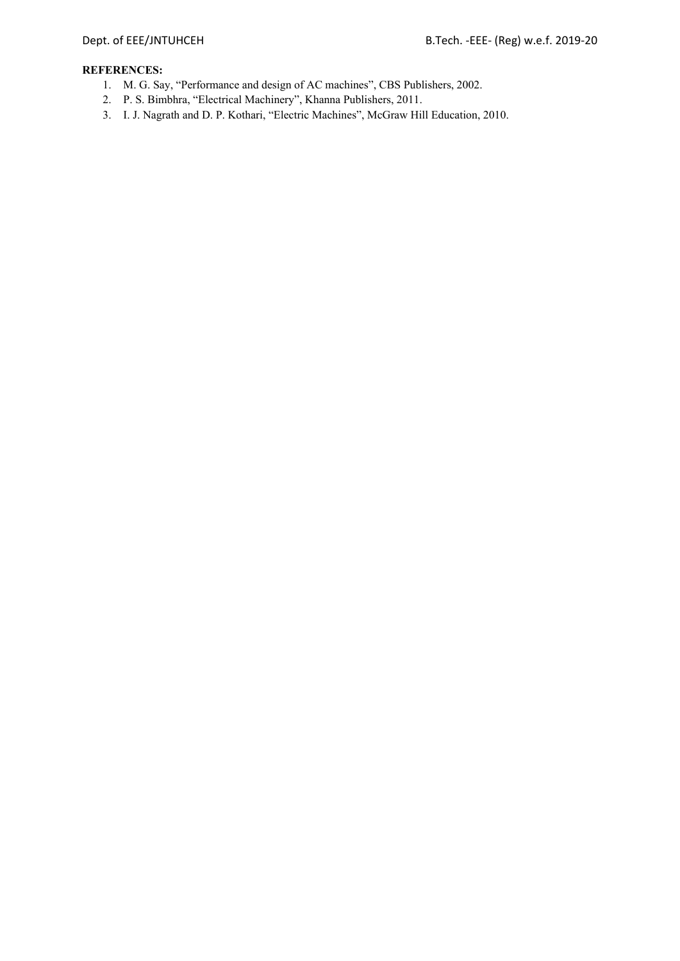- 1. M. G. Say, "Performance and design of AC machines", CBS Publishers, 2002.
- 2. P. S. Bimbhra, "Electrical Machinery", Khanna Publishers, 2011.
- 3. I. J. Nagrath and D. P. Kothari, "Electric Machines", McGraw Hill Education, 2010.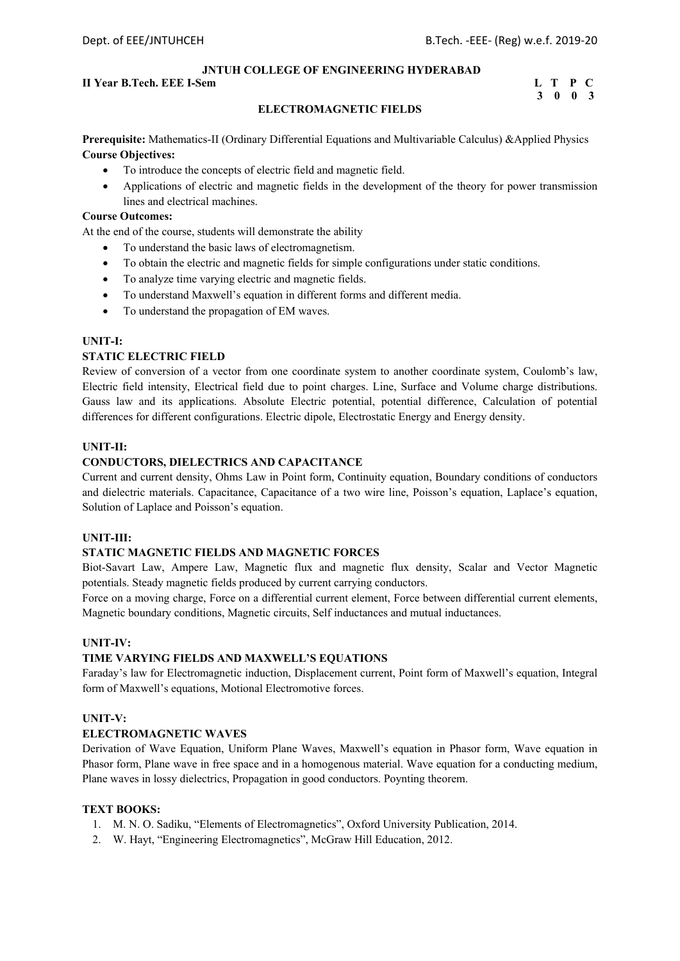#### **II Year B.Tech. EEE I-Sem L** T P C

# **3 0 0 3**

#### **ELECTROMAGNETIC FIELDS**

**Prerequisite:** Mathematics-II (Ordinary Differential Equations and Multivariable Calculus) &Applied Physics **Course Objectives:** 

- To introduce the concepts of electric field and magnetic field.
- Applications of electric and magnetic fields in the development of the theory for power transmission lines and electrical machines.

#### **Course Outcomes:**

At the end of the course, students will demonstrate the ability

- To understand the basic laws of electromagnetism.
- To obtain the electric and magnetic fields for simple configurations under static conditions.
- To analyze time varying electric and magnetic fields.
- To understand Maxwell's equation in different forms and different media.
- To understand the propagation of EM waves.

#### **UNIT-I:**

#### **STATIC ELECTRIC FIELD**

Review of conversion of a vector from one coordinate system to another coordinate system, Coulomb's law, Electric field intensity, Electrical field due to point charges. Line, Surface and Volume charge distributions. Gauss law and its applications. Absolute Electric potential, potential difference, Calculation of potential differences for different configurations. Electric dipole, Electrostatic Energy and Energy density.

#### **UNIT-II:**

#### **CONDUCTORS, DIELECTRICS AND CAPACITANCE**

Current and current density, Ohms Law in Point form, Continuity equation, Boundary conditions of conductors and dielectric materials. Capacitance, Capacitance of a two wire line, Poisson's equation, Laplace's equation, Solution of Laplace and Poisson's equation.

#### **UNIT-III:**

#### **STATIC MAGNETIC FIELDS AND MAGNETIC FORCES**

Biot-Savart Law, Ampere Law, Magnetic flux and magnetic flux density, Scalar and Vector Magnetic potentials. Steady magnetic fields produced by current carrying conductors.

Force on a moving charge, Force on a differential current element, Force between differential current elements, Magnetic boundary conditions, Magnetic circuits, Self inductances and mutual inductances.

#### **UNIT-IV:**

#### **TIME VARYING FIELDS AND MAXWELL'S EQUATIONS**

Faraday's law for Electromagnetic induction, Displacement current, Point form of Maxwell's equation, Integral form of Maxwell's equations, Motional Electromotive forces.

#### **UNIT-V:**

#### **ELECTROMAGNETIC WAVES**

Derivation of Wave Equation, Uniform Plane Waves, Maxwell's equation in Phasor form, Wave equation in Phasor form, Plane wave in free space and in a homogenous material. Wave equation for a conducting medium, Plane waves in lossy dielectrics, Propagation in good conductors. Poynting theorem.

#### **TEXT BOOKS:**

- 1. M. N. O. Sadiku, "Elements of Electromagnetics", Oxford University Publication, 2014.
- 2. W. Hayt, "Engineering Electromagnetics", McGraw Hill Education, 2012.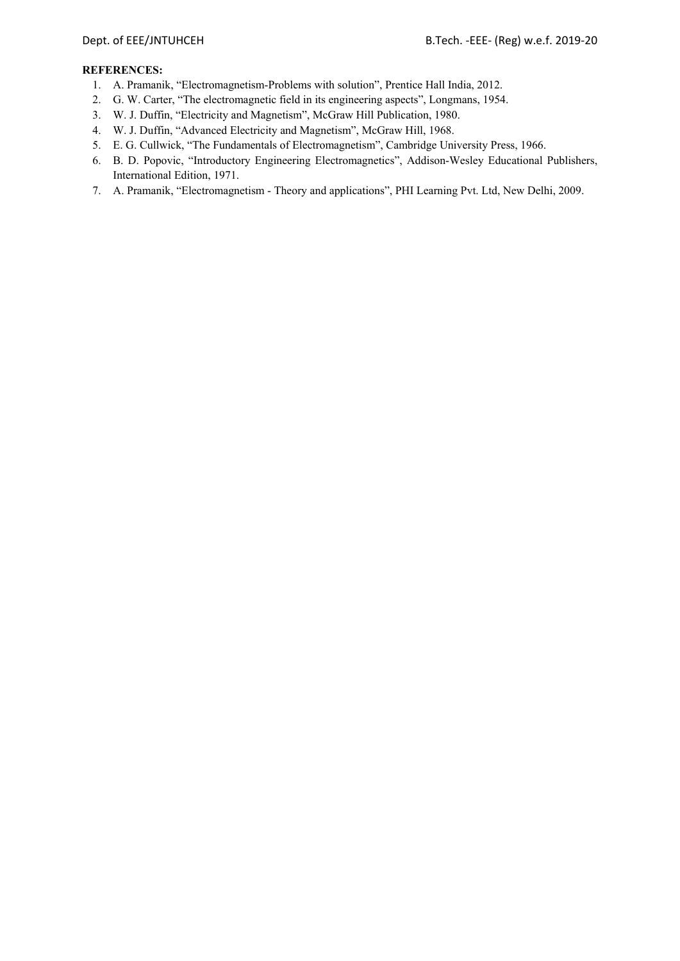- 1. A. Pramanik, "Electromagnetism-Problems with solution", Prentice Hall India, 2012.
- 2. G. W. Carter, "The electromagnetic field in its engineering aspects", Longmans, 1954.
- 3. W. J. Duffin, "Electricity and Magnetism", McGraw Hill Publication, 1980.
- 4. W. J. Duffin, "Advanced Electricity and Magnetism", McGraw Hill, 1968.
- 5. E. G. Cullwick, "The Fundamentals of Electromagnetism", Cambridge University Press, 1966.
- 6. B. D. Popovic, "Introductory Engineering Electromagnetics", Addison-Wesley Educational Publishers, International Edition, 1971.
- 7. A. Pramanik, "Electromagnetism Theory and applications", PHI Learning Pvt. Ltd, New Delhi, 2009.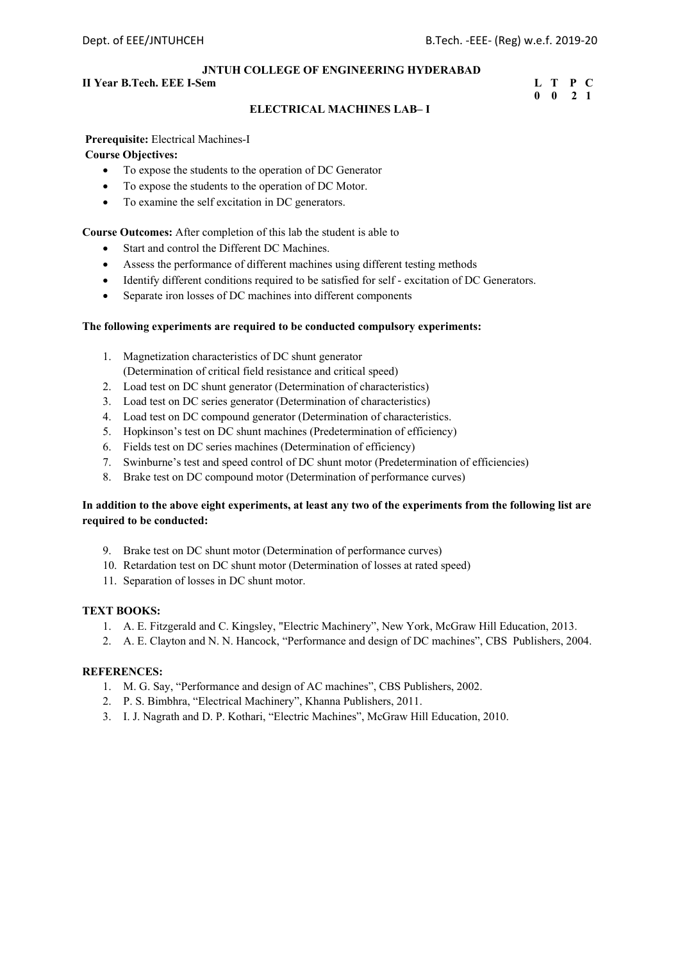#### **II Year B.Tech. EEE I-Sem L** T P C

# **0 0 2 1**

#### **ELECTRICAL MACHINES LAB– I**

#### **Prerequisite:** Electrical Machines-I

#### **Course Objectives:**

- To expose the students to the operation of DC Generator
- To expose the students to the operation of DC Motor.
- To examine the self excitation in DC generators.

**Course Outcomes:** After completion of this lab the student is able to

- Start and control the Different DC Machines.
- Assess the performance of different machines using different testing methods
- Identify different conditions required to be satisfied for self excitation of DC Generators.
- Separate iron losses of DC machines into different components

#### **The following experiments are required to be conducted compulsory experiments:**

- 1. Magnetization characteristics of DC shunt generator (Determination of critical field resistance and critical speed)
- 2. Load test on DC shunt generator (Determination of characteristics)
- 3. Load test on DC series generator (Determination of characteristics)
- 4. Load test on DC compound generator (Determination of characteristics.
- 5. Hopkinson's test on DC shunt machines (Predetermination of efficiency)
- 6. Fields test on DC series machines (Determination of efficiency)
- 7. Swinburne's test and speed control of DC shunt motor (Predetermination of efficiencies)
- 8. Brake test on DC compound motor (Determination of performance curves)

#### **In addition to the above eight experiments, at least any two of the experiments from the following list are required to be conducted:**

- 9. Brake test on DC shunt motor (Determination of performance curves)
- 10. Retardation test on DC shunt motor (Determination of losses at rated speed)
- 11. Separation of losses in DC shunt motor.

#### **TEXT BOOKS:**

- 1. A. E. Fitzgerald and C. Kingsley, "Electric Machinery", New York, McGraw Hill Education, 2013.
- 2. A. E. Clayton and N. N. Hancock, "Performance and design of DC machines", CBS Publishers, 2004.

- 1. M. G. Say, "Performance and design of AC machines", CBS Publishers, 2002.
- 2. P. S. Bimbhra, "Electrical Machinery", Khanna Publishers, 2011.
- 3. I. J. Nagrath and D. P. Kothari, "Electric Machines", McGraw Hill Education, 2010.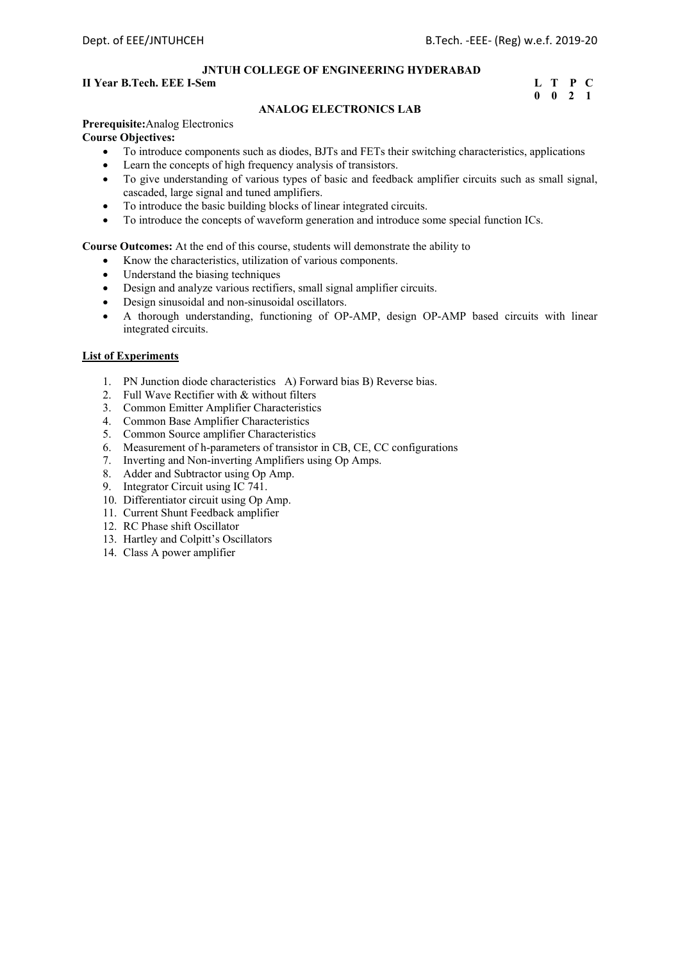#### **II Year B.Tech. EEE I-Sem L** T P C

# **0 0 2 1**

#### **ANALOG ELECTRONICS LAB**

# **Prerequisite:**Analog Electronics

**Course Objectives:**

- To introduce components such as diodes, BJTs and FETs their switching characteristics, applications
- Learn the concepts of high frequency analysis of transistors.
- To give understanding of various types of basic and feedback amplifier circuits such as small signal, cascaded, large signal and tuned amplifiers.
- To introduce the basic building blocks of linear integrated circuits.
- To introduce the concepts of waveform generation and introduce some special function ICs.

**Course Outcomes:** At the end of this course, students will demonstrate the ability to

- Know the characteristics, utilization of various components.
- Understand the biasing techniques
- Design and analyze various rectifiers, small signal amplifier circuits.
- Design sinusoidal and non-sinusoidal oscillators.
- A thorough understanding, functioning of OP-AMP, design OP-AMP based circuits with linear integrated circuits.

#### **List of Experiments**

- 1. PN Junction diode characteristics A) Forward bias B) Reverse bias.
- 2. Full Wave Rectifier with & without filters
- 3. Common Emitter Amplifier Characteristics
- 4. Common Base Amplifier Characteristics
- 5. Common Source amplifier Characteristics
- 6. Measurement of h-parameters of transistor in CB, CE, CC configurations
- 7. Inverting and Non-inverting Amplifiers using Op Amps.
- 8. Adder and Subtractor using Op Amp.
- 9. Integrator Circuit using IC 741.
- 10. Differentiator circuit using Op Amp.
- 11. Current Shunt Feedback amplifier
- 12. RC Phase shift Oscillator
- 13. Hartley and Colpitt's Oscillators
- 14. Class A power amplifier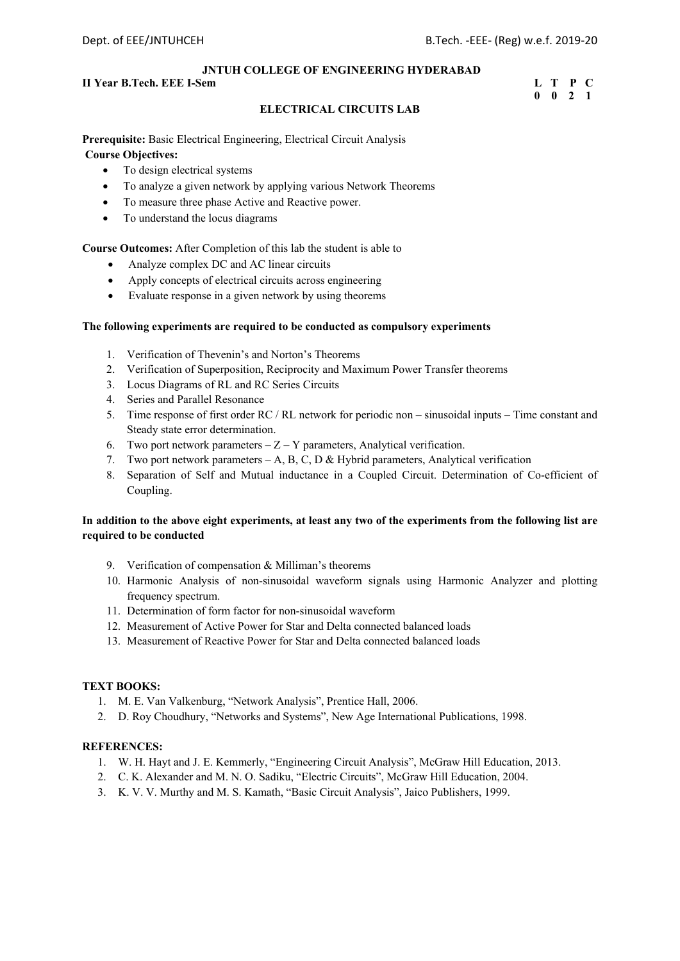## **II Year B.Tech. EEE I-Sem L** T P C

## **0 0 2 1**

## **ELECTRICAL CIRCUITS LAB**

**Prerequisite:** Basic Electrical Engineering, Electrical Circuit Analysis  **Course Objectives:** 

- To design electrical systems
- To analyze a given network by applying various Network Theorems
- To measure three phase Active and Reactive power.
- To understand the locus diagrams

**Course Outcomes:** After Completion of this lab the student is able to

- Analyze complex DC and AC linear circuits
- Apply concepts of electrical circuits across engineering
- Evaluate response in a given network by using theorems

### **The following experiments are required to be conducted as compulsory experiments**

- 1. Verification of Thevenin's and Norton's Theorems
- 2. Verification of Superposition, Reciprocity and Maximum Power Transfer theorems
- 3. Locus Diagrams of RL and RC Series Circuits
- 4. Series and Parallel Resonance
- 5. Time response of first order RC / RL network for periodic non sinusoidal inputs Time constant and Steady state error determination.
- 6. Two port network parameters  $-Z Y$  parameters, Analytical verification.
- 7. Two port network parameters  $-A$ , B, C, D & Hybrid parameters, Analytical verification
- 8. Separation of Self and Mutual inductance in a Coupled Circuit. Determination of Co-efficient of Coupling.

## **In addition to the above eight experiments, at least any two of the experiments from the following list are required to be conducted**

- 9. Verification of compensation & Milliman's theorems
- 10. Harmonic Analysis of non-sinusoidal waveform signals using Harmonic Analyzer and plotting frequency spectrum.
- 11. Determination of form factor for non-sinusoidal waveform
- 12. Measurement of Active Power for Star and Delta connected balanced loads
- 13. Measurement of Reactive Power for Star and Delta connected balanced loads

## **TEXT BOOKS:**

- 1. M. E. Van Valkenburg, "Network Analysis", Prentice Hall, 2006.
- 2. D. Roy Choudhury, "Networks and Systems", New Age International Publications, 1998.

- 1. W. H. Hayt and J. E. Kemmerly, "Engineering Circuit Analysis", McGraw Hill Education, 2013.
- 2. C. K. Alexander and M. N. O. Sadiku, "Electric Circuits", McGraw Hill Education, 2004.
- 3. K. V. V. Murthy and M. S. Kamath, "Basic Circuit Analysis", Jaico Publishers, 1999.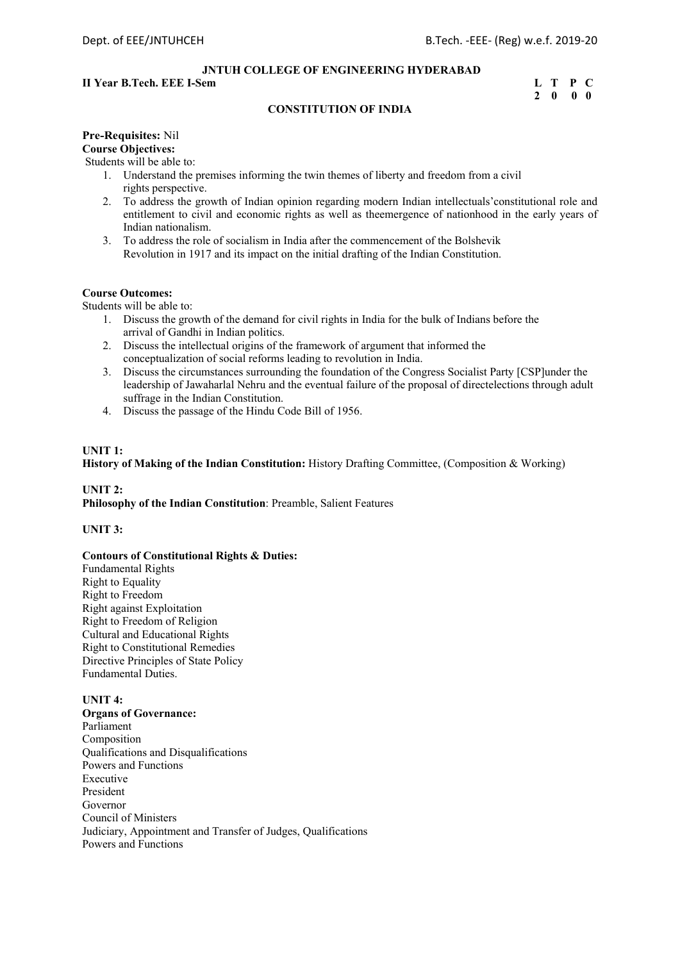## **II Year B.Tech. EEE I-Sem L** T P C

## **2 0 0 0**

## **CONSTITUTION OF INDIA**

## **Pre-Requisites:** Nil **Course Objectives:**

Students will be able to:

- 1. Understand the premises informing the twin themes of liberty and freedom from a civil rights perspective.
- 2. To address the growth of Indian opinion regarding modern Indian intellectuals'constitutional role and entitlement to civil and economic rights as well as theemergence of nationhood in the early years of Indian nationalism.
- 3. To address the role of socialism in India after the commencement of the Bolshevik Revolution in 1917 and its impact on the initial drafting of the Indian Constitution.

## **Course Outcomes:**

Students will be able to:

- 1. Discuss the growth of the demand for civil rights in India for the bulk of Indians before the arrival of Gandhi in Indian politics.
- 2. Discuss the intellectual origins of the framework of argument that informed the conceptualization of social reforms leading to revolution in India.
- 3. Discuss the circumstances surrounding the foundation of the Congress Socialist Party [CSP]under the leadership of Jawaharlal Nehru and the eventual failure of the proposal of directelections through adult suffrage in the Indian Constitution.
- 4. Discuss the passage of the Hindu Code Bill of 1956.

### **UNIT 1:**

**History of Making of the Indian Constitution:** History Drafting Committee, (Composition & Working)

## **UNIT 2: Philosophy of the Indian Constitution**: Preamble, Salient Features

## **UNIT 3:**

## **Contours of Constitutional Rights & Duties:**

Fundamental Rights Right to Equality Right to Freedom Right against Exploitation Right to Freedom of Religion Cultural and Educational Rights Right to Constitutional Remedies Directive Principles of State Policy Fundamental Duties.

## **UNIT 4:**

**Organs of Governance:** Parliament Composition Qualifications and Disqualifications Powers and Functions Executive President Governor Council of Ministers Judiciary, Appointment and Transfer of Judges, Qualifications Powers and Functions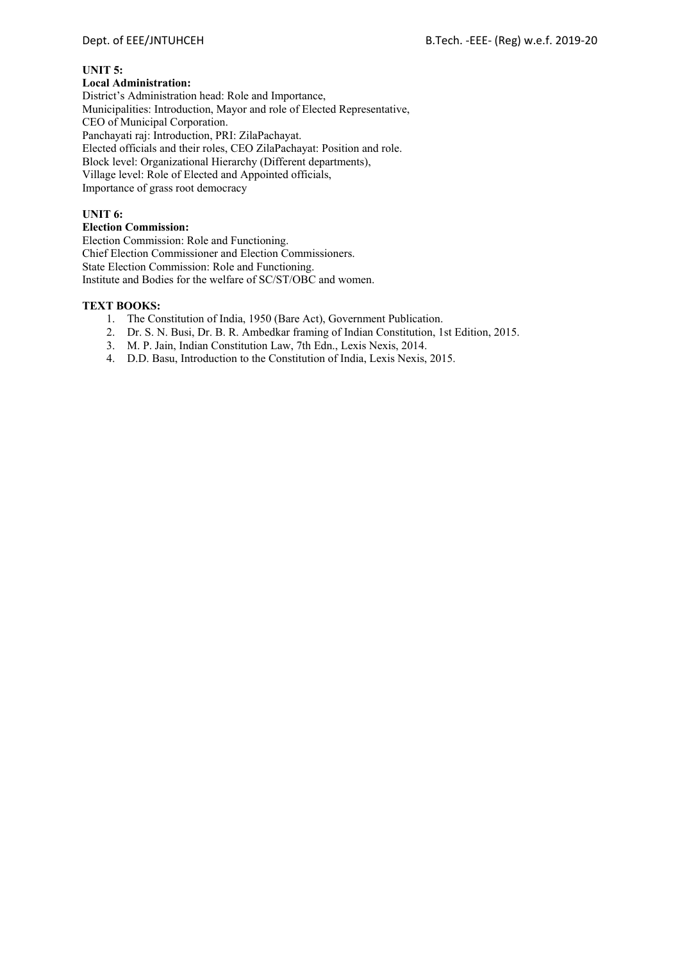## **UNIT 5:**

## **Local Administration:**

District's Administration head: Role and Importance, Municipalities: Introduction, Mayor and role of Elected Representative, CEO of Municipal Corporation. Panchayati raj: Introduction, PRI: ZilaPachayat. Elected officials and their roles, CEO ZilaPachayat: Position and role. Block level: Organizational Hierarchy (Different departments), Village level: Role of Elected and Appointed officials, Importance of grass root democracy

## **UNIT 6:**

## **Election Commission:**

Election Commission: Role and Functioning. Chief Election Commissioner and Election Commissioners. State Election Commission: Role and Functioning. Institute and Bodies for the welfare of SC/ST/OBC and women.

## **TEXT BOOKS:**

- 1. The Constitution of India, 1950 (Bare Act), Government Publication.
- 2. Dr. S. N. Busi, Dr. B. R. Ambedkar framing of Indian Constitution, 1st Edition, 2015.
- 3. M. P. Jain, Indian Constitution Law, 7th Edn., Lexis Nexis, 2014.
- 4. D.D. Basu, Introduction to the Constitution of India, Lexis Nexis, 2015.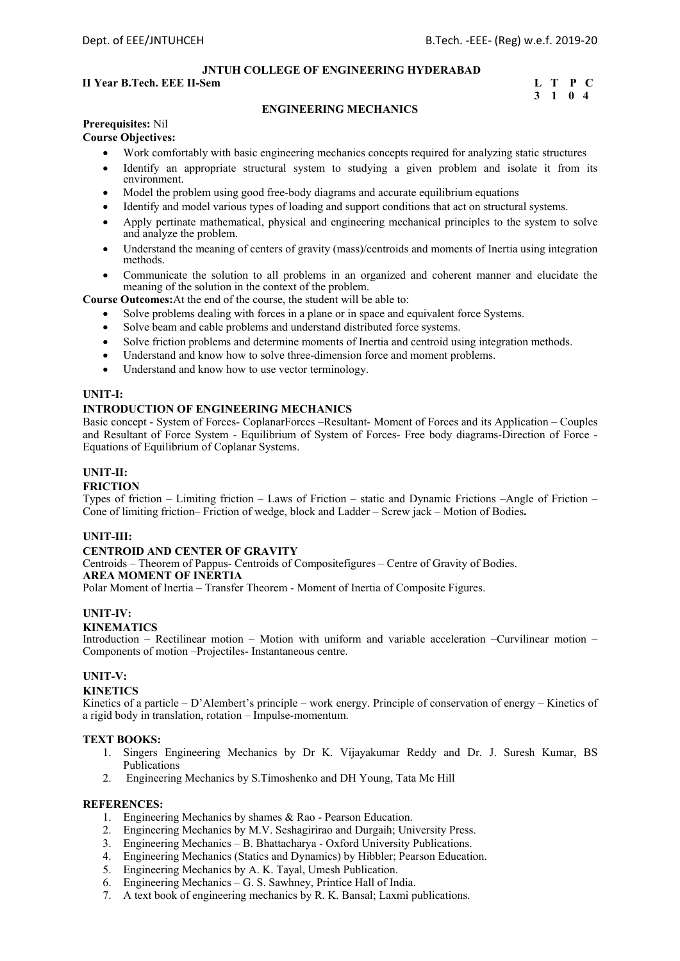## **II Year B.Tech. EEE II-Sem L T P C**

## **3 1 0 4**

## **ENGINEERING MECHANICS**

#### **Prerequisites:** Nil **Course Objectives:**

- Work comfortably with basic engineering mechanics concepts required for analyzing static structures
- Identify an appropriate structural system to studying a given problem and isolate it from its environment.
- Model the problem using good free-body diagrams and accurate equilibrium equations
- Identify and model various types of loading and support conditions that act on structural systems.
- Apply pertinate mathematical, physical and engineering mechanical principles to the system to solve and analyze the problem.
- Understand the meaning of centers of gravity (mass)/centroids and moments of Inertia using integration methods.
- Communicate the solution to all problems in an organized and coherent manner and elucidate the meaning of the solution in the context of the problem.

**Course Outcomes:**At the end of the course, the student will be able to:

- Solve problems dealing with forces in a plane or in space and equivalent force Systems.
- Solve beam and cable problems and understand distributed force systems.
- Solve friction problems and determine moments of Inertia and centroid using integration methods.
- Understand and know how to solve three-dimension force and moment problems.
- Understand and know how to use vector terminology.

## **UNIT-I:**

### **INTRODUCTION OF ENGINEERING MECHANICS**

Basic concept - System of Forces- CoplanarForces –Resultant- Moment of Forces and its Application – Couples and Resultant of Force System - Equilibrium of System of Forces- Free body diagrams-Direction of Force - Equations of Equilibrium of Coplanar Systems.

## **UNIT-II:**

#### **FRICTION**

Types of friction – Limiting friction – Laws of Friction – static and Dynamic Frictions –Angle of Friction – Cone of limiting friction– Friction of wedge, block and Ladder – Screw jack – Motion of Bodies**.**

#### **UNIT-III:**

## **CENTROID AND CENTER OF GRAVITY**

Centroids – Theorem of Pappus- Centroids of Compositefigures – Centre of Gravity of Bodies. **AREA MOMENT OF INERTIA** 

Polar Moment of Inertia – Transfer Theorem - Moment of Inertia of Composite Figures.

#### **UNIT-IV:**

#### **KINEMATICS**

Introduction – Rectilinear motion – Motion with uniform and variable acceleration –Curvilinear motion – Components of motion –Projectiles- Instantaneous centre.

#### **UNIT-V:**

#### **KINETICS**

Kinetics of a particle – D'Alembert's principle – work energy. Principle of conservation of energy – Kinetics of a rigid body in translation, rotation – Impulse-momentum.

#### **TEXT BOOKS:**

- 1. Singers Engineering Mechanics by Dr K. Vijayakumar Reddy and Dr. J. Suresh Kumar, BS Publications
- 2. Engineering Mechanics by S.Timoshenko and DH Young, Tata Mc Hill

- 1. Engineering Mechanics by shames & Rao Pearson Education.
- 2. Engineering Mechanics by M.V. Seshagirirao and Durgaih; University Press.
- 3. Engineering Mechanics B. Bhattacharya Oxford University Publications.
- 4. Engineering Mechanics (Statics and Dynamics) by Hibbler; Pearson Education.
- 5. Engineering Mechanics by A. K. Tayal, Umesh Publication.
- 6. Engineering Mechanics G. S. Sawhney, Printice Hall of India.
- 7. A text book of engineering mechanics by R. K. Bansal; Laxmi publications.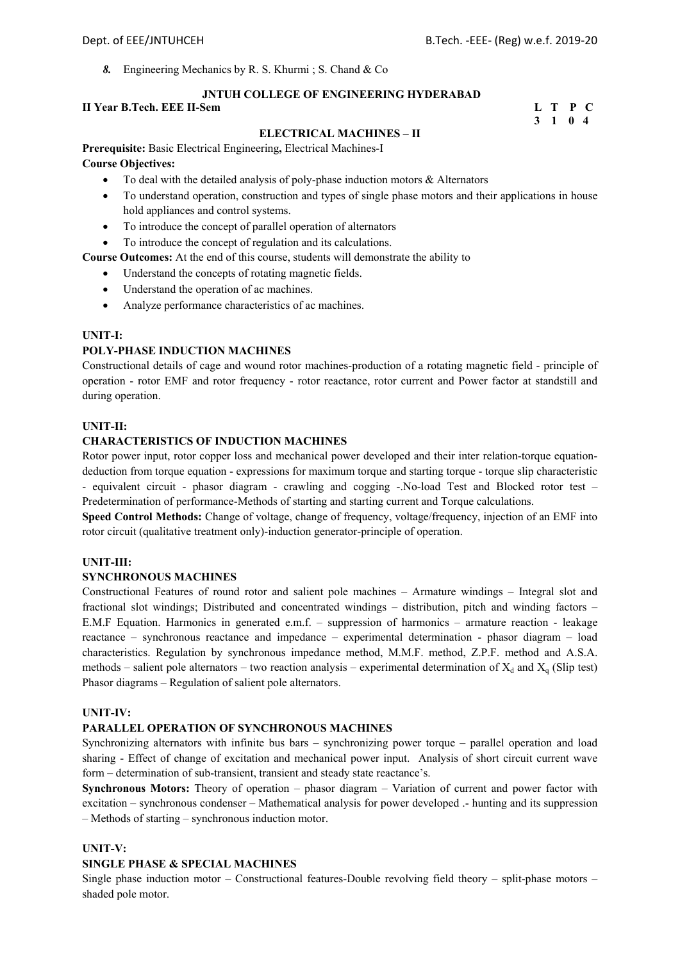*8.* Engineering Mechanics by R. S. Khurmi ; S. Chand & Co

## **JNTUH COLLEGE OF ENGINEERING HYDERABAD**

## **II Year B.Tech. EEE II-Sem** L T P C 3 1 0 4

## **3 1 0 4**

### **ELECTRICAL MACHINES – II**

**Prerequisite:** Basic Electrical Engineering**,** Electrical Machines-I **Course Objectives:**

- To deal with the detailed analysis of poly-phase induction motors  $\&$  Alternators
- To understand operation, construction and types of single phase motors and their applications in house hold appliances and control systems.
- To introduce the concept of parallel operation of alternators
- To introduce the concept of regulation and its calculations.
- **Course Outcomes:** At the end of this course, students will demonstrate the ability to
	- Understand the concepts of rotating magnetic fields.
	- Understand the operation of ac machines.
	- Analyze performance characteristics of ac machines.

## **UNIT-I:**

## **POLY-PHASE INDUCTION MACHINES**

Constructional details of cage and wound rotor machines-production of a rotating magnetic field - principle of operation - rotor EMF and rotor frequency - rotor reactance, rotor current and Power factor at standstill and during operation.

### **UNIT-II:**

## **CHARACTERISTICS OF INDUCTION MACHINES**

Rotor power input, rotor copper loss and mechanical power developed and their inter relation-torque equationdeduction from torque equation - expressions for maximum torque and starting torque - torque slip characteristic - equivalent circuit - phasor diagram - crawling and cogging -.No-load Test and Blocked rotor test – Predetermination of performance-Methods of starting and starting current and Torque calculations.

**Speed Control Methods:** Change of voltage, change of frequency, voltage/frequency, injection of an EMF into rotor circuit (qualitative treatment only)-induction generator-principle of operation.

## **UNIT-III:**

### **SYNCHRONOUS MACHINES**

Constructional Features of round rotor and salient pole machines – Armature windings – Integral slot and fractional slot windings; Distributed and concentrated windings – distribution, pitch and winding factors – E.M.F Equation. Harmonics in generated e.m.f. – suppression of harmonics – armature reaction - leakage reactance – synchronous reactance and impedance – experimental determination - phasor diagram – load characteristics. Regulation by synchronous impedance method, M.M.F. method, Z.P.F. method and A.S.A. methods – salient pole alternators – two reaction analysis – experimental determination of  $X_d$  and  $X_q$  (Slip test) Phasor diagrams – Regulation of salient pole alternators.

### **UNIT-IV:**

## **PARALLEL OPERATION OF SYNCHRONOUS MACHINES**

Synchronizing alternators with infinite bus bars – synchronizing power torque – parallel operation and load sharing - Effect of change of excitation and mechanical power input. Analysis of short circuit current wave form – determination of sub-transient, transient and steady state reactance's.

**Synchronous Motors:** Theory of operation – phasor diagram – Variation of current and power factor with excitation – synchronous condenser – Mathematical analysis for power developed .- hunting and its suppression – Methods of starting – synchronous induction motor.

### **UNIT-V:**

## **SINGLE PHASE & SPECIAL MACHINES**

Single phase induction motor – Constructional features-Double revolving field theory – split-phase motors – shaded pole motor.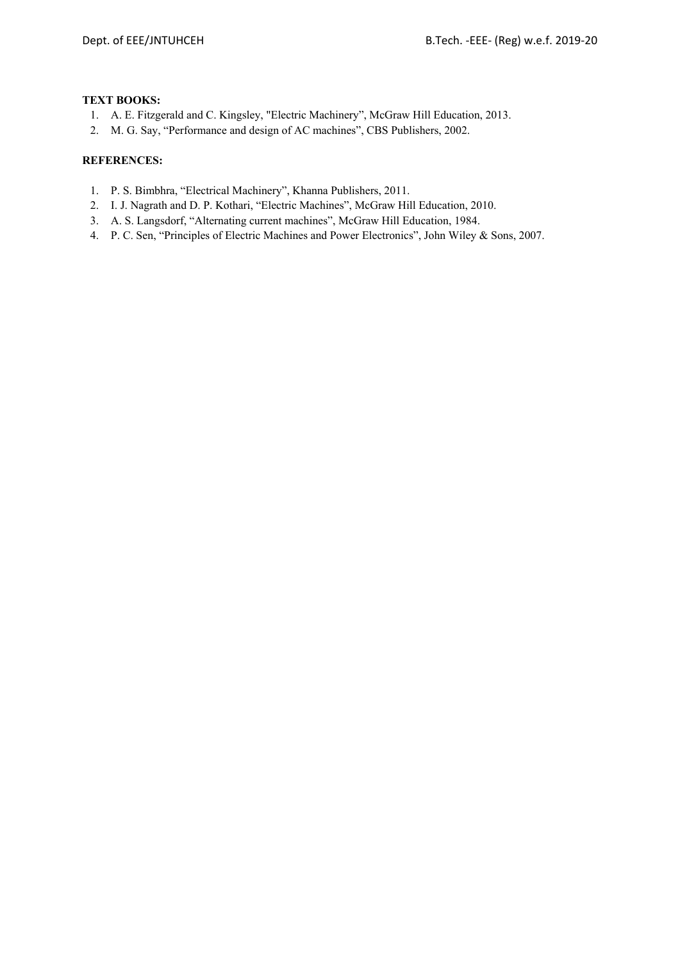## **TEXT BOOKS:**

- 1. A. E. Fitzgerald and C. Kingsley, "Electric Machinery", McGraw Hill Education, 2013.
- 2. M. G. Say, "Performance and design of AC machines", CBS Publishers, 2002.

- 1. P. S. Bimbhra, "Electrical Machinery", Khanna Publishers, 2011.
- 2. I. J. Nagrath and D. P. Kothari, "Electric Machines", McGraw Hill Education, 2010.
- 3. A. S. Langsdorf, "Alternating current machines", McGraw Hill Education, 1984.
- 4. P. C. Sen, "Principles of Electric Machines and Power Electronics", John Wiley & Sons, 2007.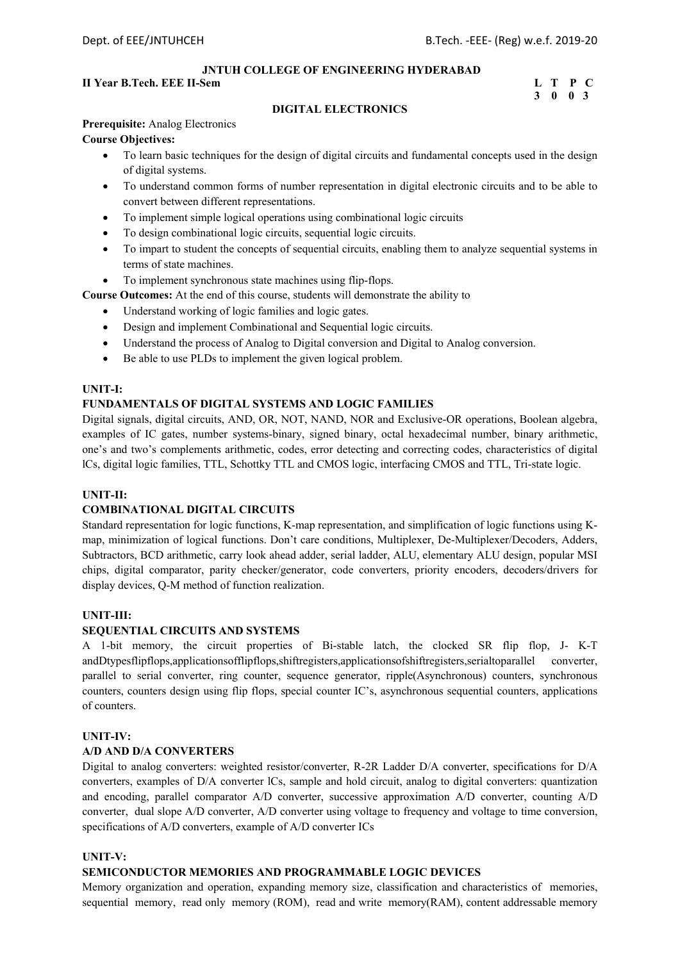## **II Year B.Tech. EEE II-Sem L** T P C

## **3 0 0 3**

## **DIGITAL ELECTRONICS**

## **Prerequisite:** Analog Electronics **Course Objectives:**

- To learn basic techniques for the design of digital circuits and fundamental concepts used in the design of digital systems.
- To understand common forms of number representation in digital electronic circuits and to be able to convert between different representations.
- To implement simple logical operations using combinational logic circuits
- To design combinational logic circuits, sequential logic circuits.
- To impart to student the concepts of sequential circuits, enabling them to analyze sequential systems in terms of state machines.
- To implement synchronous state machines using flip-flops.
- **Course Outcomes:** At the end of this course, students will demonstrate the ability to
	- Understand working of logic families and logic gates.
	- Design and implement Combinational and Sequential logic circuits.
	- Understand the process of Analog to Digital conversion and Digital to Analog conversion.
	- Be able to use PLDs to implement the given logical problem.

## **UNIT-I:**

## **FUNDAMENTALS OF DIGITAL SYSTEMS AND LOGIC FAMILIES**

Digital signals, digital circuits, AND, OR, NOT, NAND, NOR and Exclusive-OR operations, Boolean algebra, examples of IC gates, number systems-binary, signed binary, octal hexadecimal number, binary arithmetic, one's and two's complements arithmetic, codes, error detecting and correcting codes, characteristics of digital lCs, digital logic families, TTL, Schottky TTL and CMOS logic, interfacing CMOS and TTL, Tri-state logic.

## **UNIT-II:**

## **COMBINATIONAL DIGITAL CIRCUITS**

Standard representation for logic functions, K-map representation, and simplification of logic functions using Kmap, minimization of logical functions. Don't care conditions, Multiplexer, De-Multiplexer/Decoders, Adders, Subtractors, BCD arithmetic, carry look ahead adder, serial ladder, ALU, elementary ALU design, popular MSI chips, digital comparator, parity checker/generator, code converters, priority encoders, decoders/drivers for display devices, Q-M method of function realization.

### **UNIT-III:**

## **SEQUENTIAL CIRCUITS AND SYSTEMS**

A 1-bit memory, the circuit properties of Bi-stable latch, the clocked SR flip flop, J- K-T andDtypesflipflops,applicationsofflipflops,shiftregisters,applicationsofshiftregisters,serialtoparallel converter, parallel to serial converter, ring counter, sequence generator, ripple(Asynchronous) counters, synchronous counters, counters design using flip flops, special counter IC's, asynchronous sequential counters, applications of counters.

#### **UNIT-IV:**

### **A/D AND D/A CONVERTERS**

Digital to analog converters: weighted resistor/converter, R-2R Ladder D/A converter, specifications for D/A converters, examples of D/A converter lCs, sample and hold circuit, analog to digital converters: quantization and encoding, parallel comparator A/D converter, successive approximation A/D converter, counting A/D converter, dual slope A/D converter, A/D converter using voltage to frequency and voltage to time conversion, specifications of A/D converters, example of A/D converter ICs

## **UNIT-V:**

## **SEMICONDUCTOR MEMORIES AND PROGRAMMABLE LOGIC DEVICES**

Memory organization and operation, expanding memory size, classification and characteristics of memories, sequential memory, read only memory (ROM), read and write memory (RAM), content addressable memory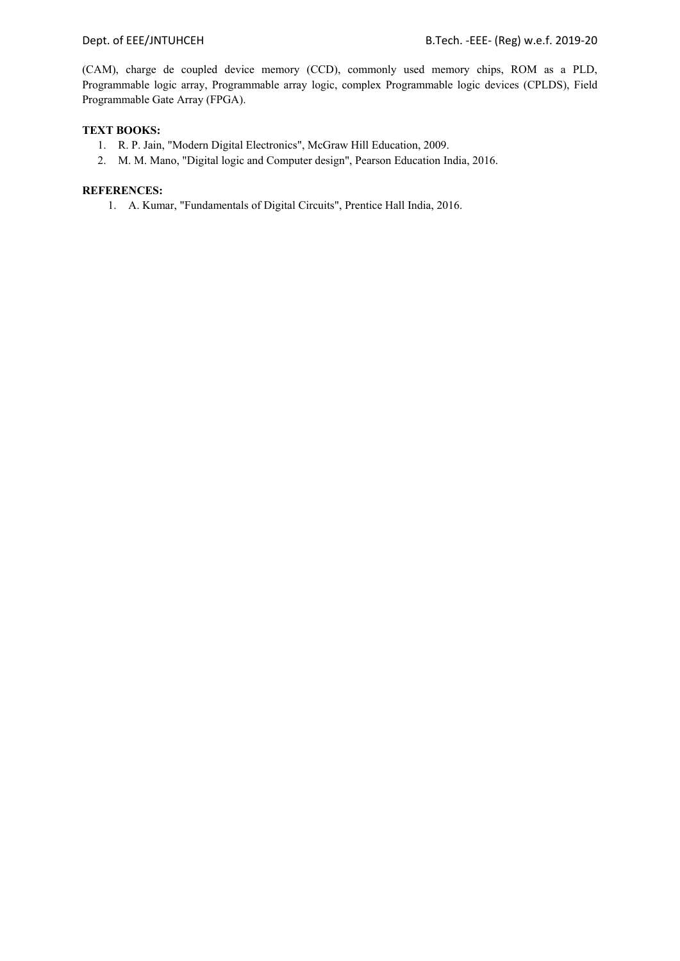(CAM), charge de coupled device memory (CCD), commonly used memory chips, ROM as a PLD, Programmable logic array, Programmable array logic, complex Programmable logic devices (CPLDS), Field Programmable Gate Array (FPGA).

## **TEXT BOOKS:**

- 1. R. P. Jain, "Modern Digital Electronics", McGraw Hill Education, 2009.
- 2. M. M. Mano, "Digital logic and Computer design", Pearson Education India, 2016.

## **REFERENCES:**

1. A. Kumar, "Fundamentals of Digital Circuits", Prentice Hall India, 2016.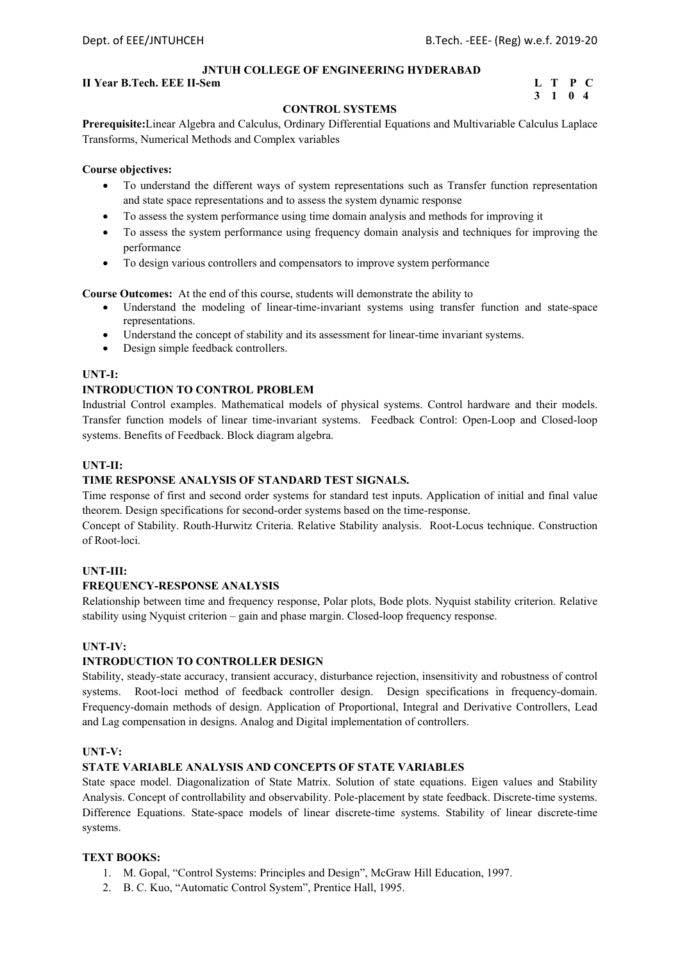## **II Year B.Tech. EEE II-Sem L** T P C

# **3 1 0 4**

## **CONTROL SYSTEMS**

**Prerequisite:**Linear Algebra and Calculus, Ordinary Differential Equations and Multivariable Calculus Laplace Transforms, Numerical Methods and Complex variables

## **Course objectives:**

- To understand the different ways of system representations such as Transfer function representation and state space representations and to assess the system dynamic response
- To assess the system performance using time domain analysis and methods for improving it
- To assess the system performance using frequency domain analysis and techniques for improving the performance
- To design various controllers and compensators to improve system performance

**Course Outcomes:** At the end of this course, students will demonstrate the ability to

- Understand the modeling of linear-time-invariant systems using transfer function and state-space representations.
- Understand the concept of stability and its assessment for linear-time invariant systems.
- Design simple feedback controllers.

## **UNT-I:**

## **INTRODUCTION TO CONTROL PROBLEM**

Industrial Control examples. Mathematical models of physical systems. Control hardware and their models. Transfer function models of linear time-invariant systems. Feedback Control: Open-Loop and Closed-loop systems. Benefits of Feedback. Block diagram algebra.

### **UNT-II:**

## **TIME RESPONSE ANALYSIS OF STANDARD TEST SIGNALS.**

Time response of first and second order systems for standard test inputs. Application of initial and final value theorem. Design specifications for second-order systems based on the time-response.

Concept of Stability. Routh-Hurwitz Criteria. Relative Stability analysis. Root-Locus technique. Construction of Root-loci.

## **UNT-III:**

### **FREQUENCY-RESPONSE ANALYSIS**

Relationship between time and frequency response, Polar plots, Bode plots. Nyquist stability criterion. Relative stability using Nyquist criterion – gain and phase margin. Closed-loop frequency response.

### **UNT-IV:**

## **INTRODUCTION TO CONTROLLER DESIGN**

Stability, steady-state accuracy, transient accuracy, disturbance rejection, insensitivity and robustness of control systems. Root-loci method of feedback controller design. Design specifications in frequency-domain. Frequency-domain methods of design. Application of Proportional, Integral and Derivative Controllers, Lead and Lag compensation in designs. Analog and Digital implementation of controllers.

### **UNT-V:**

## **STATE VARIABLE ANALYSIS AND CONCEPTS OF STATE VARIABLES**

State space model. Diagonalization of State Matrix. Solution of state equations. Eigen values and Stability Analysis. Concept of controllability and observability. Pole-placement by state feedback. Discrete-time systems. Difference Equations. State-space models of linear discrete-time systems. Stability of linear discrete-time systems.

## **TEXT BOOKS:**

- 1. M. Gopal, "Control Systems: Principles and Design", McGraw Hill Education, 1997.
- 2. B. C. Kuo, "Automatic Control System", Prentice Hall, 1995.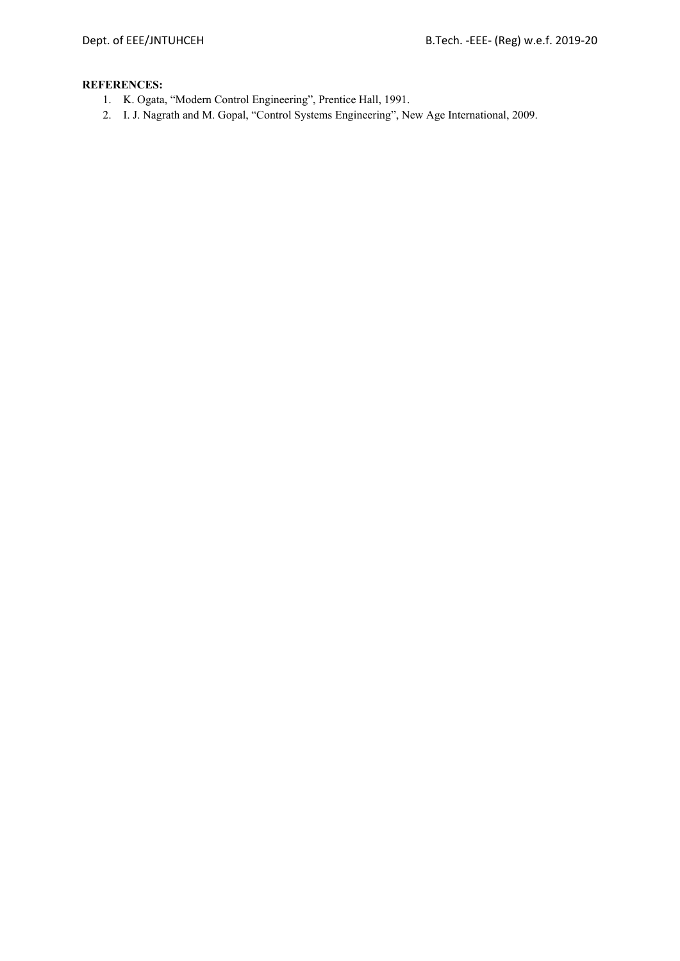- 1. K. Ogata, "Modern Control Engineering", Prentice Hall, 1991.
- 2. I. J. Nagrath and M. Gopal, "Control Systems Engineering", New Age International, 2009.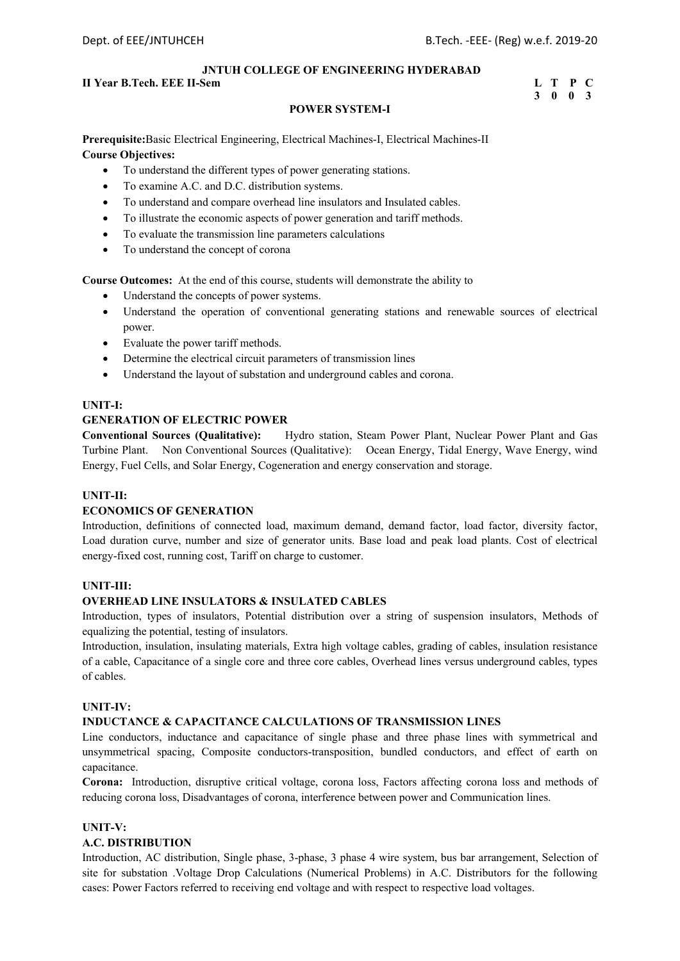## **II Year B.Tech. EEE II-Sem L** T P C

## **3 0 0 3**

## **POWER SYSTEM-I**

**Prerequisite:**Basic Electrical Engineering, Electrical Machines-I, Electrical Machines-II **Course Objectives:** 

- To understand the different types of power generating stations.
- To examine A.C. and D.C. distribution systems.
- To understand and compare overhead line insulators and Insulated cables.
- To illustrate the economic aspects of power generation and tariff methods.
- To evaluate the transmission line parameters calculations
- To understand the concept of corona

**Course Outcomes:** At the end of this course, students will demonstrate the ability to

- Understand the concepts of power systems.
- Understand the operation of conventional generating stations and renewable sources of electrical power.
- Evaluate the power tariff methods.
- Determine the electrical circuit parameters of transmission lines
- Understand the layout of substation and underground cables and corona.

## **UNIT-I:**

## **GENERATION OF ELECTRIC POWER**

**Conventional Sources (Qualitative):** Hydro station, Steam Power Plant, Nuclear Power Plant and Gas Turbine Plant. Non Conventional Sources (Qualitative): Ocean Energy, Tidal Energy, Wave Energy, wind Energy, Fuel Cells, and Solar Energy, Cogeneration and energy conservation and storage.

## **UNIT-II:**

## **ECONOMICS OF GENERATION**

Introduction, definitions of connected load, maximum demand, demand factor, load factor, diversity factor, Load duration curve, number and size of generator units. Base load and peak load plants. Cost of electrical energy-fixed cost, running cost, Tariff on charge to customer.

### **UNIT-III:**

## **OVERHEAD LINE INSULATORS & INSULATED CABLES**

Introduction, types of insulators, Potential distribution over a string of suspension insulators, Methods of equalizing the potential, testing of insulators.

Introduction, insulation, insulating materials, Extra high voltage cables, grading of cables, insulation resistance of a cable, Capacitance of a single core and three core cables, Overhead lines versus underground cables, types of cables.

## **UNIT-IV:**

## **INDUCTANCE & CAPACITANCE CALCULATIONS OF TRANSMISSION LINES**

Line conductors, inductance and capacitance of single phase and three phase lines with symmetrical and unsymmetrical spacing, Composite conductors-transposition, bundled conductors, and effect of earth on capacitance.

**Corona:** Introduction, disruptive critical voltage, corona loss, Factors affecting corona loss and methods of reducing corona loss, Disadvantages of corona, interference between power and Communication lines.

## **UNIT-V:**

## **A.C. DISTRIBUTION**

Introduction, AC distribution, Single phase, 3-phase, 3 phase 4 wire system, bus bar arrangement, Selection of site for substation .Voltage Drop Calculations (Numerical Problems) in A.C. Distributors for the following cases: Power Factors referred to receiving end voltage and with respect to respective load voltages.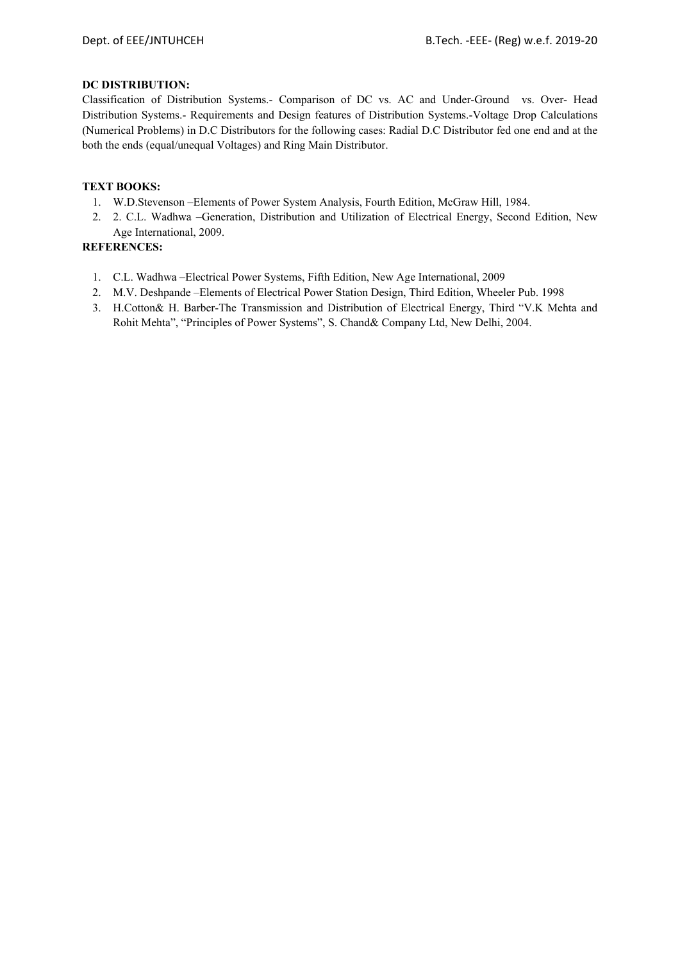## **DC DISTRIBUTION:**

Classification of Distribution Systems.- Comparison of DC vs. AC and Under-Ground vs. Over- Head Distribution Systems.- Requirements and Design features of Distribution Systems.-Voltage Drop Calculations (Numerical Problems) in D.C Distributors for the following cases: Radial D.C Distributor fed one end and at the both the ends (equal/unequal Voltages) and Ring Main Distributor.

## **TEXT BOOKS:**

- 1. W.D.Stevenson –Elements of Power System Analysis, Fourth Edition, McGraw Hill, 1984.
- 2. 2. C.L. Wadhwa –Generation, Distribution and Utilization of Electrical Energy, Second Edition, New Age International, 2009.

- 1. C.L. Wadhwa –Electrical Power Systems, Fifth Edition, New Age International, 2009
- 2. M.V. Deshpande –Elements of Electrical Power Station Design, Third Edition, Wheeler Pub. 1998
- 3. H.Cotton& H. Barber-The Transmission and Distribution of Electrical Energy, Third "V.K Mehta and Rohit Mehta", "Principles of Power Systems", S. Chand& Company Ltd, New Delhi, 2004.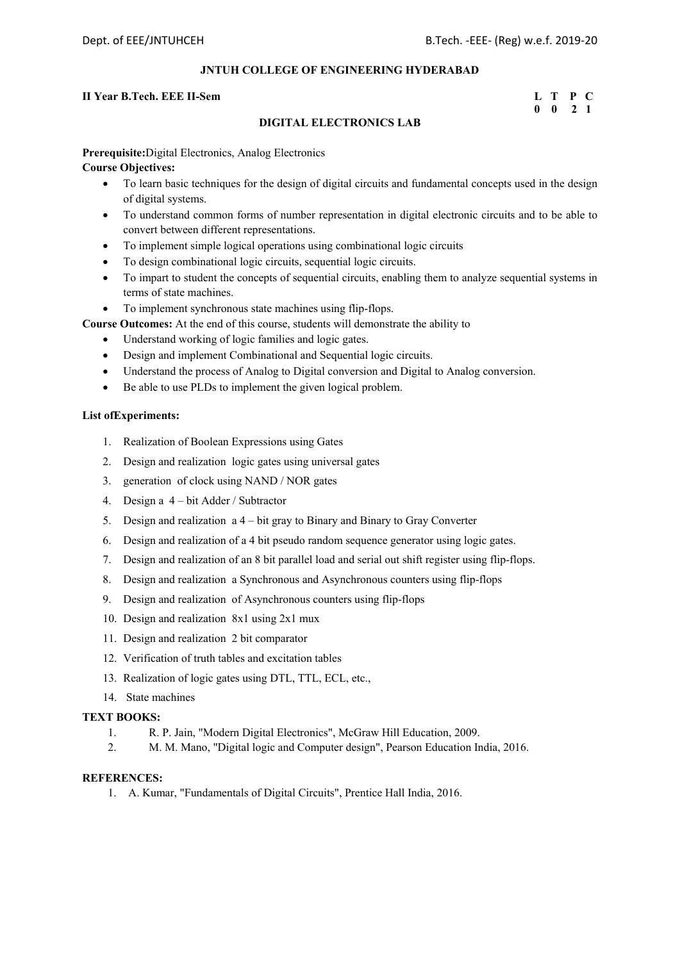## **II Year B.Tech. EEE II-Sem**

| II Year B.Tech. EEE II-Sem |  | L T P C            |  |
|----------------------------|--|--------------------|--|
|                            |  | $0 \t 0 \t 2 \t 1$ |  |

## **DIGITAL ELECTRONICS LAB**

**Prerequisite:**Digital Electronics, Analog Electronics

## **Course Objectives:**

- To learn basic techniques for the design of digital circuits and fundamental concepts used in the design of digital systems.
- To understand common forms of number representation in digital electronic circuits and to be able to convert between different representations.
- To implement simple logical operations using combinational logic circuits
- To design combinational logic circuits, sequential logic circuits.
- To impart to student the concepts of sequential circuits, enabling them to analyze sequential systems in terms of state machines.
- To implement synchronous state machines using flip-flops.

**Course Outcomes:** At the end of this course, students will demonstrate the ability to

- Understand working of logic families and logic gates.
- Design and implement Combinational and Sequential logic circuits.
- Understand the process of Analog to Digital conversion and Digital to Analog conversion.
- Be able to use PLDs to implement the given logical problem.

## **List ofExperiments:**

- 1. Realization of Boolean Expressions using Gates
- 2. Design and realization logic gates using universal gates
- 3. generation of clock using NAND / NOR gates
- 4. Design a 4 bit Adder / Subtractor
- 5. Design and realization a 4 bit gray to Binary and Binary to Gray Converter
- 6. Design and realization of a 4 bit pseudo random sequence generator using logic gates.
- 7. Design and realization of an 8 bit parallel load and serial out shift register using flip-flops.
- 8. Design and realization a Synchronous and Asynchronous counters using flip-flops
- 9. Design and realization of Asynchronous counters using flip-flops
- 10. Design and realization 8x1 using 2x1 mux
- 11. Design and realization 2 bit comparator
- 12. Verification of truth tables and excitation tables
- 13. Realization of logic gates using DTL, TTL, ECL, etc.,
- 14. State machines

## **TEXT BOOKS:**

- 1. R. P. Jain, "Modern Digital Electronics", McGraw Hill Education, 2009.
- 2. M. M. Mano, "Digital logic and Computer design", Pearson Education India, 2016.

### **REFERENCES:**

1. A. Kumar, "Fundamentals of Digital Circuits", Prentice Hall India, 2016.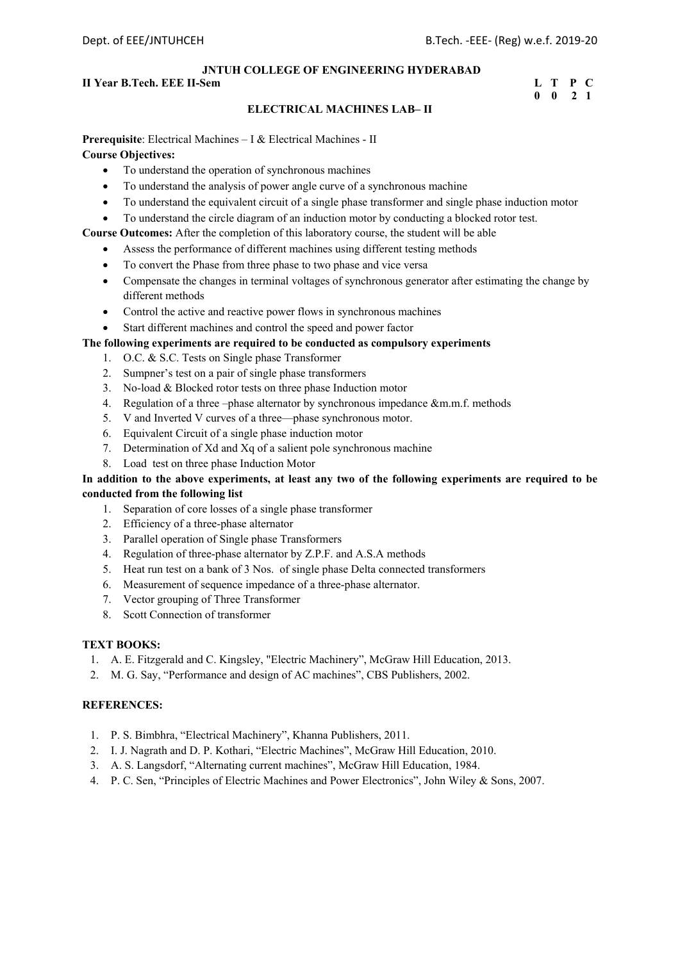## **II Year B.Tech. EEE II-Sem L** T P C

## **0 0 2 1**

## **ELECTRICAL MACHINES LAB– II**

## **Prerequisite**: Electrical Machines – I & Electrical Machines - II **Course Objectives:**

- To understand the operation of synchronous machines
- To understand the analysis of power angle curve of a synchronous machine
- To understand the equivalent circuit of a single phase transformer and single phase induction motor
- To understand the circle diagram of an induction motor by conducting a blocked rotor test.

**Course Outcomes:** After the completion of this laboratory course, the student will be able

- Assess the performance of different machines using different testing methods
- To convert the Phase from three phase to two phase and vice versa
- Compensate the changes in terminal voltages of synchronous generator after estimating the change by different methods
- Control the active and reactive power flows in synchronous machines
- Start different machines and control the speed and power factor

## **The following experiments are required to be conducted as compulsory experiments**

- 1. O.C. & S.C. Tests on Single phase Transformer
- 2. Sumpner's test on a pair of single phase transformers
- 3. No-load & Blocked rotor tests on three phase Induction motor
- 4. Regulation of a three –phase alternator by synchronous impedance &m.m.f. methods
- 5. V and Inverted V curves of a three—phase synchronous motor.
- 6. Equivalent Circuit of a single phase induction motor
- 7. Determination of Xd and Xq of a salient pole synchronous machine
- 8. Load test on three phase Induction Motor

## **In addition to the above experiments, at least any two of the following experiments are required to be conducted from the following list**

- 1. Separation of core losses of a single phase transformer
- 2. Efficiency of a three-phase alternator
- 3. Parallel operation of Single phase Transformers
- 4. Regulation of three-phase alternator by Z.P.F. and A.S.A methods
- 5. Heat run test on a bank of 3 Nos. of single phase Delta connected transformers
- 6. Measurement of sequence impedance of a three-phase alternator.
- 7. Vector grouping of Three Transformer
- 8. Scott Connection of transformer

## **TEXT BOOKS:**

- 1. A. E. Fitzgerald and C. Kingsley, "Electric Machinery", McGraw Hill Education, 2013.
- 2. M. G. Say, "Performance and design of AC machines", CBS Publishers, 2002.

- 1. P. S. Bimbhra, "Electrical Machinery", Khanna Publishers, 2011.
- 2. I. J. Nagrath and D. P. Kothari, "Electric Machines", McGraw Hill Education, 2010.
- 3. A. S. Langsdorf, "Alternating current machines", McGraw Hill Education, 1984.
- 4. P. C. Sen, "Principles of Electric Machines and Power Electronics", John Wiley & Sons, 2007.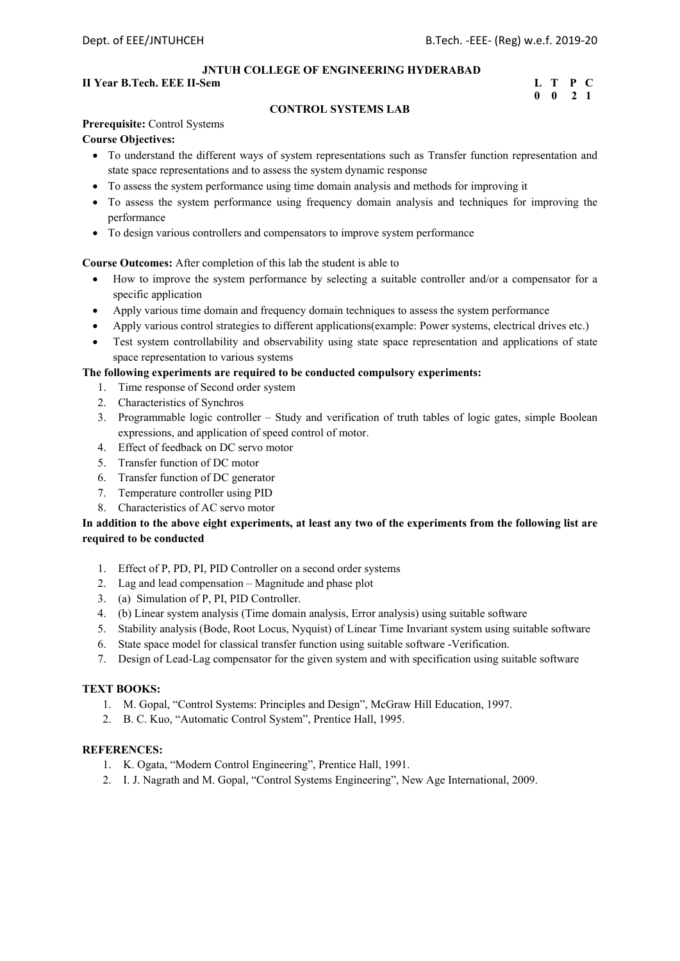## **II Year B.Tech. EEE II-Sem L T P C**

## **0 0 2 1**

## **CONTROL SYSTEMS LAB**

## **Prerequisite:** Control Systems

## **Course Objectives:**

- To understand the different ways of system representations such as Transfer function representation and state space representations and to assess the system dynamic response
- To assess the system performance using time domain analysis and methods for improving it
- To assess the system performance using frequency domain analysis and techniques for improving the performance
- To design various controllers and compensators to improve system performance

## **Course Outcomes:** After completion of this lab the student is able to

- How to improve the system performance by selecting a suitable controller and/or a compensator for a specific application
- Apply various time domain and frequency domain techniques to assess the system performance
- Apply various control strategies to different applications(example: Power systems, electrical drives etc.)
- Test system controllability and observability using state space representation and applications of state space representation to various systems

## **The following experiments are required to be conducted compulsory experiments:**

- 1. Time response of Second order system
- 2. Characteristics of Synchros
- 3. Programmable logic controller Study and verification of truth tables of logic gates, simple Boolean expressions, and application of speed control of motor.
- 4. Effect of feedback on DC servo motor
- 5. Transfer function of DC motor
- 6. Transfer function of DC generator
- 7. Temperature controller using PID
- 8. Characteristics of AC servo motor

## **In addition to the above eight experiments, at least any two of the experiments from the following list are required to be conducted**

- 1. Effect of P, PD, PI, PID Controller on a second order systems
- 2. Lag and lead compensation Magnitude and phase plot
- 3. (a) Simulation of P, PI, PID Controller.
- 4. (b) Linear system analysis (Time domain analysis, Error analysis) using suitable software
- 5. Stability analysis (Bode, Root Locus, Nyquist) of Linear Time Invariant system using suitable software
- 6. State space model for classical transfer function using suitable software -Verification.
- 7. Design of Lead-Lag compensator for the given system and with specification using suitable software

### **TEXT BOOKS:**

- 1. M. Gopal, "Control Systems: Principles and Design", McGraw Hill Education, 1997.
- 2. B. C. Kuo, "Automatic Control System", Prentice Hall, 1995.

- 1. K. Ogata, "Modern Control Engineering", Prentice Hall, 1991.
- 2. I. J. Nagrath and M. Gopal, "Control Systems Engineering", New Age International, 2009.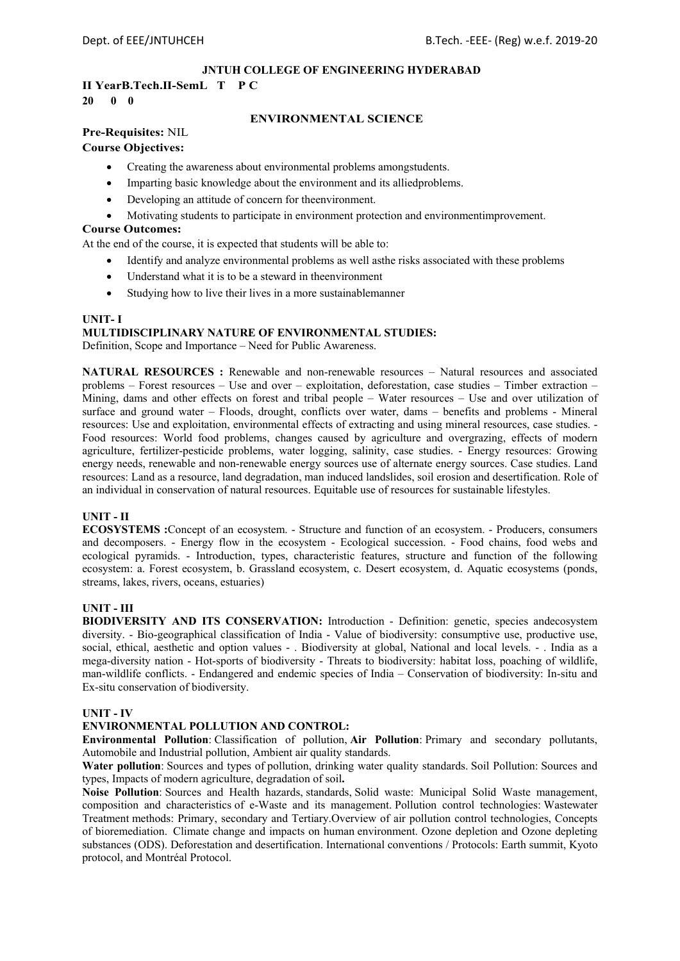## **II YearB.Tech.II-SemL T P C 20 0 0**

## **ENVIRONMENTAL SCIENCE**

## **Pre-Requisites:** NIL

## **Course Objectives:**

- Creating the awareness about environmental problems amongstudents.
- Imparting basic knowledge about the environment and its alliedproblems.
- Developing an attitude of concern for theenvironment.
- Motivating students to participate in environment protection and environmentimprovement.

## **Course Outcomes:**

At the end of the course, it is expected that students will be able to:

- Identify and analyze environmental problems as well asthe risks associated with these problems
- Understand what it is to be a steward in theenvironment
- Studying how to live their lives in a more sustainablemanner

## **UNIT- I**

## **MULTIDISCIPLINARY NATURE OF ENVIRONMENTAL STUDIES:**

Definition, Scope and Importance – Need for Public Awareness.

**NATURAL RESOURCES :** Renewable and non-renewable resources – Natural resources and associated problems – Forest resources – Use and over – exploitation, deforestation, case studies – Timber extraction – Mining, dams and other effects on forest and tribal people – Water resources – Use and over utilization of surface and ground water – Floods, drought, conflicts over water, dams – benefits and problems - Mineral resources: Use and exploitation, environmental effects of extracting and using mineral resources, case studies. - Food resources: World food problems, changes caused by agriculture and overgrazing, effects of modern agriculture, fertilizer-pesticide problems, water logging, salinity, case studies. - Energy resources: Growing energy needs, renewable and non-renewable energy sources use of alternate energy sources. Case studies. Land resources: Land as a resource, land degradation, man induced landslides, soil erosion and desertification. Role of an individual in conservation of natural resources. Equitable use of resources for sustainable lifestyles.

## **UNIT - II**

**ECOSYSTEMS :**Concept of an ecosystem. - Structure and function of an ecosystem. - Producers, consumers and decomposers. - Energy flow in the ecosystem - Ecological succession. - Food chains, food webs and ecological pyramids. - Introduction, types, characteristic features, structure and function of the following ecosystem: a. Forest ecosystem, b. Grassland ecosystem, c. Desert ecosystem, d. Aquatic ecosystems (ponds, streams, lakes, rivers, oceans, estuaries)

## **UNIT - III**

**BIODIVERSITY AND ITS CONSERVATION:** Introduction - Definition: genetic, species andecosystem diversity. - Bio-geographical classification of India - Value of biodiversity: consumptive use, productive use, social, ethical, aesthetic and option values - . Biodiversity at global, National and local levels. - . India as a mega-diversity nation - Hot-sports of biodiversity - Threats to biodiversity: habitat loss, poaching of wildlife, man-wildlife conflicts. - Endangered and endemic species of India – Conservation of biodiversity: In-situ and Ex-situ conservation of biodiversity.

## **UNIT - IV**

## **ENVIRONMENTAL POLLUTION AND CONTROL:**

**Environmental Pollution**: Classification of pollution, **Air Pollution**: Primary and secondary pollutants, Automobile and Industrial pollution, Ambient air quality standards.

**Water pollution**: Sources and types of pollution, drinking water quality standards. Soil Pollution: Sources and types, Impacts of modern agriculture, degradation of soil**.** 

**Noise Pollution**: Sources and Health hazards, standards, Solid waste: Municipal Solid Waste management, composition and characteristics of e-Waste and its management. Pollution control technologies: Wastewater Treatment methods: Primary, secondary and Tertiary.Overview of air pollution control technologies, Concepts of bioremediation. Climate change and impacts on human environment. Ozone depletion and Ozone depleting substances (ODS). Deforestation and desertification. International conventions / Protocols: Earth summit, Kyoto protocol, and Montréal Protocol.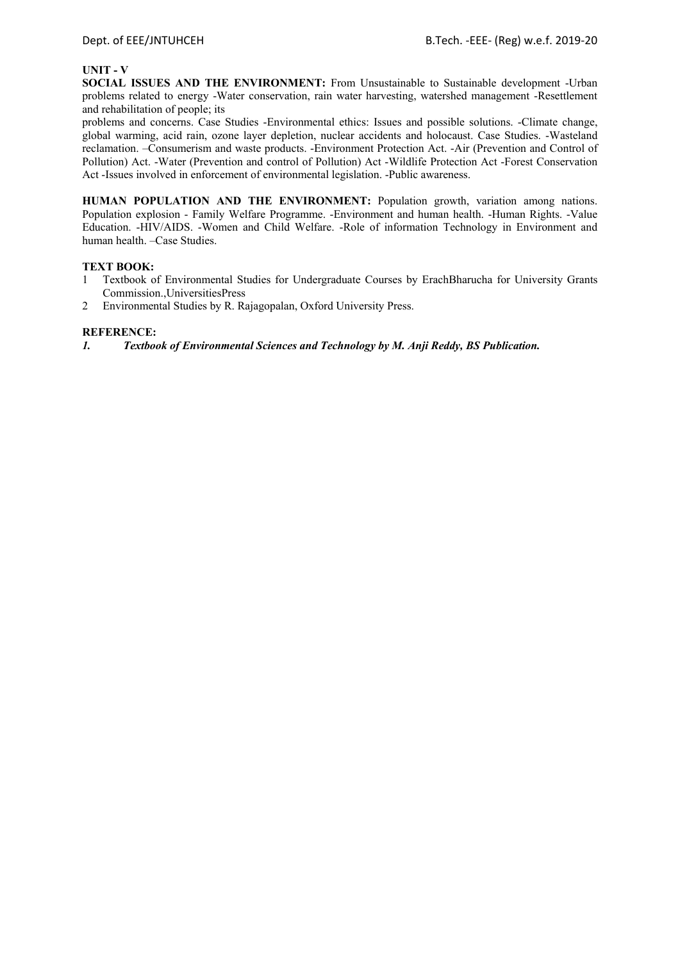## **UNIT - V**

**SOCIAL ISSUES AND THE ENVIRONMENT:** From Unsustainable to Sustainable development -Urban problems related to energy -Water conservation, rain water harvesting, watershed management -Resettlement and rehabilitation of people; its

problems and concerns. Case Studies -Environmental ethics: Issues and possible solutions. -Climate change, global warming, acid rain, ozone layer depletion, nuclear accidents and holocaust. Case Studies. -Wasteland reclamation. –Consumerism and waste products. -Environment Protection Act. -Air (Prevention and Control of Pollution) Act. -Water (Prevention and control of Pollution) Act -Wildlife Protection Act -Forest Conservation Act -Issues involved in enforcement of environmental legislation. -Public awareness.

**HUMAN POPULATION AND THE ENVIRONMENT:** Population growth, variation among nations. Population explosion - Family Welfare Programme. -Environment and human health. -Human Rights. -Value Education. -HIV/AIDS. -Women and Child Welfare. -Role of information Technology in Environment and human health. –Case Studies.

## **TEXT BOOK:**

- 1 Textbook of Environmental Studies for Undergraduate Courses by ErachBharucha for University Grants Commission.,UniversitiesPress
- 2 Environmental Studies by R. Rajagopalan, Oxford University Press.

## **REFERENCE:**

*1. Textbook of Environmental Sciences and Technology by M. Anji Reddy, BS Publication.*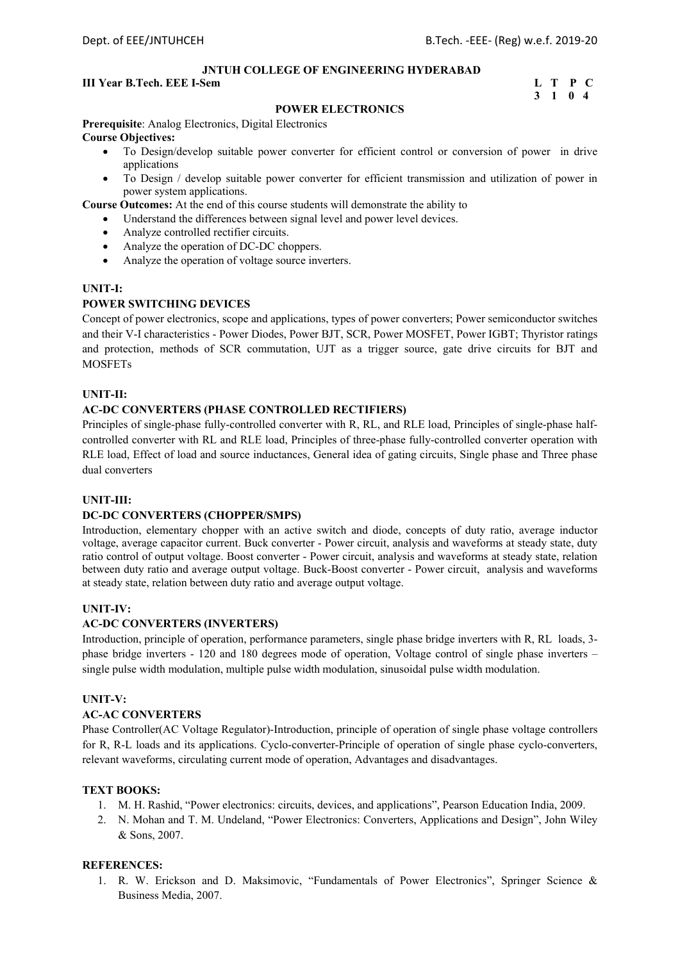## **III Year B.Tech. EEE I-Sem L** T P C

## **3 1 0 4**

## **POWER ELECTRONICS**

**Prerequisite**: Analog Electronics, Digital Electronics **Course Objectives:** 

- To Design/develop suitable power converter for efficient control or conversion of power in drive applications
- To Design / develop suitable power converter for efficient transmission and utilization of power in power system applications.

**Course Outcomes:** At the end of this course students will demonstrate the ability to

- Understand the differences between signal level and power level devices.
- Analyze controlled rectifier circuits.
- Analyze the operation of DC-DC choppers.
- Analyze the operation of voltage source inverters.

### **UNIT-I:**

## **POWER SWITCHING DEVICES**

Concept of power electronics, scope and applications, types of power converters; Power semiconductor switches and their V-I characteristics - Power Diodes, Power BJT, SCR, Power MOSFET, Power IGBT; Thyristor ratings and protection, methods of SCR commutation, UJT as a trigger source, gate drive circuits for BJT and MOSFETs

## **UNIT-II:**

## **AC-DC CONVERTERS (PHASE CONTROLLED RECTIFIERS)**

Principles of single-phase fully-controlled converter with R, RL, and RLE load, Principles of single-phase halfcontrolled converter with RL and RLE load, Principles of three-phase fully-controlled converter operation with RLE load, Effect of load and source inductances, General idea of gating circuits, Single phase and Three phase dual converters

## **UNIT-III:**

### **DC-DC CONVERTERS (CHOPPER/SMPS)**

Introduction, elementary chopper with an active switch and diode, concepts of duty ratio, average inductor voltage, average capacitor current. Buck converter - Power circuit, analysis and waveforms at steady state, duty ratio control of output voltage. Boost converter - Power circuit, analysis and waveforms at steady state, relation between duty ratio and average output voltage. Buck-Boost converter - Power circuit, analysis and waveforms at steady state, relation between duty ratio and average output voltage.

### **UNIT-IV:**

### **AC-DC CONVERTERS (INVERTERS)**

Introduction, principle of operation, performance parameters, single phase bridge inverters with R, RL loads, 3 phase bridge inverters - 120 and 180 degrees mode of operation, Voltage control of single phase inverters – single pulse width modulation, multiple pulse width modulation, sinusoidal pulse width modulation.

## **UNIT-V:**

### **AC-AC CONVERTERS**

Phase Controller(AC Voltage Regulator)-Introduction, principle of operation of single phase voltage controllers for R, R-L loads and its applications. Cyclo-converter-Principle of operation of single phase cyclo-converters, relevant waveforms, circulating current mode of operation, Advantages and disadvantages.

## **TEXT BOOKS:**

- 1. M. H. Rashid, "Power electronics: circuits, devices, and applications", Pearson Education India, 2009.
- 2. N. Mohan and T. M. Undeland, "Power Electronics: Converters, Applications and Design", John Wiley & Sons, 2007.

### **REFERENCES:**

1. R. W. Erickson and D. Maksimovic, "Fundamentals of Power Electronics", Springer Science & Business Media, 2007.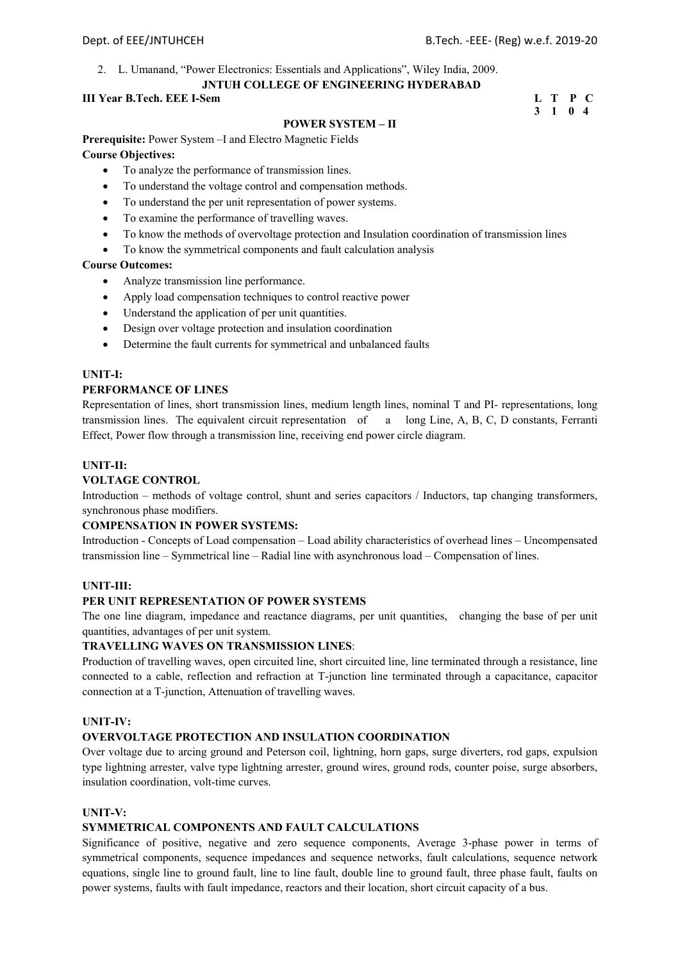2. L. Umanand, "Power Electronics: Essentials and Applications", Wiley India, 2009.

## **JNTUH COLLEGE OF ENGINEERING HYDERABAD**

## **III Year B.Tech. EEE I-Sem**

| III Year B.Tech. EEE I-Sem | L T P C |         |  |
|----------------------------|---------|---------|--|
|                            |         | 3 1 0 4 |  |

## **POWER SYSTEM – II**

**Prerequisite:** Power System –I and Electro Magnetic Fields **Course Objectives:** 

- To analyze the performance of transmission lines.
- To understand the voltage control and compensation methods.
- To understand the per unit representation of power systems.
- To examine the performance of travelling waves.
- To know the methods of overvoltage protection and Insulation coordination of transmission lines
- To know the symmetrical components and fault calculation analysis

## **Course Outcomes:**

- Analyze transmission line performance.
- Apply load compensation techniques to control reactive power
- Understand the application of per unit quantities.
- Design over voltage protection and insulation coordination
- Determine the fault currents for symmetrical and unbalanced faults

## **UNIT-I:**

## **PERFORMANCE OF LINES**

Representation of lines, short transmission lines, medium length lines, nominal T and PI- representations, long transmission lines. The equivalent circuit representation of a long Line, A, B, C, D constants, Ferranti Effect, Power flow through a transmission line, receiving end power circle diagram.

## **UNIT-II:**

## **VOLTAGE CONTROL**

Introduction – methods of voltage control, shunt and series capacitors / Inductors, tap changing transformers, synchronous phase modifiers.

## **COMPENSATION IN POWER SYSTEMS:**

Introduction - Concepts of Load compensation – Load ability characteristics of overhead lines – Uncompensated transmission line – Symmetrical line – Radial line with asynchronous load – Compensation of lines.

## **UNIT-III:**

## **PER UNIT REPRESENTATION OF POWER SYSTEMS**

The one line diagram, impedance and reactance diagrams, per unit quantities, changing the base of per unit quantities, advantages of per unit system.

## **TRAVELLING WAVES ON TRANSMISSION LINES**:

Production of travelling waves, open circuited line, short circuited line, line terminated through a resistance, line connected to a cable, reflection and refraction at T-junction line terminated through a capacitance, capacitor connection at a T-junction, Attenuation of travelling waves.

## **UNIT-IV:**

## **OVERVOLTAGE PROTECTION AND INSULATION COORDINATION**

Over voltage due to arcing ground and Peterson coil, lightning, horn gaps, surge diverters, rod gaps, expulsion type lightning arrester, valve type lightning arrester, ground wires, ground rods, counter poise, surge absorbers, insulation coordination, volt-time curves.

## **UNIT-V:**

## **SYMMETRICAL COMPONENTS AND FAULT CALCULATIONS**

Significance of positive, negative and zero sequence components, Average 3-phase power in terms of symmetrical components, sequence impedances and sequence networks, fault calculations, sequence network equations, single line to ground fault, line to line fault, double line to ground fault, three phase fault, faults on power systems, faults with fault impedance, reactors and their location, short circuit capacity of a bus.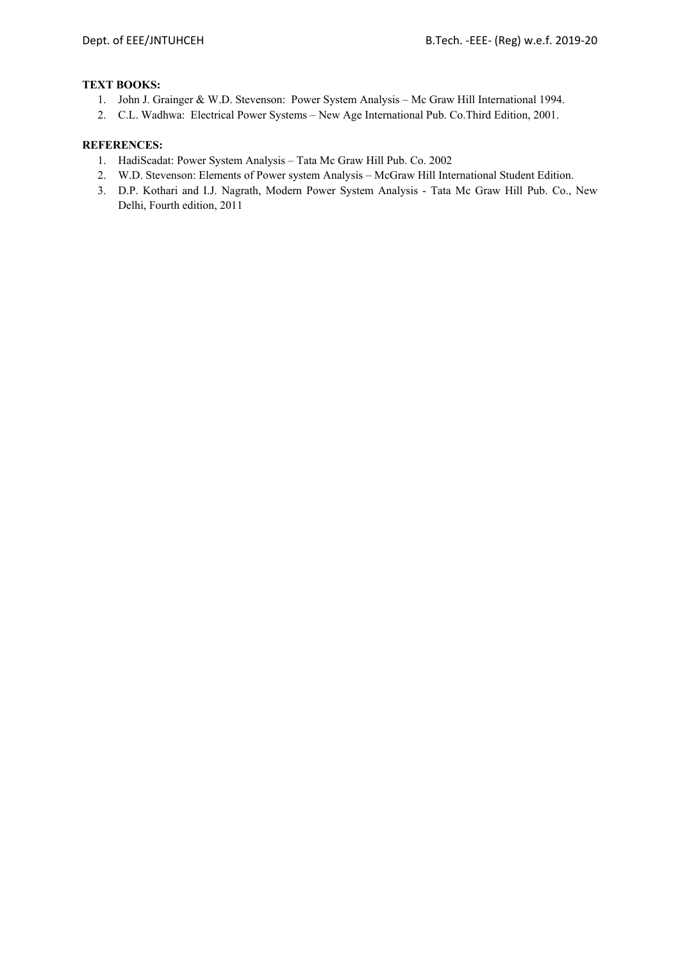## **TEXT BOOKS:**

- 1. John J. Grainger & W.D. Stevenson: Power System Analysis Mc Graw Hill International 1994.
- 2. C.L. Wadhwa: Electrical Power Systems New Age International Pub. Co.Third Edition, 2001.

- 1. HadiScadat: Power System Analysis Tata Mc Graw Hill Pub. Co. 2002
- 2. W.D. Stevenson: Elements of Power system Analysis McGraw Hill International Student Edition.
- 3. D.P. Kothari and I.J. Nagrath, Modern Power System Analysis Tata Mc Graw Hill Pub. Co., New Delhi, Fourth edition, 2011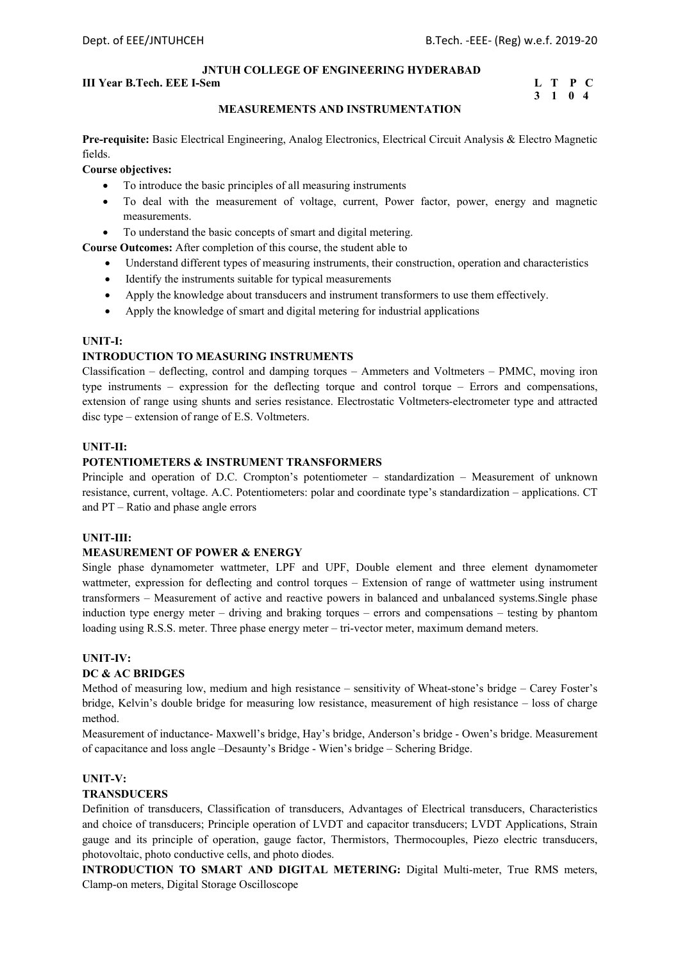## **III Year B.Tech. EEE I-Sem L** T P C

# **3 1 0 4**

## **MEASUREMENTS AND INSTRUMENTATION**

**Pre-requisite:** Basic Electrical Engineering, Analog Electronics, Electrical Circuit Analysis & Electro Magnetic fields.

**Course objectives:** 

- To introduce the basic principles of all measuring instruments
- To deal with the measurement of voltage, current, Power factor, power, energy and magnetic measurements.
- To understand the basic concepts of smart and digital metering.

**Course Outcomes:** After completion of this course, the student able to

- Understand different types of measuring instruments, their construction, operation and characteristics
- Identify the instruments suitable for typical measurements
- Apply the knowledge about transducers and instrument transformers to use them effectively.
- Apply the knowledge of smart and digital metering for industrial applications

## **UNIT-I:**

## **INTRODUCTION TO MEASURING INSTRUMENTS**

Classification – deflecting, control and damping torques – Ammeters and Voltmeters – PMMC, moving iron type instruments – expression for the deflecting torque and control torque – Errors and compensations, extension of range using shunts and series resistance. Electrostatic Voltmeters-electrometer type and attracted disc type – extension of range of E.S. Voltmeters.

## **UNIT-II:**

## **POTENTIOMETERS & INSTRUMENT TRANSFORMERS**

Principle and operation of D.C. Crompton's potentiometer – standardization – Measurement of unknown resistance, current, voltage. A.C. Potentiometers: polar and coordinate type's standardization – applications. CT and PT – Ratio and phase angle errors

### **UNIT-III:**

## **MEASUREMENT OF POWER & ENERGY**

Single phase dynamometer wattmeter, LPF and UPF, Double element and three element dynamometer wattmeter, expression for deflecting and control torques – Extension of range of wattmeter using instrument transformers – Measurement of active and reactive powers in balanced and unbalanced systems.Single phase induction type energy meter – driving and braking torques – errors and compensations – testing by phantom loading using R.S.S. meter. Three phase energy meter – tri-vector meter, maximum demand meters.

## **UNIT-IV:**

## **DC & AC BRIDGES**

Method of measuring low, medium and high resistance – sensitivity of Wheat-stone's bridge – Carey Foster's bridge, Kelvin's double bridge for measuring low resistance, measurement of high resistance – loss of charge method.

Measurement of inductance- Maxwell's bridge, Hay's bridge, Anderson's bridge - Owen's bridge. Measurement of capacitance and loss angle –Desaunty's Bridge - Wien's bridge – Schering Bridge.

## **UNIT-V:**

## **TRANSDUCERS**

Definition of transducers, Classification of transducers, Advantages of Electrical transducers, Characteristics and choice of transducers; Principle operation of LVDT and capacitor transducers; LVDT Applications, Strain gauge and its principle of operation, gauge factor, Thermistors, Thermocouples, Piezo electric transducers, photovoltaic, photo conductive cells, and photo diodes.

**INTRODUCTION TO SMART AND DIGITAL METERING:** Digital Multi-meter, True RMS meters, Clamp-on meters, Digital Storage Oscilloscope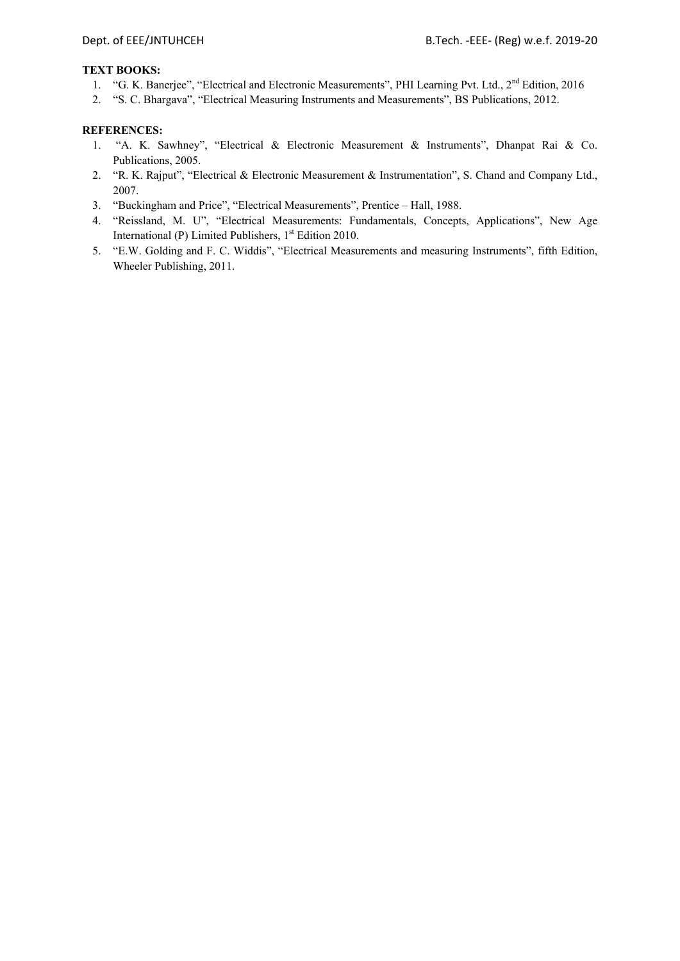## **TEXT BOOKS:**

- 1. "G. K. Banerjee", "Electrical and Electronic Measurements", PHI Learning Pvt. Ltd., 2<sup>nd</sup> Edition, 2016
- 2. "S. C. Bhargava", "Electrical Measuring Instruments and Measurements", BS Publications, 2012.

- 1. "A. K. Sawhney", "Electrical & Electronic Measurement & Instruments", Dhanpat Rai & Co. Publications, 2005.
- 2. "R. K. Rajput", "Electrical & Electronic Measurement & Instrumentation", S. Chand and Company Ltd., 2007.
- 3. "Buckingham and Price", "Electrical Measurements", Prentice Hall, 1988.
- 4. "Reissland, M. U", "Electrical Measurements: Fundamentals, Concepts, Applications", New Age International (P) Limited Publishers,  $1<sup>st</sup>$  Edition 2010.
- 5. "E.W. Golding and F. C. Widdis", "Electrical Measurements and measuring Instruments", fifth Edition, Wheeler Publishing, 2011.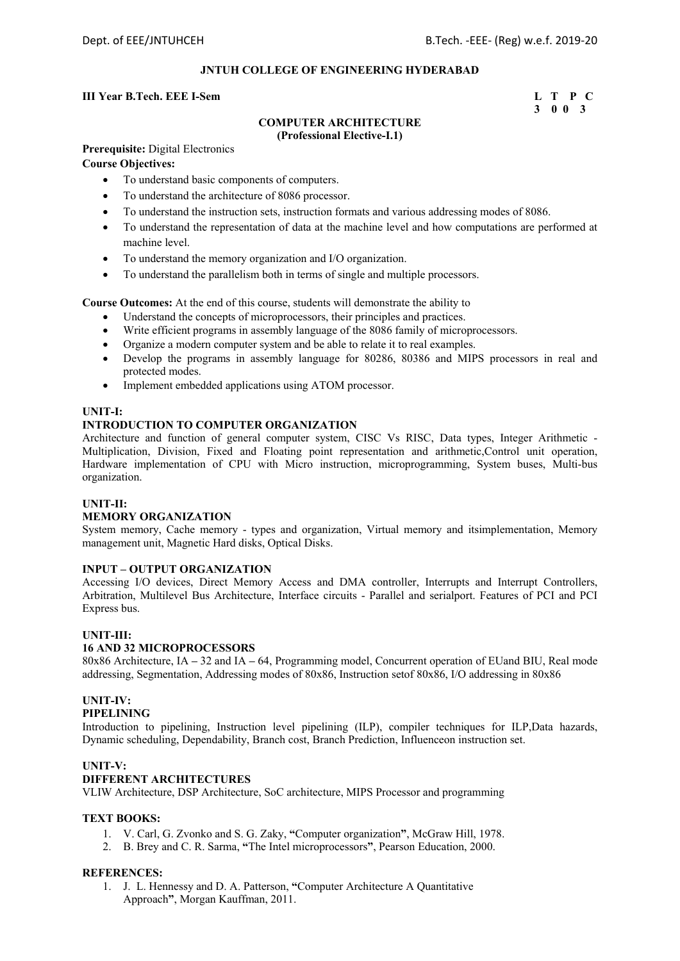## **III Year B.Tech. EEE I-Sem L** T P C

## **3 0 0 3**

## **COMPUTER ARCHITECTURE (Professional Elective-I.1)**

**Prerequisite:** Digital Electronics

## **Course Objectives:**

- To understand basic components of computers.
- To understand the architecture of 8086 processor.
- To understand the instruction sets, instruction formats and various addressing modes of 8086.
- To understand the representation of data at the machine level and how computations are performed at machine level.
- To understand the memory organization and I/O organization.
- To understand the parallelism both in terms of single and multiple processors.

**Course Outcomes:** At the end of this course, students will demonstrate the ability to

- Understand the concepts of microprocessors, their principles and practices.
- Write efficient programs in assembly language of the 8086 family of microprocessors.
- Organize a modern computer system and be able to relate it to real examples.
- Develop the programs in assembly language for 80286, 80386 and MIPS processors in real and protected modes.
- Implement embedded applications using ATOM processor.

## **UNIT-I:**

## **INTRODUCTION TO COMPUTER ORGANIZATION**

Architecture and function of general computer system, CISC Vs RISC, Data types, Integer Arithmetic - Multiplication, Division, Fixed and Floating point representation and arithmetic,Control unit operation, Hardware implementation of CPU with Micro instruction, microprogramming, System buses, Multi-bus organization.

## **UNIT-II:**

## **MEMORY ORGANIZATION**

System memory, Cache memory - types and organization, Virtual memory and itsimplementation, Memory management unit, Magnetic Hard disks, Optical Disks.

### **INPUT – OUTPUT ORGANIZATION**

Accessing I/O devices, Direct Memory Access and DMA controller, Interrupts and Interrupt Controllers, Arbitration, Multilevel Bus Architecture, Interface circuits - Parallel and serialport. Features of PCI and PCI Express bus.

## **UNIT-III:**

## **16 AND 32 MICROPROCESSORS**

80x86 Architecture, IA **–** 32 and IA **–** 64, Programming model, Concurrent operation of EUand BIU, Real mode addressing, Segmentation, Addressing modes of 80x86, Instruction setof 80x86, I/O addressing in 80x86

## **UNIT-IV:**

## **PIPELINING**

Introduction to pipelining, Instruction level pipelining (ILP), compiler techniques for ILP,Data hazards, Dynamic scheduling, Dependability, Branch cost, Branch Prediction, Influenceon instruction set.

## **UNIT-V:**

## **DIFFERENT ARCHITECTURES**

VLIW Architecture, DSP Architecture, SoC architecture, MIPS Processor and programming

## **TEXT BOOKS:**

- 1. V. Carl, G. Zvonko and S. G. Zaky, **"**Computer organization**"**, McGraw Hill, 1978.
- 2. B. Brey and C. R. Sarma, **"**The Intel microprocessors**"**, Pearson Education, 2000.

### **REFERENCES:**

1. J. L. Hennessy and D. A. Patterson, **"**Computer Architecture A Quantitative Approach**"**, Morgan Kauffman, 2011.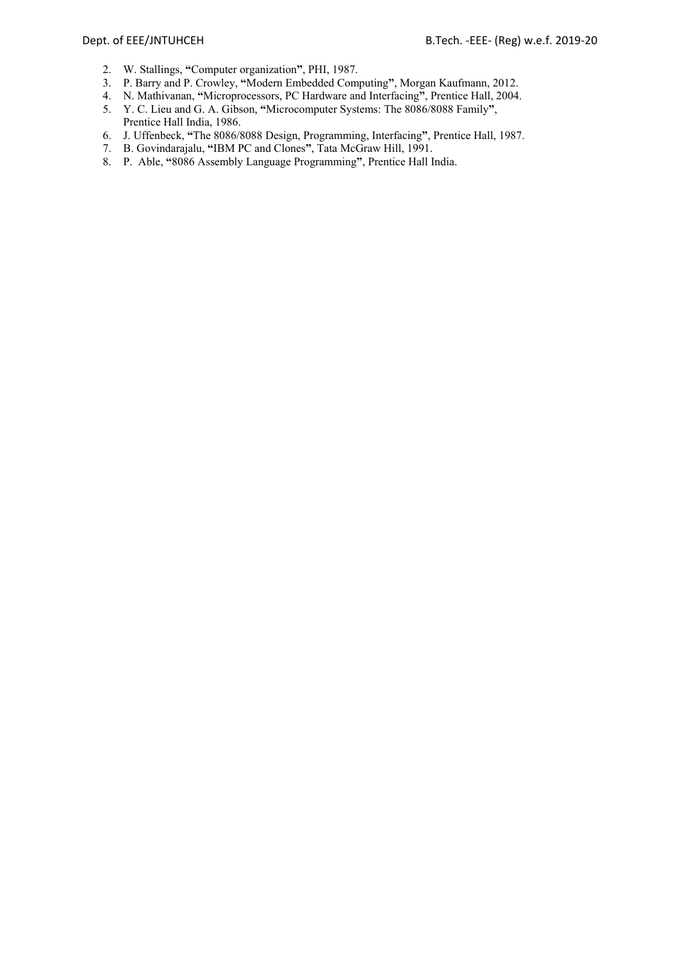- 2. W. Stallings, **"**Computer organization**"**, PHI, 1987.
- 3. P. Barry and P. Crowley, **"**Modern Embedded Computing**"**, Morgan Kaufmann, 2012.
- 4. N. Mathivanan, **"**Microprocessors, PC Hardware and Interfacing**"**, Prentice Hall, 2004.
- 5. Y. C. Lieu and G. A. Gibson, **"**Microcomputer Systems: The 8086/8088 Family**"**, Prentice Hall India, 1986.
- 6. J. Uffenbeck, **"**The 8086/8088 Design, Programming, Interfacing**"**, Prentice Hall, 1987.
- 7. B. Govindarajalu, **"**IBM PC and Clones**"**, Tata McGraw Hill, 1991.
- 8. P. Able, **"**8086 Assembly Language Programming**"**, Prentice Hall India.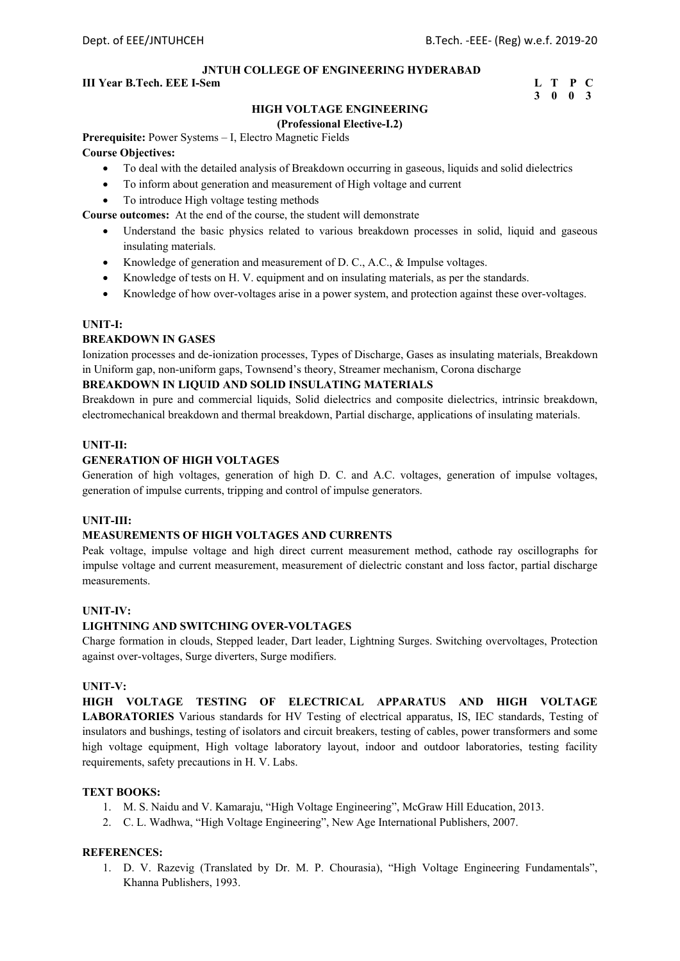## **III Year B.Tech. EEE I-Sem L** T P C

## **3 0 0 3**

## **HIGH VOLTAGE ENGINEERING**

#### **(Professional Elective-I.2)**

**Prerequisite:** Power Systems – I, Electro Magnetic Fields

#### **Course Objectives:**

- To deal with the detailed analysis of Breakdown occurring in gaseous, liquids and solid dielectrics
- To inform about generation and measurement of High voltage and current
- To introduce High voltage testing methods

**Course outcomes:** At the end of the course, the student will demonstrate

- Understand the basic physics related to various breakdown processes in solid, liquid and gaseous insulating materials.
- Knowledge of generation and measurement of D. C., A.C., & Impulse voltages.
- Knowledge of tests on H. V. equipment and on insulating materials, as per the standards.
- Knowledge of how over-voltages arise in a power system, and protection against these over-voltages.

## **UNIT-I:**

### **BREAKDOWN IN GASES**

Ionization processes and de-ionization processes, Types of Discharge, Gases as insulating materials, Breakdown in Uniform gap, non-uniform gaps, Townsend's theory, Streamer mechanism, Corona discharge

## **BREAKDOWN IN LIQUID AND SOLID INSULATING MATERIALS**

Breakdown in pure and commercial liquids, Solid dielectrics and composite dielectrics, intrinsic breakdown, electromechanical breakdown and thermal breakdown, Partial discharge, applications of insulating materials.

## **UNIT-II:**

## **GENERATION OF HIGH VOLTAGES**

Generation of high voltages, generation of high D. C. and A.C. voltages, generation of impulse voltages, generation of impulse currents, tripping and control of impulse generators.

## **UNIT-III:**

## **MEASUREMENTS OF HIGH VOLTAGES AND CURRENTS**

Peak voltage, impulse voltage and high direct current measurement method, cathode ray oscillographs for impulse voltage and current measurement, measurement of dielectric constant and loss factor, partial discharge measurements.

### **UNIT-IV:**

## **LIGHTNING AND SWITCHING OVER-VOLTAGES**

Charge formation in clouds, Stepped leader, Dart leader, Lightning Surges. Switching overvoltages, Protection against over-voltages, Surge diverters, Surge modifiers.

## **UNIT-V:**

**HIGH VOLTAGE TESTING OF ELECTRICAL APPARATUS AND HIGH VOLTAGE LABORATORIES** Various standards for HV Testing of electrical apparatus, IS, IEC standards, Testing of insulators and bushings, testing of isolators and circuit breakers, testing of cables, power transformers and some high voltage equipment, High voltage laboratory layout, indoor and outdoor laboratories, testing facility requirements, safety precautions in H. V. Labs.

## **TEXT BOOKS:**

- 1. M. S. Naidu and V. Kamaraju, "High Voltage Engineering", McGraw Hill Education, 2013.
- 2. C. L. Wadhwa, "High Voltage Engineering", New Age International Publishers, 2007.

### **REFERENCES:**

1. D. V. Razevig (Translated by Dr. M. P. Chourasia), "High Voltage Engineering Fundamentals", Khanna Publishers, 1993.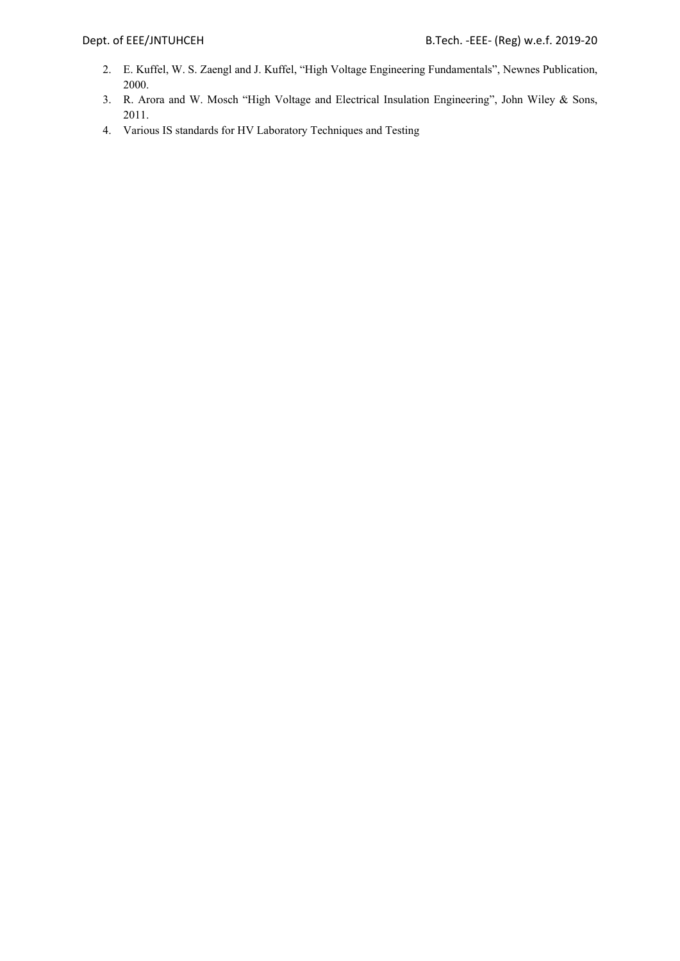- 2. E. Kuffel, W. S. Zaengl and J. Kuffel, "High Voltage Engineering Fundamentals", Newnes Publication, 2000.
- 3. R. Arora and W. Mosch "High Voltage and Electrical Insulation Engineering", John Wiley & Sons, 2011.
- 4. Various IS standards for HV Laboratory Techniques and Testing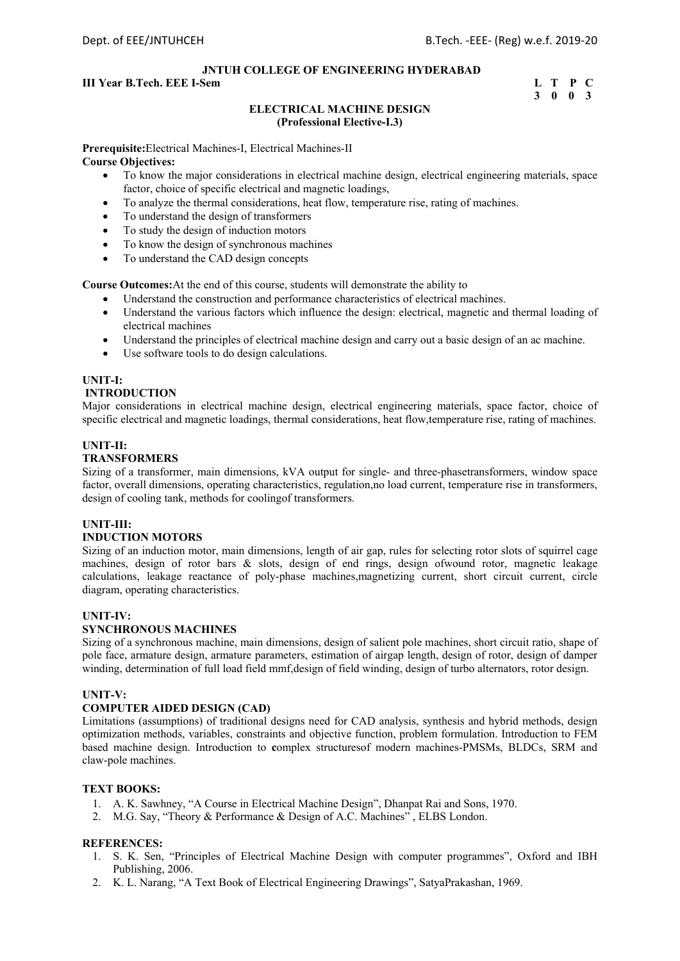## **III Year B.Tech. EEE I-Sem L** T P C

## **3 0 0 3**

## **ELECTRICAL MACHINE DESIGN (Professional Elective-I.3)**

**Prerequisite:**Electrical Machines-I, Electrical Machines-II **Course Objectives:** 

- To know the major considerations in electrical machine design, electrical engineering materials, space factor, choice of specific electrical and magnetic loadings,
- To analyze the thermal considerations, heat flow, temperature rise, rating of machines.
- To understand the design of transformers
- To study the design of induction motors
- To know the design of synchronous machines
- To understand the CAD design concepts

**Course Outcomes:**At the end of this course, students will demonstrate the ability to

- Understand the construction and performance characteristics of electrical machines.
- Understand the various factors which influence the design: electrical, magnetic and thermal loading of electrical machines
- Understand the principles of electrical machine design and carry out a basic design of an ac machine.
- Use software tools to do design calculations.

## **UNIT-I:**

## **INTRODUCTION**

Major considerations in electrical machine design, electrical engineering materials, space factor, choice of specific electrical and magnetic loadings, thermal considerations, heat flow,temperature rise, rating of machines.

### **UNIT-II:**

## **TRANSFORMERS**

Sizing of a transformer, main dimensions, kVA output for single- and three-phasetransformers, window space factor, overall dimensions, operating characteristics, regulation,no load current, temperature rise in transformers, design of cooling tank, methods for coolingof transformers.

## **UNIT-III:**

## **INDUCTION MOTORS**

Sizing of an induction motor, main dimensions, length of air gap, rules for selecting rotor slots of squirrel cage machines, design of rotor bars & slots, design of end rings, design ofwound rotor, magnetic leakage calculations, leakage reactance of poly-phase machines,magnetizing current, short circuit current, circle diagram, operating characteristics.

### **UNIT-IV:**

## **SYNCHRONOUS MACHINES**

Sizing of a synchronous machine, main dimensions, design of salient pole machines, short circuit ratio, shape of pole face, armature design, armature parameters, estimation of airgap length, design of rotor, design of damper winding, determination of full load field mmf,design of field winding, design of turbo alternators, rotor design.

### **UNIT-V:**

## **COMPUTER AIDED DESIGN (CAD)**

Limitations (assumptions) of traditional designs need for CAD analysis, synthesis and hybrid methods, design optimization methods, variables, constraints and objective function, problem formulation. Introduction to FEM based machine design. Introduction to **c**omplex structuresof modern machines-PMSMs, BLDCs, SRM and claw-pole machines.

## **TEXT BOOKS:**

- 1. A. K. Sawhney, "A Course in Electrical Machine Design", Dhanpat Rai and Sons, 1970.
- 2. M.G. Say, "Theory & Performance & Design of A.C. Machines" , ELBS London.

- 1. S. K. Sen, "Principles of Electrical Machine Design with computer programmes", Oxford and IBH Publishing, 2006.
- 2. K. L. Narang, "A Text Book of Electrical Engineering Drawings", SatyaPrakashan, 1969.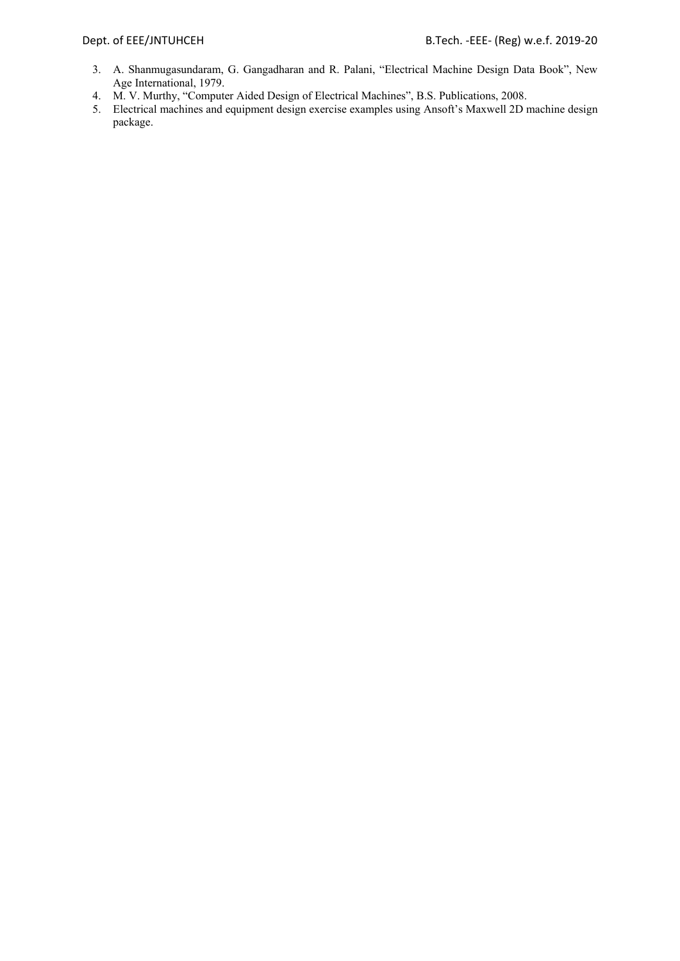- 3. A. Shanmugasundaram, G. Gangadharan and R. Palani, "Electrical Machine Design Data Book", New Age International, 1979.
- 4. M. V. Murthy, "Computer Aided Design of Electrical Machines", B.S. Publications, 2008.
- 5. Electrical machines and equipment design exercise examples using Ansoft's Maxwell 2D machine design package.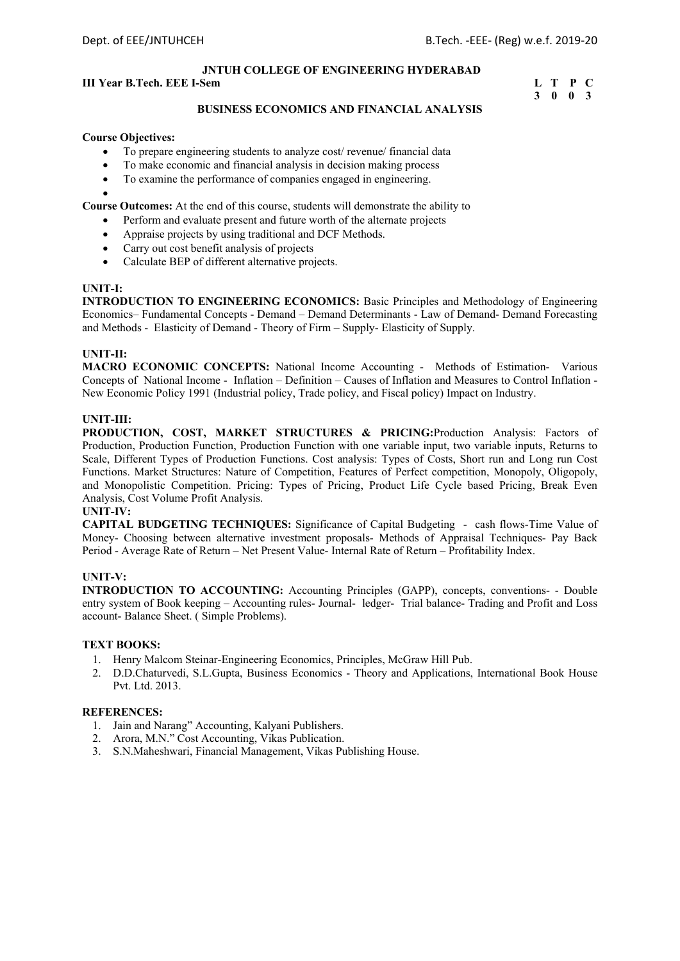## **III Year B.Tech. EEE I-Sem L** T P C

# **3 0 0 3**

## **BUSINESS ECONOMICS AND FINANCIAL ANALYSIS**

#### **Course Objectives:**

- To prepare engineering students to analyze cost/ revenue/ financial data
- To make economic and financial analysis in decision making process
- To examine the performance of companies engaged in engineering.

**Course Outcomes:** At the end of this course, students will demonstrate the ability to

- Perform and evaluate present and future worth of the alternate projects
- Appraise projects by using traditional and DCF Methods.
- Carry out cost benefit analysis of projects
- Calculate BEP of different alternative projects.

#### **UNIT-I:**

 $\bullet$ 

**INTRODUCTION TO ENGINEERING ECONOMICS:** Basic Principles and Methodology of Engineering Economics– Fundamental Concepts - Demand – Demand Determinants - Law of Demand- Demand Forecasting and Methods - Elasticity of Demand - Theory of Firm – Supply- Elasticity of Supply.

### **UNIT-II:**

**MACRO ECONOMIC CONCEPTS:** National Income Accounting - Methods of Estimation- Various Concepts of National Income - Inflation – Definition – Causes of Inflation and Measures to Control Inflation - New Economic Policy 1991 (Industrial policy, Trade policy, and Fiscal policy) Impact on Industry.

### **UNIT-III:**

**PRODUCTION, COST, MARKET STRUCTURES & PRICING:**Production Analysis: Factors of Production, Production Function, Production Function with one variable input, two variable inputs, Returns to Scale, Different Types of Production Functions. Cost analysis: Types of Costs, Short run and Long run Cost Functions. Market Structures: Nature of Competition, Features of Perfect competition, Monopoly, Oligopoly, and Monopolistic Competition. Pricing: Types of Pricing, Product Life Cycle based Pricing, Break Even Analysis, Cost Volume Profit Analysis.

### **UNIT-IV:**

**CAPITAL BUDGETING TECHNIQUES:** Significance of Capital Budgeting - cash flows-Time Value of Money- Choosing between alternative investment proposals- Methods of Appraisal Techniques- Pay Back Period - Average Rate of Return – Net Present Value- Internal Rate of Return – Profitability Index.

### **UNIT-V:**

**INTRODUCTION TO ACCOUNTING:** Accounting Principles (GAPP), concepts, conventions- - Double entry system of Book keeping – Accounting rules- Journal- ledger- Trial balance- Trading and Profit and Loss account- Balance Sheet. ( Simple Problems).

## **TEXT BOOKS:**

- 1. Henry Malcom Steinar-Engineering Economics, Principles, McGraw Hill Pub.
- 2. D.D.Chaturvedi, S.L.Gupta, Business Economics Theory and Applications, International Book House Pvt. Ltd. 2013.

- 1. Jain and Narang" Accounting, Kalyani Publishers.
- 2. Arora, M.N." Cost Accounting, Vikas Publication.
- 3. S.N.Maheshwari, Financial Management, Vikas Publishing House.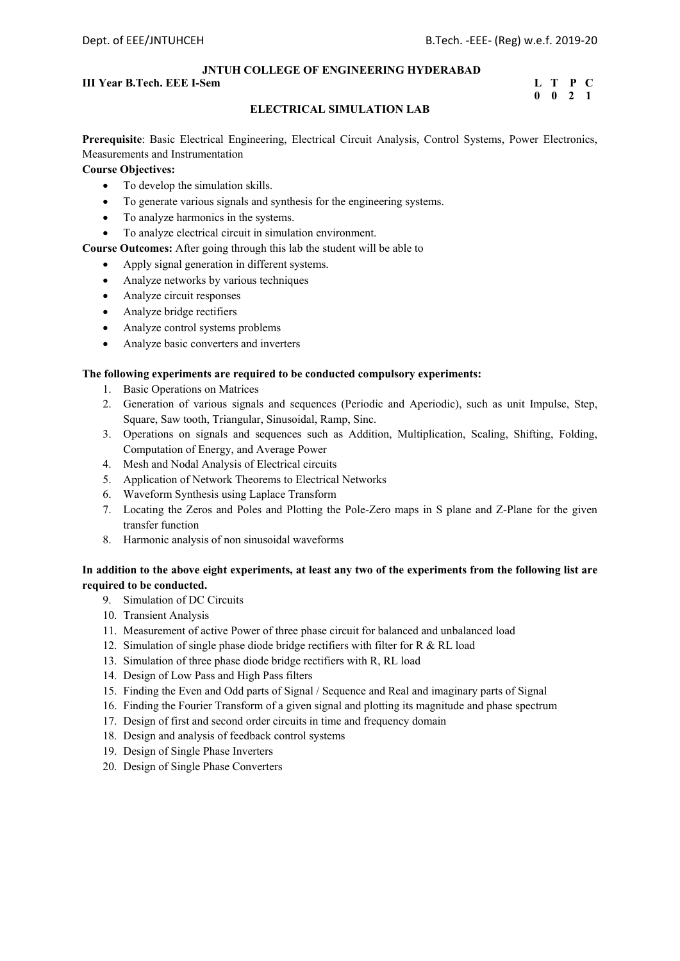## **III Year B.Tech. EEE I-Sem L** T P C

## **0 0 2 1**

## **ELECTRICAL SIMULATION LAB**

**Prerequisite**: Basic Electrical Engineering, Electrical Circuit Analysis, Control Systems, Power Electronics, Measurements and Instrumentation

## **Course Objectives:**

- To develop the simulation skills.
- To generate various signals and synthesis for the engineering systems.
- To analyze harmonics in the systems.
- To analyze electrical circuit in simulation environment.

## **Course Outcomes:** After going through this lab the student will be able to

- Apply signal generation in different systems.
- Analyze networks by various techniques
- Analyze circuit responses
- Analyze bridge rectifiers
- Analyze control systems problems
- Analyze basic converters and inverters

## **The following experiments are required to be conducted compulsory experiments:**

- 1. Basic Operations on Matrices
- 2. Generation of various signals and sequences (Periodic and Aperiodic), such as unit Impulse, Step, Square, Saw tooth, Triangular, Sinusoidal, Ramp, Sinc.
- 3. Operations on signals and sequences such as Addition, Multiplication, Scaling, Shifting, Folding, Computation of Energy, and Average Power
- 4. Mesh and Nodal Analysis of Electrical circuits
- 5. Application of Network Theorems to Electrical Networks
- 6. Waveform Synthesis using Laplace Transform
- 7. Locating the Zeros and Poles and Plotting the Pole-Zero maps in S plane and Z-Plane for the given transfer function
- 8. Harmonic analysis of non sinusoidal waveforms

## **In addition to the above eight experiments, at least any two of the experiments from the following list are required to be conducted.**

- 9. Simulation of DC Circuits
- 10. Transient Analysis
- 11. Measurement of active Power of three phase circuit for balanced and unbalanced load
- 12. Simulation of single phase diode bridge rectifiers with filter for R & RL load
- 13. Simulation of three phase diode bridge rectifiers with R, RL load
- 14. Design of Low Pass and High Pass filters
- 15. Finding the Even and Odd parts of Signal / Sequence and Real and imaginary parts of Signal
- 16. Finding the Fourier Transform of a given signal and plotting its magnitude and phase spectrum
- 17. Design of first and second order circuits in time and frequency domain
- 18. Design and analysis of feedback control systems
- 19. Design of Single Phase Inverters
- 20. Design of Single Phase Converters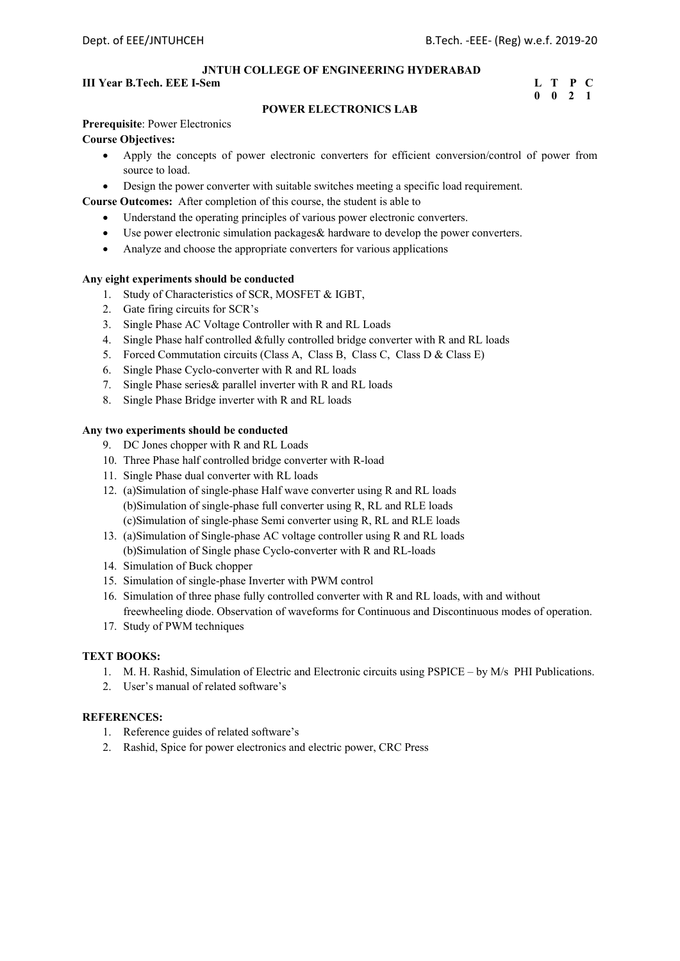## **III Year B.Tech. EEE I-Sem L** T P C **L** T P C **C** 0 0 2 1

## **0 0 2 1**

## **POWER ELECTRONICS LAB**

## **Prerequisite**: Power Electronics

## **Course Objectives:**

- Apply the concepts of power electronic converters for efficient conversion/control of power from source to load.
- Design the power converter with suitable switches meeting a specific load requirement.

**Course Outcomes:** After completion of this course, the student is able to

- Understand the operating principles of various power electronic converters.
- Use power electronic simulation packages& hardware to develop the power converters.
- Analyze and choose the appropriate converters for various applications

## **Any eight experiments should be conducted**

- 1. Study of Characteristics of SCR, MOSFET & IGBT,
- 2. Gate firing circuits for SCR's
- 3. Single Phase AC Voltage Controller with R and RL Loads
- 4. Single Phase half controlled &fully controlled bridge converter with R and RL loads
- 5. Forced Commutation circuits (Class A, Class B, Class C, Class D & Class E)
- 6. Single Phase Cyclo-converter with R and RL loads
- 7. Single Phase series& parallel inverter with R and RL loads
- 8. Single Phase Bridge inverter with R and RL loads

## **Any two experiments should be conducted**

- 9. DC Jones chopper with R and RL Loads
- 10. Three Phase half controlled bridge converter with R-load
- 11. Single Phase dual converter with RL loads
- 12. (a)Simulation of single-phase Half wave converter using R and RL loads (b)Simulation of single-phase full converter using R, RL and RLE loads (c)Simulation of single-phase Semi converter using R, RL and RLE loads
- 13. (a)Simulation of Single-phase AC voltage controller using R and RL loads (b)Simulation of Single phase Cyclo-converter with R and RL-loads
- 14. Simulation of Buck chopper
- 15. Simulation of single-phase Inverter with PWM control
- 16. Simulation of three phase fully controlled converter with R and RL loads, with and without freewheeling diode. Observation of waveforms for Continuous and Discontinuous modes of operation.
- 17. Study of PWM techniques

### **TEXT BOOKS:**

- 1. M. H. Rashid, Simulation of Electric and Electronic circuits using PSPICE by M/s PHI Publications.
- 2. User's manual of related software's

- 1. Reference guides of related software's
- 2. Rashid, Spice for power electronics and electric power, CRC Press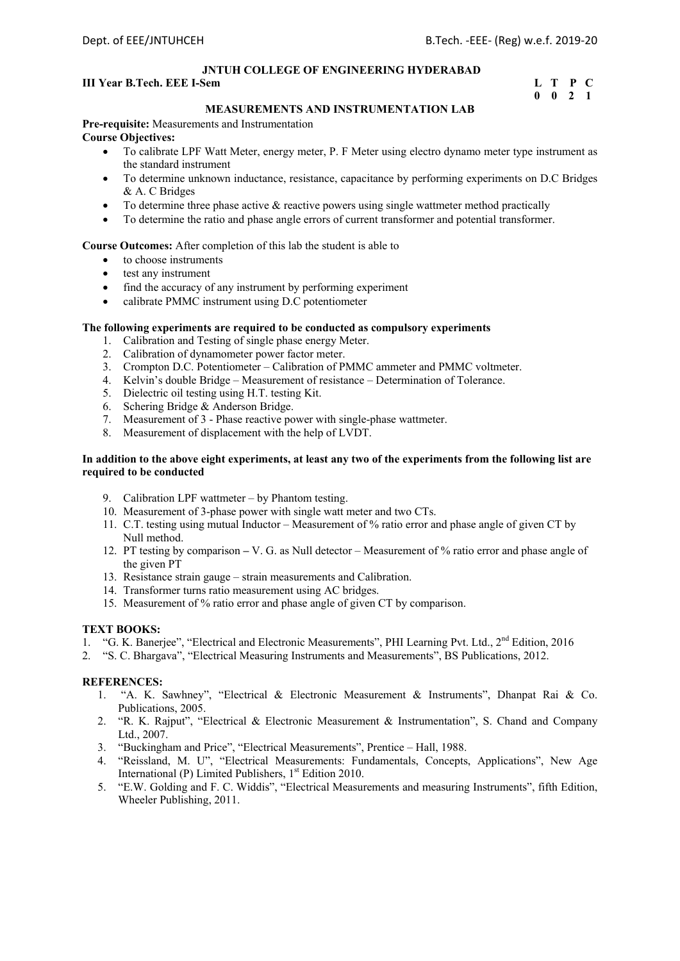## **III Year B.Tech. EEE I-Sem** <br> **I I T P C 0 0 2 1**

## **0 0 2 1**

## **MEASUREMENTS AND INSTRUMENTATION LAB**

**Pre-requisite:** Measurements and Instrumentation **Course Objectives:** 

- To calibrate LPF Watt Meter, energy meter, P. F Meter using electro dynamo meter type instrument as the standard instrument
- To determine unknown inductance, resistance, capacitance by performing experiments on D.C Bridges & A. C Bridges
- To determine three phase active  $\&$  reactive powers using single wattmeter method practically
- To determine the ratio and phase angle errors of current transformer and potential transformer.

## **Course Outcomes:** After completion of this lab the student is able to

- to choose instruments
- test any instrument
- find the accuracy of any instrument by performing experiment
- calibrate PMMC instrument using D.C potentiometer

## **The following experiments are required to be conducted as compulsory experiments**

- 1. Calibration and Testing of single phase energy Meter.
- 2. Calibration of dynamometer power factor meter.
- 3. Crompton D.C. Potentiometer Calibration of PMMC ammeter and PMMC voltmeter.
- 4. Kelvin's double Bridge Measurement of resistance Determination of Tolerance.
- 5. Dielectric oil testing using H.T. testing Kit.
- 6. Schering Bridge & Anderson Bridge.
- 7. Measurement of 3 Phase reactive power with single-phase wattmeter.
- 8. Measurement of displacement with the help of LVDT.

## **In addition to the above eight experiments, at least any two of the experiments from the following list are required to be conducted**

- 9. Calibration LPF wattmeter by Phantom testing.
- 10. Measurement of 3-phase power with single watt meter and two CTs.
- 11. C.T. testing using mutual Inductor Measurement of % ratio error and phase angle of given CT by Null method.
- 12. PT testing by comparison V. G. as Null detector Measurement of % ratio error and phase angle of the given PT
- 13. Resistance strain gauge strain measurements and Calibration.
- 14. Transformer turns ratio measurement using AC bridges.
- 15. Measurement of % ratio error and phase angle of given CT by comparison.

## **TEXT BOOKS:**

- 1. "G. K. Banerjee", "Electrical and Electronic Measurements", PHI Learning Pvt. Ltd., 2<sup>nd</sup> Edition, 2016
- 2. "S. C. Bhargava", "Electrical Measuring Instruments and Measurements", BS Publications, 2012.

- 1. "A. K. Sawhney", "Electrical & Electronic Measurement & Instruments", Dhanpat Rai & Co. Publications, 2005.
- 2. "R. K. Rajput", "Electrical & Electronic Measurement & Instrumentation", S. Chand and Company Ltd., 2007.
- 3. "Buckingham and Price", "Electrical Measurements", Prentice Hall, 1988.
- 4. "Reissland, M. U", "Electrical Measurements: Fundamentals, Concepts, Applications", New Age International (P) Limited Publishers, 1<sup>st</sup> Edition 2010.
- 5. "E.W. Golding and F. C. Widdis", "Electrical Measurements and measuring Instruments", fifth Edition, Wheeler Publishing, 2011.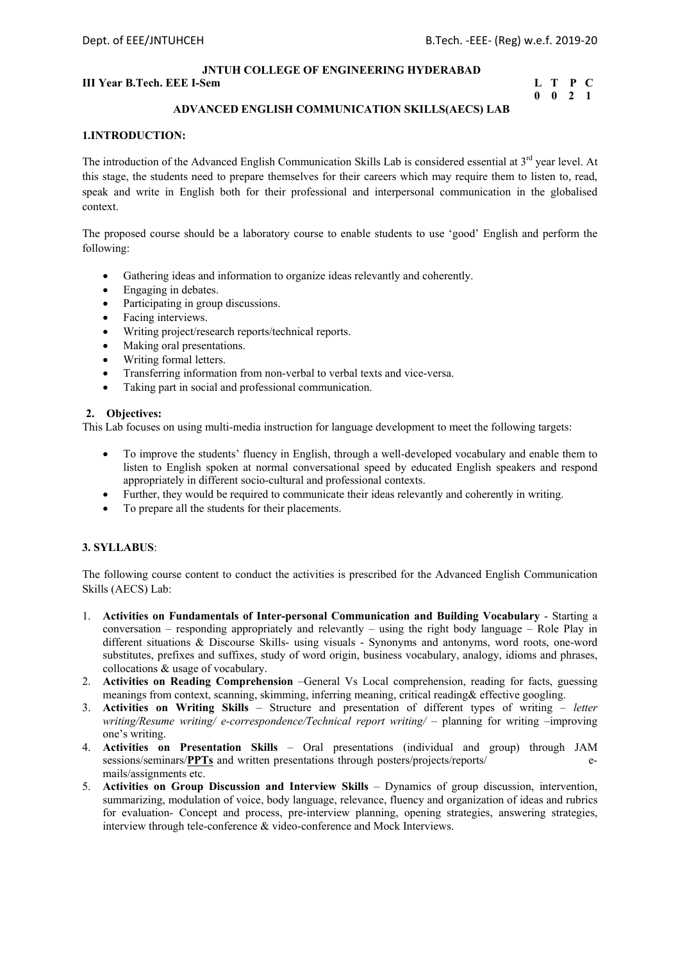## **III Year B.Tech. EEE I-Sem L** T P C

## **0 0 2 1**

## **ADVANCED ENGLISH COMMUNICATION SKILLS(AECS) LAB**

## **1.INTRODUCTION:**

The introduction of the Advanced English Communication Skills Lab is considered essential at 3<sup>rd</sup> year level. At this stage, the students need to prepare themselves for their careers which may require them to listen to, read, speak and write in English both for their professional and interpersonal communication in the globalised context.

The proposed course should be a laboratory course to enable students to use 'good' English and perform the following:

- Gathering ideas and information to organize ideas relevantly and coherently.
- Engaging in debates.
- Participating in group discussions.
- Facing interviews.
- Writing project/research reports/technical reports.
- Making oral presentations.
- Writing formal letters.
- Transferring information from non-verbal to verbal texts and vice-versa.
- Taking part in social and professional communication.

## **2. Objectives:**

This Lab focuses on using multi-media instruction for language development to meet the following targets:

- To improve the students' fluency in English, through a well-developed vocabulary and enable them to listen to English spoken at normal conversational speed by educated English speakers and respond appropriately in different socio-cultural and professional contexts.
- Further, they would be required to communicate their ideas relevantly and coherently in writing.
- To prepare all the students for their placements.

## **3. SYLLABUS**:

The following course content to conduct the activities is prescribed for the Advanced English Communication Skills (AECS) Lab:

- 1. **Activities on Fundamentals of Inter-personal Communication and Building Vocabulary**  Starting a conversation – responding appropriately and relevantly – using the right body language – Role Play in different situations & Discourse Skills- using visuals - Synonyms and antonyms, word roots, one-word substitutes, prefixes and suffixes, study of word origin, business vocabulary, analogy, idioms and phrases, collocations & usage of vocabulary.
- 2. **Activities on Reading Comprehension** –General Vs Local comprehension, reading for facts, guessing meanings from context, scanning, skimming, inferring meaning, critical reading& effective googling.
- 3. **Activities on Writing Skills** Structure and presentation of different types of writing *letter writing/Resume writing/ e-correspondence/Technical report writing/ – planning for writing –improving* one's writing.
- 4. **Activities on Presentation Skills** Oral presentations (individual and group) through JAM sessions/seminars/**PPTs** and written presentations through posters/projects/reports/ mails/assignments etc.
- 5. **Activities on Group Discussion and Interview Skills** Dynamics of group discussion, intervention, summarizing, modulation of voice, body language, relevance, fluency and organization of ideas and rubrics for evaluation- Concept and process, pre-interview planning, opening strategies, answering strategies, interview through tele-conference & video-conference and Mock Interviews.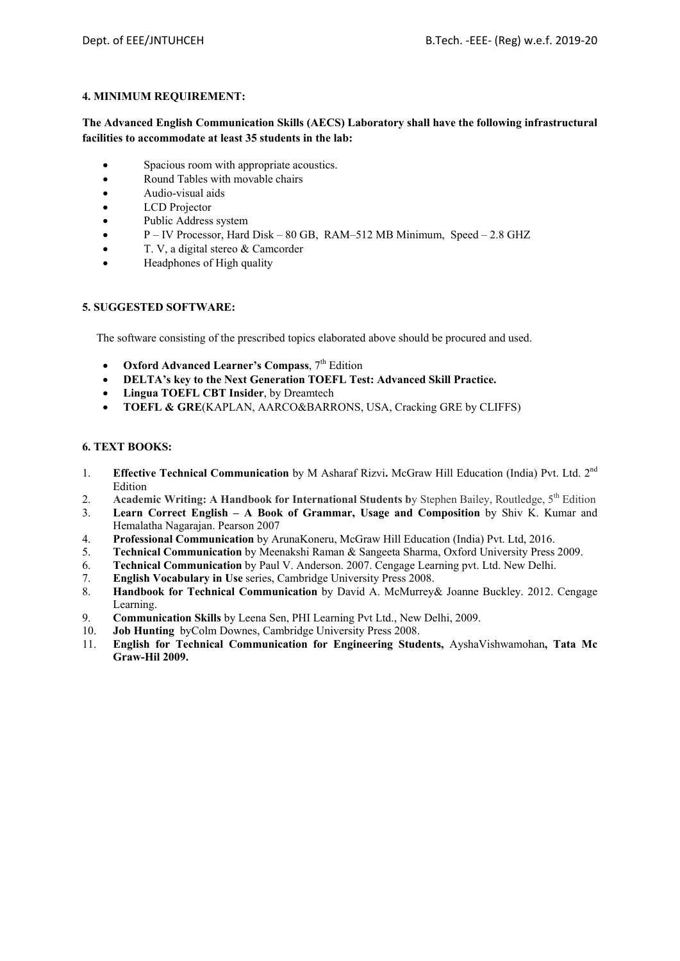## **4. MINIMUM REQUIREMENT:**

## **The Advanced English Communication Skills (AECS) Laboratory shall have the following infrastructural facilities to accommodate at least 35 students in the lab:**

- Spacious room with appropriate acoustics.
- Round Tables with movable chairs
- Audio-visual aids
- LCD Projector
- Public Address system
- P IV Processor, Hard Disk 80 GB, RAM–512 MB Minimum, Speed 2.8 GHZ
- T. V, a digital stereo & Camcorder
- Headphones of High quality

## **5. SUGGESTED SOFTWARE:**

The software consisting of the prescribed topics elaborated above should be procured and used.

- **•** Oxford Advanced Learner's Compass, 7<sup>th</sup> Edition
- **DELTA's key to the Next Generation TOEFL Test: Advanced Skill Practice.**
- **Lingua TOEFL CBT Insider**, by Dreamtech
- **TOEFL & GRE**(KAPLAN, AARCO&BARRONS, USA, Cracking GRE by CLIFFS)

## **6. TEXT BOOKS:**

- 1. **Effective Technical Communication** by M Asharaf Rizvi**.** McGraw Hill Education (India) Pvt. Ltd. 2nd Edition
- 2. **Academic Writing: A Handbook for International Students by Stephen Bailey, Routledge, 5<sup>th</sup> Edition**
- 3. **Learn Correct English A Book of Grammar, Usage and Composition** by Shiv K. Kumar and Hemalatha Nagarajan. Pearson 2007
- 4. **Professional Communication** by ArunaKoneru, McGraw Hill Education (India) Pvt. Ltd, 2016.
- 5. **Technical Communication** by Meenakshi Raman & Sangeeta Sharma, Oxford University Press 2009.
- 6. **Technical Communication** by Paul V. Anderson. 2007. Cengage Learning pvt. Ltd. New Delhi.
- 7. **English Vocabulary in Use** series, Cambridge University Press 2008.
- 8. **Handbook for Technical Communication** by David A. McMurrey& Joanne Buckley. 2012. Cengage Learning.
- 9. **Communication Skills** by Leena Sen, PHI Learning Pvt Ltd., New Delhi, 2009.
- 10. **Job Hunting** byColm Downes, Cambridge University Press 2008.
- 11. **English for Technical Communication for Engineering Students,** AyshaVishwamohan**, Tata Mc Graw-Hil 2009.**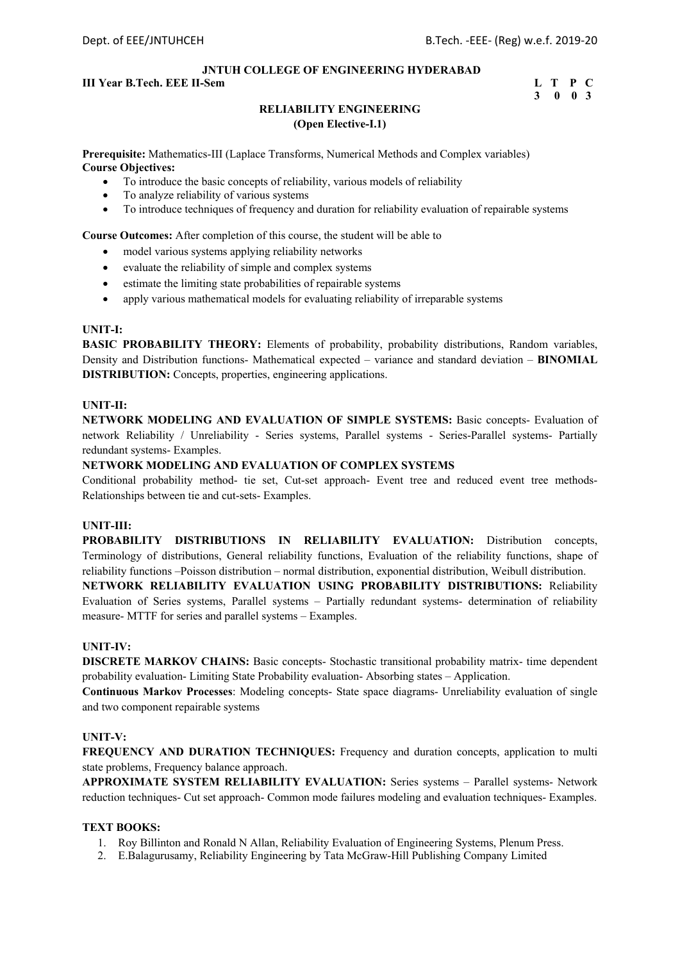## **III Year B.Tech. EEE II-Sem L** T P C

## **3 0 0 3**

## **RELIABILITY ENGINEERING (Open Elective-I.1)**

**Prerequisite:** Mathematics-III (Laplace Transforms, Numerical Methods and Complex variables) **Course Objectives:**

- To introduce the basic concepts of reliability, various models of reliability
- To analyze reliability of various systems
- To introduce techniques of frequency and duration for reliability evaluation of repairable systems

**Course Outcomes:** After completion of this course, the student will be able to

- model various systems applying reliability networks
- evaluate the reliability of simple and complex systems
- estimate the limiting state probabilities of repairable systems
- apply various mathematical models for evaluating reliability of irreparable systems

## **UNIT-I:**

**BASIC PROBABILITY THEORY:** Elements of probability, probability distributions, Random variables, Density and Distribution functions- Mathematical expected – variance and standard deviation – **BINOMIAL DISTRIBUTION:** Concepts, properties, engineering applications.

## **UNIT-II:**

**NETWORK MODELING AND EVALUATION OF SIMPLE SYSTEMS:** Basic concepts- Evaluation of network Reliability / Unreliability - Series systems, Parallel systems - Series-Parallel systems- Partially redundant systems- Examples.

## **NETWORK MODELING AND EVALUATION OF COMPLEX SYSTEMS**

Conditional probability method- tie set, Cut-set approach- Event tree and reduced event tree methods-Relationships between tie and cut-sets- Examples.

## **UNIT-III:**

**PROBABILITY DISTRIBUTIONS IN RELIABILITY EVALUATION:** Distribution concepts, Terminology of distributions, General reliability functions, Evaluation of the reliability functions, shape of reliability functions –Poisson distribution – normal distribution, exponential distribution, Weibull distribution.

**NETWORK RELIABILITY EVALUATION USING PROBABILITY DISTRIBUTIONS:** Reliability Evaluation of Series systems, Parallel systems – Partially redundant systems- determination of reliability measure- MTTF for series and parallel systems – Examples.

### **UNIT-IV:**

**DISCRETE MARKOV CHAINS:** Basic concepts- Stochastic transitional probability matrix- time dependent probability evaluation- Limiting State Probability evaluation- Absorbing states – Application.

**Continuous Markov Processes**: Modeling concepts- State space diagrams- Unreliability evaluation of single and two component repairable systems

## **UNIT-V:**

**FREQUENCY AND DURATION TECHNIQUES:** Frequency and duration concepts, application to multi state problems, Frequency balance approach.

**APPROXIMATE SYSTEM RELIABILITY EVALUATION:** Series systems – Parallel systems- Network reduction techniques- Cut set approach- Common mode failures modeling and evaluation techniques- Examples.

## **TEXT BOOKS:**

- 1. Roy Billinton and Ronald N Allan, Reliability Evaluation of Engineering Systems, Plenum Press.
- 2. E.Balagurusamy, Reliability Engineering by Tata McGraw-Hill Publishing Company Limited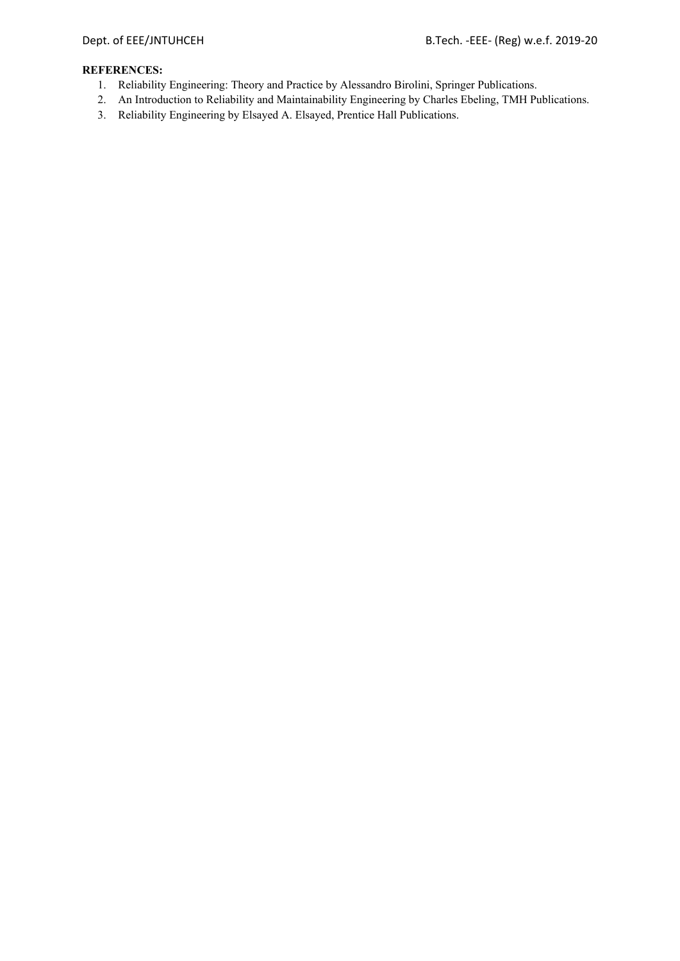- 1. Reliability Engineering: Theory and Practice by Alessandro Birolini, Springer Publications.
- 2. An Introduction to Reliability and Maintainability Engineering by Charles Ebeling, TMH Publications.
- 3. Reliability Engineering by Elsayed A. Elsayed, Prentice Hall Publications.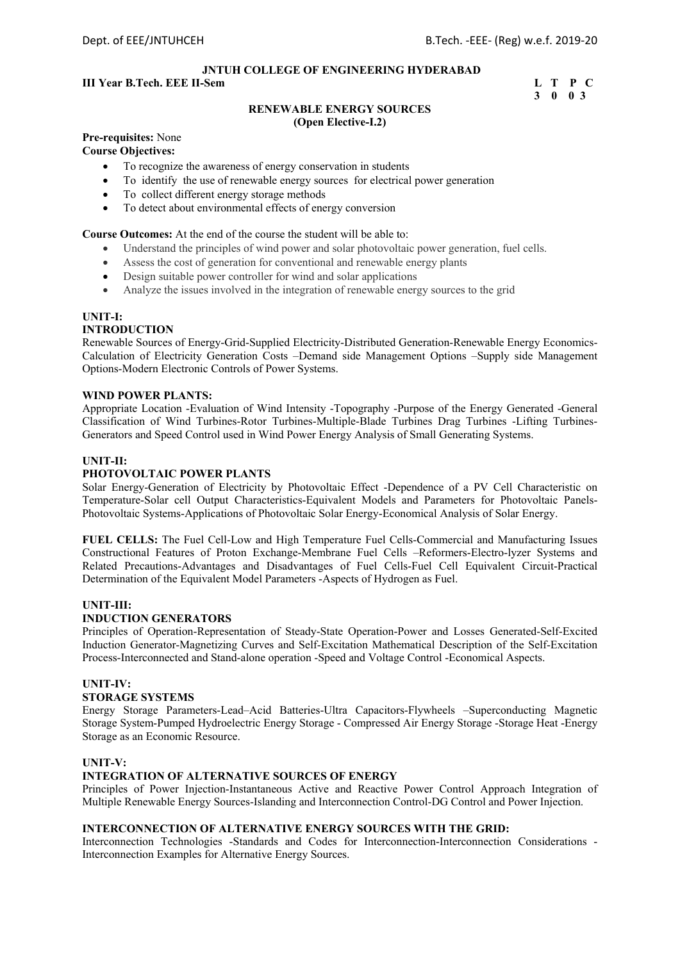## **III Year B.Tech. EEE II-Sem L T P C**

## **3 0 0 3**

#### **RENEWABLE ENERGY SOURCES (Open Elective-I.2)**

## **Pre-requisites:** None

**Course Objectives:** 

- To recognize the awareness of energy conservation in students
- To identify the use of renewable energy sources for electrical power generation
- To collect different energy storage methods
- To detect about environmental effects of energy conversion

#### **Course Outcomes:** At the end of the course the student will be able to:

- Understand the principles of wind power and solar photovoltaic power generation, fuel cells.
- Assess the cost of generation for conventional and renewable energy plants
- Design suitable power controller for wind and solar applications
- Analyze the issues involved in the integration of renewable energy sources to the grid

#### **UNIT-I:**

#### **INTRODUCTION**

Renewable Sources of Energy-Grid-Supplied Electricity-Distributed Generation-Renewable Energy Economics-Calculation of Electricity Generation Costs –Demand side Management Options –Supply side Management Options-Modern Electronic Controls of Power Systems.

#### **WIND POWER PLANTS:**

Appropriate Location -Evaluation of Wind Intensity -Topography -Purpose of the Energy Generated -General Classification of Wind Turbines-Rotor Turbines-Multiple-Blade Turbines Drag Turbines -Lifting Turbines-Generators and Speed Control used in Wind Power Energy Analysis of Small Generating Systems.

#### **UNIT-II:**

#### **PHOTOVOLTAIC POWER PLANTS**

Solar Energy-Generation of Electricity by Photovoltaic Effect -Dependence of a PV Cell Characteristic on Temperature-Solar cell Output Characteristics-Equivalent Models and Parameters for Photovoltaic Panels-Photovoltaic Systems-Applications of Photovoltaic Solar Energy-Economical Analysis of Solar Energy.

**FUEL CELLS:** The Fuel Cell-Low and High Temperature Fuel Cells-Commercial and Manufacturing Issues Constructional Features of Proton Exchange-Membrane Fuel Cells –Reformers-Electro-lyzer Systems and Related Precautions-Advantages and Disadvantages of Fuel Cells-Fuel Cell Equivalent Circuit-Practical Determination of the Equivalent Model Parameters -Aspects of Hydrogen as Fuel.

#### **UNIT-III:**

#### **INDUCTION GENERATORS**

Principles of Operation-Representation of Steady-State Operation-Power and Losses Generated-Self-Excited Induction Generator-Magnetizing Curves and Self-Excitation Mathematical Description of the Self-Excitation Process-Interconnected and Stand-alone operation -Speed and Voltage Control -Economical Aspects.

## **UNIT-IV:**

## **STORAGE SYSTEMS**

Energy Storage Parameters-Lead–Acid Batteries-Ultra Capacitors-Flywheels –Superconducting Magnetic Storage System-Pumped Hydroelectric Energy Storage - Compressed Air Energy Storage -Storage Heat -Energy Storage as an Economic Resource.

#### **UNIT-V:**

#### **INTEGRATION OF ALTERNATIVE SOURCES OF ENERGY**

Principles of Power Injection-Instantaneous Active and Reactive Power Control Approach Integration of Multiple Renewable Energy Sources-Islanding and Interconnection Control-DG Control and Power Injection.

#### **INTERCONNECTION OF ALTERNATIVE ENERGY SOURCES WITH THE GRID:**

Interconnection Technologies -Standards and Codes for Interconnection-Interconnection Considerations - Interconnection Examples for Alternative Energy Sources.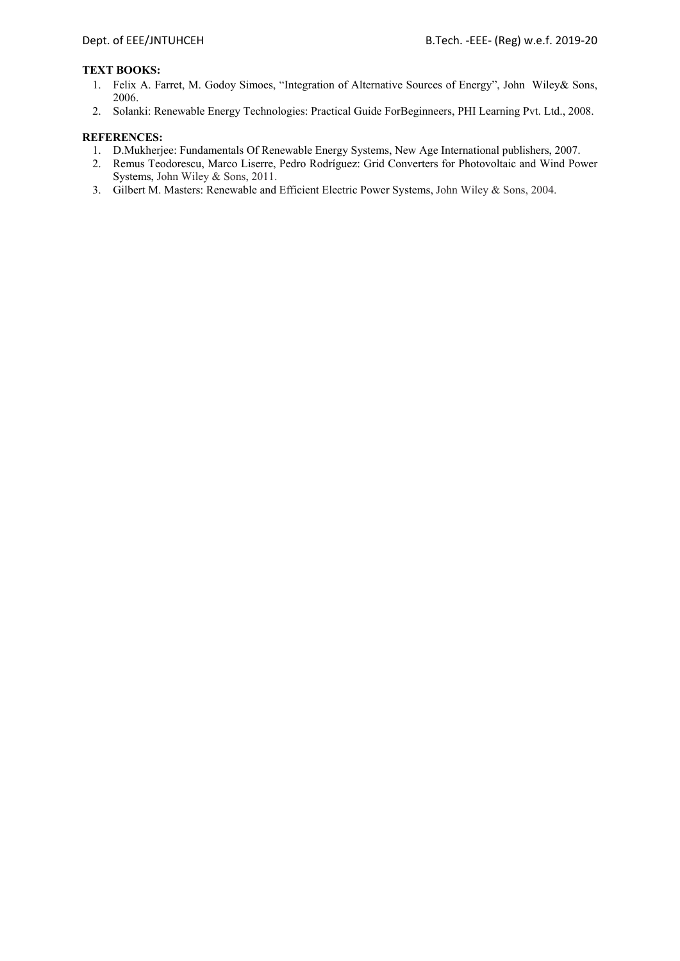#### **TEXT BOOKS:**

- 1. Felix A. Farret, M. Godoy Simoes, "Integration of Alternative Sources of Energy", John Wiley& Sons, 2006.
- 2. Solanki: Renewable Energy Technologies: Practical Guide ForBeginneers, PHI Learning Pvt. Ltd., 2008.

- 1. D.Mukherjee: Fundamentals Of Renewable Energy Systems, New Age International publishers, 2007.
- 2. Remus Teodorescu, Marco Liserre, Pedro Rodríguez: Grid Converters for Photovoltaic and Wind Power Systems, John Wiley & Sons, 2011.
- 3. Gilbert M. Masters: Renewable and Efficient Electric Power Systems, John Wiley & Sons, 2004.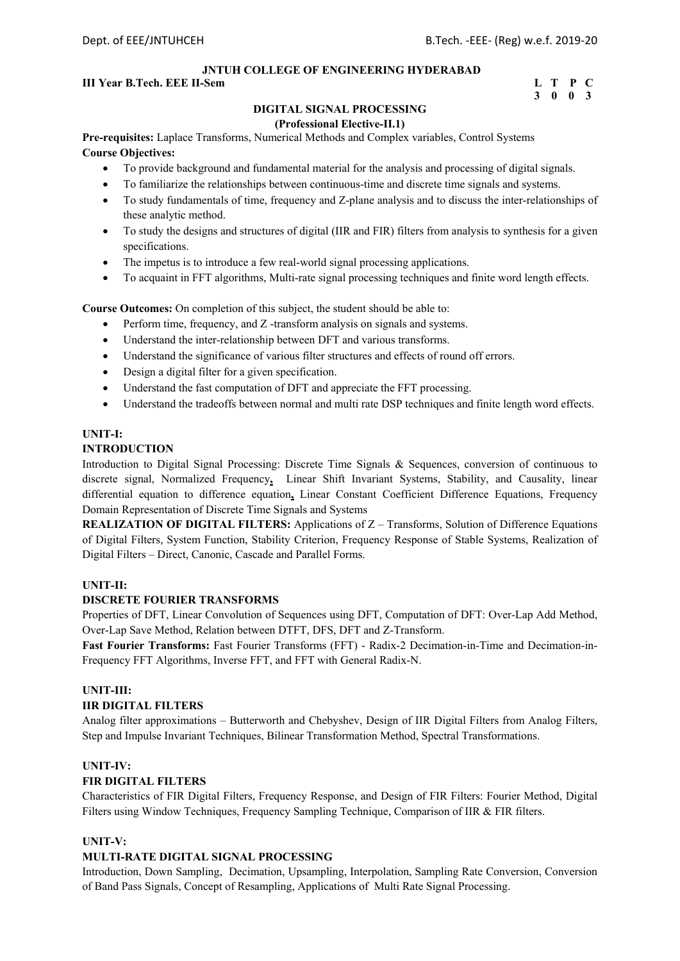## **III Year B.Tech. EEE II-Sem L** T P C

## **3 0 0 3**

## **DIGITAL SIGNAL PROCESSING**

#### **(Professional Elective-II.1)**

**Pre-requisites:** Laplace Transforms, Numerical Methods and Complex variables, Control Systems **Course Objectives:** 

- To provide background and fundamental material for the analysis and processing of digital signals.
- To familiarize the relationships between continuous-time and discrete time signals and systems.
- To study fundamentals of time, frequency and Z-plane analysis and to discuss the inter-relationships of these analytic method.
- To study the designs and structures of digital (IIR and FIR) filters from analysis to synthesis for a given specifications.
- The impetus is to introduce a few real-world signal processing applications.
- To acquaint in FFT algorithms, Multi-rate signal processing techniques and finite word length effects.

**Course Outcomes:** On completion of this subject, the student should be able to:

- Perform time, frequency, and Z -transform analysis on signals and systems.
- Understand the inter-relationship between DFT and various transforms.
- Understand the significance of various filter structures and effects of round off errors.
- Design a digital filter for a given specification.
- Understand the fast computation of DFT and appreciate the FFT processing.
- Understand the tradeoffs between normal and multi rate DSP techniques and finite length word effects.

## **UNIT-I:**

## **INTRODUCTION**

Introduction to Digital Signal Processing: Discrete Time Signals & Sequences, conversion of continuous to discrete signal, Normalized Frequency**,** Linear Shift Invariant Systems, Stability, and Causality, linear differential equation to difference equation**,** Linear Constant Coefficient Difference Equations, Frequency Domain Representation of Discrete Time Signals and Systems

**REALIZATION OF DIGITAL FILTERS:** Applications of Z – Transforms, Solution of Difference Equations of Digital Filters, System Function, Stability Criterion, Frequency Response of Stable Systems, Realization of Digital Filters – Direct, Canonic, Cascade and Parallel Forms.

## **UNIT-II:**

#### **DISCRETE FOURIER TRANSFORMS**

Properties of DFT, Linear Convolution of Sequences using DFT, Computation of DFT: Over-Lap Add Method, Over-Lap Save Method, Relation between DTFT, DFS, DFT and Z-Transform.

**Fast Fourier Transforms:** Fast Fourier Transforms (FFT) - Radix-2 Decimation-in-Time and Decimation-in-Frequency FFT Algorithms, Inverse FFT, and FFT with General Radix-N.

## **UNIT-III:**

## **IIR DIGITAL FILTERS**

Analog filter approximations – Butterworth and Chebyshev, Design of IIR Digital Filters from Analog Filters, Step and Impulse Invariant Techniques, Bilinear Transformation Method, Spectral Transformations.

#### **UNIT-IV:**

#### **FIR DIGITAL FILTERS**

Characteristics of FIR Digital Filters, Frequency Response, and Design of FIR Filters: Fourier Method, Digital Filters using Window Techniques, Frequency Sampling Technique, Comparison of IIR & FIR filters.

#### **UNIT-V:**

## **MULTI-RATE DIGITAL SIGNAL PROCESSING**

Introduction, Down Sampling, Decimation, Upsampling, Interpolation, Sampling Rate Conversion, Conversion of Band Pass Signals, Concept of Resampling, Applications of Multi Rate Signal Processing.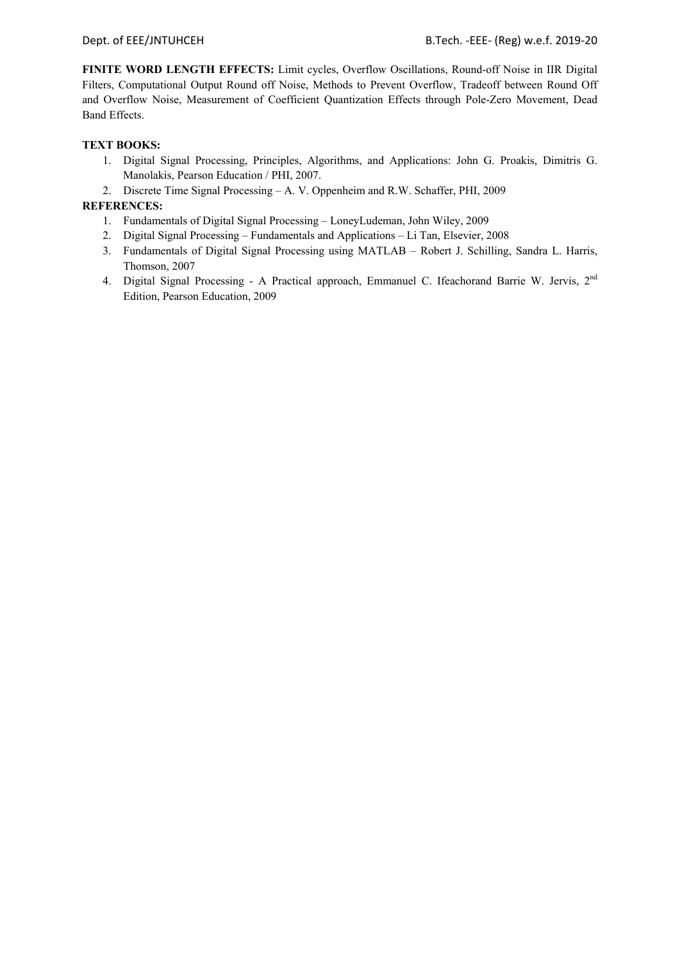**FINITE WORD LENGTH EFFECTS:** Limit cycles, Overflow Oscillations, Round-off Noise in IIR Digital Filters, Computational Output Round off Noise, Methods to Prevent Overflow, Tradeoff between Round Off and Overflow Noise, Measurement of Coefficient Quantization Effects through Pole-Zero Movement, Dead Band Effects.

## **TEXT BOOKS:**

- 1. Digital Signal Processing, Principles, Algorithms, and Applications: John G. Proakis, Dimitris G. Manolakis, Pearson Education / PHI, 2007.
- 2. Discrete Time Signal Processing A. V. Oppenheim and R.W. Schaffer, PHI, 2009

- 1. Fundamentals of Digital Signal Processing LoneyLudeman, John Wiley, 2009
- 2. Digital Signal Processing Fundamentals and Applications Li Tan, Elsevier, 2008
- 3. Fundamentals of Digital Signal Processing using MATLAB Robert J. Schilling, Sandra L. Harris, Thomson, 2007
- 4. Digital Signal Processing A Practical approach, Emmanuel C. Ifeachorand Barrie W. Jervis, 2<sup>nd</sup> Edition, Pearson Education, 2009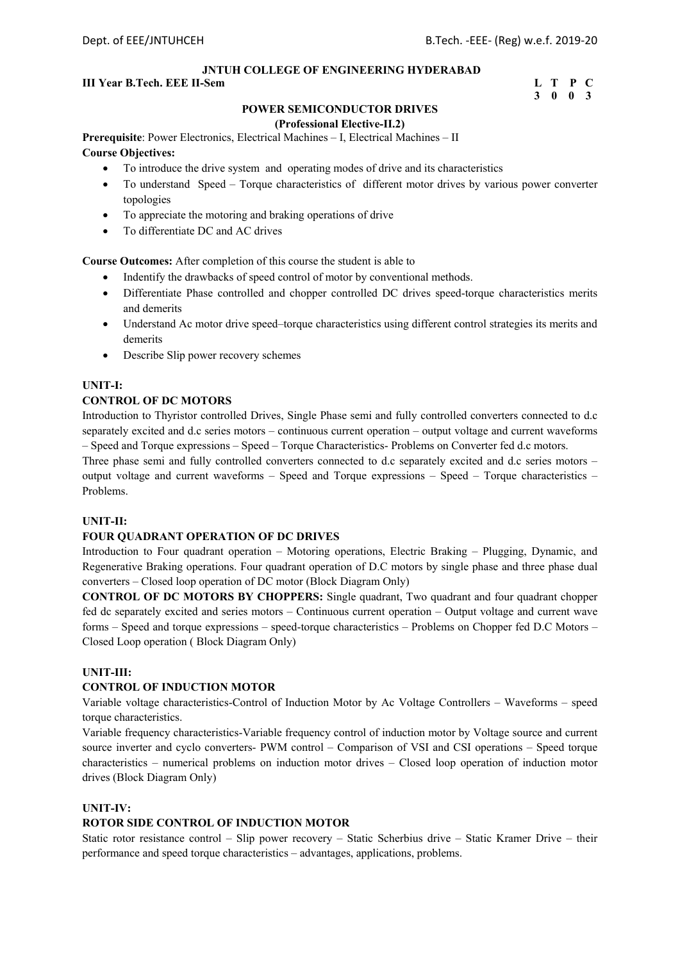#### **III Year B.Tech. EEE II-Sem L** T P C

## **3 0 0 3**

## **POWER SEMICONDUCTOR DRIVES**

#### **(Professional Elective-II.2)**

**Prerequisite**: Power Electronics, Electrical Machines – I, Electrical Machines – II

## **Course Objectives:**

- To introduce the drive system and operating modes of drive and its characteristics
- To understand Speed Torque characteristics of different motor drives by various power converter topologies
- To appreciate the motoring and braking operations of drive
- To differentiate DC and AC drives

**Course Outcomes:** After completion of this course the student is able to

- Indentify the drawbacks of speed control of motor by conventional methods.
- Differentiate Phase controlled and chopper controlled DC drives speed-torque characteristics merits and demerits
- Understand Ac motor drive speed–torque characteristics using different control strategies its merits and demerits
- Describe Slip power recovery schemes

## **UNIT-I:**

## **CONTROL OF DC MOTORS**

Introduction to Thyristor controlled Drives, Single Phase semi and fully controlled converters connected to d.c separately excited and d.c series motors – continuous current operation – output voltage and current waveforms – Speed and Torque expressions – Speed – Torque Characteristics- Problems on Converter fed d.c motors.

Three phase semi and fully controlled converters connected to d.c separately excited and d.c series motors – output voltage and current waveforms – Speed and Torque expressions – Speed – Torque characteristics – Problems.

## **UNIT-II:**

## **FOUR QUADRANT OPERATION OF DC DRIVES**

Introduction to Four quadrant operation – Motoring operations, Electric Braking – Plugging, Dynamic, and Regenerative Braking operations. Four quadrant operation of D.C motors by single phase and three phase dual converters – Closed loop operation of DC motor (Block Diagram Only)

**CONTROL OF DC MOTORS BY CHOPPERS:** Single quadrant, Two quadrant and four quadrant chopper fed dc separately excited and series motors – Continuous current operation – Output voltage and current wave forms – Speed and torque expressions – speed-torque characteristics – Problems on Chopper fed D.C Motors – Closed Loop operation ( Block Diagram Only)

#### **UNIT-III:**

## **CONTROL OF INDUCTION MOTOR**

Variable voltage characteristics-Control of Induction Motor by Ac Voltage Controllers – Waveforms – speed torque characteristics.

Variable frequency characteristics-Variable frequency control of induction motor by Voltage source and current source inverter and cyclo converters- PWM control – Comparison of VSI and CSI operations – Speed torque characteristics – numerical problems on induction motor drives – Closed loop operation of induction motor drives (Block Diagram Only)

#### **UNIT-IV:**

## **ROTOR SIDE CONTROL OF INDUCTION MOTOR**

Static rotor resistance control – Slip power recovery – Static Scherbius drive – Static Kramer Drive – their performance and speed torque characteristics – advantages, applications, problems.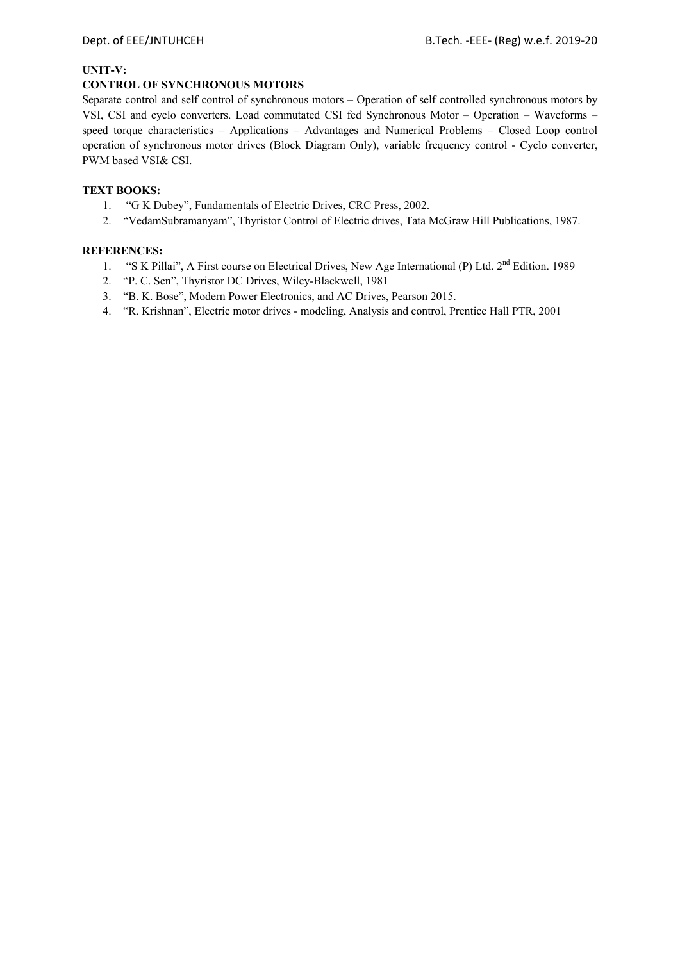#### **UNIT-V:**

## **CONTROL OF SYNCHRONOUS MOTORS**

Separate control and self control of synchronous motors – Operation of self controlled synchronous motors by VSI, CSI and cyclo converters. Load commutated CSI fed Synchronous Motor – Operation – Waveforms – speed torque characteristics – Applications – Advantages and Numerical Problems – Closed Loop control operation of synchronous motor drives (Block Diagram Only), variable frequency control - Cyclo converter, PWM based VSI& CSI.

## **TEXT BOOKS:**

- 1. "G K Dubey", Fundamentals of Electric Drives, CRC Press, 2002.
- 2. "VedamSubramanyam", Thyristor Control of Electric drives, Tata McGraw Hill Publications, 1987.

- 1. "S K Pillai", A First course on Electrical Drives, New Age International (P) Ltd. 2<sup>nd</sup> Edition. 1989
- 2. "P. C. Sen", Thyristor DC Drives, Wiley-Blackwell, 1981
- 3. "B. K. Bose", Modern Power Electronics, and AC Drives, Pearson 2015.
- 4. "R. Krishnan", Electric motor drives modeling, Analysis and control, Prentice Hall PTR, 2001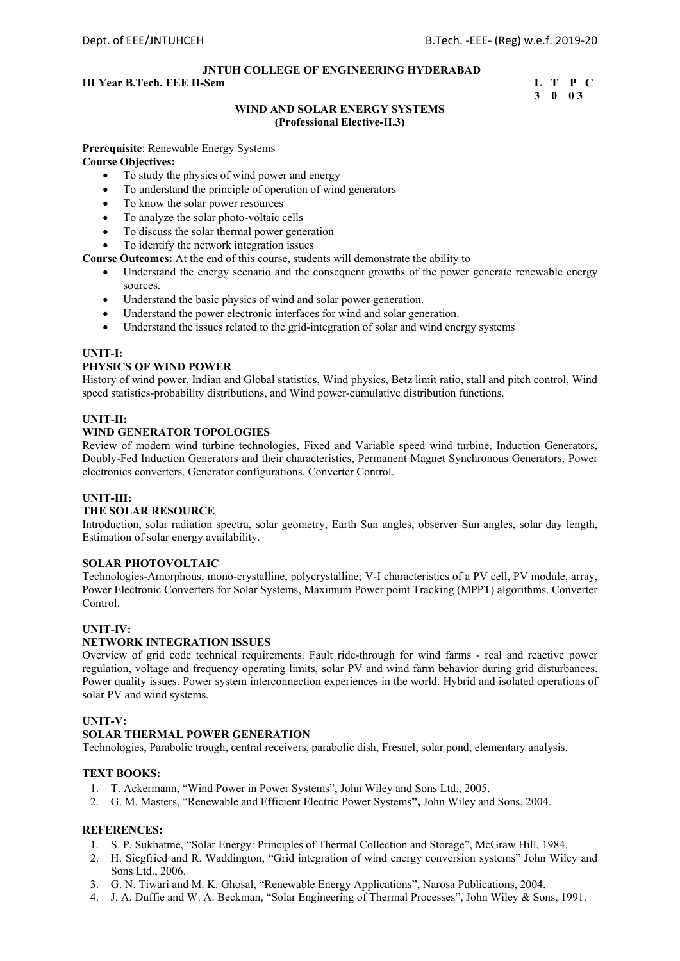## **III Year B.Tech. EEE II-Sem L T P C**

 **3 0 0 3** 

## **WIND AND SOLAR ENERGY SYSTEMS (Professional Elective-II.3)**

**Prerequisite**: Renewable Energy Systems

## **Course Objectives:**

- To study the physics of wind power and energy
- To understand the principle of operation of wind generators
- To know the solar power resources
- To analyze the solar photo-voltaic cells
- To discuss the solar thermal power generation
- To identify the network integration issues

**Course Outcomes:** At the end of this course, students will demonstrate the ability to

- Understand the energy scenario and the consequent growths of the power generate renewable energy sources.
- Understand the basic physics of wind and solar power generation.
- Understand the power electronic interfaces for wind and solar generation.
- Understand the issues related to the grid-integration of solar and wind energy systems

#### **UNIT-I:**

#### **PHYSICS OF WIND POWER**

History of wind power, Indian and Global statistics, Wind physics, Betz limit ratio, stall and pitch control, Wind speed statistics-probability distributions, and Wind power-cumulative distribution functions.

#### **UNIT-II:**

#### **WIND GENERATOR TOPOLOGIES**

Review of modern wind turbine technologies, Fixed and Variable speed wind turbine, Induction Generators, Doubly-Fed Induction Generators and their characteristics, Permanent Magnet Synchronous Generators, Power electronics converters. Generator configurations, Converter Control.

#### **UNIT-III:**

## **THE SOLAR RESOURCE**

Introduction, solar radiation spectra, solar geometry, Earth Sun angles, observer Sun angles, solar day length, Estimation of solar energy availability.

#### **SOLAR PHOTOVOLTAIC**

Technologies-Amorphous, mono-crystalline, polycrystalline; V-I characteristics of a PV cell, PV module, array, Power Electronic Converters for Solar Systems, Maximum Power point Tracking (MPPT) algorithms. Converter Control.

#### **UNIT-IV:**

## **NETWORK INTEGRATION ISSUES**

Overview of grid code technical requirements. Fault ride-through for wind farms - real and reactive power regulation, voltage and frequency operating limits, solar PV and wind farm behavior during grid disturbances. Power quality issues. Power system interconnection experiences in the world. Hybrid and isolated operations of solar PV and wind systems.

#### **UNIT-V:**

#### **SOLAR THERMAL POWER GENERATION**

Technologies, Parabolic trough, central receivers, parabolic dish, Fresnel, solar pond, elementary analysis.

#### **TEXT BOOKS:**

- 1. T. Ackermann, "Wind Power in Power Systems", John Wiley and Sons Ltd., 2005.
- 2. G. M. Masters, "Renewable and Efficient Electric Power Systems**",** John Wiley and Sons, 2004.

- 1. S. P. Sukhatme, "Solar Energy: Principles of Thermal Collection and Storage", McGraw Hill, 1984.
- 2. H. Siegfried and R. Waddington, "Grid integration of wind energy conversion systems" John Wiley and Sons Ltd., 2006.
- 3. G. N. Tiwari and M. K. Ghosal, "Renewable Energy Applications", Narosa Publications, 2004.
- 4. J. A. Duffie and W. A. Beckman, "Solar Engineering of Thermal Processes", John Wiley & Sons, 1991.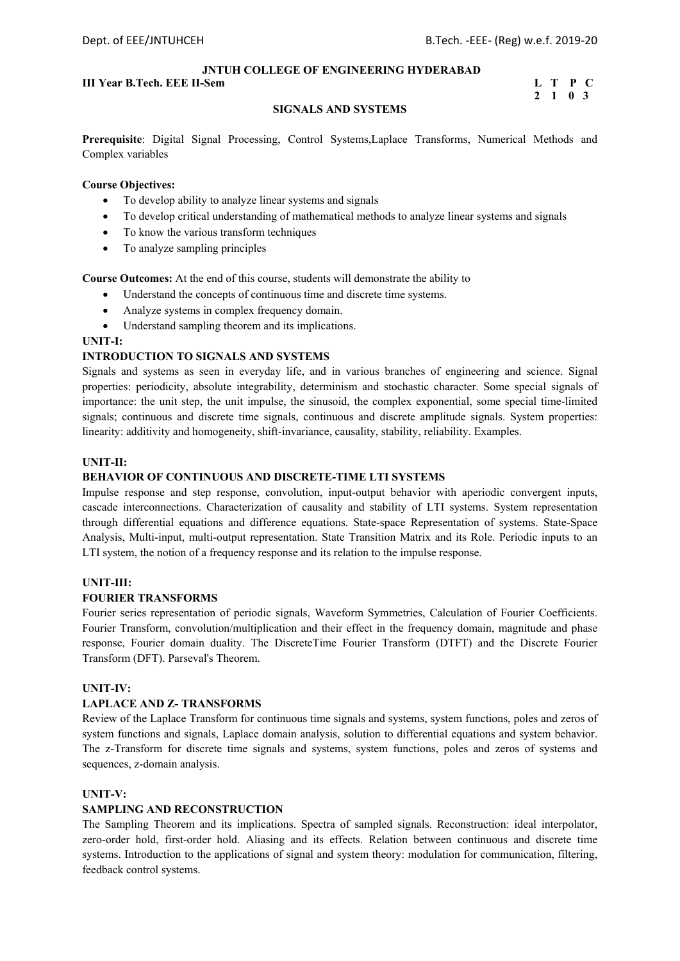#### **III Year B.Tech. EEE II-Sem L** T P C

## **2 1 0 3**

## **SIGNALS AND SYSTEMS**

**Prerequisite**: Digital Signal Processing, Control Systems,Laplace Transforms, Numerical Methods and Complex variables

#### **Course Objectives:**

- To develop ability to analyze linear systems and signals
- To develop critical understanding of mathematical methods to analyze linear systems and signals
- To know the various transform techniques
- To analyze sampling principles

**Course Outcomes:** At the end of this course, students will demonstrate the ability to

- Understand the concepts of continuous time and discrete time systems.
	- Analyze systems in complex frequency domain.
	- Understand sampling theorem and its implications.

## **UNIT-I:**

## **INTRODUCTION TO SIGNALS AND SYSTEMS**

Signals and systems as seen in everyday life, and in various branches of engineering and science. Signal properties: periodicity, absolute integrability, determinism and stochastic character. Some special signals of importance: the unit step, the unit impulse, the sinusoid, the complex exponential, some special time-limited signals; continuous and discrete time signals, continuous and discrete amplitude signals. System properties: linearity: additivity and homogeneity, shift-invariance, causality, stability, reliability. Examples.

#### **UNIT-II:**

#### **BEHAVIOR OF CONTINUOUS AND DISCRETE-TIME LTI SYSTEMS**

Impulse response and step response, convolution, input-output behavior with aperiodic convergent inputs, cascade interconnections. Characterization of causality and stability of LTI systems. System representation through differential equations and difference equations. State-space Representation of systems. State-Space Analysis, Multi-input, multi-output representation. State Transition Matrix and its Role. Periodic inputs to an LTI system, the notion of a frequency response and its relation to the impulse response.

## **UNIT-III:**

#### **FOURIER TRANSFORMS**

Fourier series representation of periodic signals, Waveform Symmetries, Calculation of Fourier Coefficients. Fourier Transform, convolution/multiplication and their effect in the frequency domain, magnitude and phase response, Fourier domain duality. The DiscreteTime Fourier Transform (DTFT) and the Discrete Fourier Transform (DFT). Parseval's Theorem.

#### **UNIT-IV:**

#### **LAPLACE AND Z- TRANSFORMS**

Review of the Laplace Transform for continuous time signals and systems, system functions, poles and zeros of system functions and signals, Laplace domain analysis, solution to differential equations and system behavior. The z-Transform for discrete time signals and systems, system functions, poles and zeros of systems and sequences, z-domain analysis.

#### **UNIT-V:**

## **SAMPLING AND RECONSTRUCTION**

The Sampling Theorem and its implications. Spectra of sampled signals. Reconstruction: ideal interpolator, zero-order hold, first-order hold. Aliasing and its effects. Relation between continuous and discrete time systems. Introduction to the applications of signal and system theory: modulation for communication, filtering, feedback control systems.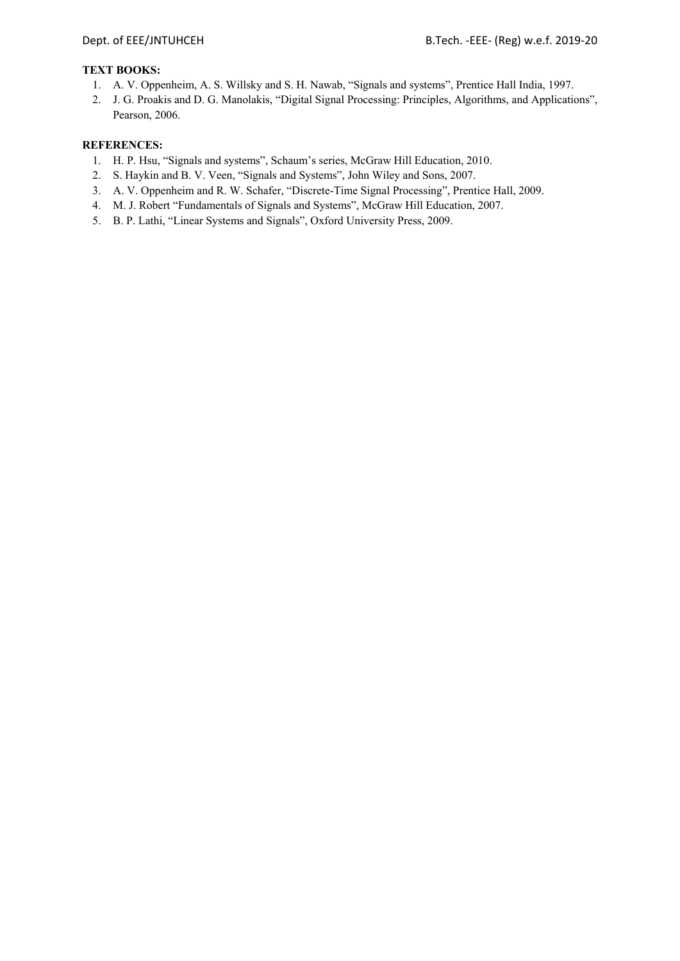## **TEXT BOOKS:**

- 1. A. V. Oppenheim, A. S. Willsky and S. H. Nawab, "Signals and systems", Prentice Hall India, 1997.
- 2. J. G. Proakis and D. G. Manolakis, "Digital Signal Processing: Principles, Algorithms, and Applications", Pearson, 2006.

- 1. H. P. Hsu, "Signals and systems", Schaum's series, McGraw Hill Education, 2010.
- 2. S. Haykin and B. V. Veen, "Signals and Systems", John Wiley and Sons, 2007.
- 3. A. V. Oppenheim and R. W. Schafer, "Discrete-Time Signal Processing", Prentice Hall, 2009.
- 4. M. J. Robert "Fundamentals of Signals and Systems", McGraw Hill Education, 2007.
- 5. B. P. Lathi, "Linear Systems and Signals", Oxford University Press, 2009.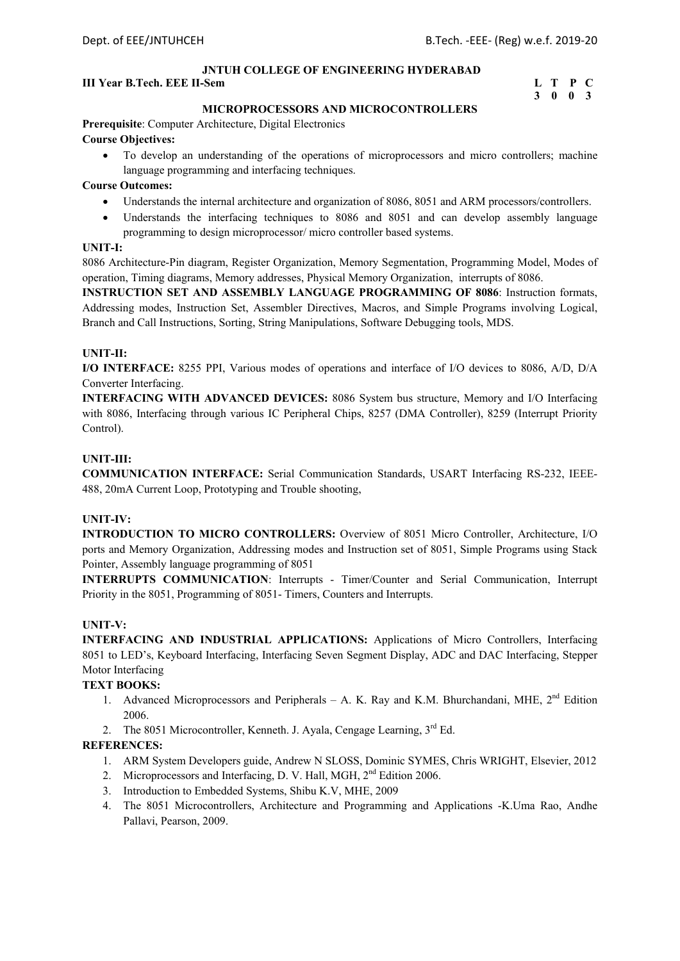### **III Year B.Tech. EEE II-Sem L** T P C

## **3 0 0 3**

#### **MICROPROCESSORS AND MICROCONTROLLERS**

**Prerequisite**: Computer Architecture, Digital Electronics **Course Objectives:** 

 To develop an understanding of the operations of microprocessors and micro controllers; machine language programming and interfacing techniques.

#### **Course Outcomes:**

- Understands the internal architecture and organization of 8086, 8051 and ARM processors/controllers.
- Understands the interfacing techniques to 8086 and 8051 and can develop assembly language programming to design microprocessor/ micro controller based systems.

#### **UNIT-I:**

8086 Architecture-Pin diagram, Register Organization, Memory Segmentation, Programming Model, Modes of operation, Timing diagrams, Memory addresses, Physical Memory Organization, interrupts of 8086.

**INSTRUCTION SET AND ASSEMBLY LANGUAGE PROGRAMMING OF 8086**: Instruction formats, Addressing modes, Instruction Set, Assembler Directives, Macros, and Simple Programs involving Logical, Branch and Call Instructions, Sorting, String Manipulations, Software Debugging tools, MDS.

#### **UNIT-II:**

**I/O INTERFACE:** 8255 PPI, Various modes of operations and interface of I/O devices to 8086, A/D, D/A Converter Interfacing.

**INTERFACING WITH ADVANCED DEVICES:** 8086 System bus structure, Memory and I/O Interfacing with 8086, Interfacing through various IC Peripheral Chips, 8257 (DMA Controller), 8259 (Interrupt Priority Control).

#### **UNIT-III:**

**COMMUNICATION INTERFACE:** Serial Communication Standards, USART Interfacing RS-232, IEEE-488, 20mA Current Loop, Prototyping and Trouble shooting,

## **UNIT-IV:**

**INTRODUCTION TO MICRO CONTROLLERS:** Overview of 8051 Micro Controller, Architecture, I/O ports and Memory Organization, Addressing modes and Instruction set of 8051, Simple Programs using Stack Pointer, Assembly language programming of 8051

**INTERRUPTS COMMUNICATION**: Interrupts - Timer/Counter and Serial Communication, Interrupt Priority in the 8051, Programming of 8051- Timers, Counters and Interrupts.

#### **UNIT-V:**

**INTERFACING AND INDUSTRIAL APPLICATIONS:** Applications of Micro Controllers, Interfacing 8051 to LED's, Keyboard Interfacing, Interfacing Seven Segment Display, ADC and DAC Interfacing, Stepper Motor Interfacing

## **TEXT BOOKS:**

- 1. Advanced Microprocessors and Peripherals A. K. Ray and K.M. Bhurchandani, MHE, 2<sup>nd</sup> Edition 2006.
- 2. The 8051 Microcontroller, Kenneth. J. Ayala, Cengage Learning,  $3<sup>rd</sup>$  Ed.

- 1. ARM System Developers guide, Andrew N SLOSS, Dominic SYMES, Chris WRIGHT, Elsevier, 2012
- 2. Microprocessors and Interfacing, D. V. Hall, MGH, 2<sup>nd</sup> Edition 2006.
- 3. Introduction to Embedded Systems, Shibu K.V, MHE, 2009
- 4. The 8051 Microcontrollers, Architecture and Programming and Applications -K.Uma Rao, Andhe Pallavi, Pearson, 2009.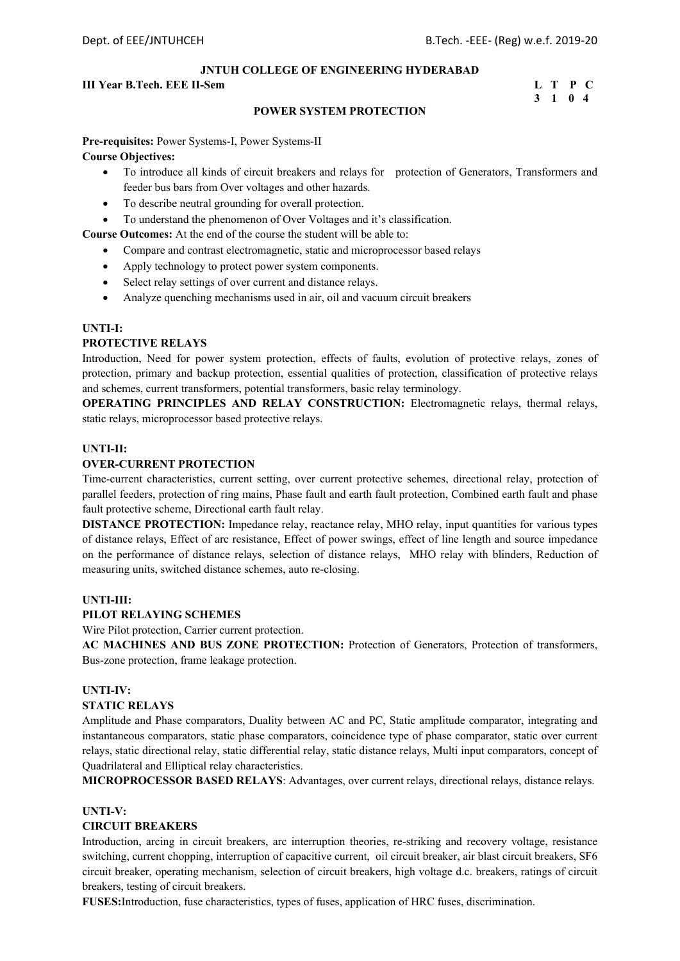#### **III Year B.Tech. EEE II-Sem L T P C**

## **3 1 0 4**

## **POWER SYSTEM PROTECTION**

**Pre-requisites:** Power Systems-I, Power Systems-II **Course Objectives:** 

- To introduce all kinds of circuit breakers and relays for protection of Generators, Transformers and feeder bus bars from Over voltages and other hazards.
- To describe neutral grounding for overall protection.
- To understand the phenomenon of Over Voltages and it's classification.

**Course Outcomes:** At the end of the course the student will be able to:

- Compare and contrast electromagnetic, static and microprocessor based relays
- Apply technology to protect power system components.
- Select relay settings of over current and distance relays.
- Analyze quenching mechanisms used in air, oil and vacuum circuit breakers

#### **UNTI-I:**

#### **PROTECTIVE RELAYS**

Introduction, Need for power system protection, effects of faults, evolution of protective relays, zones of protection, primary and backup protection, essential qualities of protection, classification of protective relays and schemes, current transformers, potential transformers, basic relay terminology.

**OPERATING PRINCIPLES AND RELAY CONSTRUCTION:** Electromagnetic relays, thermal relays, static relays, microprocessor based protective relays.

#### **UNTI-II:**

#### **OVER-CURRENT PROTECTION**

Time-current characteristics, current setting, over current protective schemes, directional relay, protection of parallel feeders, protection of ring mains, Phase fault and earth fault protection, Combined earth fault and phase fault protective scheme, Directional earth fault relay.

**DISTANCE PROTECTION:** Impedance relay, reactance relay, MHO relay, input quantities for various types of distance relays, Effect of arc resistance, Effect of power swings, effect of line length and source impedance on the performance of distance relays, selection of distance relays, MHO relay with blinders, Reduction of measuring units, switched distance schemes, auto re-closing.

#### **UNTI-III:**

#### **PILOT RELAYING SCHEMES**

Wire Pilot protection, Carrier current protection.

**AC MACHINES AND BUS ZONE PROTECTION:** Protection of Generators, Protection of transformers, Bus-zone protection, frame leakage protection.

#### **UNTI-IV:**

## **STATIC RELAYS**

Amplitude and Phase comparators, Duality between AC and PC, Static amplitude comparator, integrating and instantaneous comparators, static phase comparators, coincidence type of phase comparator, static over current relays, static directional relay, static differential relay, static distance relays, Multi input comparators, concept of Quadrilateral and Elliptical relay characteristics.

**MICROPROCESSOR BASED RELAYS**: Advantages, over current relays, directional relays, distance relays.

## **UNTI-V:**

#### **CIRCUIT BREAKERS**

Introduction, arcing in circuit breakers, arc interruption theories, re-striking and recovery voltage, resistance switching, current chopping, interruption of capacitive current, oil circuit breaker, air blast circuit breakers, SF6 circuit breaker, operating mechanism, selection of circuit breakers, high voltage d.c. breakers, ratings of circuit breakers, testing of circuit breakers.

**FUSES:**Introduction, fuse characteristics, types of fuses, application of HRC fuses, discrimination.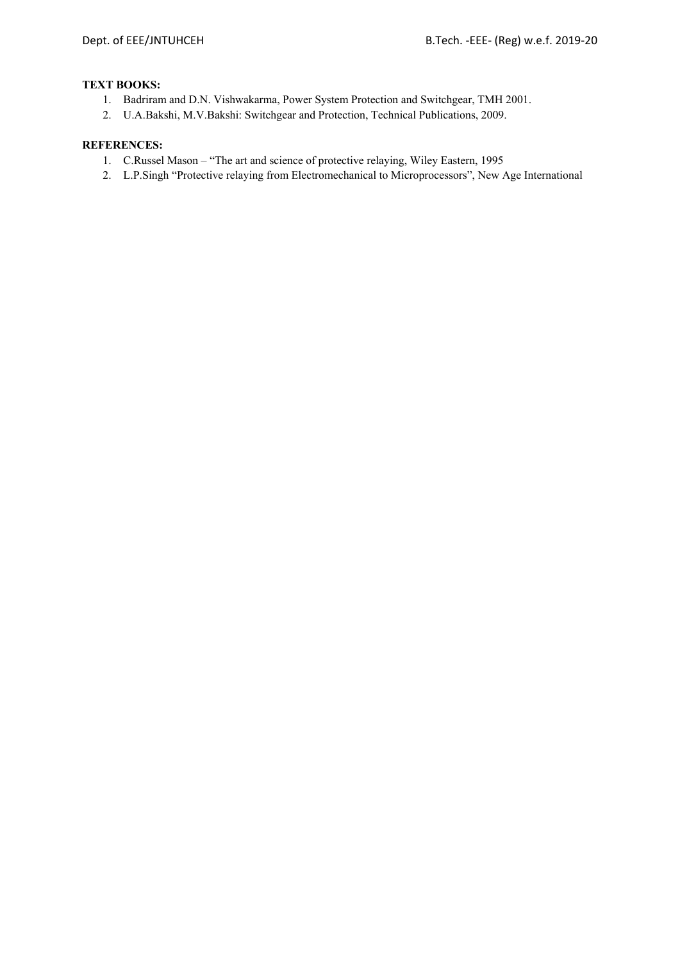## **TEXT BOOKS:**

- 1. Badriram and D.N. Vishwakarma, Power System Protection and Switchgear, TMH 2001.
- 2. U.A.Bakshi, M.V.Bakshi: Switchgear and Protection, Technical Publications, 2009.

- 1. C.Russel Mason "The art and science of protective relaying, Wiley Eastern, 1995
- 2. L.P.Singh "Protective relaying from Electromechanical to Microprocessors", New Age International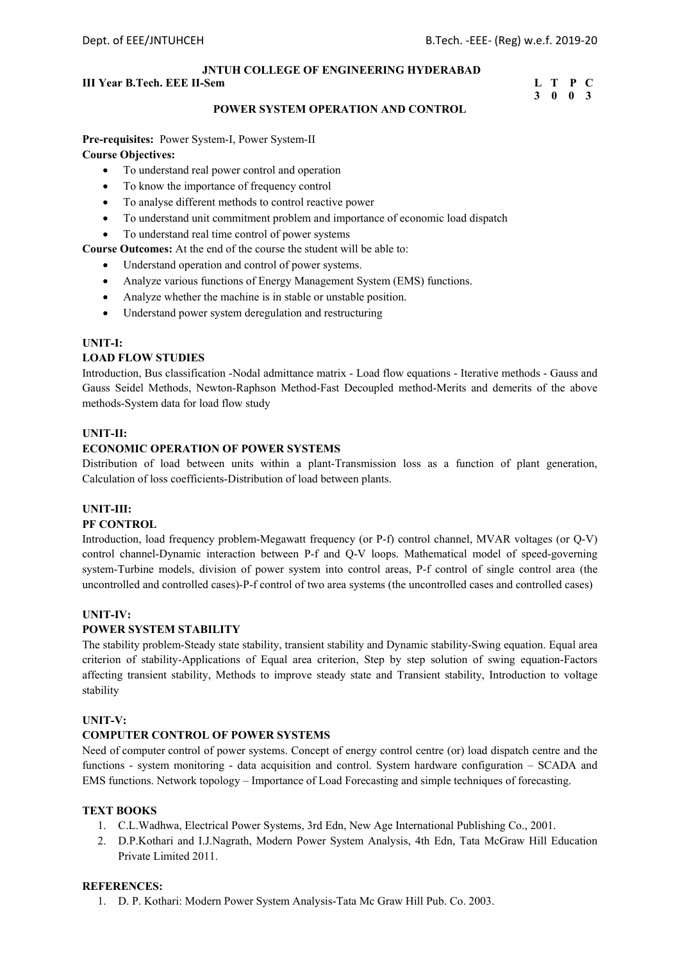## **III Year B.Tech. EEE II-Sem L** T P C

# **3 0 0 3**

#### **POWER SYSTEM OPERATION AND CONTROL**

**Pre-requisites:** Power System-I, Power System-II **Course Objectives:**

- To understand real power control and operation
- To know the importance of frequency control
- To analyse different methods to control reactive power
- To understand unit commitment problem and importance of economic load dispatch
- To understand real time control of power systems

**Course Outcomes:** At the end of the course the student will be able to:

- Understand operation and control of power systems.
- Analyze various functions of Energy Management System (EMS) functions.
- Analyze whether the machine is in stable or unstable position.
- Understand power system deregulation and restructuring

#### **UNIT-I:**

#### **LOAD FLOW STUDIES**

Introduction, Bus classification -Nodal admittance matrix - Load flow equations - Iterative methods - Gauss and Gauss Seidel Methods, Newton-Raphson Method-Fast Decoupled method-Merits and demerits of the above methods-System data for load flow study

#### **UNIT-II:**

#### **ECONOMIC OPERATION OF POWER SYSTEMS**

Distribution of load between units within a plant-Transmission loss as a function of plant generation, Calculation of loss coefficients-Distribution of load between plants.

#### **UNIT-III:**

#### **PF CONTROL**

Introduction, load frequency problem-Megawatt frequency (or P-f) control channel, MVAR voltages (or Q-V) control channel-Dynamic interaction between P-f and Q-V loops. Mathematical model of speed-governing system-Turbine models, division of power system into control areas, P-f control of single control area (the uncontrolled and controlled cases)-P-f control of two area systems (the uncontrolled cases and controlled cases)

#### **UNIT-IV:**

#### **POWER SYSTEM STABILITY**

The stability problem-Steady state stability, transient stability and Dynamic stability-Swing equation. Equal area criterion of stability-Applications of Equal area criterion, Step by step solution of swing equation-Factors affecting transient stability, Methods to improve steady state and Transient stability, Introduction to voltage stability

#### **UNIT-V:**

#### **COMPUTER CONTROL OF POWER SYSTEMS**

Need of computer control of power systems. Concept of energy control centre (or) load dispatch centre and the functions - system monitoring - data acquisition and control. System hardware configuration – SCADA and EMS functions. Network topology – Importance of Load Forecasting and simple techniques of forecasting.

## **TEXT BOOKS**

- 1. C.L.Wadhwa, Electrical Power Systems, 3rd Edn, New Age International Publishing Co., 2001.
- 2. D.P.Kothari and I.J.Nagrath, Modern Power System Analysis, 4th Edn, Tata McGraw Hill Education Private Limited 2011.

#### **REFERENCES:**

1. D. P. Kothari: Modern Power System Analysis-Tata Mc Graw Hill Pub. Co. 2003.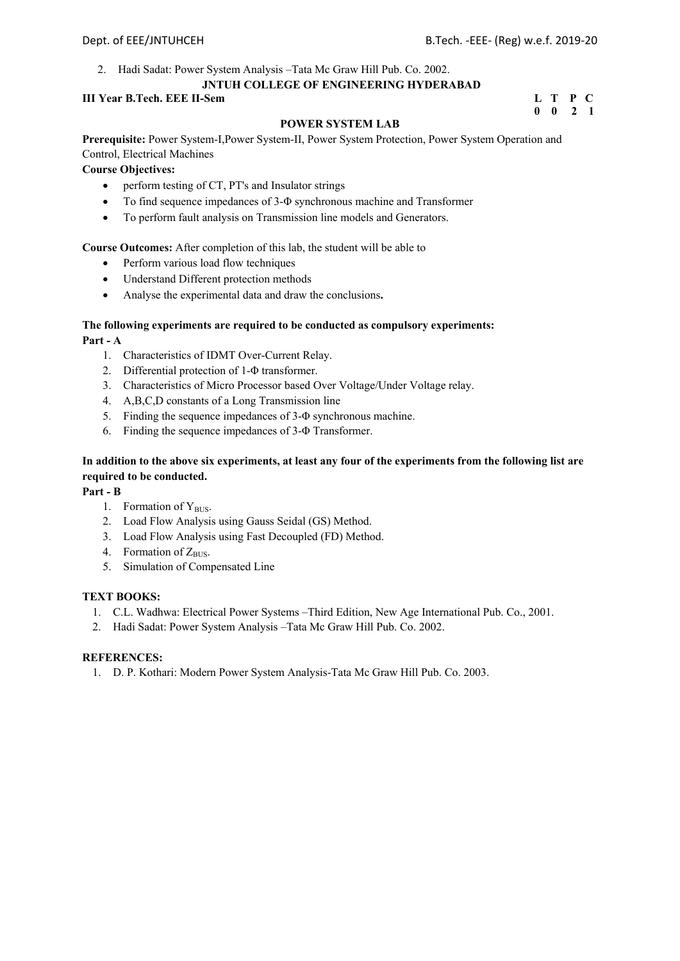2. Hadi Sadat: Power System Analysis –Tata Mc Graw Hill Pub. Co. 2002.

### **JNTUH COLLEGE OF ENGINEERING HYDERABAD**

## **III Year B.Tech. EEE II-Sem**

| III Year B.Tech. EEE II-Sem | L T P C            |  |
|-----------------------------|--------------------|--|
|                             | $0 \t 0 \t 2 \t 1$ |  |

## **POWER SYSTEM LAB**

**Prerequisite:** Power System-I,Power System-II, Power System Protection, Power System Operation and Control, Electrical Machines

**Course Objectives:** 

- perform testing of CT, PT's and Insulator strings
- To find sequence impedances of 3-Φ synchronous machine and Transformer
- To perform fault analysis on Transmission line models and Generators.

## **Course Outcomes:** After completion of this lab, the student will be able to

- Perform various load flow techniques
- Understand Different protection methods
- Analyse the experimental data and draw the conclusions**.**

## **The following experiments are required to be conducted as compulsory experiments: Part - A**

- 1. Characteristics of IDMT Over-Current Relay.
- 2. Differential protection of 1-Φ transformer.
- 3. Characteristics of Micro Processor based Over Voltage/Under Voltage relay.
- 4. A,B,C,D constants of a Long Transmission line
- 5. Finding the sequence impedances of 3-Φ synchronous machine.
- 6. Finding the sequence impedances of 3-Φ Transformer.

## **In addition to the above six experiments, at least any four of the experiments from the following list are required to be conducted.**

## **Part - B**

- 1. Formation of Y<sub>BUS</sub>.
- 2. Load Flow Analysis using Gauss Seidal (GS) Method.
- 3. Load Flow Analysis using Fast Decoupled (FD) Method.
- 4. Formation of  $Z_{\text{BUS}}$ .
- 5. Simulation of Compensated Line

## **TEXT BOOKS:**

- 1. C.L. Wadhwa: Electrical Power Systems –Third Edition, New Age International Pub. Co., 2001.
- 2. Hadi Sadat: Power System Analysis –Tata Mc Graw Hill Pub. Co. 2002.

## **REFERENCES:**

1. D. P. Kothari: Modern Power System Analysis-Tata Mc Graw Hill Pub. Co. 2003.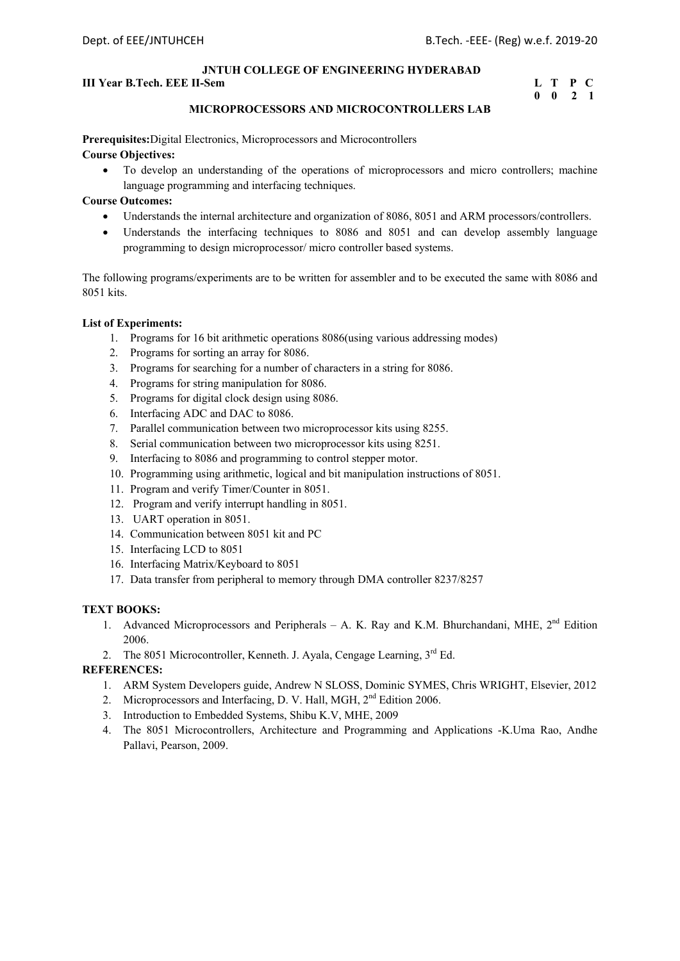### **III Year B.Tech. EEE II-Sem L** T P C

# **0 0 2 1**

#### **MICROPROCESSORS AND MICROCONTROLLERS LAB**

**Prerequisites:**Digital Electronics, Microprocessors and Microcontrollers

## **Course Objectives:**

 To develop an understanding of the operations of microprocessors and micro controllers; machine language programming and interfacing techniques.

#### **Course Outcomes:**

- Understands the internal architecture and organization of 8086, 8051 and ARM processors/controllers.
- Understands the interfacing techniques to 8086 and 8051 and can develop assembly language programming to design microprocessor/ micro controller based systems.

The following programs/experiments are to be written for assembler and to be executed the same with 8086 and 8051 kits.

#### **List of Experiments:**

- 1. Programs for 16 bit arithmetic operations 8086(using various addressing modes)
- 2. Programs for sorting an array for 8086.
- 3. Programs for searching for a number of characters in a string for 8086.
- 4. Programs for string manipulation for 8086.
- 5. Programs for digital clock design using 8086.
- 6. Interfacing ADC and DAC to 8086.
- 7. Parallel communication between two microprocessor kits using 8255.
- 8. Serial communication between two microprocessor kits using 8251.
- 9. Interfacing to 8086 and programming to control stepper motor.
- 10. Programming using arithmetic, logical and bit manipulation instructions of 8051.
- 11. Program and verify Timer/Counter in 8051.
- 12. Program and verify interrupt handling in 8051.
- 13. UART operation in 8051.
- 14. Communication between 8051 kit and PC
- 15. Interfacing LCD to 8051
- 16. Interfacing Matrix/Keyboard to 8051
- 17. Data transfer from peripheral to memory through DMA controller 8237/8257

## **TEXT BOOKS:**

- 1. Advanced Microprocessors and Peripherals A. K. Ray and K.M. Bhurchandani, MHE, 2<sup>nd</sup> Edition 2006.
- 2. The 8051 Microcontroller, Kenneth. J. Ayala, Cengage Learning, 3<sup>rd</sup> Ed.

- 1. ARM System Developers guide, Andrew N SLOSS, Dominic SYMES, Chris WRIGHT, Elsevier, 2012
- 2. Microprocessors and Interfacing, D. V. Hall, MGH, 2<sup>nd</sup> Edition 2006.
- 3. Introduction to Embedded Systems, Shibu K.V, MHE, 2009
- 4. The 8051 Microcontrollers, Architecture and Programming and Applications -K.Uma Rao, Andhe Pallavi, Pearson, 2009.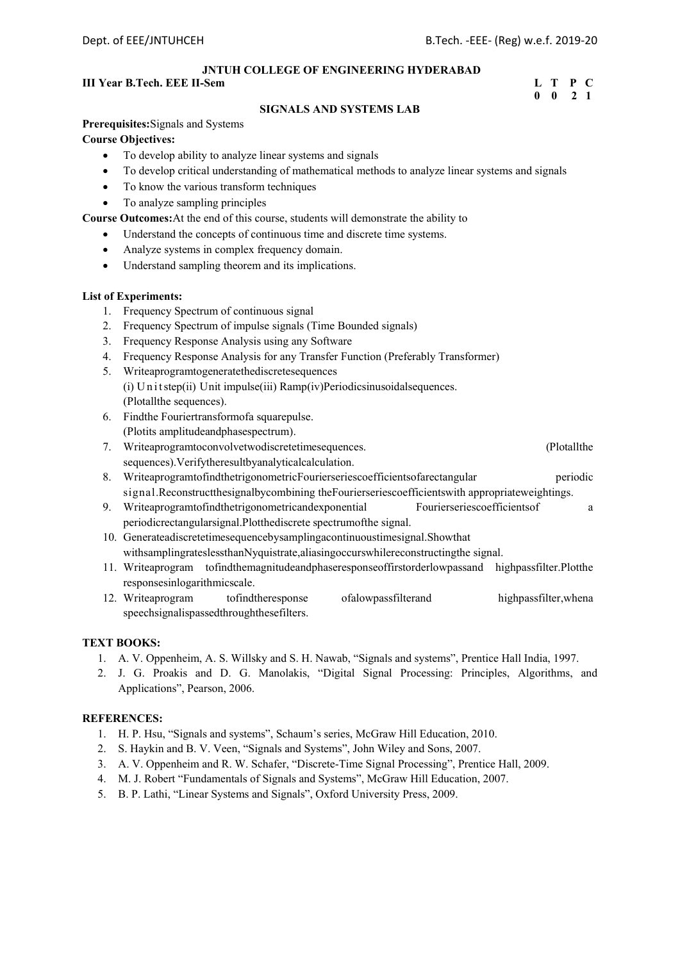## **III Year B.Tech. EEE II-Sem L** T P C

## **0 0 2 1**

## **SIGNALS AND SYSTEMS LAB**

**Prerequisites:**Signals and Systems

## **Course Objectives:**

- To develop ability to analyze linear systems and signals
- To develop critical understanding of mathematical methods to analyze linear systems and signals
- To know the various transform techniques
- To analyze sampling principles

**Course Outcomes:**At the end of this course, students will demonstrate the ability to

- Understand the concepts of continuous time and discrete time systems.
- Analyze systems in complex frequency domain.
- Understand sampling theorem and its implications.

#### **List of Experiments:**

- 1. Frequency Spectrum of continuous signal
- 2. Frequency Spectrum of impulse signals (Time Bounded signals)
- 3. Frequency Response Analysis using any Software
- 4. Frequency Response Analysis for any Transfer Function (Preferably Transformer)
- 5. Writeaprogramtogeneratethediscretesequences
- (i) U n i t step(ii) Unit impulse(iii) Ramp(iv)Periodicsinusoidalsequences. (Plotallthe sequences).
- 6. Findthe Fouriertransformofa squarepulse. (Plotits amplitudeandphasespectrum).
- 7. Writeaprogramtoconvolvetwodiscretetimesequences. (Plotallthe sequences).Verifytheresultbyanalyticalcalculation.
- 8. WriteaprogramtofindthetrigonometricFourierseriescoefficientsofarectangular periodic signal.Reconstructthesignalbycombining theFourierseriescoefficientswith appropriateweightings.
- 9. Writeaprogramtofindthetrigonometricandexponential Fourierseriescoefficientsof a periodicrectangularsignal.Plotthediscrete spectrumofthe signal.
- 10. Generateadiscretetimesequencebysamplingacontinuoustimesignal.Showthat withsamplingrateslessthanNyquistrate,aliasingoccurswhilereconstructingthe signal.
- 11. Writeaprogram tofindthemagnitudeandphaseresponseoffirstorderlowpassand highpassfilter.Plotthe responsesinlogarithmicscale.
- 12. Writeaprogram tofindtheresponse ofalowpassfilterand highpassfilter,whena speechsignalispassedthroughthesefilters.

#### **TEXT BOOKS:**

- 1. A. V. Oppenheim, A. S. Willsky and S. H. Nawab, "Signals and systems", Prentice Hall India, 1997.
- 2. J. G. Proakis and D. G. Manolakis, "Digital Signal Processing: Principles, Algorithms, and Applications", Pearson, 2006.

- 1. H. P. Hsu, "Signals and systems", Schaum's series, McGraw Hill Education, 2010.
- 2. S. Haykin and B. V. Veen, "Signals and Systems", John Wiley and Sons, 2007.
- 3. A. V. Oppenheim and R. W. Schafer, "Discrete-Time Signal Processing", Prentice Hall, 2009.
- 4. M. J. Robert "Fundamentals of Signals and Systems", McGraw Hill Education, 2007.
- 5. B. P. Lathi, "Linear Systems and Signals", Oxford University Press, 2009.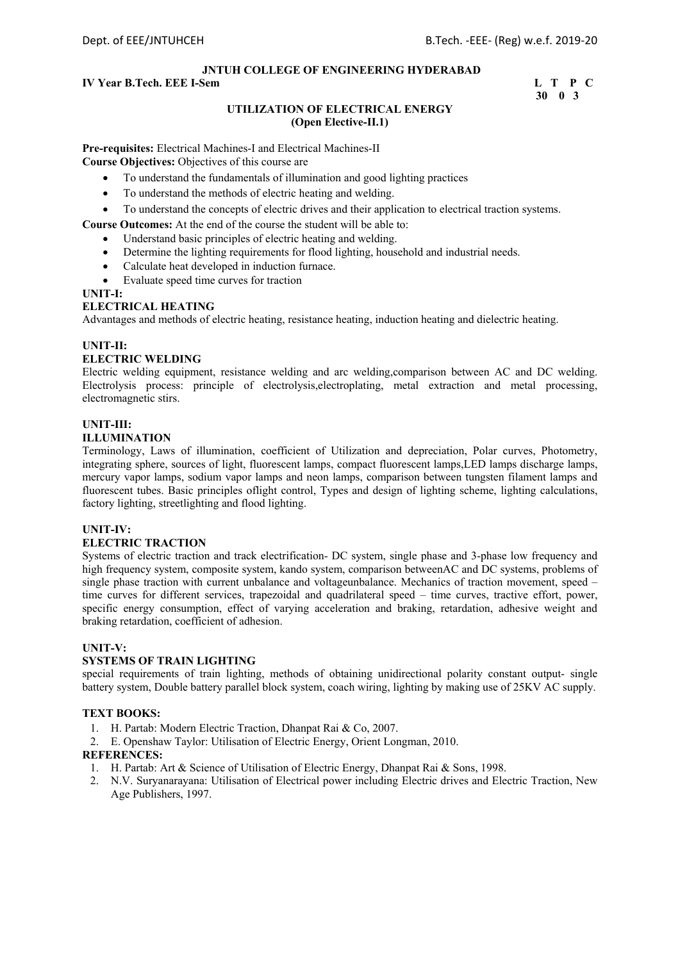## **IV Year B.Tech. EEE I-Sem L** T P C

 **30 0 3** 

## **UTILIZATION OF ELECTRICAL ENERGY (Open Elective-II.1)**

**Pre-requisites:** Electrical Machines-I and Electrical Machines-II

**Course Objectives:** Objectives of this course are

- To understand the fundamentals of illumination and good lighting practices
- To understand the methods of electric heating and welding.
- To understand the concepts of electric drives and their application to electrical traction systems.

**Course Outcomes:** At the end of the course the student will be able to:

- Understand basic principles of electric heating and welding.
- Determine the lighting requirements for flood lighting, household and industrial needs.
- Calculate heat developed in induction furnace.
- Evaluate speed time curves for traction

#### **UNIT-I:**

#### **ELECTRICAL HEATING**

Advantages and methods of electric heating, resistance heating, induction heating and dielectric heating.

## **UNIT-II:**

#### **ELECTRIC WELDING**

Electric welding equipment, resistance welding and arc welding,comparison between AC and DC welding. Electrolysis process: principle of electrolysis,electroplating, metal extraction and metal processing, electromagnetic stirs.

#### **UNIT-III:**

#### **ILLUMINATION**

Terminology, Laws of illumination, coefficient of Utilization and depreciation, Polar curves, Photometry, integrating sphere, sources of light, fluorescent lamps, compact fluorescent lamps,LED lamps discharge lamps, mercury vapor lamps, sodium vapor lamps and neon lamps, comparison between tungsten filament lamps and fluorescent tubes. Basic principles oflight control, Types and design of lighting scheme, lighting calculations, factory lighting, streetlighting and flood lighting.

#### **UNIT-IV:**

## **ELECTRIC TRACTION**

Systems of electric traction and track electrification- DC system, single phase and 3-phase low frequency and high frequency system, composite system, kando system, comparison betweenAC and DC systems, problems of single phase traction with current unbalance and voltageunbalance. Mechanics of traction movement, speed – time curves for different services, trapezoidal and quadrilateral speed – time curves, tractive effort, power, specific energy consumption, effect of varying acceleration and braking, retardation, adhesive weight and braking retardation, coefficient of adhesion.

#### **UNIT-V:**

## **SYSTEMS OF TRAIN LIGHTING**

special requirements of train lighting, methods of obtaining unidirectional polarity constant output- single battery system, Double battery parallel block system, coach wiring, lighting by making use of 25KV AC supply.

#### **TEXT BOOKS:**

- 1. H. Partab: Modern Electric Traction, Dhanpat Rai & Co, 2007.
- 2. E. Openshaw Taylor: Utilisation of Electric Energy, Orient Longman, 2010.

- 1. H. Partab: Art & Science of Utilisation of Electric Energy, Dhanpat Rai & Sons, 1998.
- 2. N.V. Suryanarayana: Utilisation of Electrical power including Electric drives and Electric Traction, New Age Publishers, 1997.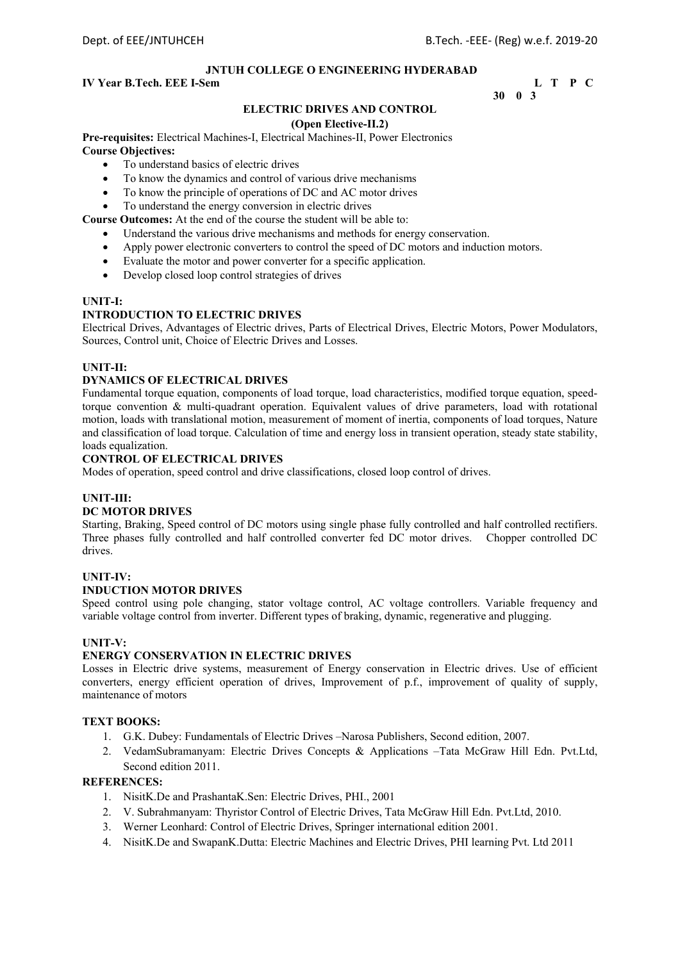## **IV Year B.Tech. EEE I-Sem L** T P C

## **30 0 3**

## **ELECTRIC DRIVES AND CONTROL**

#### **(Open Elective-II.2)**

**Pre-requisites:** Electrical Machines-I, Electrical Machines-II, Power Electronics **Course Objectives:** 

- To understand basics of electric drives
- To know the dynamics and control of various drive mechanisms
- To know the principle of operations of DC and AC motor drives
- To understand the energy conversion in electric drives

**Course Outcomes:** At the end of the course the student will be able to:

- Understand the various drive mechanisms and methods for energy conservation.
- Apply power electronic converters to control the speed of DC motors and induction motors.
- Evaluate the motor and power converter for a specific application.
- Develop closed loop control strategies of drives

#### **UNIT-I:**

## **INTRODUCTION TO ELECTRIC DRIVES**

Electrical Drives, Advantages of Electric drives, Parts of Electrical Drives, Electric Motors, Power Modulators, Sources, Control unit, Choice of Electric Drives and Losses.

#### **UNIT-II:**

#### **DYNAMICS OF ELECTRICAL DRIVES**

Fundamental torque equation, components of load torque, load characteristics, modified torque equation, speedtorque convention & multi-quadrant operation. Equivalent values of drive parameters, load with rotational motion, loads with translational motion, measurement of moment of inertia, components of load torques, Nature and classification of load torque. Calculation of time and energy loss in transient operation, steady state stability, loads equalization.

#### **CONTROL OF ELECTRICAL DRIVES**

Modes of operation, speed control and drive classifications, closed loop control of drives.

#### **UNIT-III:**

#### **DC MOTOR DRIVES**

Starting, Braking, Speed control of DC motors using single phase fully controlled and half controlled rectifiers. Three phases fully controlled and half controlled converter fed DC motor drives. Chopper controlled DC drives.

#### **UNIT-IV:**

## **INDUCTION MOTOR DRIVES**

Speed control using pole changing, stator voltage control, AC voltage controllers. Variable frequency and variable voltage control from inverter. Different types of braking, dynamic, regenerative and plugging.

#### **UNIT-V:**

## **ENERGY CONSERVATION IN ELECTRIC DRIVES**

Losses in Electric drive systems, measurement of Energy conservation in Electric drives. Use of efficient converters, energy efficient operation of drives, Improvement of p.f., improvement of quality of supply, maintenance of motors

## **TEXT BOOKS:**

- 1. G.K. Dubey: Fundamentals of Electric Drives –Narosa Publishers, Second edition, 2007.
- 2. VedamSubramanyam: Electric Drives Concepts & Applications –Tata McGraw Hill Edn. Pvt.Ltd, Second edition 2011.

- 1. NisitK.De and PrashantaK.Sen: Electric Drives, PHI., 2001
- 2. V. Subrahmanyam: Thyristor Control of Electric Drives, Tata McGraw Hill Edn. Pvt.Ltd, 2010.
- 3. Werner Leonhard: Control of Electric Drives, Springer international edition 2001.
- 4. NisitK.De and SwapanK.Dutta: Electric Machines and Electric Drives, PHI learning Pvt. Ltd 2011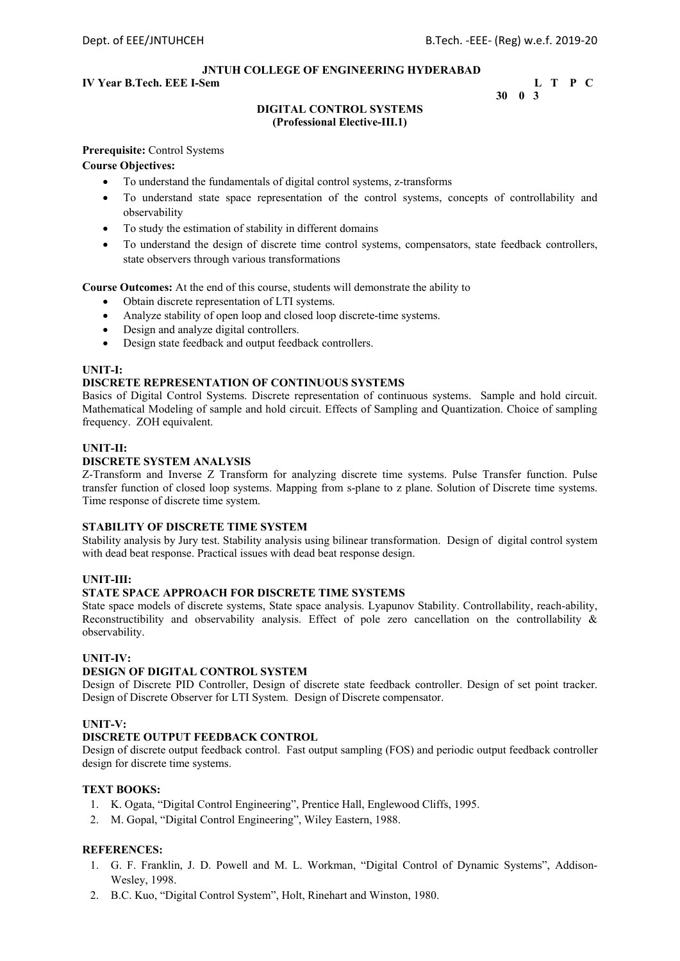## **IV Year B.Tech. EEE I-Sem L** T P C

 **30 0 3** 

## **DIGITAL CONTROL SYSTEMS (Professional Elective-III.1)**

#### **Prerequisite:** Control Systems

**Course Objectives:** 

- To understand the fundamentals of digital control systems, z-transforms
- To understand state space representation of the control systems, concepts of controllability and observability
- To study the estimation of stability in different domains
- To understand the design of discrete time control systems, compensators, state feedback controllers, state observers through various transformations

**Course Outcomes:** At the end of this course, students will demonstrate the ability to

- Obtain discrete representation of LTI systems.
- Analyze stability of open loop and closed loop discrete-time systems.
- Design and analyze digital controllers.
- Design state feedback and output feedback controllers.

#### **UNIT-I:**

## **DISCRETE REPRESENTATION OF CONTINUOUS SYSTEMS**

Basics of Digital Control Systems. Discrete representation of continuous systems. Sample and hold circuit. Mathematical Modeling of sample and hold circuit. Effects of Sampling and Quantization. Choice of sampling frequency. ZOH equivalent.

#### **UNIT-II:**

#### **DISCRETE SYSTEM ANALYSIS**

Z-Transform and Inverse Z Transform for analyzing discrete time systems. Pulse Transfer function. Pulse transfer function of closed loop systems. Mapping from s-plane to z plane. Solution of Discrete time systems. Time response of discrete time system.

#### **STABILITY OF DISCRETE TIME SYSTEM**

Stability analysis by Jury test. Stability analysis using bilinear transformation. Design of digital control system with dead beat response. Practical issues with dead beat response design.

#### **UNIT-III:**

#### **STATE SPACE APPROACH FOR DISCRETE TIME SYSTEMS**

State space models of discrete systems, State space analysis. Lyapunov Stability. Controllability, reach-ability, Reconstructibility and observability analysis. Effect of pole zero cancellation on the controllability & observability.

#### **UNIT-IV:**

## **DESIGN OF DIGITAL CONTROL SYSTEM**

Design of Discrete PID Controller, Design of discrete state feedback controller. Design of set point tracker. Design of Discrete Observer for LTI System. Design of Discrete compensator.

## **UNIT-V:**

## **DISCRETE OUTPUT FEEDBACK CONTROL**

Design of discrete output feedback control. Fast output sampling (FOS) and periodic output feedback controller design for discrete time systems.

#### **TEXT BOOKS:**

- 1. K. Ogata, "Digital Control Engineering", Prentice Hall, Englewood Cliffs, 1995.
- 2. M. Gopal, "Digital Control Engineering", Wiley Eastern, 1988.

- 1. G. F. Franklin, J. D. Powell and M. L. Workman, "Digital Control of Dynamic Systems", Addison-Wesley, 1998.
- 2. B.C. Kuo, "Digital Control System", Holt, Rinehart and Winston, 1980.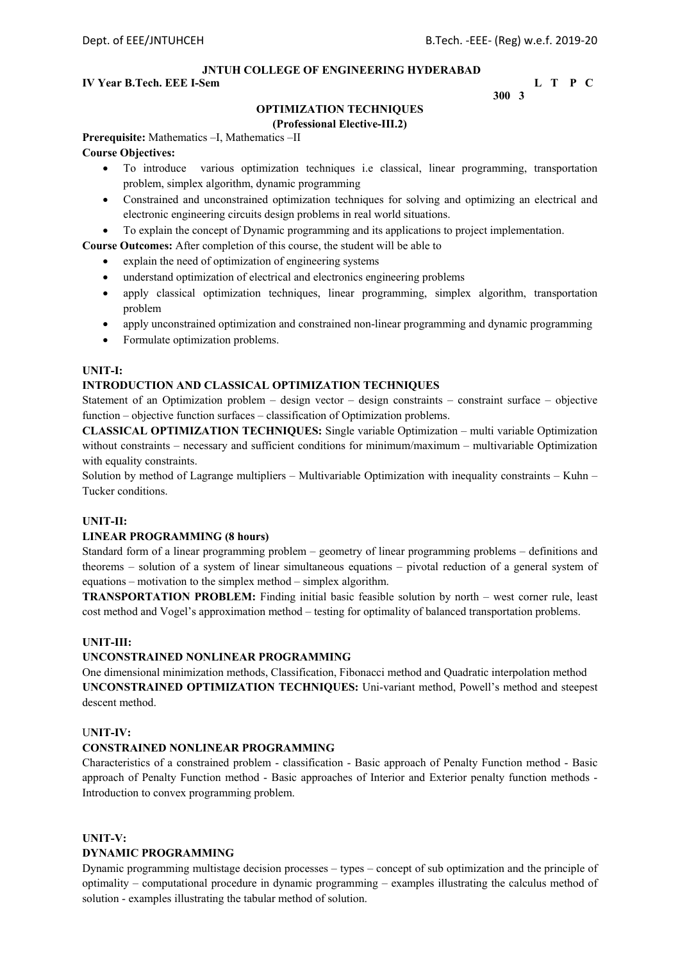## **IV Year B.Tech. EEE I-Sem L** T P C

**300 3** 

## **OPTIMIZATION TECHNIQUES**

## **(Professional Elective-III.2)**

**Prerequisite:** Mathematics –I, Mathematics –II

## **Course Objectives:**

- To introduce various optimization techniques i.e classical, linear programming, transportation problem, simplex algorithm, dynamic programming
- Constrained and unconstrained optimization techniques for solving and optimizing an electrical and electronic engineering circuits design problems in real world situations.
- To explain the concept of Dynamic programming and its applications to project implementation.

**Course Outcomes:** After completion of this course, the student will be able to

- explain the need of optimization of engineering systems
- understand optimization of electrical and electronics engineering problems
- apply classical optimization techniques, linear programming, simplex algorithm, transportation problem
- apply unconstrained optimization and constrained non-linear programming and dynamic programming
- Formulate optimization problems.

## **UNIT-I:**

#### **INTRODUCTION AND CLASSICAL OPTIMIZATION TECHNIQUES**

Statement of an Optimization problem – design vector – design constraints – constraint surface – objective function – objective function surfaces – classification of Optimization problems.

**CLASSICAL OPTIMIZATION TECHNIQUES:** Single variable Optimization – multi variable Optimization without constraints – necessary and sufficient conditions for minimum/maximum – multivariable Optimization with equality constraints.

Solution by method of Lagrange multipliers – Multivariable Optimization with inequality constraints – Kuhn – Tucker conditions.

#### **UNIT-II:**

#### **LINEAR PROGRAMMING (8 hours)**

Standard form of a linear programming problem – geometry of linear programming problems – definitions and theorems – solution of a system of linear simultaneous equations – pivotal reduction of a general system of equations – motivation to the simplex method – simplex algorithm.

**TRANSPORTATION PROBLEM:** Finding initial basic feasible solution by north – west corner rule, least cost method and Vogel's approximation method – testing for optimality of balanced transportation problems.

## **UNIT-III:**

## **UNCONSTRAINED NONLINEAR PROGRAMMING**

One dimensional minimization methods, Classification, Fibonacci method and Quadratic interpolation method **UNCONSTRAINED OPTIMIZATION TECHNIQUES:** Uni-variant method, Powell's method and steepest descent method.

## U**NIT-IV:**

#### **CONSTRAINED NONLINEAR PROGRAMMING**

Characteristics of a constrained problem - classification - Basic approach of Penalty Function method - Basic approach of Penalty Function method - Basic approaches of Interior and Exterior penalty function methods - Introduction to convex programming problem.

#### **UNIT-V:**

#### **DYNAMIC PROGRAMMING**

Dynamic programming multistage decision processes – types – concept of sub optimization and the principle of optimality – computational procedure in dynamic programming – examples illustrating the calculus method of solution - examples illustrating the tabular method of solution.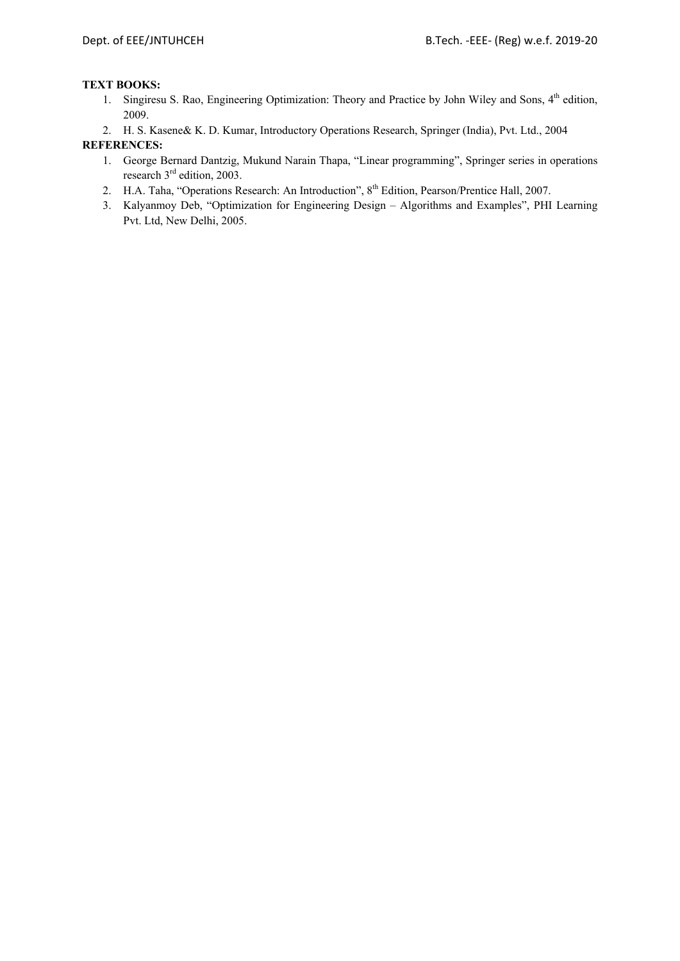## **TEXT BOOKS:**

1. Singiresu S. Rao, Engineering Optimization: Theory and Practice by John Wiley and Sons, 4<sup>th</sup> edition, 2009.

2. H. S. Kasene& K. D. Kumar, Introductory Operations Research, Springer (India), Pvt. Ltd., 2004

- 1. George Bernard Dantzig, Mukund Narain Thapa, "Linear programming", Springer series in operations research 3<sup>rd</sup> edition, 2003.
- 2. H.A. Taha, "Operations Research: An Introduction", 8<sup>th</sup> Edition, Pearson/Prentice Hall, 2007.
- 3. Kalyanmoy Deb, "Optimization for Engineering Design Algorithms and Examples", PHI Learning Pvt. Ltd, New Delhi, 2005.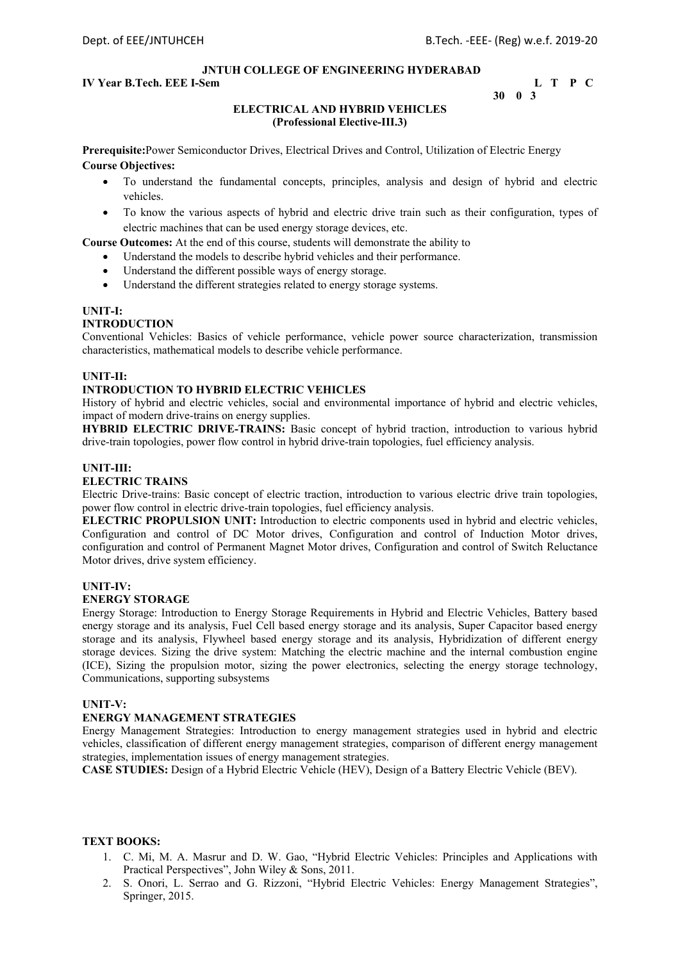## **IV Year B.Tech. EEE I-Sem L** T P C

```
 30 0 3
```
## **ELECTRICAL AND HYBRID VEHICLES (Professional Elective-III.3)**

**Prerequisite:**Power Semiconductor Drives, Electrical Drives and Control, Utilization of Electric Energy **Course Objectives:** 

- To understand the fundamental concepts, principles, analysis and design of hybrid and electric vehicles.
- To know the various aspects of hybrid and electric drive train such as their configuration, types of electric machines that can be used energy storage devices, etc.

**Course Outcomes:** At the end of this course, students will demonstrate the ability to

- Understand the models to describe hybrid vehicles and their performance.
- Understand the different possible ways of energy storage.
- Understand the different strategies related to energy storage systems.

#### **UNIT-I:**

#### **INTRODUCTION**

Conventional Vehicles: Basics of vehicle performance, vehicle power source characterization, transmission characteristics, mathematical models to describe vehicle performance.

#### **UNIT-II:**

#### **INTRODUCTION TO HYBRID ELECTRIC VEHICLES**

History of hybrid and electric vehicles, social and environmental importance of hybrid and electric vehicles, impact of modern drive-trains on energy supplies.

**HYBRID ELECTRIC DRIVE-TRAINS:** Basic concept of hybrid traction, introduction to various hybrid drive-train topologies, power flow control in hybrid drive-train topologies, fuel efficiency analysis.

#### **UNIT-III:**

#### **ELECTRIC TRAINS**

Electric Drive-trains: Basic concept of electric traction, introduction to various electric drive train topologies, power flow control in electric drive-train topologies, fuel efficiency analysis.

**ELECTRIC PROPULSION UNIT:** Introduction to electric components used in hybrid and electric vehicles, Configuration and control of DC Motor drives, Configuration and control of Induction Motor drives, configuration and control of Permanent Magnet Motor drives, Configuration and control of Switch Reluctance Motor drives, drive system efficiency.

#### **UNIT-IV:**

#### **ENERGY STORAGE**

Energy Storage: Introduction to Energy Storage Requirements in Hybrid and Electric Vehicles, Battery based energy storage and its analysis, Fuel Cell based energy storage and its analysis, Super Capacitor based energy storage and its analysis, Flywheel based energy storage and its analysis, Hybridization of different energy storage devices. Sizing the drive system: Matching the electric machine and the internal combustion engine (ICE), Sizing the propulsion motor, sizing the power electronics, selecting the energy storage technology, Communications, supporting subsystems

## **UNIT-V:**

#### **ENERGY MANAGEMENT STRATEGIES**

Energy Management Strategies: Introduction to energy management strategies used in hybrid and electric vehicles, classification of different energy management strategies, comparison of different energy management strategies, implementation issues of energy management strategies.

**CASE STUDIES:** Design of a Hybrid Electric Vehicle (HEV), Design of a Battery Electric Vehicle (BEV).

#### **TEXT BOOKS:**

- 1. C. Mi, M. A. Masrur and D. W. Gao, "Hybrid Electric Vehicles: Principles and Applications with Practical Perspectives", John Wiley & Sons, 2011.
- 2. S. Onori, L. Serrao and G. Rizzoni, "Hybrid Electric Vehicles: Energy Management Strategies", Springer, 2015.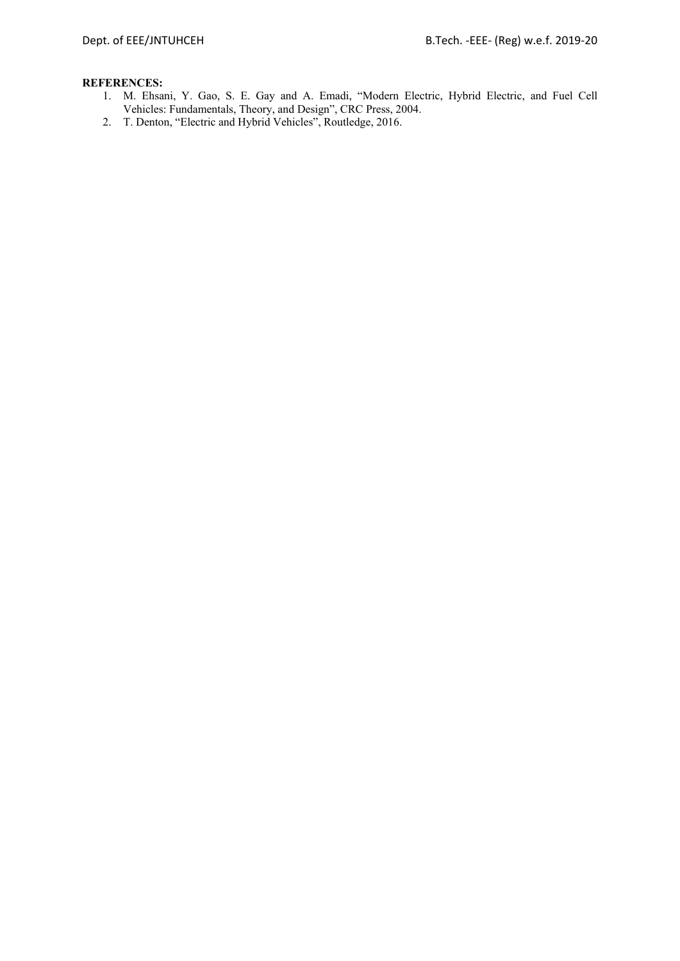- 1. M. Ehsani, Y. Gao, S. E. Gay and A. Emadi, "Modern Electric, Hybrid Electric, and Fuel Cell Vehicles: Fundamentals, Theory, and Design", CRC Press, 2004.
- 2. T. Denton, "Electric and Hybrid Vehicles", Routledge, 2016.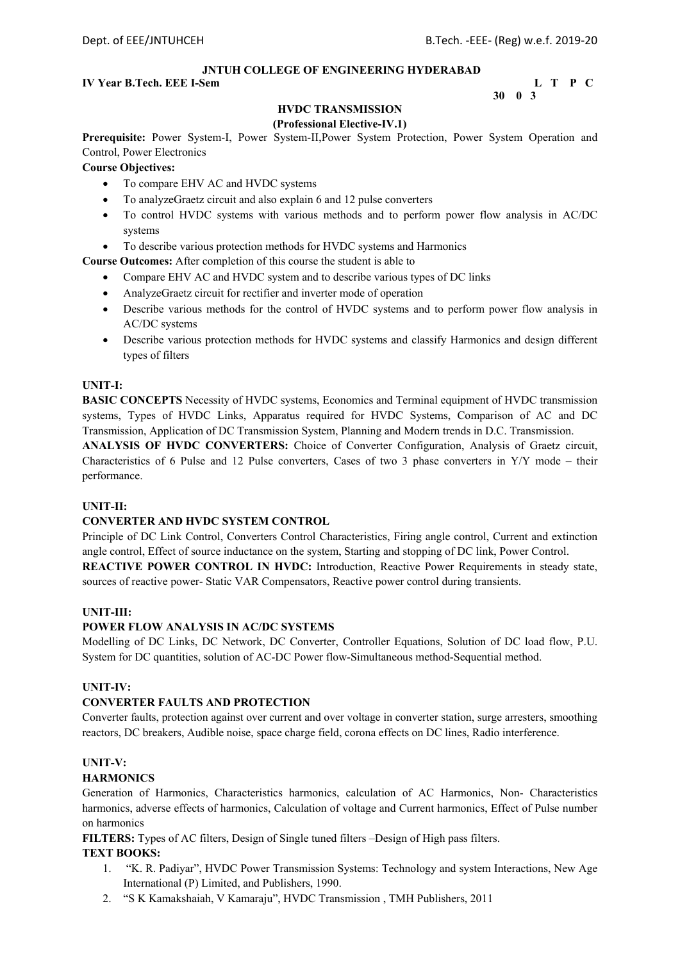## **IV Year B.Tech. EEE I-Sem L** T P C

 **30 0 3** 

## **HVDC TRANSMISSION**

## **(Professional Elective-IV.1)**

**Prerequisite:** Power System-I, Power System-II,Power System Protection, Power System Operation and Control, Power Electronics

## **Course Objectives:**

- To compare EHV AC and HVDC systems
- To analyzeGraetz circuit and also explain 6 and 12 pulse converters
- To control HVDC systems with various methods and to perform power flow analysis in AC/DC systems
- To describe various protection methods for HVDC systems and Harmonics

**Course Outcomes:** After completion of this course the student is able to

- Compare EHV AC and HVDC system and to describe various types of DC links
- AnalyzeGraetz circuit for rectifier and inverter mode of operation
- Describe various methods for the control of HVDC systems and to perform power flow analysis in AC/DC systems
- Describe various protection methods for HVDC systems and classify Harmonics and design different types of filters

#### **UNIT-I:**

**BASIC CONCEPTS** Necessity of HVDC systems, Economics and Terminal equipment of HVDC transmission systems, Types of HVDC Links, Apparatus required for HVDC Systems, Comparison of AC and DC Transmission, Application of DC Transmission System, Planning and Modern trends in D.C. Transmission.

**ANALYSIS OF HVDC CONVERTERS:** Choice of Converter Configuration, Analysis of Graetz circuit, Characteristics of 6 Pulse and 12 Pulse converters, Cases of two 3 phase converters in Y/Y mode – their performance.

## **UNIT-II:**

#### **CONVERTER AND HVDC SYSTEM CONTROL**

Principle of DC Link Control, Converters Control Characteristics, Firing angle control, Current and extinction angle control, Effect of source inductance on the system, Starting and stopping of DC link, Power Control. **REACTIVE POWER CONTROL IN HVDC:** Introduction, Reactive Power Requirements in steady state, sources of reactive power- Static VAR Compensators, Reactive power control during transients.

#### **UNIT-III:**

#### **POWER FLOW ANALYSIS IN AC/DC SYSTEMS**

Modelling of DC Links, DC Network, DC Converter, Controller Equations, Solution of DC load flow, P.U. System for DC quantities, solution of AC-DC Power flow-Simultaneous method-Sequential method.

#### **UNIT-IV:**

#### **CONVERTER FAULTS AND PROTECTION**

Converter faults, protection against over current and over voltage in converter station, surge arresters, smoothing reactors, DC breakers, Audible noise, space charge field, corona effects on DC lines, Radio interference.

## **UNIT-V:**

#### **HARMONICS**

Generation of Harmonics, Characteristics harmonics, calculation of AC Harmonics, Non- Characteristics harmonics, adverse effects of harmonics, Calculation of voltage and Current harmonics, Effect of Pulse number on harmonics

**FILTERS:** Types of AC filters, Design of Single tuned filters –Design of High pass filters.

#### **TEXT BOOKS:**

- 1. "K. R. Padiyar", HVDC Power Transmission Systems: Technology and system Interactions, New Age International (P) Limited, and Publishers, 1990.
- 2. "S K Kamakshaiah, V Kamaraju", HVDC Transmission , TMH Publishers, 2011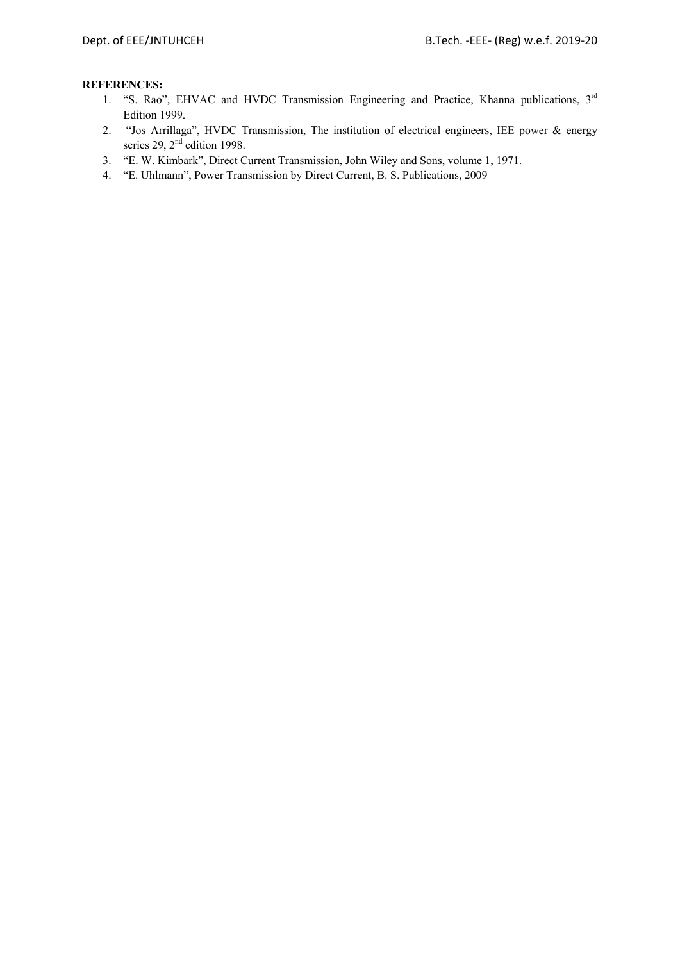- 1. "S. Rao", EHVAC and HVDC Transmission Engineering and Practice, Khanna publications, 3rd Edition 1999.
- 2. "Jos Arrillaga", HVDC Transmission, The institution of electrical engineers, IEE power & energy series 29, 2<sup>nd</sup> edition 1998.
- 3. "E. W. Kimbark", Direct Current Transmission, John Wiley and Sons, volume 1, 1971.
- 4. "E. Uhlmann", Power Transmission by Direct Current, B. S. Publications, 2009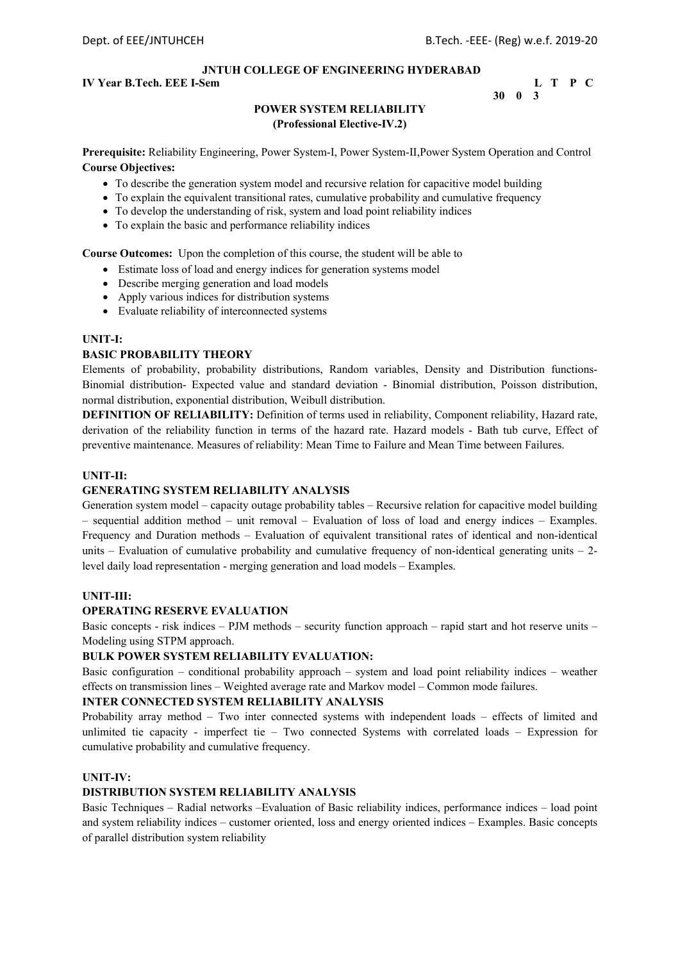## **IV Year B.Tech. EEE I-Sem L** T P C

```
30 0 3
```
## **POWER SYSTEM RELIABILITY (Professional Elective-IV.2)**

**Prerequisite:** Reliability Engineering, Power System-I, Power System-II,Power System Operation and Control **Course Objectives:** 

- To describe the generation system model and recursive relation for capacitive model building
- To explain the equivalent transitional rates, cumulative probability and cumulative frequency
- To develop the understanding of risk, system and load point reliability indices
- To explain the basic and performance reliability indices

**Course Outcomes:** Upon the completion of this course, the student will be able to

- Estimate loss of load and energy indices for generation systems model
- Describe merging generation and load models
- Apply various indices for distribution systems
- Evaluate reliability of interconnected systems

#### **UNIT-I:**

#### **BASIC PROBABILITY THEORY**

Elements of probability, probability distributions, Random variables, Density and Distribution functions-Binomial distribution- Expected value and standard deviation - Binomial distribution, Poisson distribution, normal distribution, exponential distribution, Weibull distribution.

**DEFINITION OF RELIABILITY:** Definition of terms used in reliability, Component reliability, Hazard rate, derivation of the reliability function in terms of the hazard rate. Hazard models - Bath tub curve, Effect of preventive maintenance. Measures of reliability: Mean Time to Failure and Mean Time between Failures.

#### **UNIT-II:**

#### **GENERATING SYSTEM RELIABILITY ANALYSIS**

Generation system model – capacity outage probability tables – Recursive relation for capacitive model building – sequential addition method – unit removal – Evaluation of loss of load and energy indices – Examples. Frequency and Duration methods – Evaluation of equivalent transitional rates of identical and non-identical units – Evaluation of cumulative probability and cumulative frequency of non-identical generating units –  $2$ level daily load representation - merging generation and load models – Examples.

#### **UNIT-III:**

#### **OPERATING RESERVE EVALUATION**

Basic concepts - risk indices – PJM methods – security function approach – rapid start and hot reserve units – Modeling using STPM approach.

#### **BULK POWER SYSTEM RELIABILITY EVALUATION:**

Basic configuration – conditional probability approach – system and load point reliability indices – weather effects on transmission lines – Weighted average rate and Markov model – Common mode failures.

#### **INTER CONNECTED SYSTEM RELIABILITY ANALYSIS**

Probability array method – Two inter connected systems with independent loads – effects of limited and unlimited tie capacity - imperfect tie – Two connected Systems with correlated loads – Expression for cumulative probability and cumulative frequency.

#### **UNIT-IV:**

## **DISTRIBUTION SYSTEM RELIABILITY ANALYSIS**

Basic Techniques – Radial networks –Evaluation of Basic reliability indices, performance indices – load point and system reliability indices – customer oriented, loss and energy oriented indices – Examples. Basic concepts of parallel distribution system reliability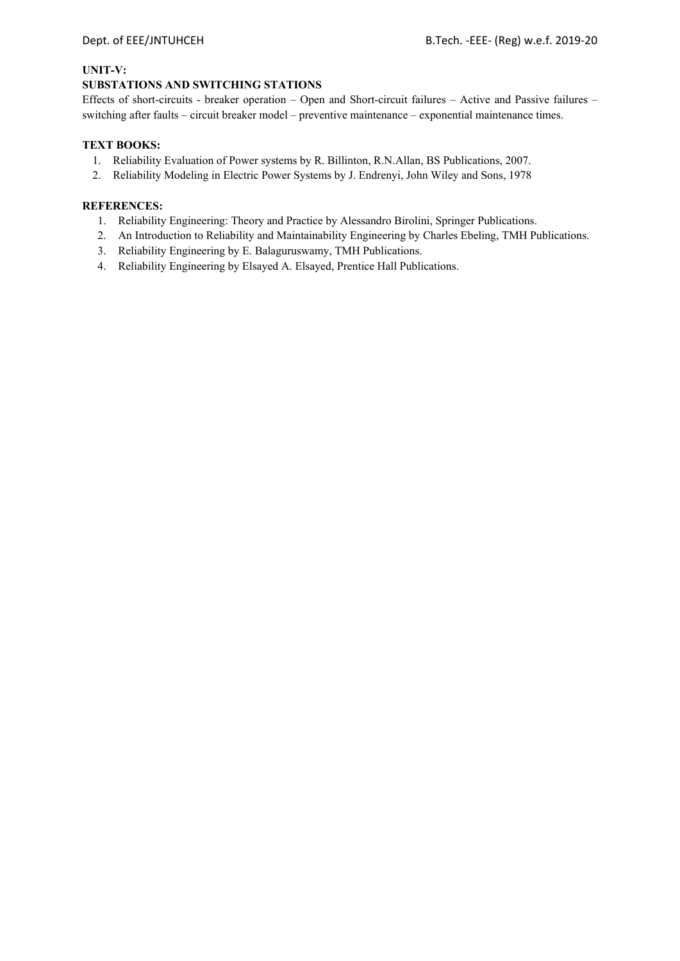## **UNIT-V:**

## **SUBSTATIONS AND SWITCHING STATIONS**

Effects of short-circuits - breaker operation – Open and Short-circuit failures – Active and Passive failures – switching after faults – circuit breaker model – preventive maintenance – exponential maintenance times.

## **TEXT BOOKS:**

- 1. Reliability Evaluation of Power systems by R. Billinton, R.N.Allan, BS Publications, 2007.
- 2. Reliability Modeling in Electric Power Systems by J. Endrenyi, John Wiley and Sons, 1978

- 1. Reliability Engineering: Theory and Practice by Alessandro Birolini, Springer Publications.
- 2. An Introduction to Reliability and Maintainability Engineering by Charles Ebeling, TMH Publications.
- 3. Reliability Engineering by E. Balaguruswamy, TMH Publications.
- 4. Reliability Engineering by Elsayed A. Elsayed, Prentice Hall Publications.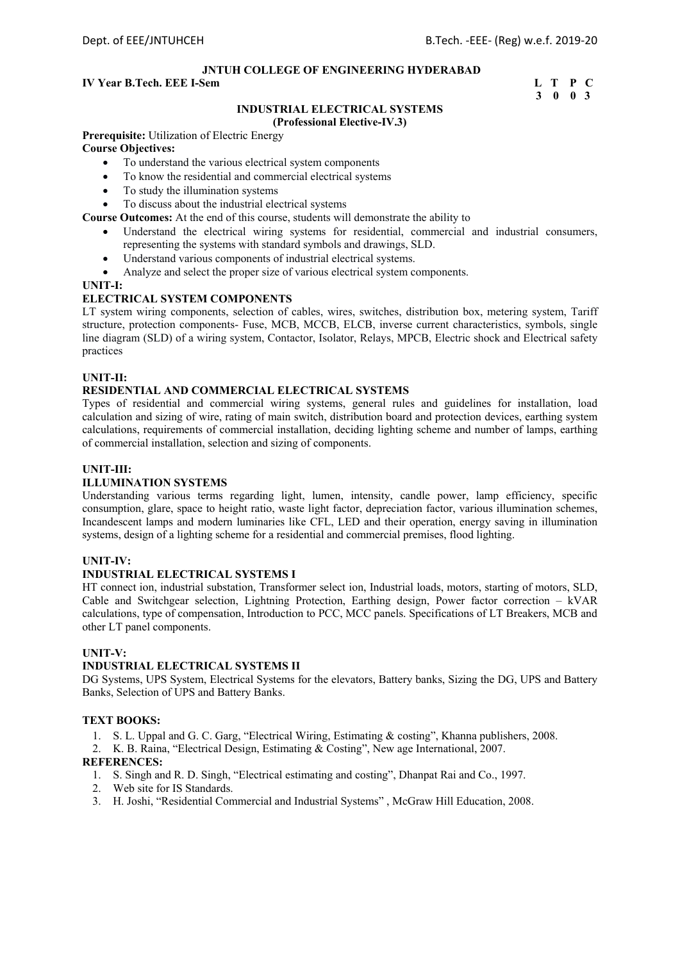## **IV Year B.Tech. EEE I-Sem L** T P C

 **3 0 0 3** 

#### **INDUSTRIAL ELECTRICAL SYSTEMS (Professional Elective-IV.3)**

**Prerequisite:** Utilization of Electric Energy

## **Course Objectives:**

- To understand the various electrical system components
- To know the residential and commercial electrical systems
- To study the illumination systems
- To discuss about the industrial electrical systems
- **Course Outcomes:** At the end of this course, students will demonstrate the ability to
	- Understand the electrical wiring systems for residential, commercial and industrial consumers, representing the systems with standard symbols and drawings, SLD.
	- Understand various components of industrial electrical systems.
	- Analyze and select the proper size of various electrical system components.

## **UNIT-I:**

## **ELECTRICAL SYSTEM COMPONENTS**

LT system wiring components, selection of cables, wires, switches, distribution box, metering system, Tariff structure, protection components- Fuse, MCB, MCCB, ELCB, inverse current characteristics, symbols, single line diagram (SLD) of a wiring system, Contactor, Isolator, Relays, MPCB, Electric shock and Electrical safety practices

#### **UNIT-II:**

## **RESIDENTIAL AND COMMERCIAL ELECTRICAL SYSTEMS**

Types of residential and commercial wiring systems, general rules and guidelines for installation, load calculation and sizing of wire, rating of main switch, distribution board and protection devices, earthing system calculations, requirements of commercial installation, deciding lighting scheme and number of lamps, earthing of commercial installation, selection and sizing of components.

#### **UNIT-III:**

#### **ILLUMINATION SYSTEMS**

Understanding various terms regarding light, lumen, intensity, candle power, lamp efficiency, specific consumption, glare, space to height ratio, waste light factor, depreciation factor, various illumination schemes, Incandescent lamps and modern luminaries like CFL, LED and their operation, energy saving in illumination systems, design of a lighting scheme for a residential and commercial premises, flood lighting.

#### **UNIT-IV:**

#### **INDUSTRIAL ELECTRICAL SYSTEMS I**

HT connect ion, industrial substation, Transformer select ion, Industrial loads, motors, starting of motors, SLD, Cable and Switchgear selection, Lightning Protection, Earthing design, Power factor correction – kVAR calculations, type of compensation, Introduction to PCC, MCC panels. Specifications of LT Breakers, MCB and other LT panel components.

#### **UNIT-V:**

## **INDUSTRIAL ELECTRICAL SYSTEMS II**

DG Systems, UPS System, Electrical Systems for the elevators, Battery banks, Sizing the DG, UPS and Battery Banks, Selection of UPS and Battery Banks.

#### **TEXT BOOKS:**

- 1. S. L. Uppal and G. C. Garg, "Electrical Wiring, Estimating & costing", Khanna publishers, 2008.
- 2. K. B. Raina, "Electrical Design, Estimating & Costing", New age International, 2007.

- 1. S. Singh and R. D. Singh, "Electrical estimating and costing", Dhanpat Rai and Co., 1997.
- 2. Web site for IS Standards.
- 3. H. Joshi, "Residential Commercial and Industrial Systems" , McGraw Hill Education, 2008.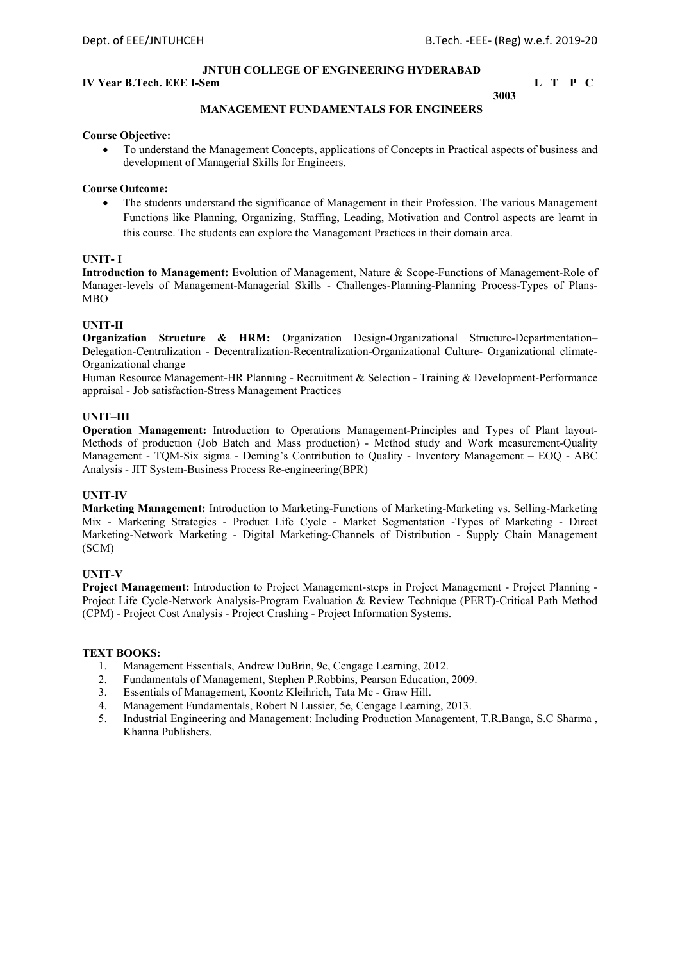## **IV Year B.Tech. EEE I-Sem L** T P C

#### **3003 MANAGEMENT FUNDAMENTALS FOR ENGINEERS**

## **Course Objective:**

 To understand the Management Concepts, applications of Concepts in Practical aspects of business and development of Managerial Skills for Engineers.

#### **Course Outcome:**

 The students understand the significance of Management in their Profession. The various Management Functions like Planning, Organizing, Staffing, Leading, Motivation and Control aspects are learnt in this course. The students can explore the Management Practices in their domain area.

#### **UNIT- I**

**Introduction to Management:** Evolution of Management, Nature & Scope-Functions of Management-Role of Manager-levels of Management-Managerial Skills - Challenges-Planning-Planning Process-Types of Plans-MBO

## **UNIT-II**

**Organization Structure & HRM:** Organization Design-Organizational Structure-Departmentation– Delegation-Centralization - Decentralization-Recentralization-Organizational Culture- Organizational climate-Organizational change

Human Resource Management-HR Planning - Recruitment & Selection - Training & Development-Performance appraisal - Job satisfaction-Stress Management Practices

#### **UNIT–III**

**Operation Management:** Introduction to Operations Management-Principles and Types of Plant layout-Methods of production (Job Batch and Mass production) - Method study and Work measurement-Quality Management - TQM-Six sigma - Deming's Contribution to Quality - Inventory Management – EOQ - ABC Analysis - JIT System-Business Process Re-engineering(BPR)

#### **UNIT-IV**

**Marketing Management:** Introduction to Marketing-Functions of Marketing-Marketing vs. Selling-Marketing Mix - Marketing Strategies - Product Life Cycle - Market Segmentation -Types of Marketing - Direct Marketing-Network Marketing - Digital Marketing-Channels of Distribution - Supply Chain Management (SCM)

#### **UNIT-V**

**Project Management:** Introduction to Project Management-steps in Project Management - Project Planning - Project Life Cycle-Network Analysis-Program Evaluation & Review Technique (PERT)-Critical Path Method (CPM) - Project Cost Analysis - Project Crashing - Project Information Systems.

#### **TEXT BOOKS:**

- 1. Management Essentials, Andrew DuBrin, 9e, Cengage Learning, 2012.
- 2. Fundamentals of Management, Stephen P.Robbins, Pearson Education, 2009.
- 3. Essentials of Management, Koontz Kleihrich, Tata Mc Graw Hill.
- 4. Management Fundamentals, Robert N Lussier, 5e, Cengage Learning, 2013.
- 5. Industrial Engineering and Management: Including Production Management, T.R.Banga, S.C Sharma , Khanna Publishers.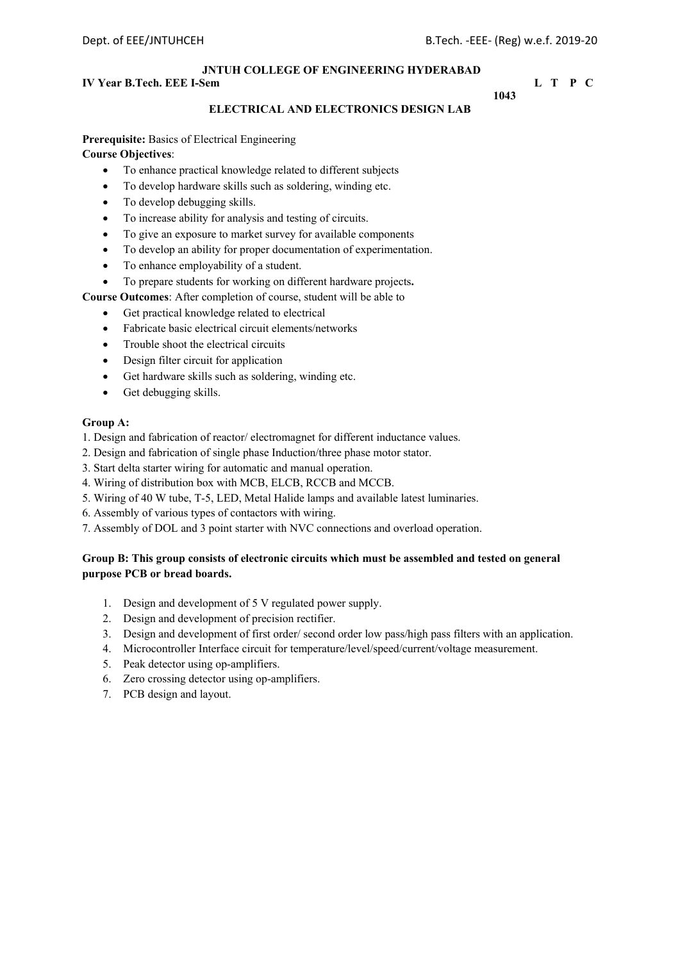## **IV Year B.Tech. EEE I-Sem L** T P C

#### **1043 ELECTRICAL AND ELECTRONICS DESIGN LAB**

## **Prerequisite:** Basics of Electrical Engineering

## **Course Objectives**:

- To enhance practical knowledge related to different subjects
- To develop hardware skills such as soldering, winding etc.
- To develop debugging skills.
- To increase ability for analysis and testing of circuits.
- To give an exposure to market survey for available components
- To develop an ability for proper documentation of experimentation.
- To enhance employability of a student.
- To prepare students for working on different hardware projects**.**
- **Course Outcomes**: After completion of course, student will be able to
	- Get practical knowledge related to electrical
	- Fabricate basic electrical circuit elements/networks
	- Trouble shoot the electrical circuits
	- Design filter circuit for application
	- Get hardware skills such as soldering, winding etc.
	- Get debugging skills.

## **Group A:**

- 1. Design and fabrication of reactor/ electromagnet for different inductance values.
- 2. Design and fabrication of single phase Induction/three phase motor stator.
- 3. Start delta starter wiring for automatic and manual operation.
- 4. Wiring of distribution box with MCB, ELCB, RCCB and MCCB.
- 5. Wiring of 40 W tube, T-5, LED, Metal Halide lamps and available latest luminaries.
- 6. Assembly of various types of contactors with wiring.
- 7. Assembly of DOL and 3 point starter with NVC connections and overload operation.

## **Group B: This group consists of electronic circuits which must be assembled and tested on general purpose PCB or bread boards.**

- 1. Design and development of 5 V regulated power supply.
- 2. Design and development of precision rectifier.
- 3. Design and development of first order/ second order low pass/high pass filters with an application.
- 4. Microcontroller Interface circuit for temperature/level/speed/current/voltage measurement.
- 5. Peak detector using op-amplifiers.
- 6. Zero crossing detector using op-amplifiers.
- 7. PCB design and layout.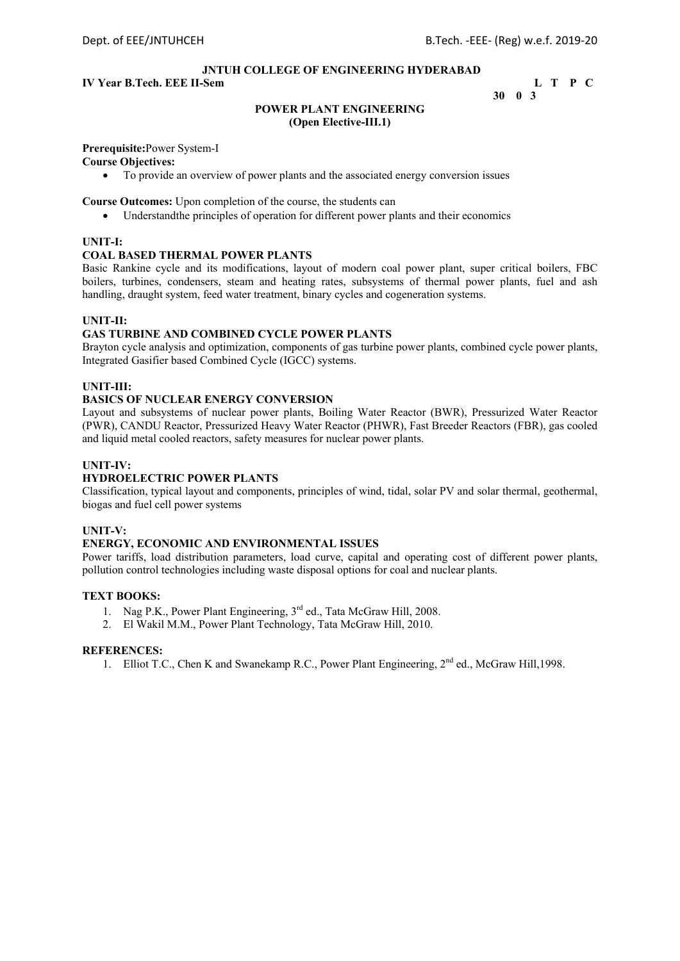## **IV Year B.Tech. EEE II-Sem L T P C**

 **30 0 3** 

#### **POWER PLANT ENGINEERING (Open Elective-III.1)**

## **Prerequisite:**Power System-I

### **Course Objectives:**

To provide an overview of power plants and the associated energy conversion issues

**Course Outcomes:** Upon completion of the course, the students can

Understandthe principles of operation for different power plants and their economics

#### **UNIT-I:**

#### **COAL BASED THERMAL POWER PLANTS**

Basic Rankine cycle and its modifications, layout of modern coal power plant, super critical boilers, FBC boilers, turbines, condensers, steam and heating rates, subsystems of thermal power plants, fuel and ash handling, draught system, feed water treatment, binary cycles and cogeneration systems.

#### **UNIT-II:**

#### **GAS TURBINE AND COMBINED CYCLE POWER PLANTS**

Brayton cycle analysis and optimization, components of gas turbine power plants, combined cycle power plants, Integrated Gasifier based Combined Cycle (IGCC) systems.

#### **UNIT-III:**

#### **BASICS OF NUCLEAR ENERGY CONVERSION**

Layout and subsystems of nuclear power plants, Boiling Water Reactor (BWR), Pressurized Water Reactor (PWR), CANDU Reactor, Pressurized Heavy Water Reactor (PHWR), Fast Breeder Reactors (FBR), gas cooled and liquid metal cooled reactors, safety measures for nuclear power plants.

#### **UNIT-IV:**

#### **HYDROELECTRIC POWER PLANTS**

Classification, typical layout and components, principles of wind, tidal, solar PV and solar thermal, geothermal, biogas and fuel cell power systems

#### **UNIT-V:**

#### **ENERGY, ECONOMIC AND ENVIRONMENTAL ISSUES**

Power tariffs, load distribution parameters, load curve, capital and operating cost of different power plants, pollution control technologies including waste disposal options for coal and nuclear plants.

#### **TEXT BOOKS:**

- 1. Nag P.K., Power Plant Engineering, 3<sup>rd</sup> ed., Tata McGraw Hill, 2008.
- 2. El Wakil M.M., Power Plant Technology, Tata McGraw Hill, 2010.

#### **REFERENCES:**

1. Elliot T.C., Chen K and Swanekamp R.C., Power Plant Engineering, 2<sup>nd</sup> ed., McGraw Hill, 1998.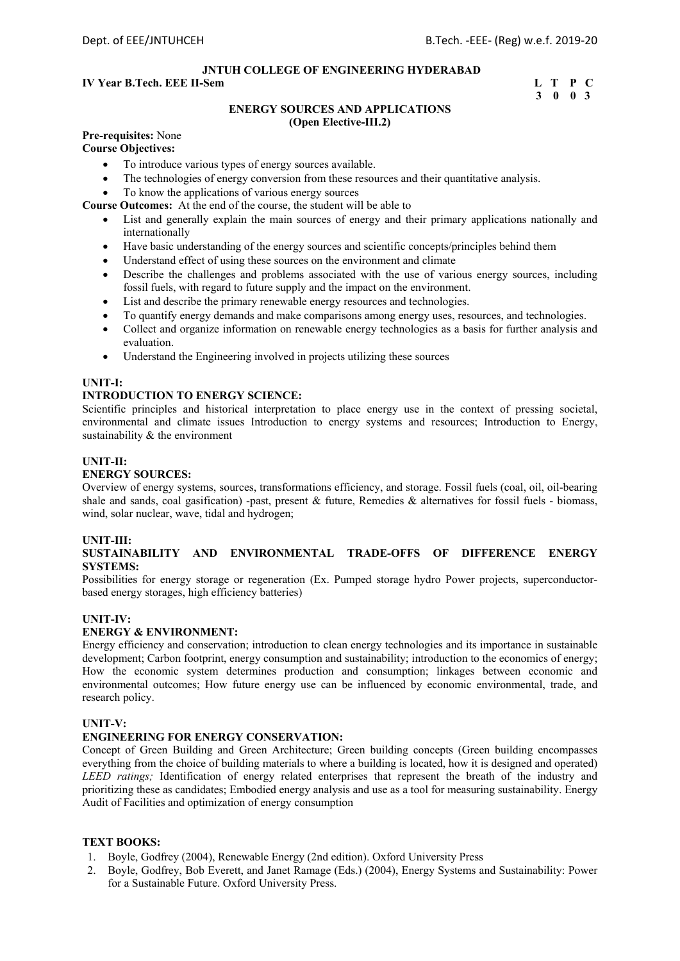## **IV Year B.Tech. EEE II-Sem L T P C**

# **3 0 0 3**

#### **ENERGY SOURCES AND APPLICATIONS (Open Elective-III.2)**

## **Pre-requisites:** None

## **Course Objectives:**

- To introduce various types of energy sources available.
- The technologies of energy conversion from these resources and their quantitative analysis.
- To know the applications of various energy sources

**Course Outcomes:** At the end of the course, the student will be able to

- List and generally explain the main sources of energy and their primary applications nationally and internationally
- Have basic understanding of the energy sources and scientific concepts/principles behind them
- Understand effect of using these sources on the environment and climate
- Describe the challenges and problems associated with the use of various energy sources, including fossil fuels, with regard to future supply and the impact on the environment.
- List and describe the primary renewable energy resources and technologies.
- To quantify energy demands and make comparisons among energy uses, resources, and technologies.
- Collect and organize information on renewable energy technologies as a basis for further analysis and evaluation.
- Understand the Engineering involved in projects utilizing these sources

## **UNIT-I:**

## **INTRODUCTION TO ENERGY SCIENCE:**

Scientific principles and historical interpretation to place energy use in the context of pressing societal, environmental and climate issues Introduction to energy systems and resources; Introduction to Energy, sustainability & the environment

#### **UNIT-II:**

#### **ENERGY SOURCES:**

Overview of energy systems, sources, transformations efficiency, and storage. Fossil fuels (coal, oil, oil-bearing shale and sands, coal gasification) -past, present & future, Remedies & alternatives for fossil fuels - biomass, wind, solar nuclear, wave, tidal and hydrogen;

#### **UNIT-III:**

#### **SUSTAINABILITY AND ENVIRONMENTAL TRADE-OFFS OF DIFFERENCE ENERGY SYSTEMS:**

Possibilities for energy storage or regeneration (Ex. Pumped storage hydro Power projects, superconductorbased energy storages, high efficiency batteries)

#### **UNIT-IV:**

#### **ENERGY & ENVIRONMENT:**

Energy efficiency and conservation; introduction to clean energy technologies and its importance in sustainable development; Carbon footprint, energy consumption and sustainability; introduction to the economics of energy; How the economic system determines production and consumption; linkages between economic and environmental outcomes; How future energy use can be influenced by economic environmental, trade, and research policy.

#### **UNIT-V:**

#### **ENGINEERING FOR ENERGY CONSERVATION:**

Concept of Green Building and Green Architecture; Green building concepts (Green building encompasses everything from the choice of building materials to where a building is located, how it is designed and operated) *LEED ratings;* Identification of energy related enterprises that represent the breath of the industry and prioritizing these as candidates; Embodied energy analysis and use as a tool for measuring sustainability. Energy Audit of Facilities and optimization of energy consumption

#### **TEXT BOOKS:**

- 1. Boyle, Godfrey (2004), Renewable Energy (2nd edition). Oxford University Press
- 2. Boyle, Godfrey, Bob Everett, and Janet Ramage (Eds.) (2004), Energy Systems and Sustainability: Power for a Sustainable Future. Oxford University Press.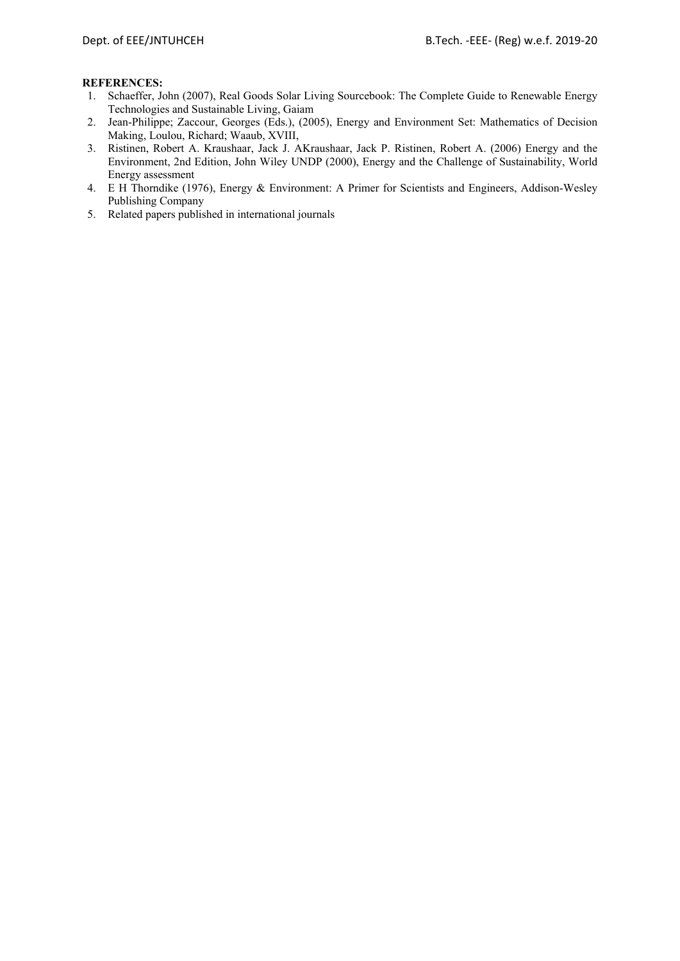- 1. Schaeffer, John (2007), Real Goods Solar Living Sourcebook: The Complete Guide to Renewable Energy Technologies and Sustainable Living, Gaiam
- 2. Jean-Philippe; Zaccour, Georges (Eds.), (2005), Energy and Environment Set: Mathematics of Decision Making, Loulou, Richard; Waaub, XVIII,
- 3. Ristinen, Robert A. Kraushaar, Jack J. AKraushaar, Jack P. Ristinen, Robert A. (2006) Energy and the Environment, 2nd Edition, John Wiley UNDP (2000), Energy and the Challenge of Sustainability, World Energy assessment
- 4. E H Thorndike (1976), Energy & Environment: A Primer for Scientists and Engineers, Addison-Wesley Publishing Company
- 5. Related papers published in international journals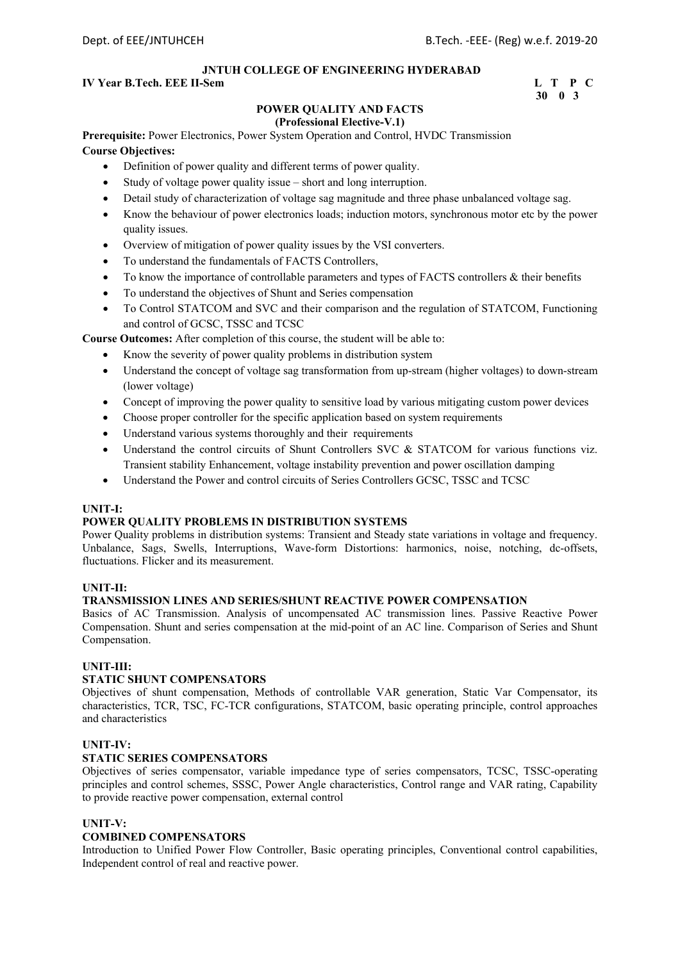## **IV Year B.Tech. EEE II-Sem L T P C**

# **30 0 3**

## **POWER QUALITY AND FACTS**

## **(Professional Elective-V.1)**

**Prerequisite:** Power Electronics, Power System Operation and Control, HVDC Transmission **Course Objectives:**

- Definition of power quality and different terms of power quality.
- Study of voltage power quality issue short and long interruption.
- Detail study of characterization of voltage sag magnitude and three phase unbalanced voltage sag.
- Know the behaviour of power electronics loads; induction motors, synchronous motor etc by the power quality issues.
- Overview of mitigation of power quality issues by the VSI converters.
- To understand the fundamentals of FACTS Controllers,
- To know the importance of controllable parameters and types of FACTS controllers & their benefits
- To understand the objectives of Shunt and Series compensation
- To Control STATCOM and SVC and their comparison and the regulation of STATCOM, Functioning and control of GCSC, TSSC and TCSC

**Course Outcomes:** After completion of this course, the student will be able to:

- Know the severity of power quality problems in distribution system
- Understand the concept of voltage sag transformation from up-stream (higher voltages) to down-stream (lower voltage)
- Concept of improving the power quality to sensitive load by various mitigating custom power devices
- Choose proper controller for the specific application based on system requirements
- Understand various systems thoroughly and their requirements
- Understand the control circuits of Shunt Controllers SVC & STATCOM for various functions viz. Transient stability Enhancement, voltage instability prevention and power oscillation damping
- Understand the Power and control circuits of Series Controllers GCSC, TSSC and TCSC

#### **UNIT-I:**

#### **POWER QUALITY PROBLEMS IN DISTRIBUTION SYSTEMS**

Power Quality problems in distribution systems: Transient and Steady state variations in voltage and frequency. Unbalance, Sags, Swells, Interruptions, Wave-form Distortions: harmonics, noise, notching, dc-offsets, fluctuations. Flicker and its measurement.

#### **UNIT-II:**

#### **TRANSMISSION LINES AND SERIES/SHUNT REACTIVE POWER COMPENSATION**

Basics of AC Transmission. Analysis of uncompensated AC transmission lines. Passive Reactive Power Compensation. Shunt and series compensation at the mid-point of an AC line. Comparison of Series and Shunt Compensation.

## **UNIT-III:**

#### **STATIC SHUNT COMPENSATORS**

Objectives of shunt compensation, Methods of controllable VAR generation, Static Var Compensator, its characteristics, TCR, TSC, FC-TCR configurations, STATCOM, basic operating principle, control approaches and characteristics

## **UNIT-IV:**

#### **STATIC SERIES COMPENSATORS**

Objectives of series compensator, variable impedance type of series compensators, TCSC, TSSC-operating principles and control schemes, SSSC, Power Angle characteristics, Control range and VAR rating, Capability to provide reactive power compensation, external control

#### **UNIT-V:**

#### **COMBINED COMPENSATORS**

Introduction to Unified Power Flow Controller, Basic operating principles, Conventional control capabilities, Independent control of real and reactive power.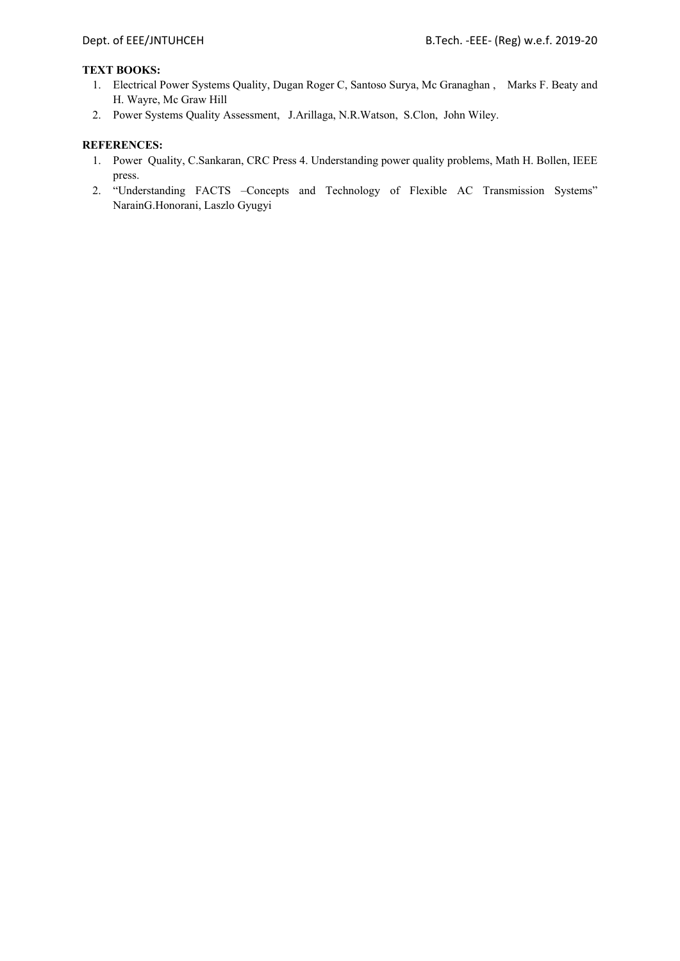### **TEXT BOOKS:**

- 1. Electrical Power Systems Quality, Dugan Roger C, Santoso Surya, Mc Granaghan , Marks F. Beaty and H. Wayre, Mc Graw Hill
- 2. Power Systems Quality Assessment, J.Arillaga, N.R.Watson, S.Clon, John Wiley.

- 1. Power Quality, C.Sankaran, CRC Press 4. Understanding power quality problems, Math H. Bollen, IEEE press.
- 2. "Understanding FACTS –Concepts and Technology of Flexible AC Transmission Systems" NarainG.Honorani, Laszlo Gyugyi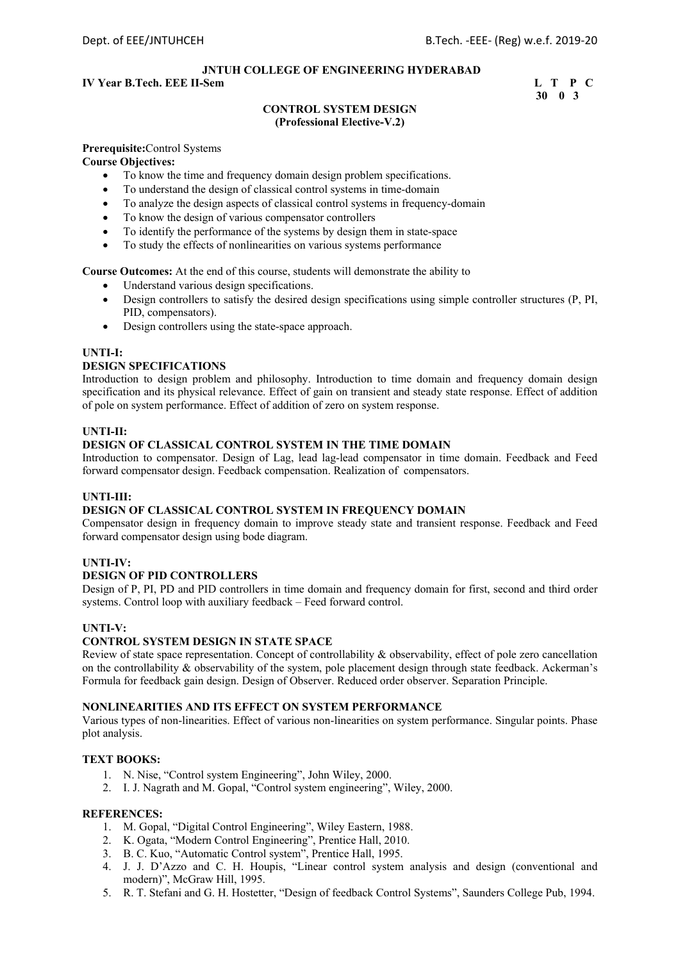## **IV Year B.Tech. EEE II-Sem L T P C**

## **30 0 3**

#### **CONTROL SYSTEM DESIGN (Professional Elective-V.2)**

## **Prerequisite:**Control Systems

## **Course Objectives:**

- To know the time and frequency domain design problem specifications.
- To understand the design of classical control systems in time-domain
- To analyze the design aspects of classical control systems in frequency-domain
- To know the design of various compensator controllers
- To identify the performance of the systems by design them in state-space
- To study the effects of nonlinearities on various systems performance

**Course Outcomes:** At the end of this course, students will demonstrate the ability to

- Understand various design specifications.
- Design controllers to satisfy the desired design specifications using simple controller structures (P, PI, PID, compensators).
- Design controllers using the state-space approach.

#### **UNTI-I:**

#### **DESIGN SPECIFICATIONS**

Introduction to design problem and philosophy. Introduction to time domain and frequency domain design specification and its physical relevance. Effect of gain on transient and steady state response. Effect of addition of pole on system performance. Effect of addition of zero on system response.

#### **UNTI-II:**

#### **DESIGN OF CLASSICAL CONTROL SYSTEM IN THE TIME DOMAIN**

Introduction to compensator. Design of Lag, lead lag-lead compensator in time domain. Feedback and Feed forward compensator design. Feedback compensation. Realization of compensators.

#### **UNTI-III:**

## **DESIGN OF CLASSICAL CONTROL SYSTEM IN FREQUENCY DOMAIN**

Compensator design in frequency domain to improve steady state and transient response. Feedback and Feed forward compensator design using bode diagram.

#### **UNTI-IV:**

## **DESIGN OF PID CONTROLLERS**

Design of P, PI, PD and PID controllers in time domain and frequency domain for first, second and third order systems. Control loop with auxiliary feedback – Feed forward control.

## **UNTI-V:**

## **CONTROL SYSTEM DESIGN IN STATE SPACE**

Review of state space representation. Concept of controllability & observability, effect of pole zero cancellation on the controllability & observability of the system, pole placement design through state feedback. Ackerman's Formula for feedback gain design. Design of Observer. Reduced order observer. Separation Principle.

#### **NONLINEARITIES AND ITS EFFECT ON SYSTEM PERFORMANCE**

Various types of non-linearities. Effect of various non-linearities on system performance. Singular points. Phase plot analysis.

#### **TEXT BOOKS:**

- 1. N. Nise, "Control system Engineering", John Wiley, 2000.
- 2. I. J. Nagrath and M. Gopal, "Control system engineering", Wiley, 2000.

- 1. M. Gopal, "Digital Control Engineering", Wiley Eastern, 1988.
- 2. K. Ogata, "Modern Control Engineering", Prentice Hall, 2010.
- 3. B. C. Kuo, "Automatic Control system", Prentice Hall, 1995.
- 4. J. J. D'Azzo and C. H. Houpis, "Linear control system analysis and design (conventional and modern)", McGraw Hill, 1995.
- 5. R. T. Stefani and G. H. Hostetter, "Design of feedback Control Systems", Saunders College Pub, 1994.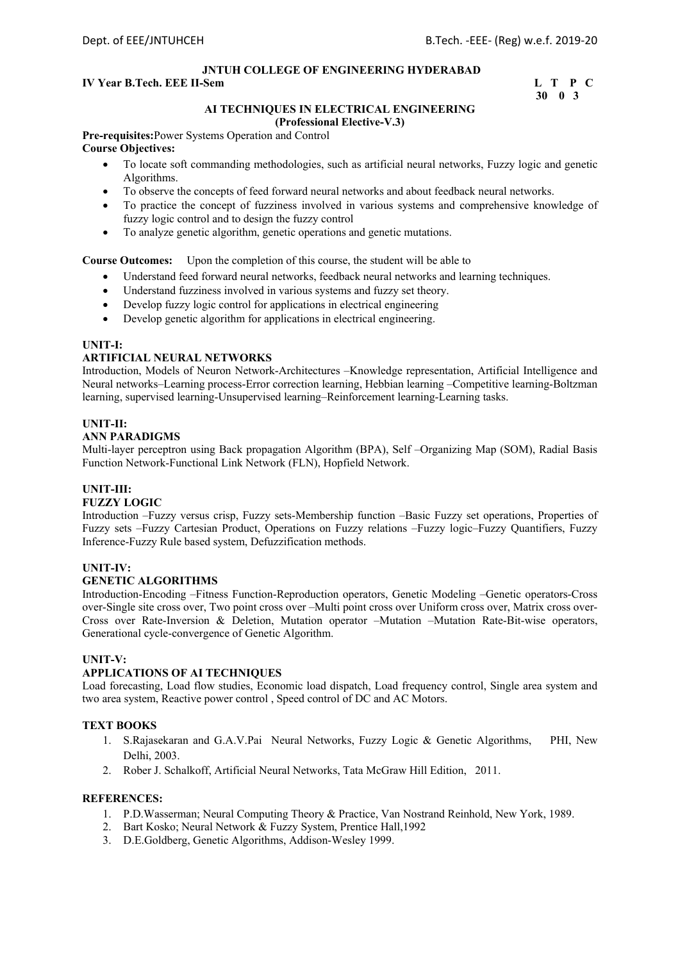#### **IV Year B.Tech. EEE II-Sem L T P C**

# **30 0 3**

#### **AI TECHNIQUES IN ELECTRICAL ENGINEERING (Professional Elective-V.3)**

**Pre-requisites:**Power Systems Operation and Control **Course Objectives:** 

- To locate soft commanding methodologies, such as artificial neural networks, Fuzzy logic and genetic Algorithms.
- To observe the concepts of feed forward neural networks and about feedback neural networks.
- To practice the concept of fuzziness involved in various systems and comprehensive knowledge of fuzzy logic control and to design the fuzzy control
- To analyze genetic algorithm, genetic operations and genetic mutations.

**Course Outcomes:** Upon the completion of this course, the student will be able to

- Understand feed forward neural networks, feedback neural networks and learning techniques.
- Understand fuzziness involved in various systems and fuzzy set theory.
- Develop fuzzy logic control for applications in electrical engineering
- Develop genetic algorithm for applications in electrical engineering.

#### **UNIT-I:**

#### **ARTIFICIAL NEURAL NETWORKS**

Introduction, Models of Neuron Network-Architectures –Knowledge representation, Artificial Intelligence and Neural networks–Learning process-Error correction learning, Hebbian learning –Competitive learning-Boltzman learning, supervised learning-Unsupervised learning–Reinforcement learning-Learning tasks.

#### **UNIT-II:**

#### **ANN PARADIGMS**

Multi-layer perceptron using Back propagation Algorithm (BPA), Self –Organizing Map (SOM), Radial Basis Function Network-Functional Link Network (FLN), Hopfield Network.

#### **UNIT-III:**

#### **FUZZY LOGIC**

Introduction –Fuzzy versus crisp, Fuzzy sets-Membership function –Basic Fuzzy set operations, Properties of Fuzzy sets –Fuzzy Cartesian Product, Operations on Fuzzy relations –Fuzzy logic–Fuzzy Quantifiers, Fuzzy Inference-Fuzzy Rule based system, Defuzzification methods.

#### **UNIT-IV:**

#### **GENETIC ALGORITHMS**

Introduction-Encoding –Fitness Function-Reproduction operators, Genetic Modeling –Genetic operators-Cross over-Single site cross over, Two point cross over –Multi point cross over Uniform cross over, Matrix cross over-Cross over Rate-Inversion & Deletion, Mutation operator –Mutation –Mutation Rate-Bit-wise operators, Generational cycle-convergence of Genetic Algorithm.

#### **UNIT-V:**

#### **APPLICATIONS OF AI TECHNIQUES**

Load forecasting, Load flow studies, Economic load dispatch, Load frequency control, Single area system and two area system, Reactive power control , Speed control of DC and AC Motors.

### **TEXT BOOKS**

- 1. S.Rajasekaran and G.A.V.Pai Neural Networks, Fuzzy Logic & Genetic Algorithms, PHI, New Delhi, 2003.
- 2. Rober J. Schalkoff, Artificial Neural Networks, Tata McGraw Hill Edition, 2011.

- 1. P.D.Wasserman; Neural Computing Theory & Practice, Van Nostrand Reinhold, New York, 1989.
- 2. Bart Kosko; Neural Network & Fuzzy System, Prentice Hall,1992
- 3. D.E.Goldberg, Genetic Algorithms, Addison-Wesley 1999.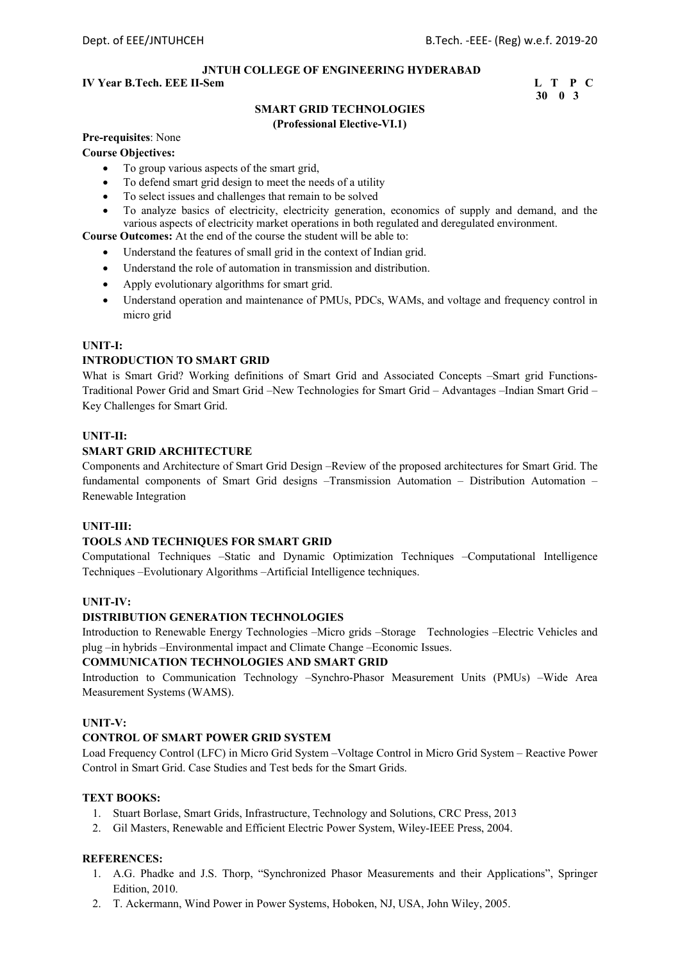#### **IV Year B.Tech. EEE II-Sem L T P C**

 **30 0 3** 

# **SMART GRID TECHNOLOGIES**

#### **(Professional Elective-VI.1)**

### **Pre-requisites**: None

#### **Course Objectives:**

- To group various aspects of the smart grid,
- To defend smart grid design to meet the needs of a utility
- To select issues and challenges that remain to be solved
- To analyze basics of electricity, electricity generation, economics of supply and demand, and the various aspects of electricity market operations in both regulated and deregulated environment.

#### **Course Outcomes:** At the end of the course the student will be able to:

- Understand the features of small grid in the context of Indian grid.
- Understand the role of automation in transmission and distribution.
- Apply evolutionary algorithms for smart grid.
- Understand operation and maintenance of PMUs, PDCs, WAMs, and voltage and frequency control in micro grid

#### **UNIT-I:**

#### **INTRODUCTION TO SMART GRID**

What is Smart Grid? Working definitions of Smart Grid and Associated Concepts -Smart grid Functions-Traditional Power Grid and Smart Grid –New Technologies for Smart Grid – Advantages –Indian Smart Grid – Key Challenges for Smart Grid.

#### **UNIT-II:**

#### **SMART GRID ARCHITECTURE**

Components and Architecture of Smart Grid Design –Review of the proposed architectures for Smart Grid. The fundamental components of Smart Grid designs –Transmission Automation – Distribution Automation – Renewable Integration

#### **UNIT-III:**

#### **TOOLS AND TECHNIQUES FOR SMART GRID**

Computational Techniques –Static and Dynamic Optimization Techniques –Computational Intelligence Techniques –Evolutionary Algorithms –Artificial Intelligence techniques.

#### **UNIT-IV:**

#### **DISTRIBUTION GENERATION TECHNOLOGIES**

Introduction to Renewable Energy Technologies –Micro grids –Storage Technologies –Electric Vehicles and plug –in hybrids –Environmental impact and Climate Change –Economic Issues.

#### **COMMUNICATION TECHNOLOGIES AND SMART GRID**

Introduction to Communication Technology –Synchro-Phasor Measurement Units (PMUs) –Wide Area Measurement Systems (WAMS).

#### **UNIT-V:**

#### **CONTROL OF SMART POWER GRID SYSTEM**

Load Frequency Control (LFC) in Micro Grid System –Voltage Control in Micro Grid System – Reactive Power Control in Smart Grid. Case Studies and Test beds for the Smart Grids.

#### **TEXT BOOKS:**

- 1. Stuart Borlase, Smart Grids, Infrastructure, Technology and Solutions, CRC Press, 2013
- 2. Gil Masters, Renewable and Efficient Electric Power System, Wiley-IEEE Press, 2004.

- 1. A.G. Phadke and J.S. Thorp, "Synchronized Phasor Measurements and their Applications", Springer Edition, 2010.
- 2. T. Ackermann, Wind Power in Power Systems, Hoboken, NJ, USA, John Wiley, 2005.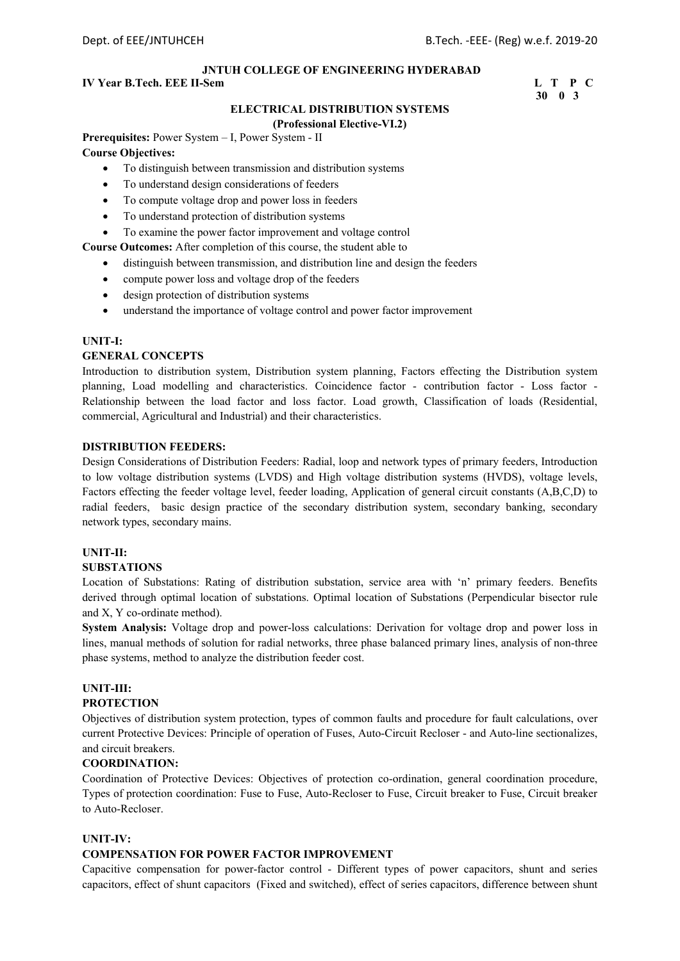#### **IV Year B.Tech. EEE II-Sem L T P C**

 **30 0 3** 

#### **ELECTRICAL DISTRIBUTION SYSTEMS**

#### **(Professional Elective-VI.2)**

**Prerequisites:** Power System – I, Power System - II **Course Objectives:** 

- To distinguish between transmission and distribution systems
- To understand design considerations of feeders
- To compute voltage drop and power loss in feeders
- To understand protection of distribution systems
- To examine the power factor improvement and voltage control

**Course Outcomes:** After completion of this course, the student able to

- distinguish between transmission, and distribution line and design the feeders
- compute power loss and voltage drop of the feeders
- design protection of distribution systems
- understand the importance of voltage control and power factor improvement

#### **UNIT-I:**

#### **GENERAL CONCEPTS**

Introduction to distribution system, Distribution system planning, Factors effecting the Distribution system planning, Load modelling and characteristics. Coincidence factor - contribution factor - Loss factor - Relationship between the load factor and loss factor. Load growth, Classification of loads (Residential, commercial, Agricultural and Industrial) and their characteristics.

#### **DISTRIBUTION FEEDERS:**

Design Considerations of Distribution Feeders: Radial, loop and network types of primary feeders, Introduction to low voltage distribution systems (LVDS) and High voltage distribution systems (HVDS), voltage levels, Factors effecting the feeder voltage level, feeder loading, Application of general circuit constants (A,B,C,D) to radial feeders, basic design practice of the secondary distribution system, secondary banking, secondary network types, secondary mains.

#### **UNIT-II:**

#### **SUBSTATIONS**

Location of Substations: Rating of distribution substation, service area with 'n' primary feeders. Benefits derived through optimal location of substations. Optimal location of Substations (Perpendicular bisector rule and X, Y co-ordinate method).

**System Analysis:** Voltage drop and power-loss calculations: Derivation for voltage drop and power loss in lines, manual methods of solution for radial networks, three phase balanced primary lines, analysis of non-three phase systems, method to analyze the distribution feeder cost.

#### **UNIT-III:**

#### **PROTECTION**

Objectives of distribution system protection, types of common faults and procedure for fault calculations, over current Protective Devices: Principle of operation of Fuses, Auto-Circuit Recloser - and Auto-line sectionalizes, and circuit breakers.

#### **COORDINATION:**

Coordination of Protective Devices: Objectives of protection co-ordination, general coordination procedure, Types of protection coordination: Fuse to Fuse, Auto-Recloser to Fuse, Circuit breaker to Fuse, Circuit breaker to Auto-Recloser.

#### **UNIT-IV:**

#### **COMPENSATION FOR POWER FACTOR IMPROVEMENT**

Capacitive compensation for power-factor control - Different types of power capacitors, shunt and series capacitors, effect of shunt capacitors (Fixed and switched), effect of series capacitors, difference between shunt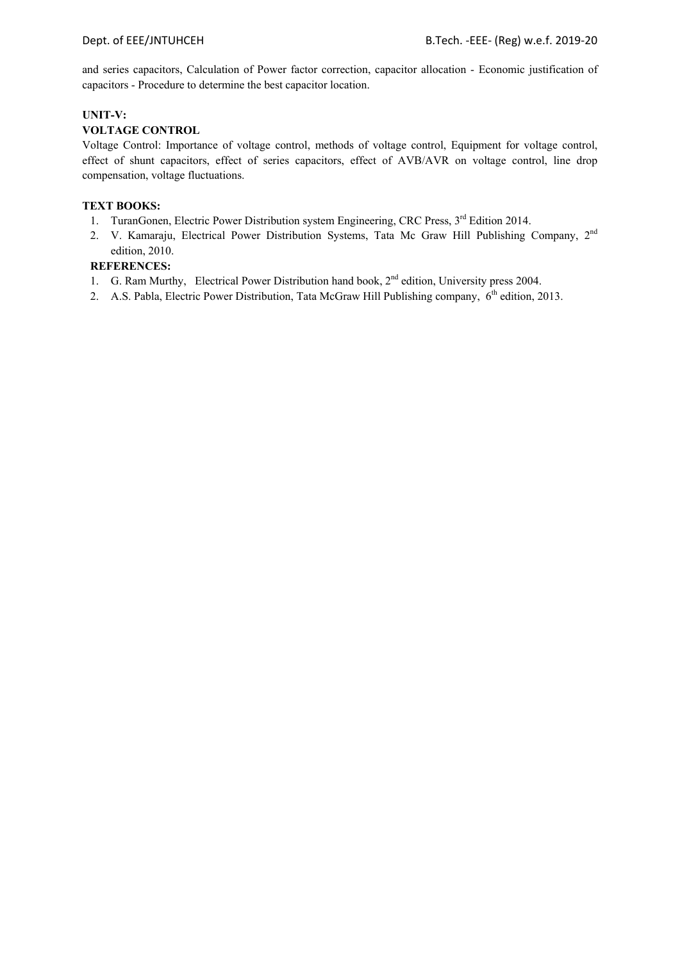and series capacitors, Calculation of Power factor correction, capacitor allocation - Economic justification of capacitors - Procedure to determine the best capacitor location.

#### **UNIT-V:**

#### **VOLTAGE CONTROL**

Voltage Control: Importance of voltage control, methods of voltage control, Equipment for voltage control, effect of shunt capacitors, effect of series capacitors, effect of AVB/AVR on voltage control, line drop compensation, voltage fluctuations.

#### **TEXT BOOKS:**

- 1. TuranGonen, Electric Power Distribution system Engineering, CRC Press, 3<sup>rd</sup> Edition 2014.
- 2. V. Kamaraju, Electrical Power Distribution Systems, Tata Mc Graw Hill Publishing Company, 2<sup>nd</sup> edition, 2010.

- 1. G. Ram Murthy, Electrical Power Distribution hand book, 2<sup>nd</sup> edition, University press 2004.
- 2. A.S. Pabla, Electric Power Distribution, Tata McGraw Hill Publishing company, 6<sup>th</sup> edition, 2013.